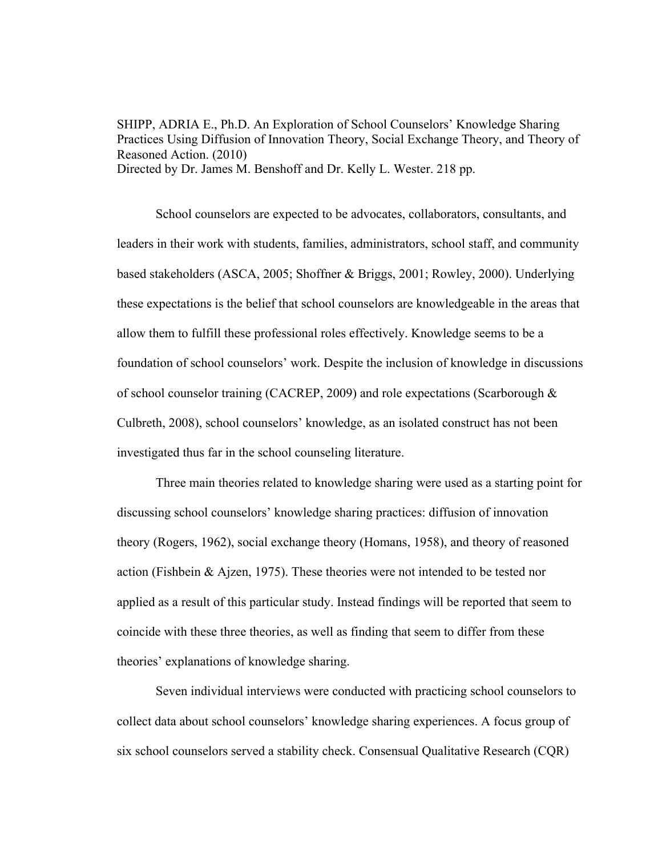SHIPP, ADRIA E., Ph.D. An Exploration of School Counselors' Knowledge Sharing Practices Using Diffusion of Innovation Theory, Social Exchange Theory, and Theory of Reasoned Action. (2010) Directed by Dr. James M. Benshoff and Dr. Kelly L. Wester. 218 pp.

School counselors are expected to be advocates, collaborators, consultants, and leaders in their work with students, families, administrators, school staff, and community based stakeholders (ASCA, 2005; Shoffner & Briggs, 2001; Rowley, 2000). Underlying these expectations is the belief that school counselors are knowledgeable in the areas that allow them to fulfill these professional roles effectively. Knowledge seems to be a foundation of school counselors' work. Despite the inclusion of knowledge in discussions of school counselor training (CACREP, 2009) and role expectations (Scarborough & Culbreth, 2008), school counselors' knowledge, as an isolated construct has not been investigated thus far in the school counseling literature.

Three main theories related to knowledge sharing were used as a starting point for discussing school counselors' knowledge sharing practices: diffusion of innovation theory (Rogers, 1962), social exchange theory (Homans, 1958), and theory of reasoned action (Fishbein & Ajzen, 1975). These theories were not intended to be tested nor applied as a result of this particular study. Instead findings will be reported that seem to coincide with these three theories, as well as finding that seem to differ from these theories' explanations of knowledge sharing.

Seven individual interviews were conducted with practicing school counselors to collect data about school counselors' knowledge sharing experiences. A focus group of six school counselors served a stability check. Consensual Qualitative Research (CQR)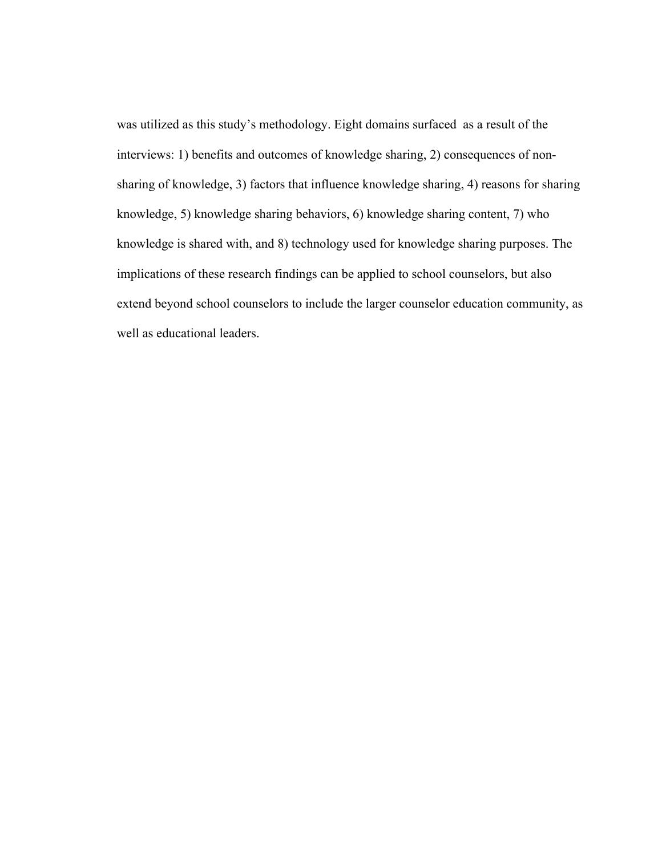was utilized as this study's methodology. Eight domains surfaced as a result of the interviews: 1) benefits and outcomes of knowledge sharing, 2) consequences of nonsharing of knowledge, 3) factors that influence knowledge sharing, 4) reasons for sharing knowledge, 5) knowledge sharing behaviors, 6) knowledge sharing content, 7) who knowledge is shared with, and 8) technology used for knowledge sharing purposes. The implications of these research findings can be applied to school counselors, but also extend beyond school counselors to include the larger counselor education community, as well as educational leaders.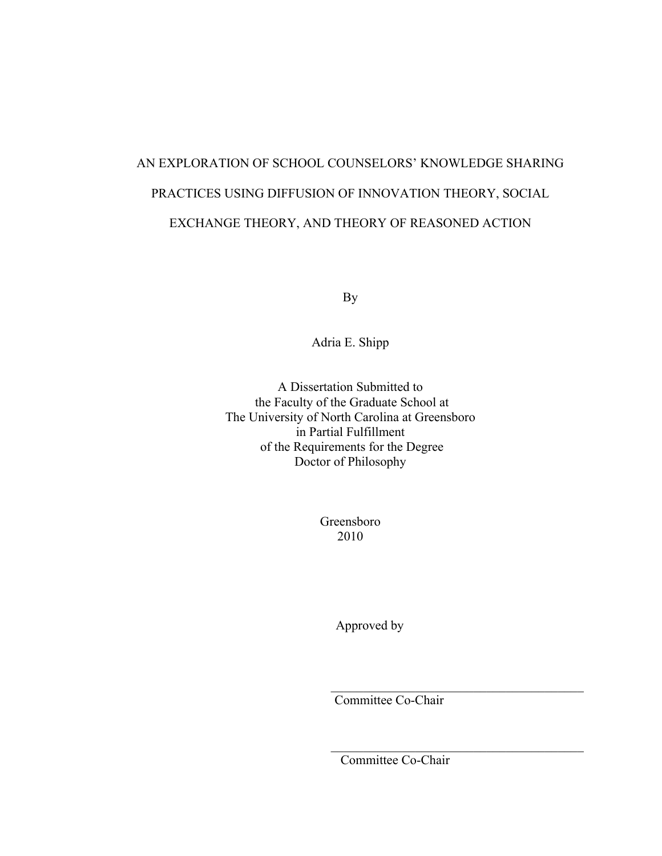# AN EXPLORATION OF SCHOOL COUNSELORS' KNOWLEDGE SHARING PRACTICES USING DIFFUSION OF INNOVATION THEORY, SOCIAL EXCHANGE THEORY, AND THEORY OF REASONED ACTION

By

Adria E. Shipp

A Dissertation Submitted to the Faculty of the Graduate School at The University of North Carolina at Greensboro in Partial Fulfillment of the Requirements for the Degree Doctor of Philosophy

> Greensboro 2010

> > Approved by

Committee Co-Chair

 $\mathcal{L}_\text{max}$ 

 $\mathcal{L}_\text{max}$  , and the set of the set of the set of the set of the set of the set of the set of the set of the set of the set of the set of the set of the set of the set of the set of the set of the set of the set of the

Committee Co-Chair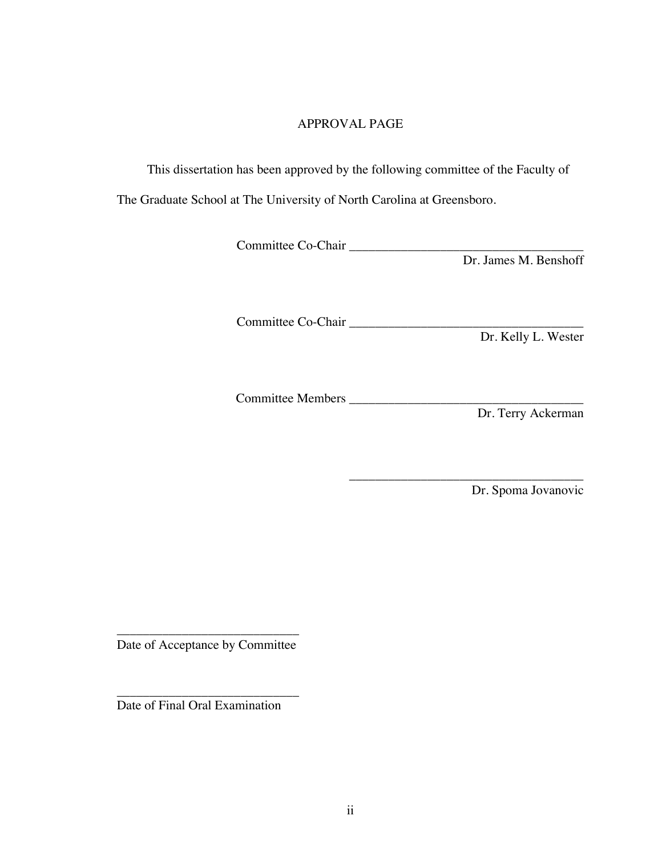# APPROVAL PAGE

This dissertation has been approved by the following committee of the Faculty of

The Graduate School at The University of North Carolina at Greensboro.

Committee Co-Chair \_\_\_\_\_\_\_\_\_\_\_\_\_\_\_\_\_\_\_\_\_\_\_\_\_\_\_\_\_\_\_\_\_\_\_\_

Dr. James M. Benshoff

Committee Co-Chair \_\_\_\_\_\_\_\_\_\_\_\_\_\_\_\_\_\_\_\_\_\_\_\_\_\_\_\_\_\_\_\_\_\_\_\_

Dr. Kelly L. Wester

Committee Members \_\_\_\_\_\_\_\_\_\_\_\_\_\_\_\_\_\_\_\_\_\_\_\_\_\_\_\_\_\_\_\_\_\_\_\_

Dr. Terry Ackerman

\_\_\_\_\_\_\_\_\_\_\_\_\_\_\_\_\_\_\_\_\_\_\_\_\_\_\_\_\_\_\_\_\_\_\_\_ Dr. Spoma Jovanovic

\_\_\_\_\_\_\_\_\_\_\_\_\_\_\_\_\_\_\_\_\_\_\_\_\_\_\_\_ Date of Acceptance by Committee

\_\_\_\_\_\_\_\_\_\_\_\_\_\_\_\_\_\_\_\_\_\_\_\_\_\_\_\_

Date of Final Oral Examination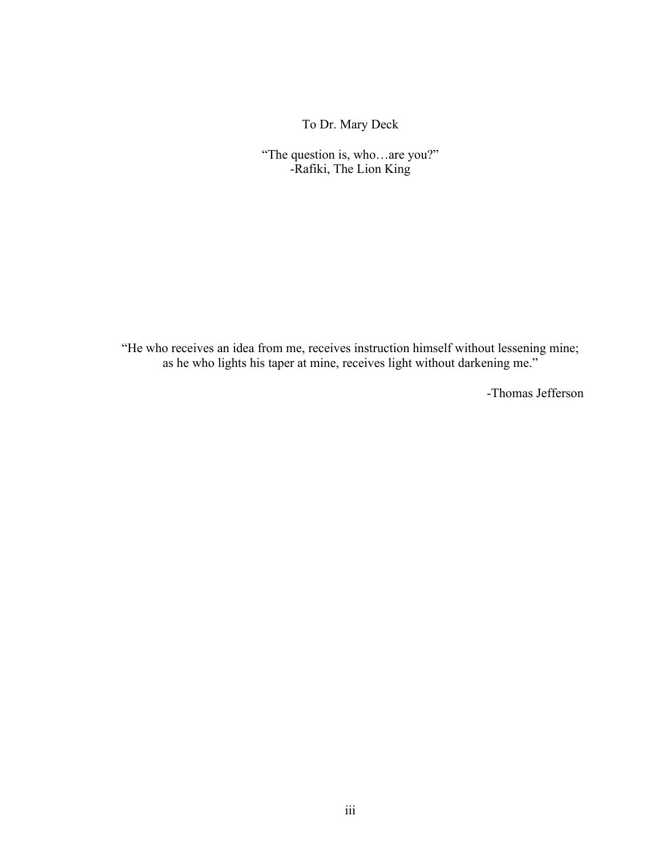To Dr. Mary Deck

"The question is, who…are you?" -Rafiki, The Lion King

"He who receives an idea from me, receives instruction himself without lessening mine; as he who lights his taper at mine, receives light without darkening me."

-Thomas Jefferson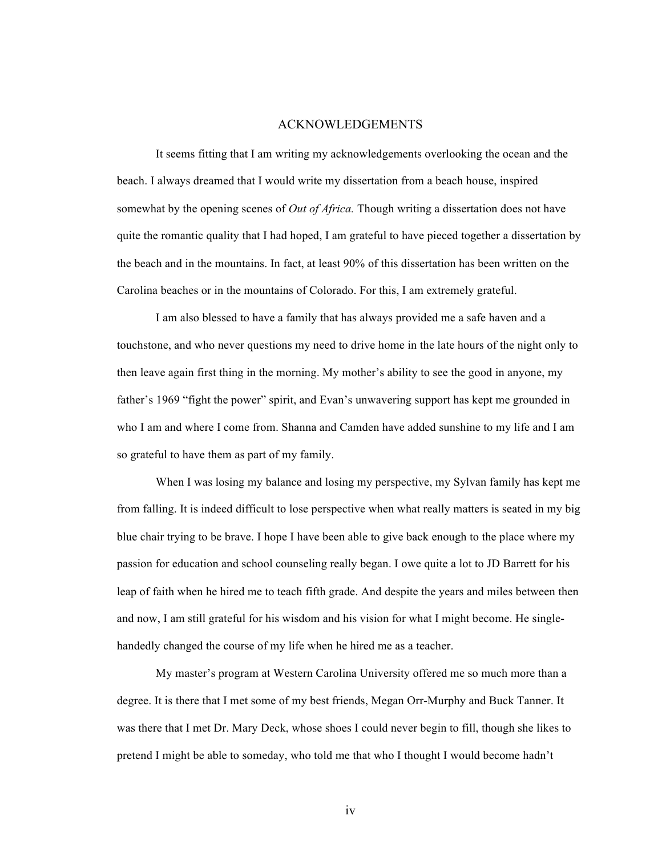#### ACKNOWLEDGEMENTS

It seems fitting that I am writing my acknowledgements overlooking the ocean and the beach. I always dreamed that I would write my dissertation from a beach house, inspired somewhat by the opening scenes of *Out of Africa.* Though writing a dissertation does not have quite the romantic quality that I had hoped, I am grateful to have pieced together a dissertation by the beach and in the mountains. In fact, at least 90% of this dissertation has been written on the Carolina beaches or in the mountains of Colorado. For this, I am extremely grateful.

I am also blessed to have a family that has always provided me a safe haven and a touchstone, and who never questions my need to drive home in the late hours of the night only to then leave again first thing in the morning. My mother's ability to see the good in anyone, my father's 1969 "fight the power" spirit, and Evan's unwavering support has kept me grounded in who I am and where I come from. Shanna and Camden have added sunshine to my life and I am so grateful to have them as part of my family.

When I was losing my balance and losing my perspective, my Sylvan family has kept me from falling. It is indeed difficult to lose perspective when what really matters is seated in my big blue chair trying to be brave. I hope I have been able to give back enough to the place where my passion for education and school counseling really began. I owe quite a lot to JD Barrett for his leap of faith when he hired me to teach fifth grade. And despite the years and miles between then and now, I am still grateful for his wisdom and his vision for what I might become. He singlehandedly changed the course of my life when he hired me as a teacher.

My master's program at Western Carolina University offered me so much more than a degree. It is there that I met some of my best friends, Megan Orr-Murphy and Buck Tanner. It was there that I met Dr. Mary Deck, whose shoes I could never begin to fill, though she likes to pretend I might be able to someday, who told me that who I thought I would become hadn't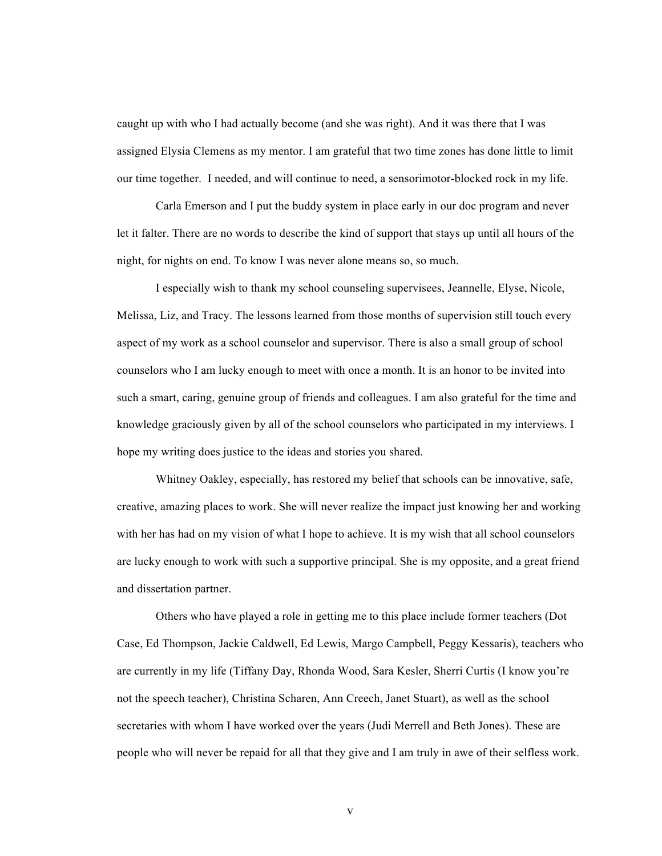caught up with who I had actually become (and she was right). And it was there that I was assigned Elysia Clemens as my mentor. I am grateful that two time zones has done little to limit our time together. I needed, and will continue to need, a sensorimotor-blocked rock in my life.

Carla Emerson and I put the buddy system in place early in our doc program and never let it falter. There are no words to describe the kind of support that stays up until all hours of the night, for nights on end. To know I was never alone means so, so much.

I especially wish to thank my school counseling supervisees, Jeannelle, Elyse, Nicole, Melissa, Liz, and Tracy. The lessons learned from those months of supervision still touch every aspect of my work as a school counselor and supervisor. There is also a small group of school counselors who I am lucky enough to meet with once a month. It is an honor to be invited into such a smart, caring, genuine group of friends and colleagues. I am also grateful for the time and knowledge graciously given by all of the school counselors who participated in my interviews. I hope my writing does justice to the ideas and stories you shared.

Whitney Oakley, especially, has restored my belief that schools can be innovative, safe, creative, amazing places to work. She will never realize the impact just knowing her and working with her has had on my vision of what I hope to achieve. It is my wish that all school counselors are lucky enough to work with such a supportive principal. She is my opposite, and a great friend and dissertation partner.

Others who have played a role in getting me to this place include former teachers (Dot Case, Ed Thompson, Jackie Caldwell, Ed Lewis, Margo Campbell, Peggy Kessaris), teachers who are currently in my life (Tiffany Day, Rhonda Wood, Sara Kesler, Sherri Curtis (I know you're not the speech teacher), Christina Scharen, Ann Creech, Janet Stuart), as well as the school secretaries with whom I have worked over the years (Judi Merrell and Beth Jones). These are people who will never be repaid for all that they give and I am truly in awe of their selfless work.

v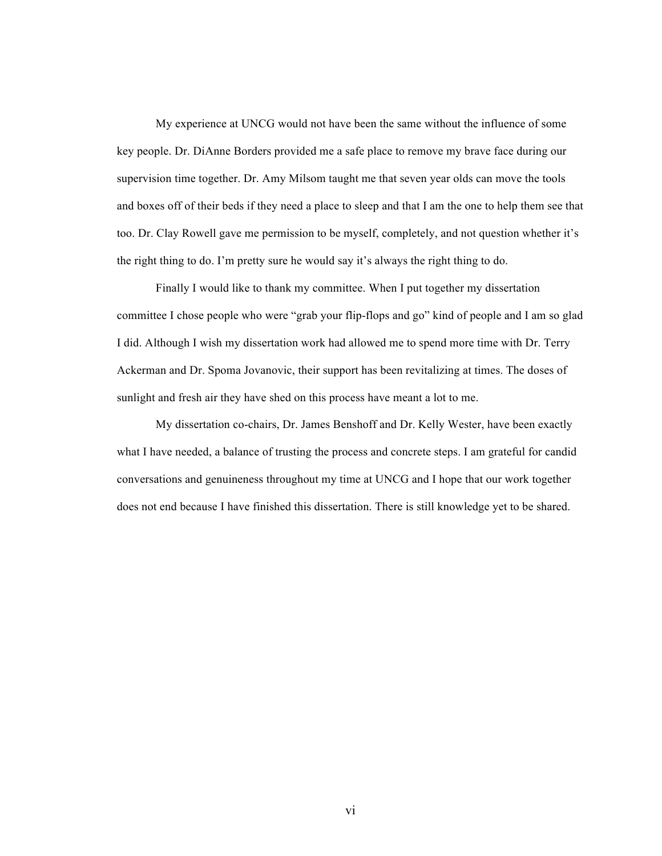My experience at UNCG would not have been the same without the influence of some key people. Dr. DiAnne Borders provided me a safe place to remove my brave face during our supervision time together. Dr. Amy Milsom taught me that seven year olds can move the tools and boxes off of their beds if they need a place to sleep and that I am the one to help them see that too. Dr. Clay Rowell gave me permission to be myself, completely, and not question whether it's the right thing to do. I'm pretty sure he would say it's always the right thing to do.

Finally I would like to thank my committee. When I put together my dissertation committee I chose people who were "grab your flip-flops and go" kind of people and I am so glad I did. Although I wish my dissertation work had allowed me to spend more time with Dr. Terry Ackerman and Dr. Spoma Jovanovic, their support has been revitalizing at times. The doses of sunlight and fresh air they have shed on this process have meant a lot to me.

My dissertation co-chairs, Dr. James Benshoff and Dr. Kelly Wester, have been exactly what I have needed, a balance of trusting the process and concrete steps. I am grateful for candid conversations and genuineness throughout my time at UNCG and I hope that our work together does not end because I have finished this dissertation. There is still knowledge yet to be shared.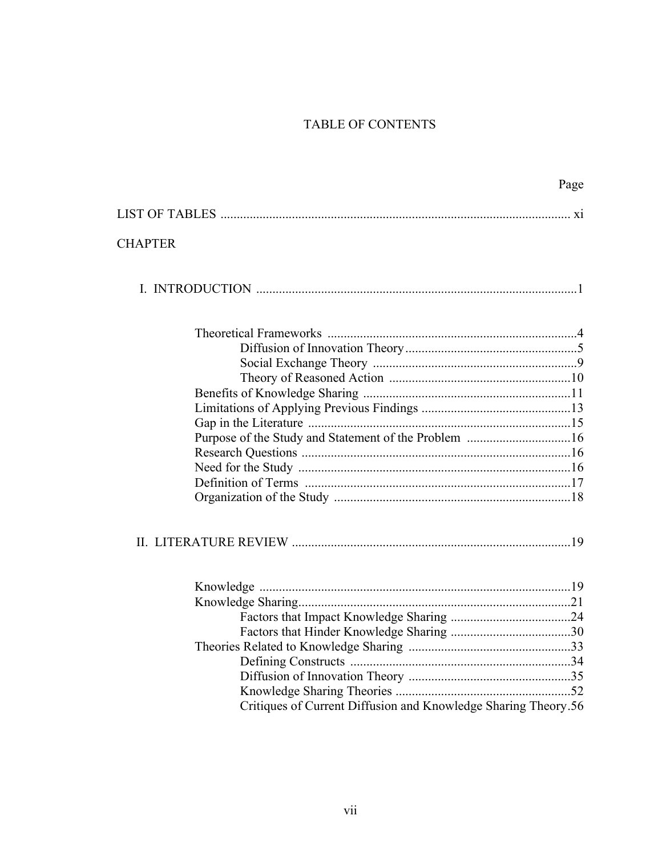# TABLE OF CONTENTS

|                                                                | Page |
|----------------------------------------------------------------|------|
|                                                                |      |
| <b>CHAPTER</b>                                                 |      |
|                                                                |      |
|                                                                |      |
|                                                                |      |
|                                                                |      |
|                                                                |      |
|                                                                |      |
|                                                                |      |
|                                                                |      |
| Purpose of the Study and Statement of the Problem 16           |      |
|                                                                |      |
|                                                                |      |
|                                                                |      |
|                                                                |      |
|                                                                |      |
|                                                                |      |
|                                                                |      |
|                                                                |      |
|                                                                |      |
|                                                                |      |
|                                                                |      |
|                                                                |      |
|                                                                |      |
| Critiques of Current Diffusion and Knowledge Sharing Theory.56 |      |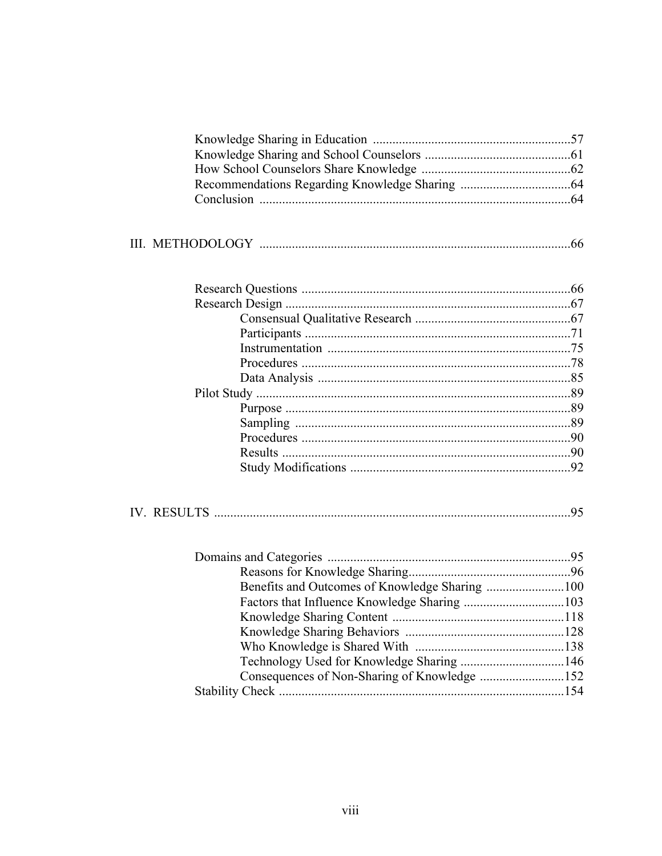|  | III. METHODOLOGY |  |  |  |
|--|------------------|--|--|--|
|--|------------------|--|--|--|

Technology Used for Knowledge Sharing ...................................146 Consequences of Non-Sharing of Knowledge ............................152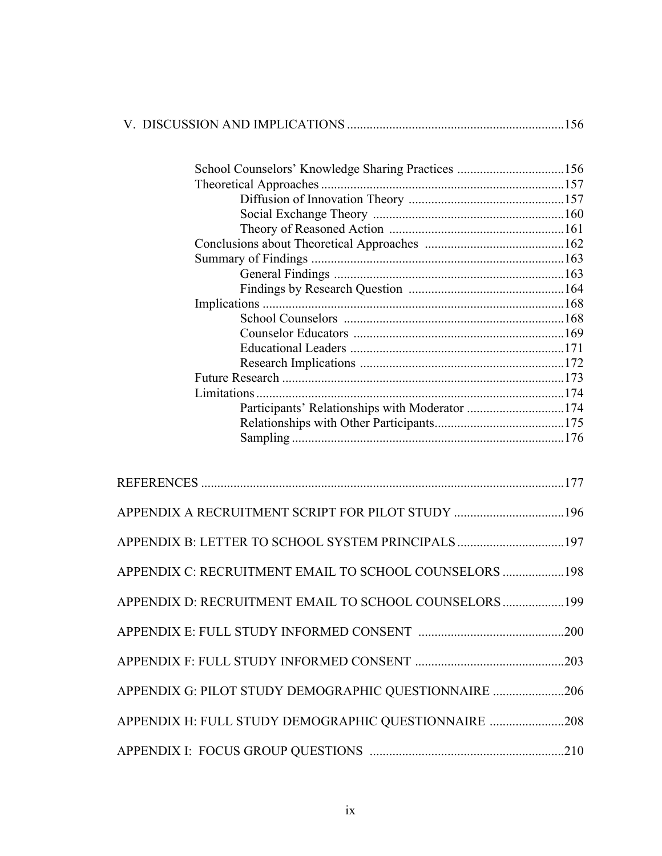|--|

| School Counselors' Knowledge Sharing Practices 156 |  |
|----------------------------------------------------|--|
|                                                    |  |
|                                                    |  |
|                                                    |  |
|                                                    |  |
|                                                    |  |
|                                                    |  |
|                                                    |  |
|                                                    |  |
|                                                    |  |
|                                                    |  |
|                                                    |  |
|                                                    |  |
|                                                    |  |
|                                                    |  |
|                                                    |  |
|                                                    |  |
|                                                    |  |
|                                                    |  |
|                                                    |  |

| APPENDIX B: LETTER TO SCHOOL SYSTEM PRINCIPALS 197      |  |
|---------------------------------------------------------|--|
| APPENDIX C: RECRUITMENT EMAIL TO SCHOOL COUNSELORS  198 |  |
| APPENDIX D: RECRUITMENT EMAIL TO SCHOOL COUNSELORS  199 |  |
|                                                         |  |
|                                                         |  |
| APPENDIX G: PILOT STUDY DEMOGRAPHIC QUESTIONNAIRE 206   |  |
| APPENDIX H: FULL STUDY DEMOGRAPHIC QUESTIONNAIRE 208    |  |
|                                                         |  |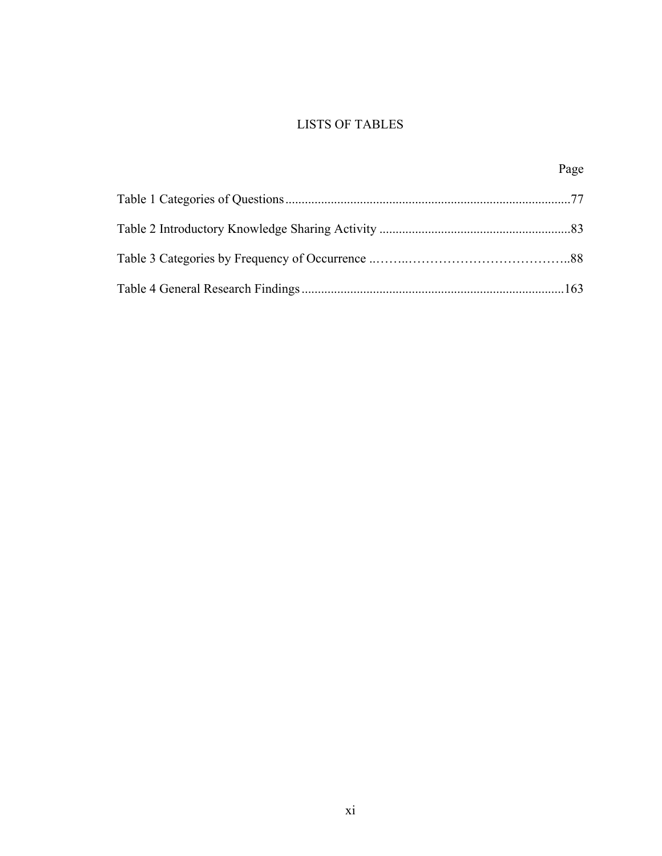# LISTS OF TABLES

| Page |
|------|
|      |
|      |
|      |
|      |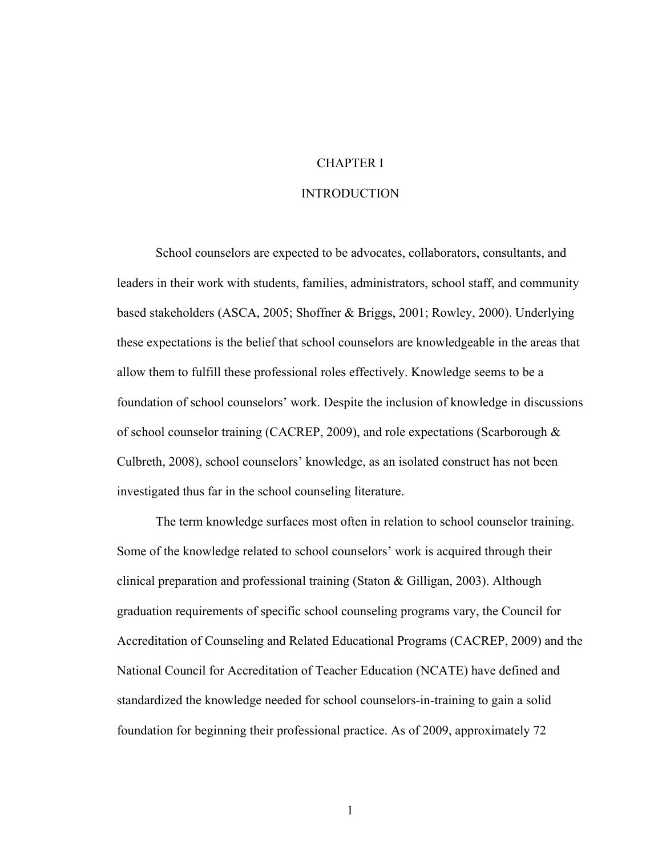## CHAPTER I

#### INTRODUCTION

School counselors are expected to be advocates, collaborators, consultants, and leaders in their work with students, families, administrators, school staff, and community based stakeholders (ASCA, 2005; Shoffner & Briggs, 2001; Rowley, 2000). Underlying these expectations is the belief that school counselors are knowledgeable in the areas that allow them to fulfill these professional roles effectively. Knowledge seems to be a foundation of school counselors' work. Despite the inclusion of knowledge in discussions of school counselor training (CACREP, 2009), and role expectations (Scarborough & Culbreth, 2008), school counselors' knowledge, as an isolated construct has not been investigated thus far in the school counseling literature.

The term knowledge surfaces most often in relation to school counselor training. Some of the knowledge related to school counselors' work is acquired through their clinical preparation and professional training (Staton & Gilligan, 2003). Although graduation requirements of specific school counseling programs vary, the Council for Accreditation of Counseling and Related Educational Programs (CACREP, 2009) and the National Council for Accreditation of Teacher Education (NCATE) have defined and standardized the knowledge needed for school counselors-in-training to gain a solid foundation for beginning their professional practice. As of 2009, approximately 72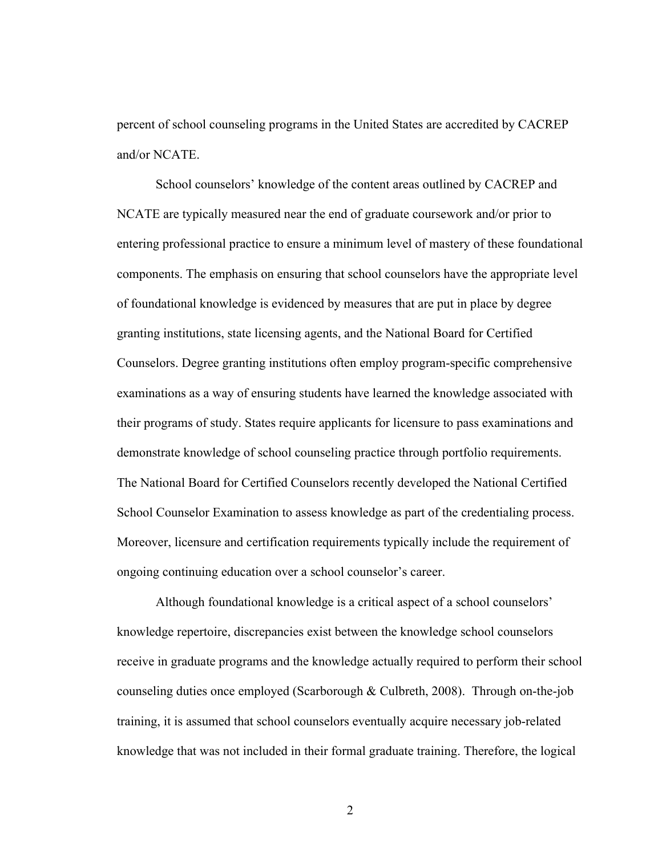percent of school counseling programs in the United States are accredited by CACREP and/or NCATE.

School counselors' knowledge of the content areas outlined by CACREP and NCATE are typically measured near the end of graduate coursework and/or prior to entering professional practice to ensure a minimum level of mastery of these foundational components. The emphasis on ensuring that school counselors have the appropriate level of foundational knowledge is evidenced by measures that are put in place by degree granting institutions, state licensing agents, and the National Board for Certified Counselors. Degree granting institutions often employ program-specific comprehensive examinations as a way of ensuring students have learned the knowledge associated with their programs of study. States require applicants for licensure to pass examinations and demonstrate knowledge of school counseling practice through portfolio requirements. The National Board for Certified Counselors recently developed the National Certified School Counselor Examination to assess knowledge as part of the credentialing process. Moreover, licensure and certification requirements typically include the requirement of ongoing continuing education over a school counselor's career.

Although foundational knowledge is a critical aspect of a school counselors' knowledge repertoire, discrepancies exist between the knowledge school counselors receive in graduate programs and the knowledge actually required to perform their school counseling duties once employed (Scarborough & Culbreth, 2008). Through on-the-job training, it is assumed that school counselors eventually acquire necessary job-related knowledge that was not included in their formal graduate training. Therefore, the logical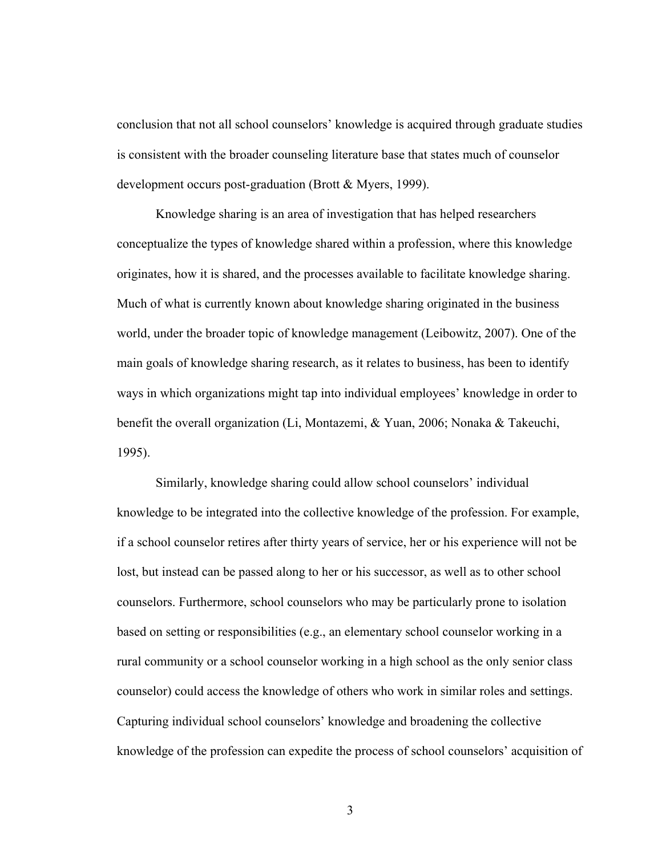conclusion that not all school counselors' knowledge is acquired through graduate studies is consistent with the broader counseling literature base that states much of counselor development occurs post-graduation (Brott & Myers, 1999).

Knowledge sharing is an area of investigation that has helped researchers conceptualize the types of knowledge shared within a profession, where this knowledge originates, how it is shared, and the processes available to facilitate knowledge sharing. Much of what is currently known about knowledge sharing originated in the business world, under the broader topic of knowledge management (Leibowitz, 2007). One of the main goals of knowledge sharing research, as it relates to business, has been to identify ways in which organizations might tap into individual employees' knowledge in order to benefit the overall organization (Li, Montazemi, & Yuan, 2006; Nonaka & Takeuchi, 1995).

Similarly, knowledge sharing could allow school counselors' individual knowledge to be integrated into the collective knowledge of the profession. For example, if a school counselor retires after thirty years of service, her or his experience will not be lost, but instead can be passed along to her or his successor, as well as to other school counselors. Furthermore, school counselors who may be particularly prone to isolation based on setting or responsibilities (e.g., an elementary school counselor working in a rural community or a school counselor working in a high school as the only senior class counselor) could access the knowledge of others who work in similar roles and settings. Capturing individual school counselors' knowledge and broadening the collective knowledge of the profession can expedite the process of school counselors' acquisition of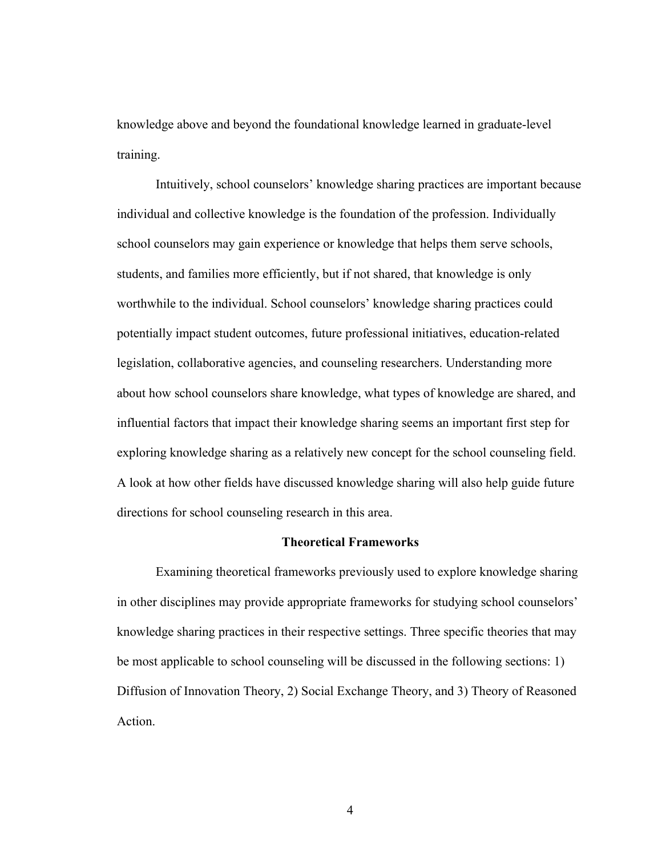knowledge above and beyond the foundational knowledge learned in graduate-level training.

Intuitively, school counselors' knowledge sharing practices are important because individual and collective knowledge is the foundation of the profession. Individually school counselors may gain experience or knowledge that helps them serve schools, students, and families more efficiently, but if not shared, that knowledge is only worthwhile to the individual. School counselors' knowledge sharing practices could potentially impact student outcomes, future professional initiatives, education-related legislation, collaborative agencies, and counseling researchers. Understanding more about how school counselors share knowledge, what types of knowledge are shared, and influential factors that impact their knowledge sharing seems an important first step for exploring knowledge sharing as a relatively new concept for the school counseling field. A look at how other fields have discussed knowledge sharing will also help guide future directions for school counseling research in this area.

#### **Theoretical Frameworks**

Examining theoretical frameworks previously used to explore knowledge sharing in other disciplines may provide appropriate frameworks for studying school counselors' knowledge sharing practices in their respective settings. Three specific theories that may be most applicable to school counseling will be discussed in the following sections: 1) Diffusion of Innovation Theory, 2) Social Exchange Theory, and 3) Theory of Reasoned Action.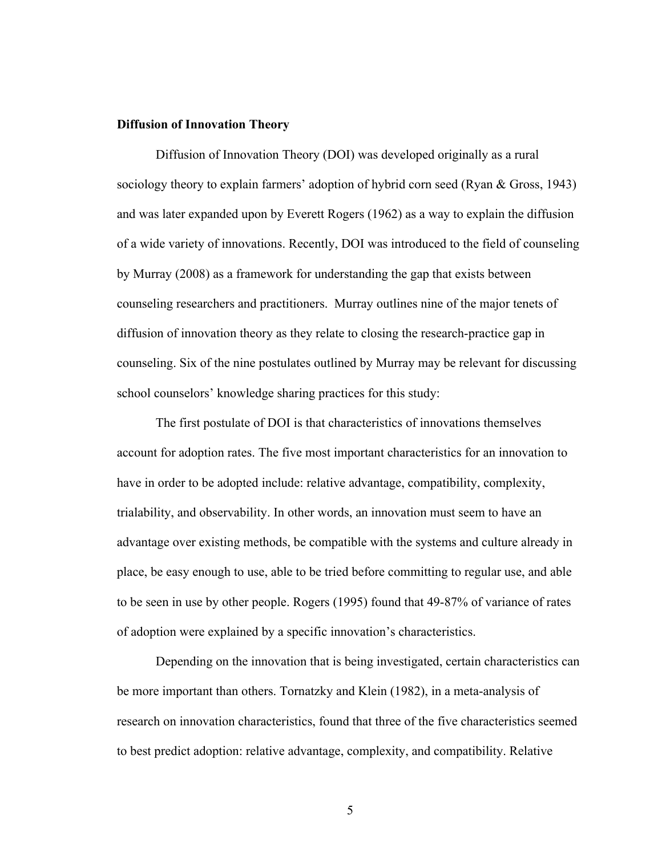#### **Diffusion of Innovation Theory**

Diffusion of Innovation Theory (DOI) was developed originally as a rural sociology theory to explain farmers' adoption of hybrid corn seed (Ryan & Gross, 1943) and was later expanded upon by Everett Rogers (1962) as a way to explain the diffusion of a wide variety of innovations. Recently, DOI was introduced to the field of counseling by Murray (2008) as a framework for understanding the gap that exists between counseling researchers and practitioners. Murray outlines nine of the major tenets of diffusion of innovation theory as they relate to closing the research-practice gap in counseling. Six of the nine postulates outlined by Murray may be relevant for discussing school counselors' knowledge sharing practices for this study:

The first postulate of DOI is that characteristics of innovations themselves account for adoption rates. The five most important characteristics for an innovation to have in order to be adopted include: relative advantage, compatibility, complexity, trialability, and observability. In other words, an innovation must seem to have an advantage over existing methods, be compatible with the systems and culture already in place, be easy enough to use, able to be tried before committing to regular use, and able to be seen in use by other people. Rogers (1995) found that 49-87% of variance of rates of adoption were explained by a specific innovation's characteristics.

Depending on the innovation that is being investigated, certain characteristics can be more important than others. Tornatzky and Klein (1982), in a meta-analysis of research on innovation characteristics, found that three of the five characteristics seemed to best predict adoption: relative advantage, complexity, and compatibility. Relative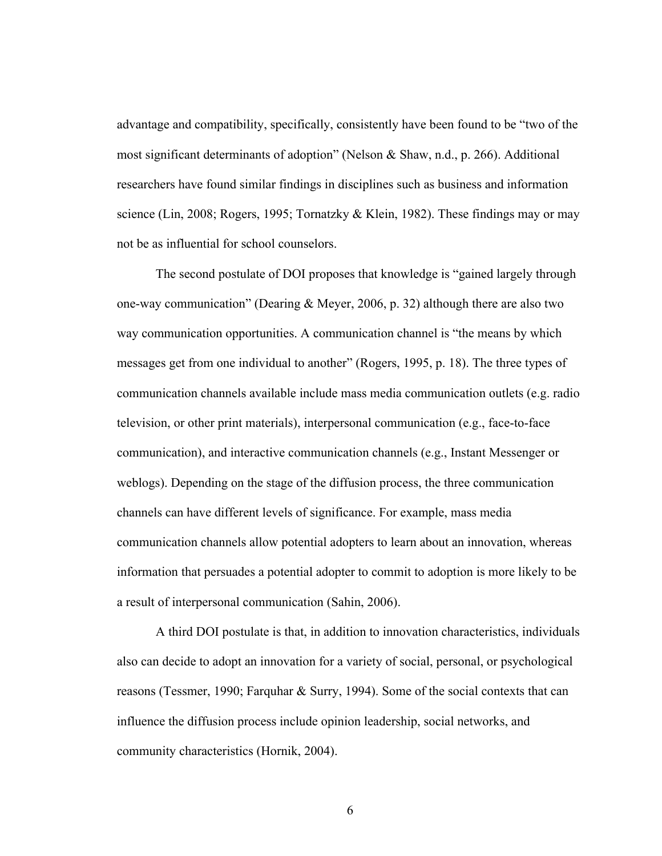advantage and compatibility, specifically, consistently have been found to be "two of the most significant determinants of adoption" (Nelson & Shaw, n.d., p. 266). Additional researchers have found similar findings in disciplines such as business and information science (Lin, 2008; Rogers, 1995; Tornatzky & Klein, 1982). These findings may or may not be as influential for school counselors.

The second postulate of DOI proposes that knowledge is "gained largely through one-way communication" (Dearing & Meyer, 2006, p. 32) although there are also two way communication opportunities. A communication channel is "the means by which messages get from one individual to another" (Rogers, 1995, p. 18). The three types of communication channels available include mass media communication outlets (e.g. radio television, or other print materials), interpersonal communication (e.g., face-to-face communication), and interactive communication channels (e.g., Instant Messenger or weblogs). Depending on the stage of the diffusion process, the three communication channels can have different levels of significance. For example, mass media communication channels allow potential adopters to learn about an innovation, whereas information that persuades a potential adopter to commit to adoption is more likely to be a result of interpersonal communication (Sahin, 2006).

A third DOI postulate is that, in addition to innovation characteristics, individuals also can decide to adopt an innovation for a variety of social, personal, or psychological reasons (Tessmer, 1990; Farquhar & Surry, 1994). Some of the social contexts that can influence the diffusion process include opinion leadership, social networks, and community characteristics (Hornik, 2004).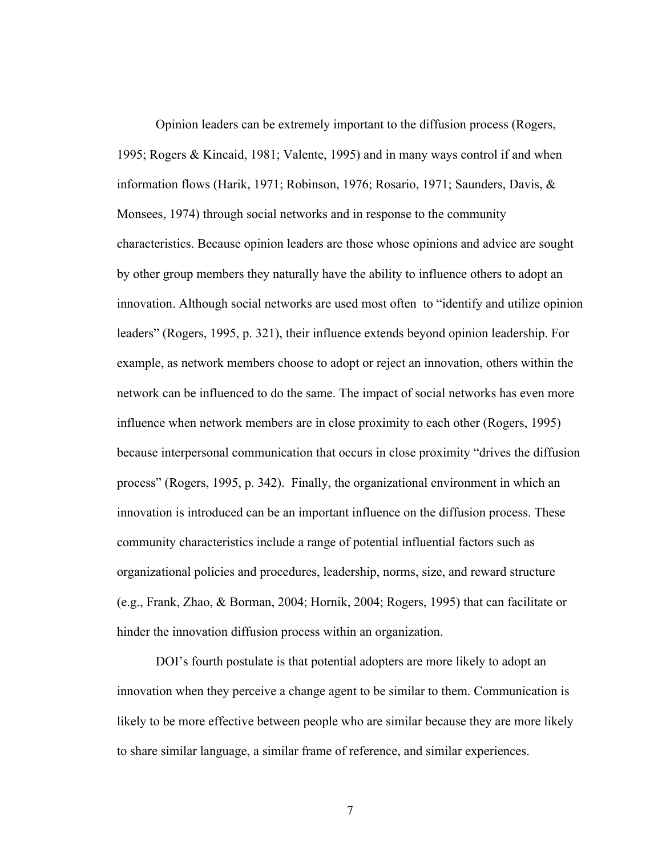Opinion leaders can be extremely important to the diffusion process (Rogers, 1995; Rogers & Kincaid, 1981; Valente, 1995) and in many ways control if and when information flows (Harik, 1971; Robinson, 1976; Rosario, 1971; Saunders, Davis, & Monsees, 1974) through social networks and in response to the community characteristics. Because opinion leaders are those whose opinions and advice are sought by other group members they naturally have the ability to influence others to adopt an innovation. Although social networks are used most often to "identify and utilize opinion leaders" (Rogers, 1995, p. 321), their influence extends beyond opinion leadership. For example, as network members choose to adopt or reject an innovation, others within the network can be influenced to do the same. The impact of social networks has even more influence when network members are in close proximity to each other (Rogers, 1995) because interpersonal communication that occurs in close proximity "drives the diffusion process" (Rogers, 1995, p. 342). Finally, the organizational environment in which an innovation is introduced can be an important influence on the diffusion process. These community characteristics include a range of potential influential factors such as organizational policies and procedures, leadership, norms, size, and reward structure (e.g., Frank, Zhao, & Borman, 2004; Hornik, 2004; Rogers, 1995) that can facilitate or hinder the innovation diffusion process within an organization.

DOI's fourth postulate is that potential adopters are more likely to adopt an innovation when they perceive a change agent to be similar to them. Communication is likely to be more effective between people who are similar because they are more likely to share similar language, a similar frame of reference, and similar experiences.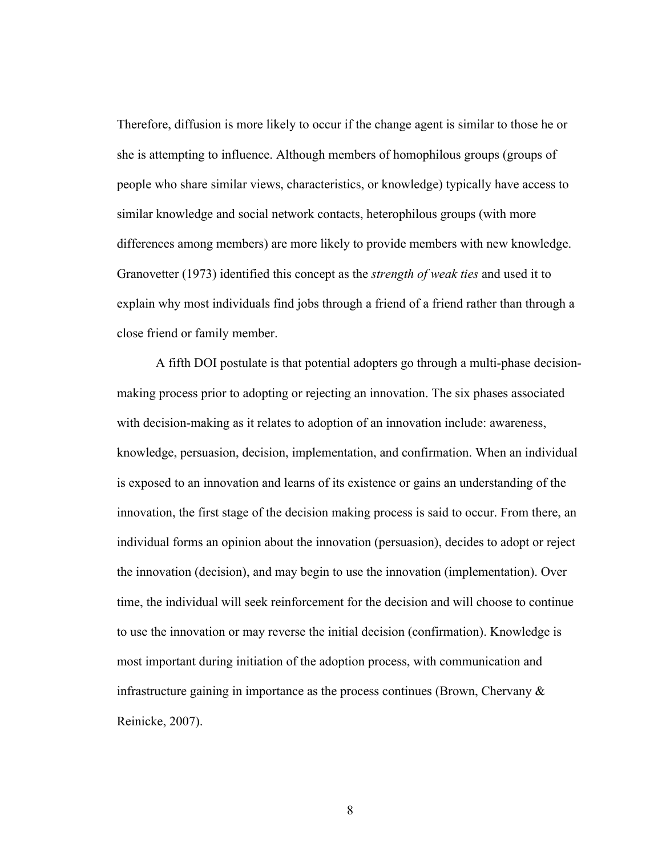Therefore, diffusion is more likely to occur if the change agent is similar to those he or she is attempting to influence. Although members of homophilous groups (groups of people who share similar views, characteristics, or knowledge) typically have access to similar knowledge and social network contacts, heterophilous groups (with more differences among members) are more likely to provide members with new knowledge. Granovetter (1973) identified this concept as the *strength of weak ties* and used it to explain why most individuals find jobs through a friend of a friend rather than through a close friend or family member.

A fifth DOI postulate is that potential adopters go through a multi-phase decisionmaking process prior to adopting or rejecting an innovation. The six phases associated with decision-making as it relates to adoption of an innovation include: awareness, knowledge, persuasion, decision, implementation, and confirmation. When an individual is exposed to an innovation and learns of its existence or gains an understanding of the innovation, the first stage of the decision making process is said to occur. From there, an individual forms an opinion about the innovation (persuasion), decides to adopt or reject the innovation (decision), and may begin to use the innovation (implementation). Over time, the individual will seek reinforcement for the decision and will choose to continue to use the innovation or may reverse the initial decision (confirmation). Knowledge is most important during initiation of the adoption process, with communication and infrastructure gaining in importance as the process continues (Brown, Chervany  $\&$ Reinicke, 2007).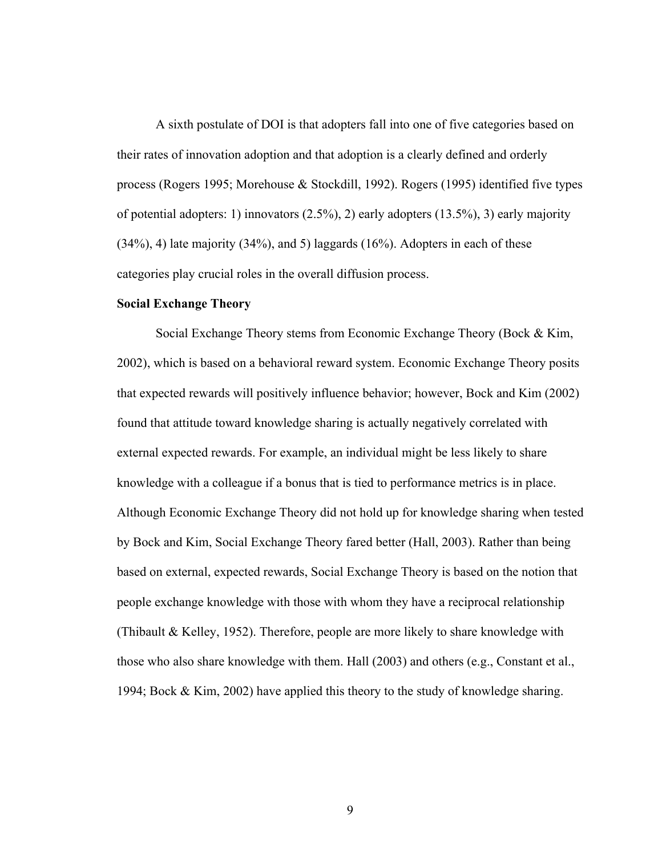A sixth postulate of DOI is that adopters fall into one of five categories based on their rates of innovation adoption and that adoption is a clearly defined and orderly process (Rogers 1995; Morehouse & Stockdill, 1992). Rogers (1995) identified five types of potential adopters: 1) innovators (2.5%), 2) early adopters (13.5%), 3) early majority (34%), 4) late majority (34%), and 5) laggards (16%). Adopters in each of these categories play crucial roles in the overall diffusion process.

## **Social Exchange Theory**

Social Exchange Theory stems from Economic Exchange Theory (Bock & Kim, 2002), which is based on a behavioral reward system. Economic Exchange Theory posits that expected rewards will positively influence behavior; however, Bock and Kim (2002) found that attitude toward knowledge sharing is actually negatively correlated with external expected rewards. For example, an individual might be less likely to share knowledge with a colleague if a bonus that is tied to performance metrics is in place. Although Economic Exchange Theory did not hold up for knowledge sharing when tested by Bock and Kim, Social Exchange Theory fared better (Hall, 2003). Rather than being based on external, expected rewards, Social Exchange Theory is based on the notion that people exchange knowledge with those with whom they have a reciprocal relationship (Thibault & Kelley, 1952). Therefore, people are more likely to share knowledge with those who also share knowledge with them. Hall (2003) and others (e.g., Constant et al., 1994; Bock & Kim, 2002) have applied this theory to the study of knowledge sharing.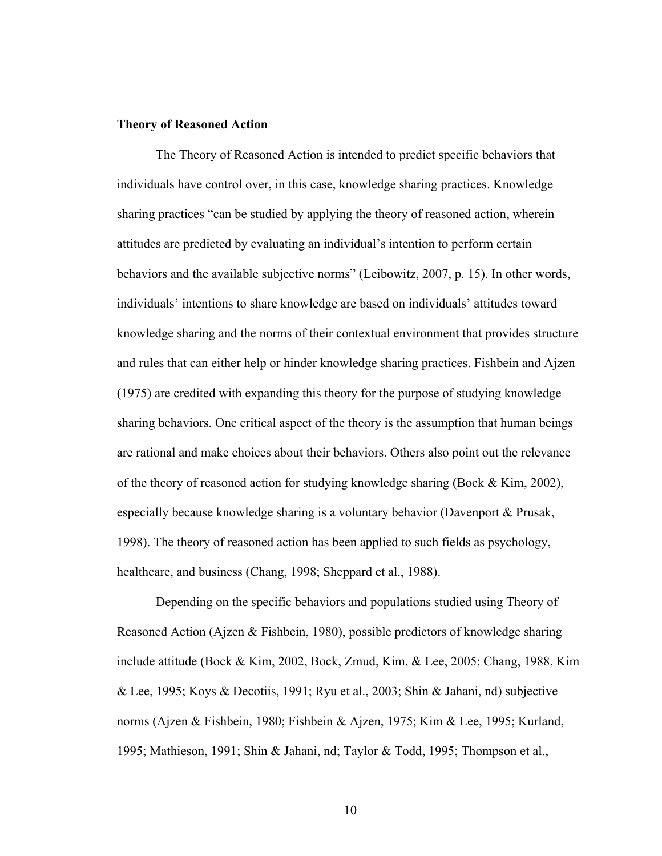#### **Theory of Reasoned Action**

The Theory of Reasoned Action is intended to predict specific behaviors that individuals have control over, in this case, knowledge sharing practices. Knowledge sharing practices "can be studied by applying the theory of reasoned action, wherein attitudes are predicted by evaluating an individual's intention to perform certain behaviors and the available subjective norms" (Leibowitz, 2007, p. 15). In other words, individuals' intentions to share knowledge are based on individuals' attitudes toward knowledge sharing and the norms of their contextual environment that provides structure and rules that can either help or hinder knowledge sharing practices. Fishbein and Ajzen (1975) are credited with expanding this theory for the purpose of studying knowledge sharing behaviors. One critical aspect of the theory is the assumption that human beings are rational and make choices about their behaviors. Others also point out the relevance of the theory of reasoned action for studying knowledge sharing (Bock & Kim, 2002), especially because knowledge sharing is a voluntary behavior (Davenport & Prusak, 1998). The theory of reasoned action has been applied to such fields as psychology, healthcare, and business (Chang, 1998; Sheppard et al., 1988).

Depending on the specific behaviors and populations studied using Theory of Reasoned Action (Ajzen & Fishbein, 1980), possible predictors of knowledge sharing include attitude (Bock & Kim, 2002, Bock, Zmud, Kim, & Lee, 2005; Chang, 1988, Kim & Lee, 1995; Koys & Decotiis, 1991; Ryu et al., 2003; Shin & Jahani, nd) subjective norms (Ajzen & Fishbein, 1980; Fishbein & Ajzen, 1975; Kim & Lee, 1995; Kurland, 1995; Mathieson, 1991; Shin & Jahani, nd; Taylor & Todd, 1995; Thompson et al.,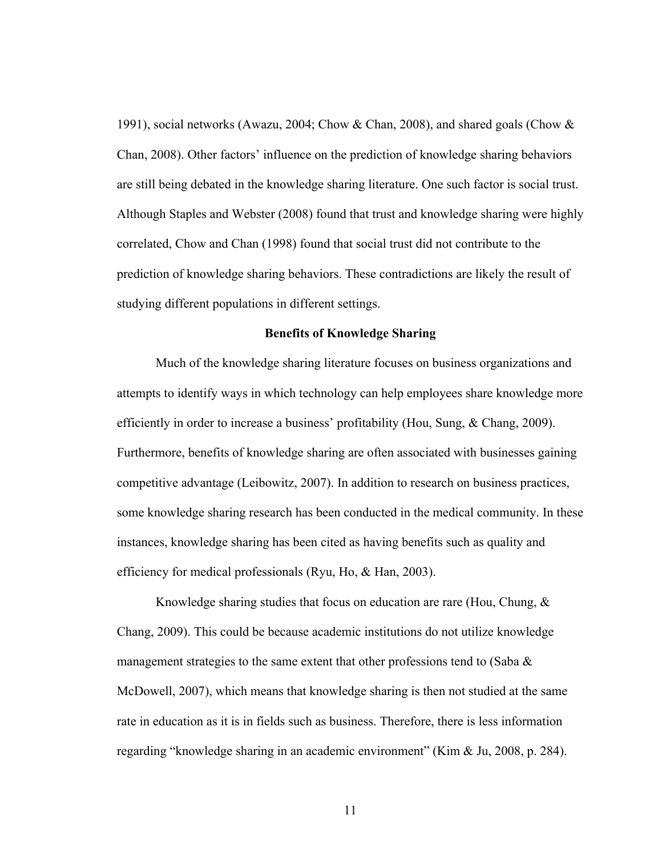1991), social networks (Awazu, 2004; Chow & Chan, 2008), and shared goals (Chow & Chan, 2008). Other factors' influence on the prediction of knowledge sharing behaviors are still being debated in the knowledge sharing literature. One such factor is social trust. Although Staples and Webster (2008) found that trust and knowledge sharing were highly correlated, Chow and Chan (1998) found that social trust did not contribute to the prediction of knowledge sharing behaviors. These contradictions are likely the result of studying different populations in different settings.

#### **Benefits of Knowledge Sharing**

Much of the knowledge sharing literature focuses on business organizations and attempts to identify ways in which technology can help employees share knowledge more efficiently in order to increase a business' profitability (Hou, Sung, & Chang, 2009). Furthermore, benefits of knowledge sharing are often associated with businesses gaining competitive advantage (Leibowitz, 2007). In addition to research on business practices, some knowledge sharing research has been conducted in the medical community. In these instances, knowledge sharing has been cited as having benefits such as quality and efficiency for medical professionals (Ryu, Ho, & Han, 2003).

Knowledge sharing studies that focus on education are rare (Hou, Chung, & Chang, 2009). This could be because academic institutions do not utilize knowledge management strategies to the same extent that other professions tend to (Saba  $\&$ McDowell, 2007), which means that knowledge sharing is then not studied at the same rate in education as it is in fields such as business. Therefore, there is less information regarding "knowledge sharing in an academic environment" (Kim & Ju, 2008, p. 284).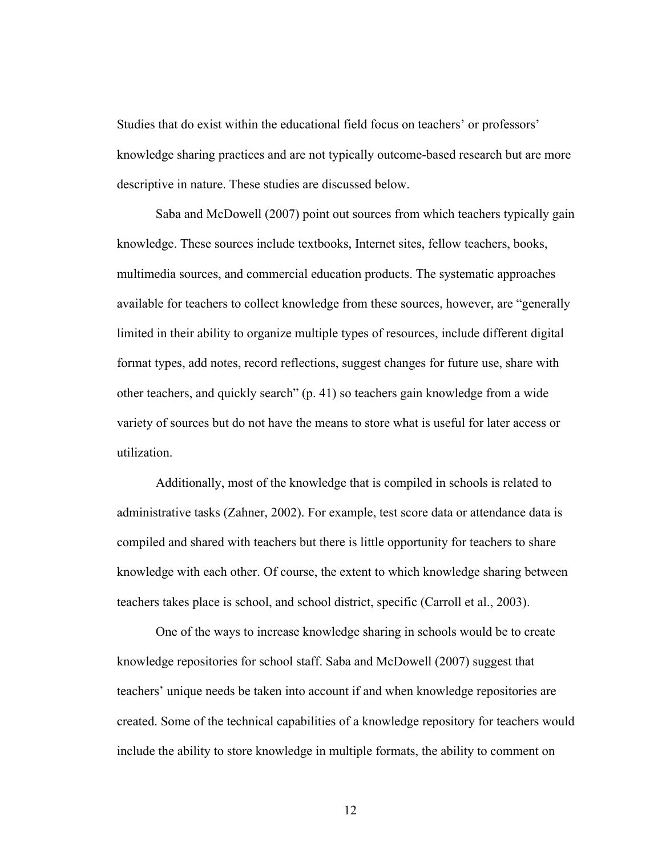Studies that do exist within the educational field focus on teachers' or professors' knowledge sharing practices and are not typically outcome-based research but are more descriptive in nature. These studies are discussed below.

Saba and McDowell (2007) point out sources from which teachers typically gain knowledge. These sources include textbooks, Internet sites, fellow teachers, books, multimedia sources, and commercial education products. The systematic approaches available for teachers to collect knowledge from these sources, however, are "generally limited in their ability to organize multiple types of resources, include different digital format types, add notes, record reflections, suggest changes for future use, share with other teachers, and quickly search" (p. 41) so teachers gain knowledge from a wide variety of sources but do not have the means to store what is useful for later access or utilization.

Additionally, most of the knowledge that is compiled in schools is related to administrative tasks (Zahner, 2002). For example, test score data or attendance data is compiled and shared with teachers but there is little opportunity for teachers to share knowledge with each other. Of course, the extent to which knowledge sharing between teachers takes place is school, and school district, specific (Carroll et al., 2003).

One of the ways to increase knowledge sharing in schools would be to create knowledge repositories for school staff. Saba and McDowell (2007) suggest that teachers' unique needs be taken into account if and when knowledge repositories are created. Some of the technical capabilities of a knowledge repository for teachers would include the ability to store knowledge in multiple formats, the ability to comment on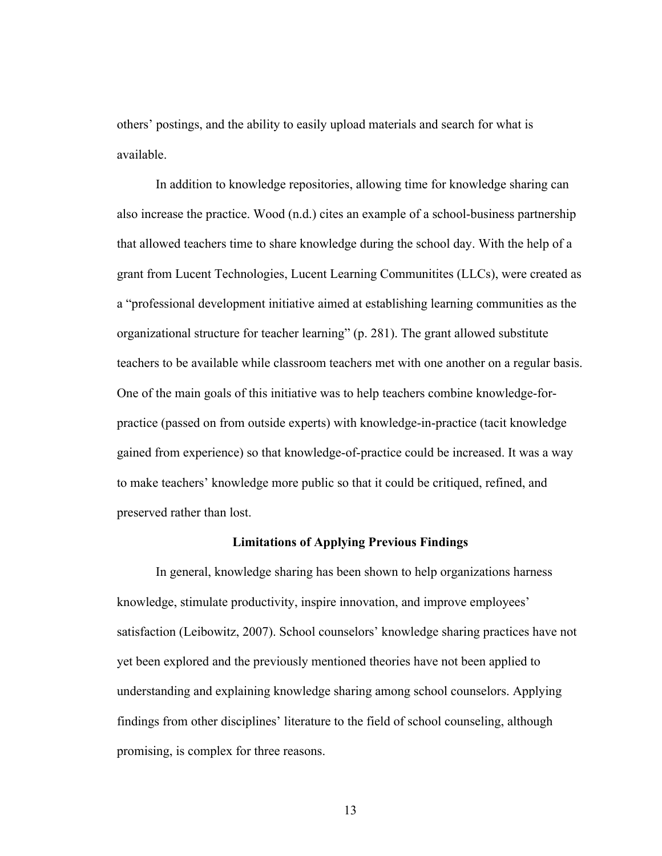others' postings, and the ability to easily upload materials and search for what is available.

In addition to knowledge repositories, allowing time for knowledge sharing can also increase the practice. Wood (n.d.) cites an example of a school-business partnership that allowed teachers time to share knowledge during the school day. With the help of a grant from Lucent Technologies, Lucent Learning Communitites (LLCs), were created as a "professional development initiative aimed at establishing learning communities as the organizational structure for teacher learning" (p. 281). The grant allowed substitute teachers to be available while classroom teachers met with one another on a regular basis. One of the main goals of this initiative was to help teachers combine knowledge-forpractice (passed on from outside experts) with knowledge-in-practice (tacit knowledge gained from experience) so that knowledge-of-practice could be increased. It was a way to make teachers' knowledge more public so that it could be critiqued, refined, and preserved rather than lost.

#### **Limitations of Applying Previous Findings**

In general, knowledge sharing has been shown to help organizations harness knowledge, stimulate productivity, inspire innovation, and improve employees' satisfaction (Leibowitz, 2007). School counselors' knowledge sharing practices have not yet been explored and the previously mentioned theories have not been applied to understanding and explaining knowledge sharing among school counselors. Applying findings from other disciplines' literature to the field of school counseling, although promising, is complex for three reasons.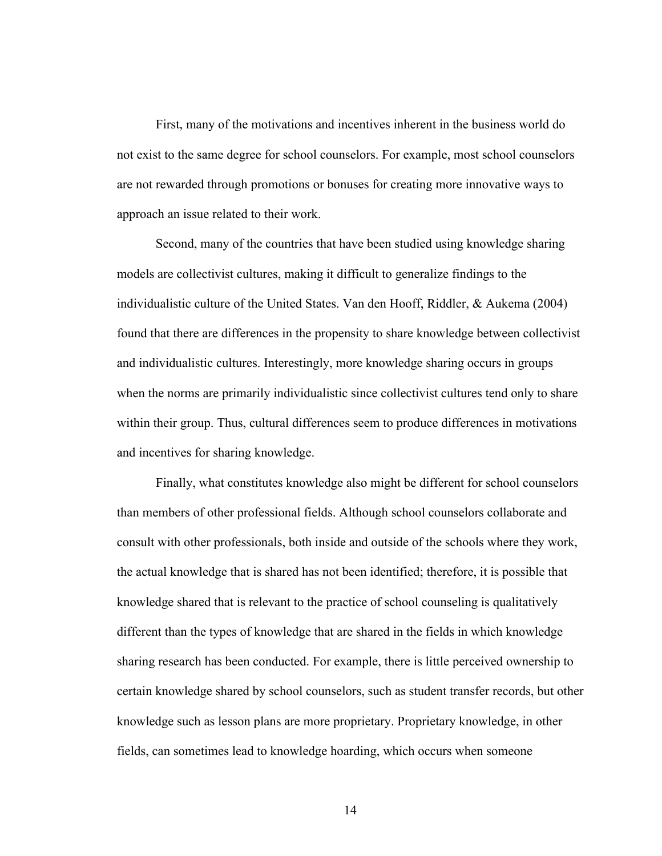First, many of the motivations and incentives inherent in the business world do not exist to the same degree for school counselors. For example, most school counselors are not rewarded through promotions or bonuses for creating more innovative ways to approach an issue related to their work.

Second, many of the countries that have been studied using knowledge sharing models are collectivist cultures, making it difficult to generalize findings to the individualistic culture of the United States. Van den Hooff, Riddler, & Aukema (2004) found that there are differences in the propensity to share knowledge between collectivist and individualistic cultures. Interestingly, more knowledge sharing occurs in groups when the norms are primarily individualistic since collectivist cultures tend only to share within their group. Thus, cultural differences seem to produce differences in motivations and incentives for sharing knowledge.

Finally, what constitutes knowledge also might be different for school counselors than members of other professional fields. Although school counselors collaborate and consult with other professionals, both inside and outside of the schools where they work, the actual knowledge that is shared has not been identified; therefore, it is possible that knowledge shared that is relevant to the practice of school counseling is qualitatively different than the types of knowledge that are shared in the fields in which knowledge sharing research has been conducted. For example, there is little perceived ownership to certain knowledge shared by school counselors, such as student transfer records, but other knowledge such as lesson plans are more proprietary. Proprietary knowledge, in other fields, can sometimes lead to knowledge hoarding, which occurs when someone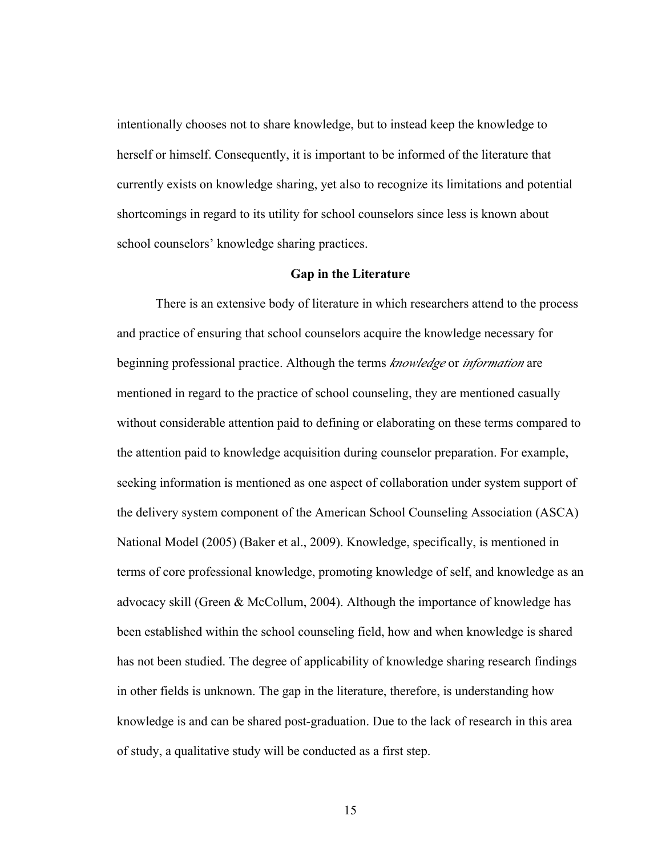intentionally chooses not to share knowledge, but to instead keep the knowledge to herself or himself. Consequently, it is important to be informed of the literature that currently exists on knowledge sharing, yet also to recognize its limitations and potential shortcomings in regard to its utility for school counselors since less is known about school counselors' knowledge sharing practices.

#### **Gap in the Literature**

There is an extensive body of literature in which researchers attend to the process and practice of ensuring that school counselors acquire the knowledge necessary for beginning professional practice. Although the terms *knowledge* or *information* are mentioned in regard to the practice of school counseling, they are mentioned casually without considerable attention paid to defining or elaborating on these terms compared to the attention paid to knowledge acquisition during counselor preparation. For example, seeking information is mentioned as one aspect of collaboration under system support of the delivery system component of the American School Counseling Association (ASCA) National Model (2005) (Baker et al., 2009). Knowledge, specifically, is mentioned in terms of core professional knowledge, promoting knowledge of self, and knowledge as an advocacy skill (Green & McCollum, 2004). Although the importance of knowledge has been established within the school counseling field, how and when knowledge is shared has not been studied. The degree of applicability of knowledge sharing research findings in other fields is unknown. The gap in the literature, therefore, is understanding how knowledge is and can be shared post-graduation. Due to the lack of research in this area of study, a qualitative study will be conducted as a first step.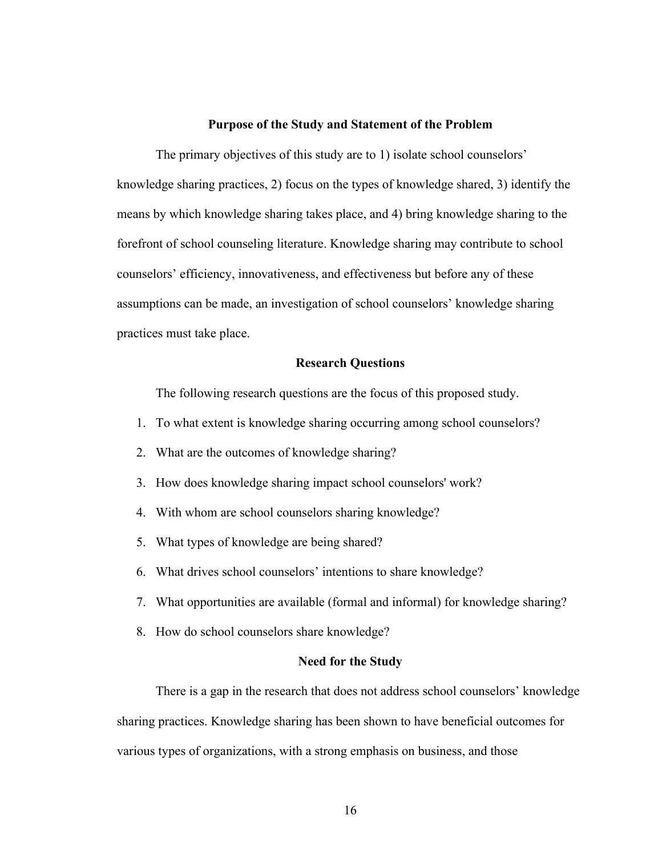#### **Purpose of the Study and Statement of the Problem**

The primary objectives of this study are to 1) isolate school counselors' knowledge sharing practices, 2) focus on the types of knowledge shared, 3) identify the means by which knowledge sharing takes place, and 4) bring knowledge sharing to the forefront of school counseling literature. Knowledge sharing may contribute to school counselors' efficiency, innovativeness, and effectiveness but before any of these assumptions can be made, an investigation of school counselors' knowledge sharing practices must take place.

#### **Research Questions**

The following research questions are the focus of this proposed study.

- 1. To what extent is knowledge sharing occurring among school counselors?
- 2. What are the outcomes of knowledge sharing?
- 3. How does knowledge sharing impact school counselors' work?
- 4. With whom are school counselors sharing knowledge?
- 5. What types of knowledge are being shared?
- 6. What drives school counselors' intentions to share knowledge?
- 7. What opportunities are available (formal and informal) for knowledge sharing?
- 8. How do school counselors share knowledge?

#### **Need for the Study**

There is a gap in the research that does not address school counselors' knowledge sharing practices. Knowledge sharing has been shown to have beneficial outcomes for various types of organizations, with a strong emphasis on business, and those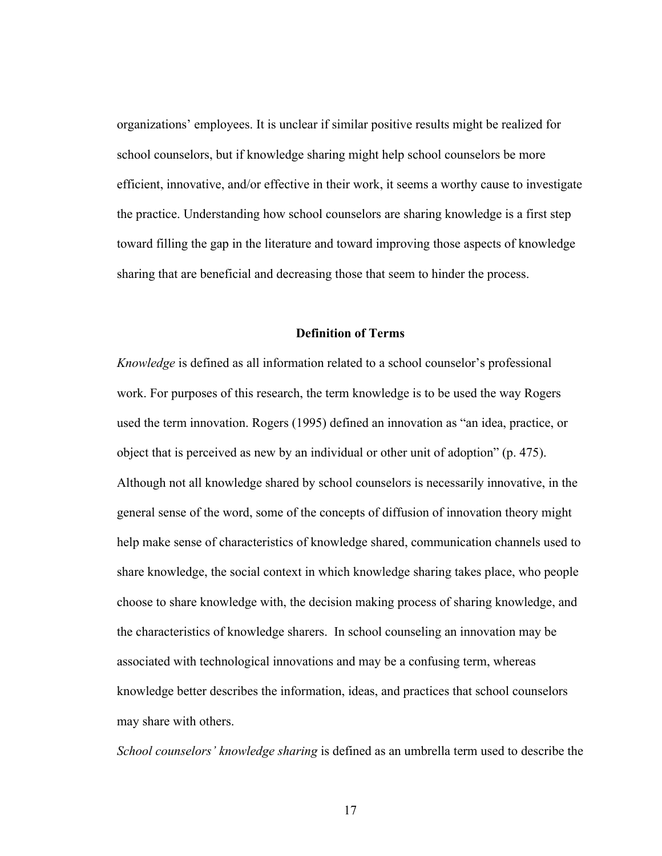organizations' employees. It is unclear if similar positive results might be realized for school counselors, but if knowledge sharing might help school counselors be more efficient, innovative, and/or effective in their work, it seems a worthy cause to investigate the practice. Understanding how school counselors are sharing knowledge is a first step toward filling the gap in the literature and toward improving those aspects of knowledge sharing that are beneficial and decreasing those that seem to hinder the process.

#### **Definition of Terms**

*Knowledge* is defined as all information related to a school counselor's professional work. For purposes of this research, the term knowledge is to be used the way Rogers used the term innovation. Rogers (1995) defined an innovation as "an idea, practice, or object that is perceived as new by an individual or other unit of adoption" (p. 475). Although not all knowledge shared by school counselors is necessarily innovative, in the general sense of the word, some of the concepts of diffusion of innovation theory might help make sense of characteristics of knowledge shared, communication channels used to share knowledge, the social context in which knowledge sharing takes place, who people choose to share knowledge with, the decision making process of sharing knowledge, and the characteristics of knowledge sharers. In school counseling an innovation may be associated with technological innovations and may be a confusing term, whereas knowledge better describes the information, ideas, and practices that school counselors may share with others.

*School counselors' knowledge sharing* is defined as an umbrella term used to describe the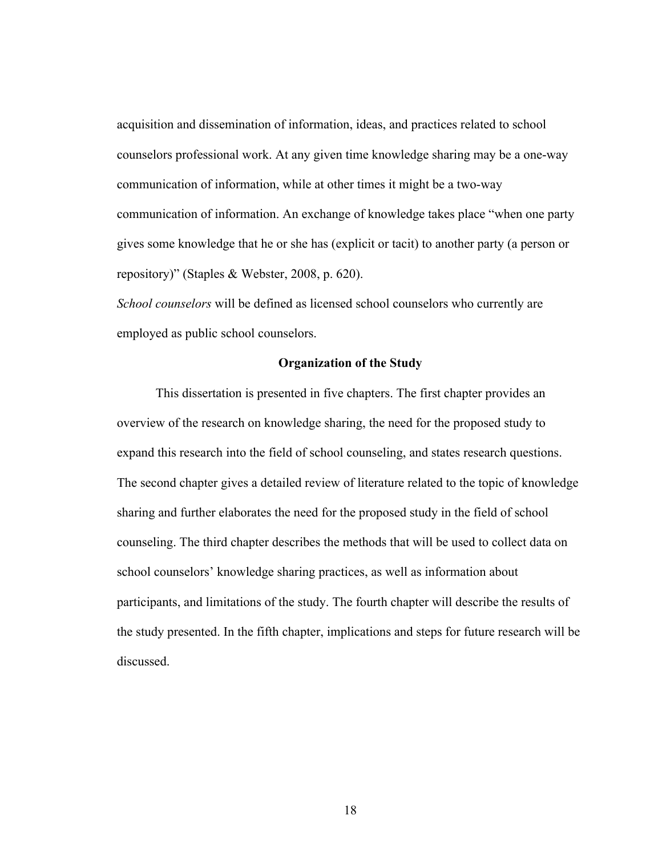acquisition and dissemination of information, ideas, and practices related to school counselors professional work. At any given time knowledge sharing may be a one-way communication of information, while at other times it might be a two-way communication of information. An exchange of knowledge takes place "when one party gives some knowledge that he or she has (explicit or tacit) to another party (a person or repository)" (Staples & Webster, 2008, p. 620).

*School counselors* will be defined as licensed school counselors who currently are employed as public school counselors.

#### **Organization of the Study**

This dissertation is presented in five chapters. The first chapter provides an overview of the research on knowledge sharing, the need for the proposed study to expand this research into the field of school counseling, and states research questions. The second chapter gives a detailed review of literature related to the topic of knowledge sharing and further elaborates the need for the proposed study in the field of school counseling. The third chapter describes the methods that will be used to collect data on school counselors' knowledge sharing practices, as well as information about participants, and limitations of the study. The fourth chapter will describe the results of the study presented. In the fifth chapter, implications and steps for future research will be discussed.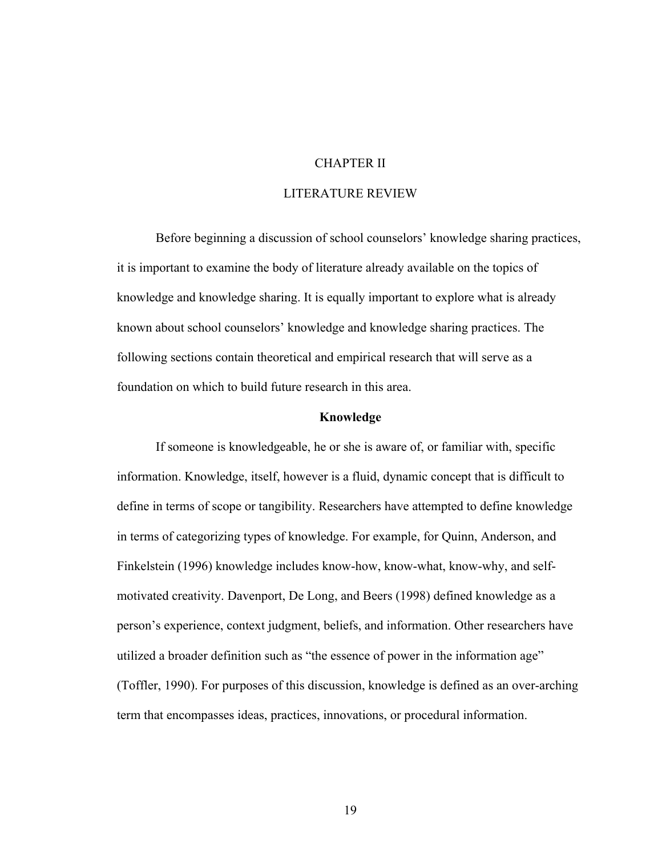### CHAPTER II

# LITERATURE REVIEW

Before beginning a discussion of school counselors' knowledge sharing practices, it is important to examine the body of literature already available on the topics of knowledge and knowledge sharing. It is equally important to explore what is already known about school counselors' knowledge and knowledge sharing practices. The following sections contain theoretical and empirical research that will serve as a foundation on which to build future research in this area.

#### **Knowledge**

If someone is knowledgeable, he or she is aware of, or familiar with, specific information. Knowledge, itself, however is a fluid, dynamic concept that is difficult to define in terms of scope or tangibility. Researchers have attempted to define knowledge in terms of categorizing types of knowledge. For example, for Quinn, Anderson, and Finkelstein (1996) knowledge includes know-how, know-what, know-why, and selfmotivated creativity. Davenport, De Long, and Beers (1998) defined knowledge as a person's experience, context judgment, beliefs, and information. Other researchers have utilized a broader definition such as "the essence of power in the information age" (Toffler, 1990). For purposes of this discussion, knowledge is defined as an over-arching term that encompasses ideas, practices, innovations, or procedural information.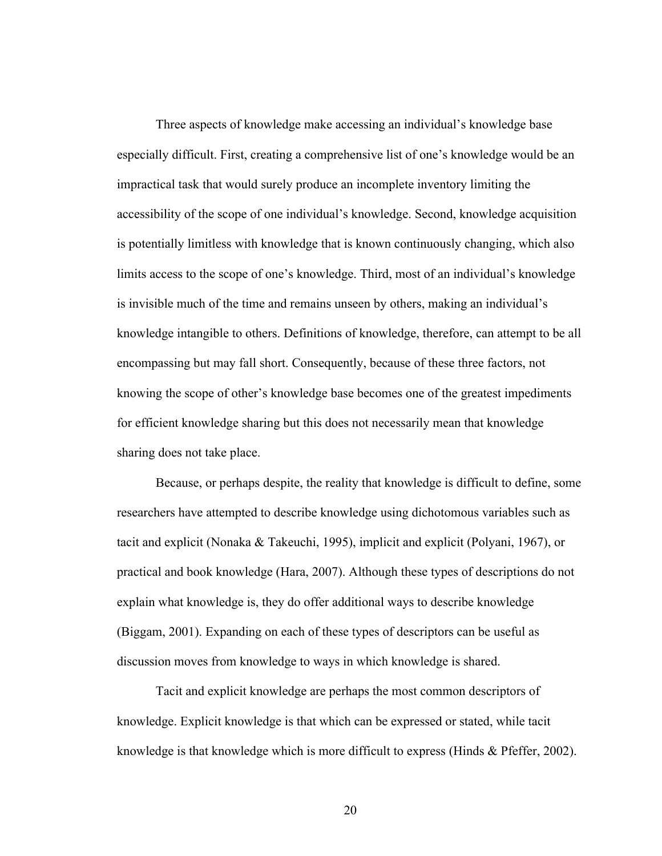Three aspects of knowledge make accessing an individual's knowledge base especially difficult. First, creating a comprehensive list of one's knowledge would be an impractical task that would surely produce an incomplete inventory limiting the accessibility of the scope of one individual's knowledge. Second, knowledge acquisition is potentially limitless with knowledge that is known continuously changing, which also limits access to the scope of one's knowledge. Third, most of an individual's knowledge is invisible much of the time and remains unseen by others, making an individual's knowledge intangible to others. Definitions of knowledge, therefore, can attempt to be all encompassing but may fall short. Consequently, because of these three factors, not knowing the scope of other's knowledge base becomes one of the greatest impediments for efficient knowledge sharing but this does not necessarily mean that knowledge sharing does not take place.

Because, or perhaps despite, the reality that knowledge is difficult to define, some researchers have attempted to describe knowledge using dichotomous variables such as tacit and explicit (Nonaka & Takeuchi, 1995), implicit and explicit (Polyani, 1967), or practical and book knowledge (Hara, 2007). Although these types of descriptions do not explain what knowledge is, they do offer additional ways to describe knowledge (Biggam, 2001). Expanding on each of these types of descriptors can be useful as discussion moves from knowledge to ways in which knowledge is shared.

Tacit and explicit knowledge are perhaps the most common descriptors of knowledge. Explicit knowledge is that which can be expressed or stated, while tacit knowledge is that knowledge which is more difficult to express (Hinds & Pfeffer, 2002).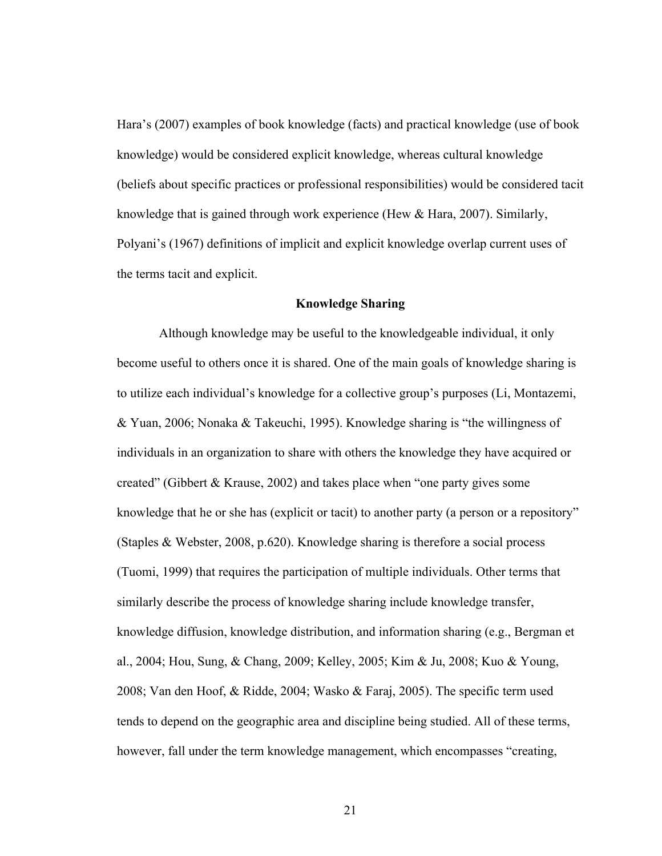Hara's (2007) examples of book knowledge (facts) and practical knowledge (use of book knowledge) would be considered explicit knowledge, whereas cultural knowledge (beliefs about specific practices or professional responsibilities) would be considered tacit knowledge that is gained through work experience (Hew & Hara, 2007). Similarly, Polyani's (1967) definitions of implicit and explicit knowledge overlap current uses of the terms tacit and explicit.

#### **Knowledge Sharing**

 Although knowledge may be useful to the knowledgeable individual, it only become useful to others once it is shared. One of the main goals of knowledge sharing is to utilize each individual's knowledge for a collective group's purposes (Li, Montazemi, & Yuan, 2006; Nonaka & Takeuchi, 1995). Knowledge sharing is "the willingness of individuals in an organization to share with others the knowledge they have acquired or created" (Gibbert & Krause, 2002) and takes place when "one party gives some knowledge that he or she has (explicit or tacit) to another party (a person or a repository" (Staples & Webster, 2008, p.620). Knowledge sharing is therefore a social process (Tuomi, 1999) that requires the participation of multiple individuals. Other terms that similarly describe the process of knowledge sharing include knowledge transfer, knowledge diffusion, knowledge distribution, and information sharing (e.g., Bergman et al., 2004; Hou, Sung, & Chang, 2009; Kelley, 2005; Kim & Ju, 2008; Kuo & Young, 2008; Van den Hoof, & Ridde, 2004; Wasko & Faraj, 2005). The specific term used tends to depend on the geographic area and discipline being studied. All of these terms, however, fall under the term knowledge management, which encompasses "creating,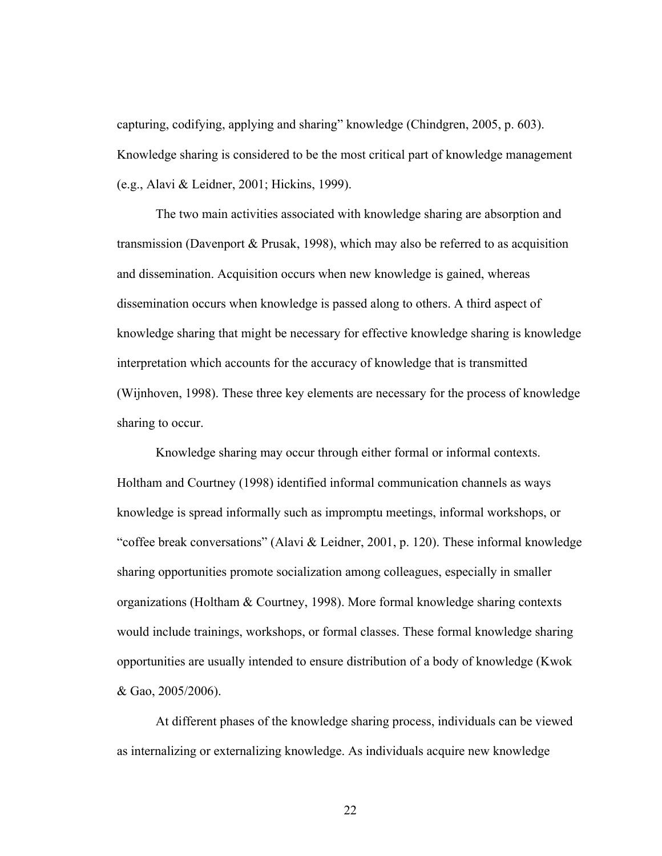capturing, codifying, applying and sharing" knowledge (Chindgren, 2005, p. 603). Knowledge sharing is considered to be the most critical part of knowledge management (e.g., Alavi & Leidner, 2001; Hickins, 1999).

The two main activities associated with knowledge sharing are absorption and transmission (Davenport & Prusak, 1998), which may also be referred to as acquisition and dissemination. Acquisition occurs when new knowledge is gained, whereas dissemination occurs when knowledge is passed along to others. A third aspect of knowledge sharing that might be necessary for effective knowledge sharing is knowledge interpretation which accounts for the accuracy of knowledge that is transmitted (Wijnhoven, 1998). These three key elements are necessary for the process of knowledge sharing to occur.

Knowledge sharing may occur through either formal or informal contexts. Holtham and Courtney (1998) identified informal communication channels as ways knowledge is spread informally such as impromptu meetings, informal workshops, or "coffee break conversations" (Alavi & Leidner, 2001, p. 120). These informal knowledge sharing opportunities promote socialization among colleagues, especially in smaller organizations (Holtham & Courtney, 1998). More formal knowledge sharing contexts would include trainings, workshops, or formal classes. These formal knowledge sharing opportunities are usually intended to ensure distribution of a body of knowledge (Kwok & Gao, 2005/2006).

At different phases of the knowledge sharing process, individuals can be viewed as internalizing or externalizing knowledge. As individuals acquire new knowledge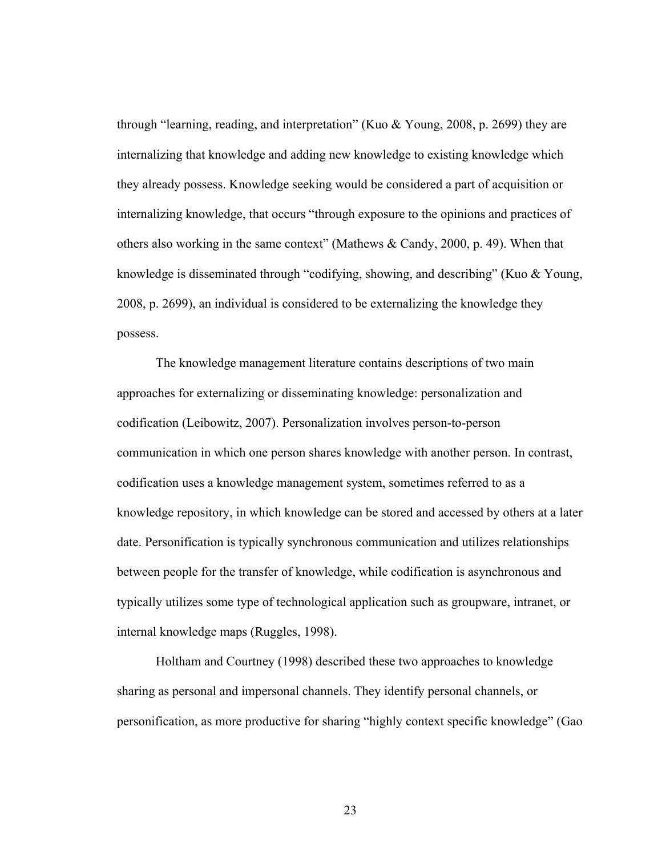through "learning, reading, and interpretation" (Kuo & Young, 2008, p. 2699) they are internalizing that knowledge and adding new knowledge to existing knowledge which they already possess. Knowledge seeking would be considered a part of acquisition or internalizing knowledge, that occurs "through exposure to the opinions and practices of others also working in the same context" (Mathews & Candy, 2000, p. 49). When that knowledge is disseminated through "codifying, showing, and describing" (Kuo & Young, 2008, p. 2699), an individual is considered to be externalizing the knowledge they possess.

The knowledge management literature contains descriptions of two main approaches for externalizing or disseminating knowledge: personalization and codification (Leibowitz, 2007). Personalization involves person-to-person communication in which one person shares knowledge with another person. In contrast, codification uses a knowledge management system, sometimes referred to as a knowledge repository, in which knowledge can be stored and accessed by others at a later date. Personification is typically synchronous communication and utilizes relationships between people for the transfer of knowledge, while codification is asynchronous and typically utilizes some type of technological application such as groupware, intranet, or internal knowledge maps (Ruggles, 1998).

Holtham and Courtney (1998) described these two approaches to knowledge sharing as personal and impersonal channels. They identify personal channels, or personification, as more productive for sharing "highly context specific knowledge" (Gao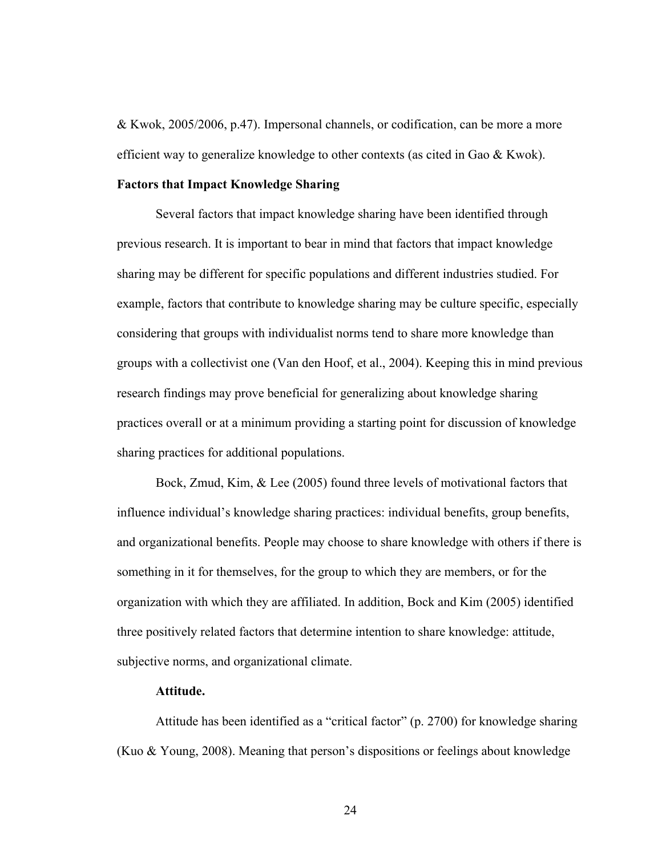& Kwok, 2005/2006, p.47). Impersonal channels, or codification, can be more a more efficient way to generalize knowledge to other contexts (as cited in Gao & Kwok).

# **Factors that Impact Knowledge Sharing**

Several factors that impact knowledge sharing have been identified through previous research. It is important to bear in mind that factors that impact knowledge sharing may be different for specific populations and different industries studied. For example, factors that contribute to knowledge sharing may be culture specific, especially considering that groups with individualist norms tend to share more knowledge than groups with a collectivist one (Van den Hoof, et al., 2004). Keeping this in mind previous research findings may prove beneficial for generalizing about knowledge sharing practices overall or at a minimum providing a starting point for discussion of knowledge sharing practices for additional populations.

Bock, Zmud, Kim, & Lee (2005) found three levels of motivational factors that influence individual's knowledge sharing practices: individual benefits, group benefits, and organizational benefits. People may choose to share knowledge with others if there is something in it for themselves, for the group to which they are members, or for the organization with which they are affiliated. In addition, Bock and Kim (2005) identified three positively related factors that determine intention to share knowledge: attitude, subjective norms, and organizational climate.

## **Attitude.**

Attitude has been identified as a "critical factor" (p. 2700) for knowledge sharing (Kuo & Young, 2008). Meaning that person's dispositions or feelings about knowledge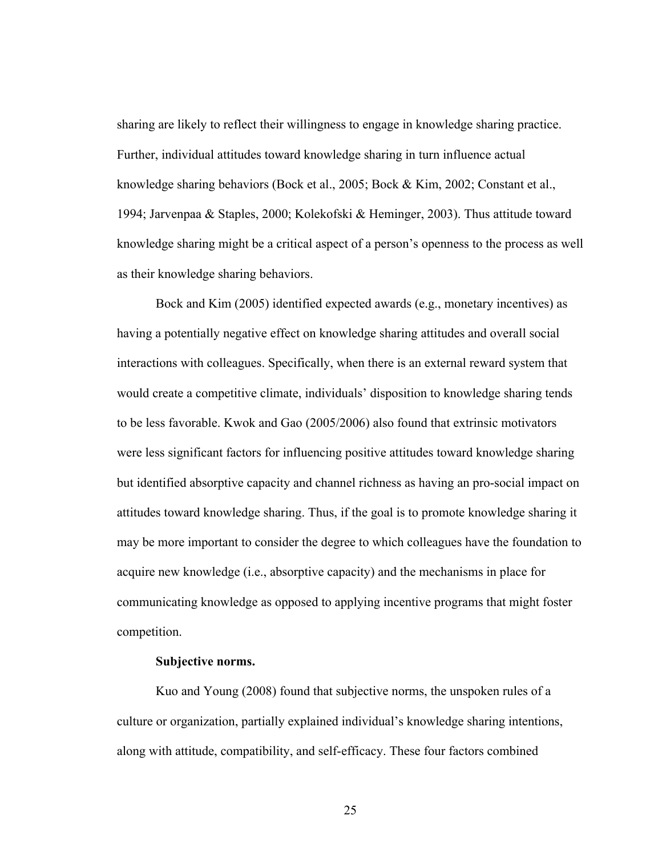sharing are likely to reflect their willingness to engage in knowledge sharing practice. Further, individual attitudes toward knowledge sharing in turn influence actual knowledge sharing behaviors (Bock et al., 2005; Bock & Kim, 2002; Constant et al., 1994; Jarvenpaa & Staples, 2000; Kolekofski & Heminger, 2003). Thus attitude toward knowledge sharing might be a critical aspect of a person's openness to the process as well as their knowledge sharing behaviors.

Bock and Kim (2005) identified expected awards (e.g., monetary incentives) as having a potentially negative effect on knowledge sharing attitudes and overall social interactions with colleagues. Specifically, when there is an external reward system that would create a competitive climate, individuals' disposition to knowledge sharing tends to be less favorable. Kwok and Gao (2005/2006) also found that extrinsic motivators were less significant factors for influencing positive attitudes toward knowledge sharing but identified absorptive capacity and channel richness as having an pro-social impact on attitudes toward knowledge sharing. Thus, if the goal is to promote knowledge sharing it may be more important to consider the degree to which colleagues have the foundation to acquire new knowledge (i.e., absorptive capacity) and the mechanisms in place for communicating knowledge as opposed to applying incentive programs that might foster competition.

## **Subjective norms.**

Kuo and Young (2008) found that subjective norms, the unspoken rules of a culture or organization, partially explained individual's knowledge sharing intentions, along with attitude, compatibility, and self-efficacy. These four factors combined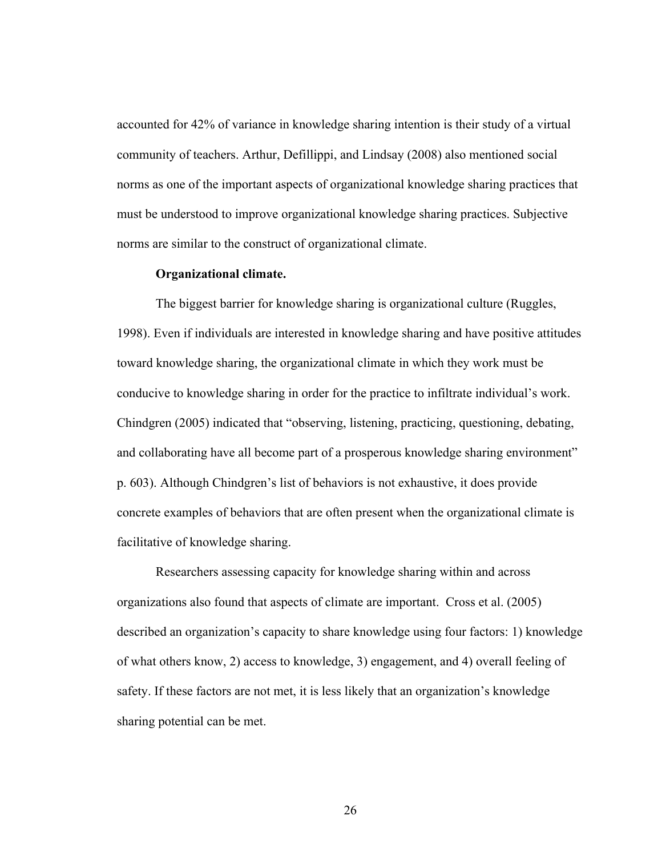accounted for 42% of variance in knowledge sharing intention is their study of a virtual community of teachers. Arthur, Defillippi, and Lindsay (2008) also mentioned social norms as one of the important aspects of organizational knowledge sharing practices that must be understood to improve organizational knowledge sharing practices. Subjective norms are similar to the construct of organizational climate.

## **Organizational climate.**

The biggest barrier for knowledge sharing is organizational culture (Ruggles, 1998). Even if individuals are interested in knowledge sharing and have positive attitudes toward knowledge sharing, the organizational climate in which they work must be conducive to knowledge sharing in order for the practice to infiltrate individual's work. Chindgren (2005) indicated that "observing, listening, practicing, questioning, debating, and collaborating have all become part of a prosperous knowledge sharing environment" p. 603). Although Chindgren's list of behaviors is not exhaustive, it does provide concrete examples of behaviors that are often present when the organizational climate is facilitative of knowledge sharing.

Researchers assessing capacity for knowledge sharing within and across organizations also found that aspects of climate are important. Cross et al. (2005) described an organization's capacity to share knowledge using four factors: 1) knowledge of what others know, 2) access to knowledge, 3) engagement, and 4) overall feeling of safety. If these factors are not met, it is less likely that an organization's knowledge sharing potential can be met.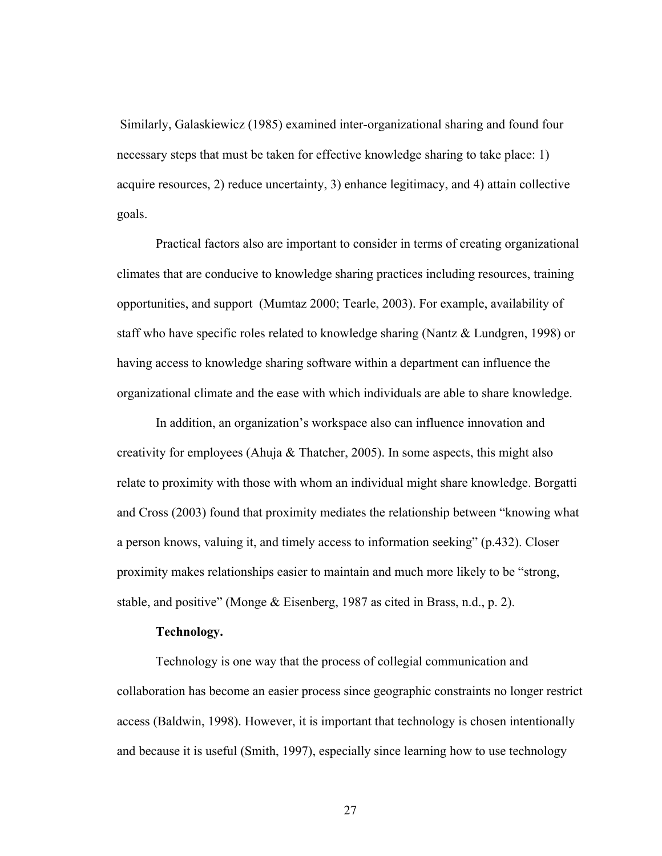Similarly, Galaskiewicz (1985) examined inter-organizational sharing and found four necessary steps that must be taken for effective knowledge sharing to take place: 1) acquire resources, 2) reduce uncertainty, 3) enhance legitimacy, and 4) attain collective goals.

Practical factors also are important to consider in terms of creating organizational climates that are conducive to knowledge sharing practices including resources, training opportunities, and support (Mumtaz 2000; Tearle, 2003). For example, availability of staff who have specific roles related to knowledge sharing (Nantz & Lundgren, 1998) or having access to knowledge sharing software within a department can influence the organizational climate and the ease with which individuals are able to share knowledge.

In addition, an organization's workspace also can influence innovation and creativity for employees (Ahuja  $\&$  Thatcher, 2005). In some aspects, this might also relate to proximity with those with whom an individual might share knowledge. Borgatti and Cross (2003) found that proximity mediates the relationship between "knowing what a person knows, valuing it, and timely access to information seeking" (p.432). Closer proximity makes relationships easier to maintain and much more likely to be "strong, stable, and positive" (Monge & Eisenberg, 1987 as cited in Brass, n.d., p. 2).

## **Technology.**

Technology is one way that the process of collegial communication and collaboration has become an easier process since geographic constraints no longer restrict access (Baldwin, 1998). However, it is important that technology is chosen intentionally and because it is useful (Smith, 1997), especially since learning how to use technology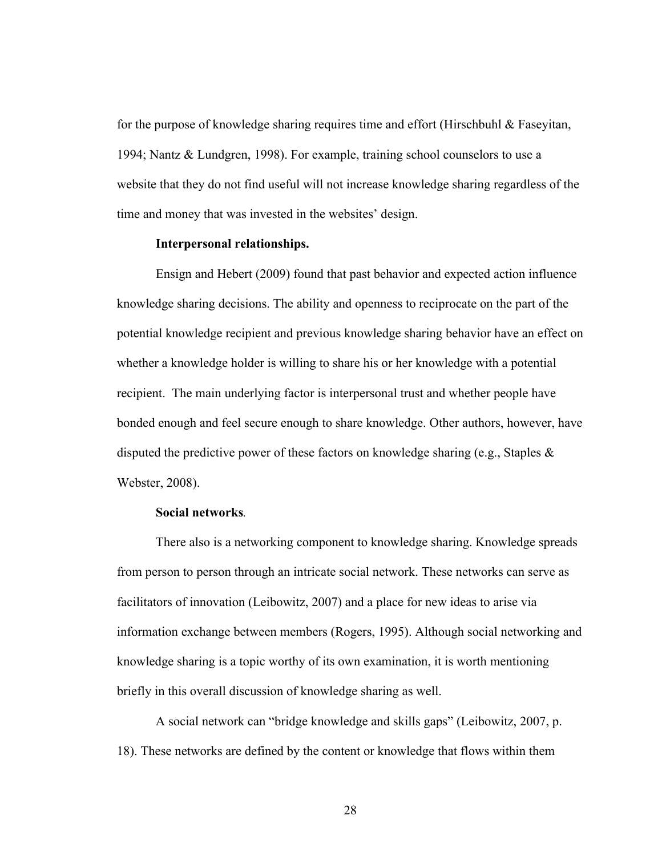for the purpose of knowledge sharing requires time and effort (Hirschbuhl & Faseyitan, 1994; Nantz & Lundgren, 1998). For example, training school counselors to use a website that they do not find useful will not increase knowledge sharing regardless of the time and money that was invested in the websites' design.

### **Interpersonal relationships.**

Ensign and Hebert (2009) found that past behavior and expected action influence knowledge sharing decisions. The ability and openness to reciprocate on the part of the potential knowledge recipient and previous knowledge sharing behavior have an effect on whether a knowledge holder is willing to share his or her knowledge with a potential recipient. The main underlying factor is interpersonal trust and whether people have bonded enough and feel secure enough to share knowledge. Other authors, however, have disputed the predictive power of these factors on knowledge sharing (e.g., Staples  $\&$ Webster, 2008).

## **Social networks***.*

There also is a networking component to knowledge sharing. Knowledge spreads from person to person through an intricate social network. These networks can serve as facilitators of innovation (Leibowitz, 2007) and a place for new ideas to arise via information exchange between members (Rogers, 1995). Although social networking and knowledge sharing is a topic worthy of its own examination, it is worth mentioning briefly in this overall discussion of knowledge sharing as well.

A social network can "bridge knowledge and skills gaps" (Leibowitz, 2007, p. 18). These networks are defined by the content or knowledge that flows within them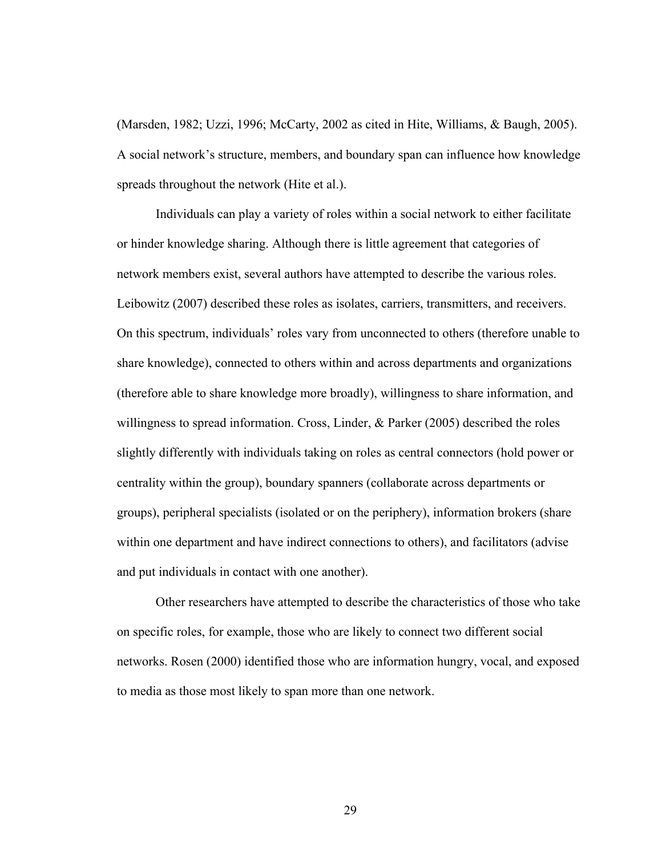(Marsden, 1982; Uzzi, 1996; McCarty, 2002 as cited in Hite, Williams, & Baugh, 2005). A social network's structure, members, and boundary span can influence how knowledge spreads throughout the network (Hite et al.).

Individuals can play a variety of roles within a social network to either facilitate or hinder knowledge sharing. Although there is little agreement that categories of network members exist, several authors have attempted to describe the various roles. Leibowitz (2007) described these roles as isolates, carriers, transmitters, and receivers. On this spectrum, individuals' roles vary from unconnected to others (therefore unable to share knowledge), connected to others within and across departments and organizations (therefore able to share knowledge more broadly), willingness to share information, and willingness to spread information. Cross, Linder, & Parker (2005) described the roles slightly differently with individuals taking on roles as central connectors (hold power or centrality within the group), boundary spanners (collaborate across departments or groups), peripheral specialists (isolated or on the periphery), information brokers (share within one department and have indirect connections to others), and facilitators (advise and put individuals in contact with one another).

Other researchers have attempted to describe the characteristics of those who take on specific roles, for example, those who are likely to connect two different social networks. Rosen (2000) identified those who are information hungry, vocal, and exposed to media as those most likely to span more than one network.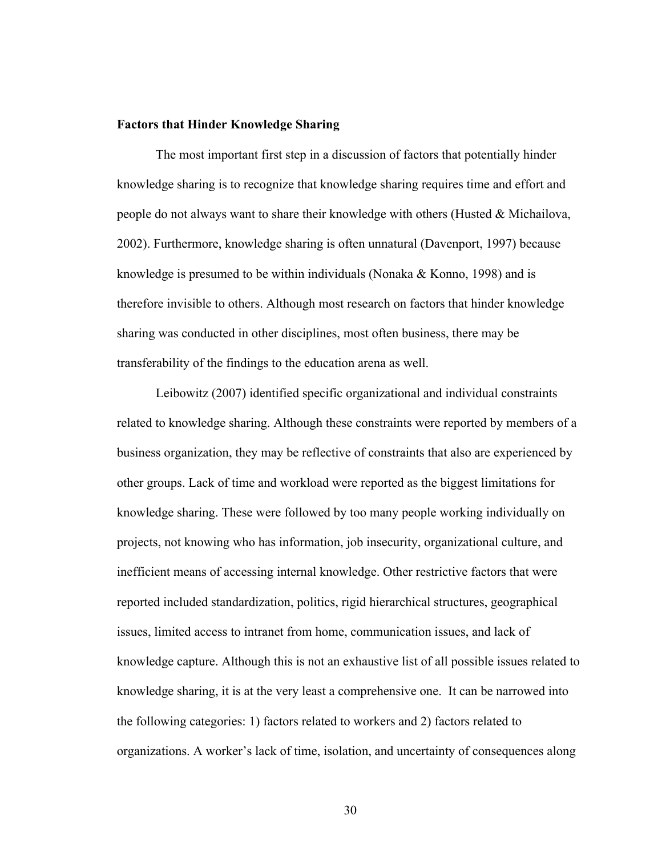## **Factors that Hinder Knowledge Sharing**

The most important first step in a discussion of factors that potentially hinder knowledge sharing is to recognize that knowledge sharing requires time and effort and people do not always want to share their knowledge with others (Husted & Michailova, 2002). Furthermore, knowledge sharing is often unnatural (Davenport, 1997) because knowledge is presumed to be within individuals (Nonaka & Konno, 1998) and is therefore invisible to others. Although most research on factors that hinder knowledge sharing was conducted in other disciplines, most often business, there may be transferability of the findings to the education arena as well.

Leibowitz (2007) identified specific organizational and individual constraints related to knowledge sharing. Although these constraints were reported by members of a business organization, they may be reflective of constraints that also are experienced by other groups. Lack of time and workload were reported as the biggest limitations for knowledge sharing. These were followed by too many people working individually on projects, not knowing who has information, job insecurity, organizational culture, and inefficient means of accessing internal knowledge. Other restrictive factors that were reported included standardization, politics, rigid hierarchical structures, geographical issues, limited access to intranet from home, communication issues, and lack of knowledge capture. Although this is not an exhaustive list of all possible issues related to knowledge sharing, it is at the very least a comprehensive one. It can be narrowed into the following categories: 1) factors related to workers and 2) factors related to organizations. A worker's lack of time, isolation, and uncertainty of consequences along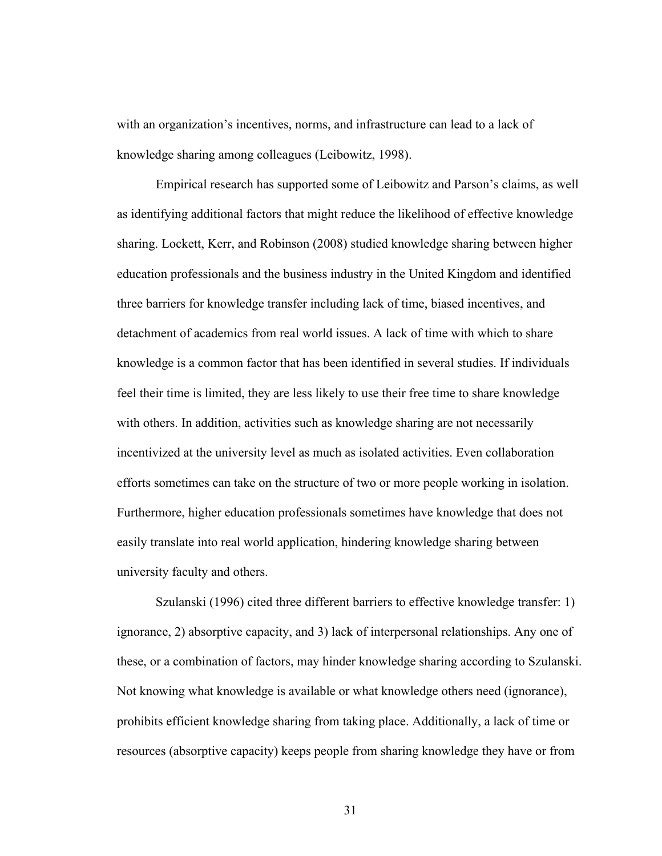with an organization's incentives, norms, and infrastructure can lead to a lack of knowledge sharing among colleagues (Leibowitz, 1998).

Empirical research has supported some of Leibowitz and Parson's claims, as well as identifying additional factors that might reduce the likelihood of effective knowledge sharing. Lockett, Kerr, and Robinson (2008) studied knowledge sharing between higher education professionals and the business industry in the United Kingdom and identified three barriers for knowledge transfer including lack of time, biased incentives, and detachment of academics from real world issues. A lack of time with which to share knowledge is a common factor that has been identified in several studies. If individuals feel their time is limited, they are less likely to use their free time to share knowledge with others. In addition, activities such as knowledge sharing are not necessarily incentivized at the university level as much as isolated activities. Even collaboration efforts sometimes can take on the structure of two or more people working in isolation. Furthermore, higher education professionals sometimes have knowledge that does not easily translate into real world application, hindering knowledge sharing between university faculty and others.

Szulanski (1996) cited three different barriers to effective knowledge transfer: 1) ignorance, 2) absorptive capacity, and 3) lack of interpersonal relationships. Any one of these, or a combination of factors, may hinder knowledge sharing according to Szulanski. Not knowing what knowledge is available or what knowledge others need (ignorance), prohibits efficient knowledge sharing from taking place. Additionally, a lack of time or resources (absorptive capacity) keeps people from sharing knowledge they have or from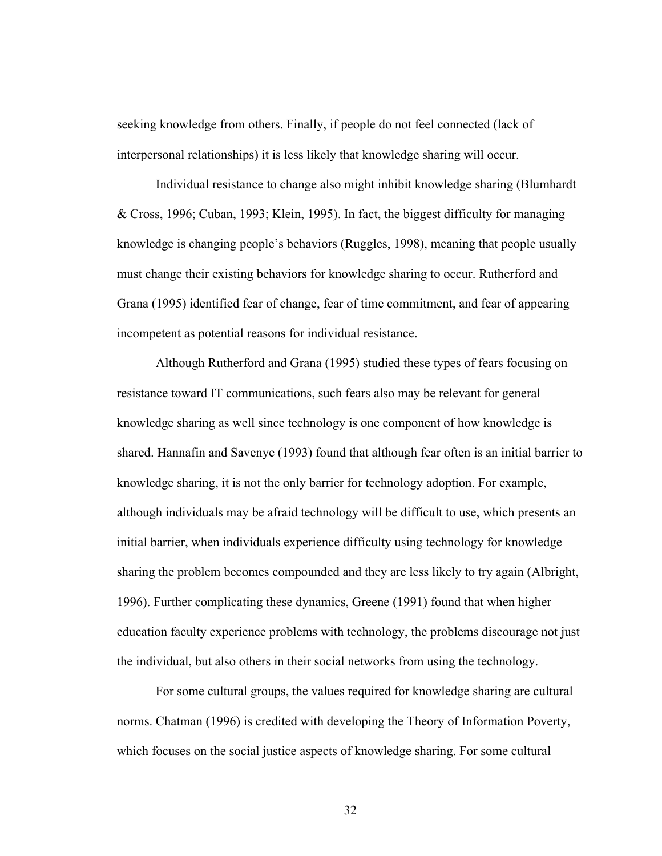seeking knowledge from others. Finally, if people do not feel connected (lack of interpersonal relationships) it is less likely that knowledge sharing will occur.

Individual resistance to change also might inhibit knowledge sharing (Blumhardt & Cross, 1996; Cuban, 1993; Klein, 1995). In fact, the biggest difficulty for managing knowledge is changing people's behaviors (Ruggles, 1998), meaning that people usually must change their existing behaviors for knowledge sharing to occur. Rutherford and Grana (1995) identified fear of change, fear of time commitment, and fear of appearing incompetent as potential reasons for individual resistance.

Although Rutherford and Grana (1995) studied these types of fears focusing on resistance toward IT communications, such fears also may be relevant for general knowledge sharing as well since technology is one component of how knowledge is shared. Hannafin and Savenye (1993) found that although fear often is an initial barrier to knowledge sharing, it is not the only barrier for technology adoption. For example, although individuals may be afraid technology will be difficult to use, which presents an initial barrier, when individuals experience difficulty using technology for knowledge sharing the problem becomes compounded and they are less likely to try again (Albright, 1996). Further complicating these dynamics, Greene (1991) found that when higher education faculty experience problems with technology, the problems discourage not just the individual, but also others in their social networks from using the technology.

For some cultural groups, the values required for knowledge sharing are cultural norms. Chatman (1996) is credited with developing the Theory of Information Poverty, which focuses on the social justice aspects of knowledge sharing. For some cultural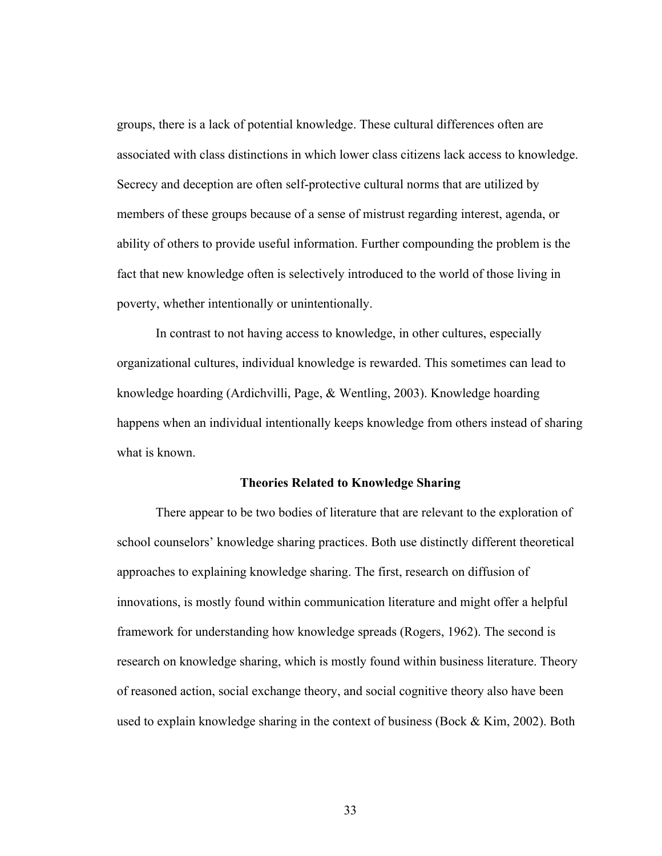groups, there is a lack of potential knowledge. These cultural differences often are associated with class distinctions in which lower class citizens lack access to knowledge. Secrecy and deception are often self-protective cultural norms that are utilized by members of these groups because of a sense of mistrust regarding interest, agenda, or ability of others to provide useful information. Further compounding the problem is the fact that new knowledge often is selectively introduced to the world of those living in poverty, whether intentionally or unintentionally.

In contrast to not having access to knowledge, in other cultures, especially organizational cultures, individual knowledge is rewarded. This sometimes can lead to knowledge hoarding (Ardichvilli, Page, & Wentling, 2003). Knowledge hoarding happens when an individual intentionally keeps knowledge from others instead of sharing what is known.

## **Theories Related to Knowledge Sharing**

There appear to be two bodies of literature that are relevant to the exploration of school counselors' knowledge sharing practices. Both use distinctly different theoretical approaches to explaining knowledge sharing. The first, research on diffusion of innovations, is mostly found within communication literature and might offer a helpful framework for understanding how knowledge spreads (Rogers, 1962). The second is research on knowledge sharing, which is mostly found within business literature. Theory of reasoned action, social exchange theory, and social cognitive theory also have been used to explain knowledge sharing in the context of business (Bock  $\&$  Kim, 2002). Both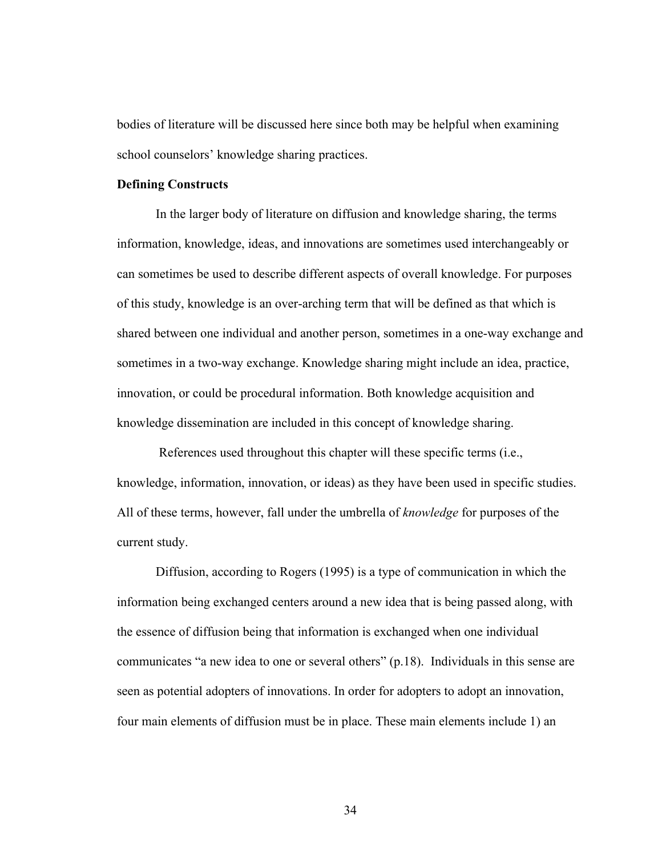bodies of literature will be discussed here since both may be helpful when examining school counselors' knowledge sharing practices.

## **Defining Constructs**

In the larger body of literature on diffusion and knowledge sharing, the terms information, knowledge, ideas, and innovations are sometimes used interchangeably or can sometimes be used to describe different aspects of overall knowledge. For purposes of this study, knowledge is an over-arching term that will be defined as that which is shared between one individual and another person, sometimes in a one-way exchange and sometimes in a two-way exchange. Knowledge sharing might include an idea, practice, innovation, or could be procedural information. Both knowledge acquisition and knowledge dissemination are included in this concept of knowledge sharing.

 References used throughout this chapter will these specific terms (i.e., knowledge, information, innovation, or ideas) as they have been used in specific studies. All of these terms, however, fall under the umbrella of *knowledge* for purposes of the current study.

Diffusion, according to Rogers (1995) is a type of communication in which the information being exchanged centers around a new idea that is being passed along, with the essence of diffusion being that information is exchanged when one individual communicates "a new idea to one or several others" (p.18). Individuals in this sense are seen as potential adopters of innovations. In order for adopters to adopt an innovation, four main elements of diffusion must be in place. These main elements include 1) an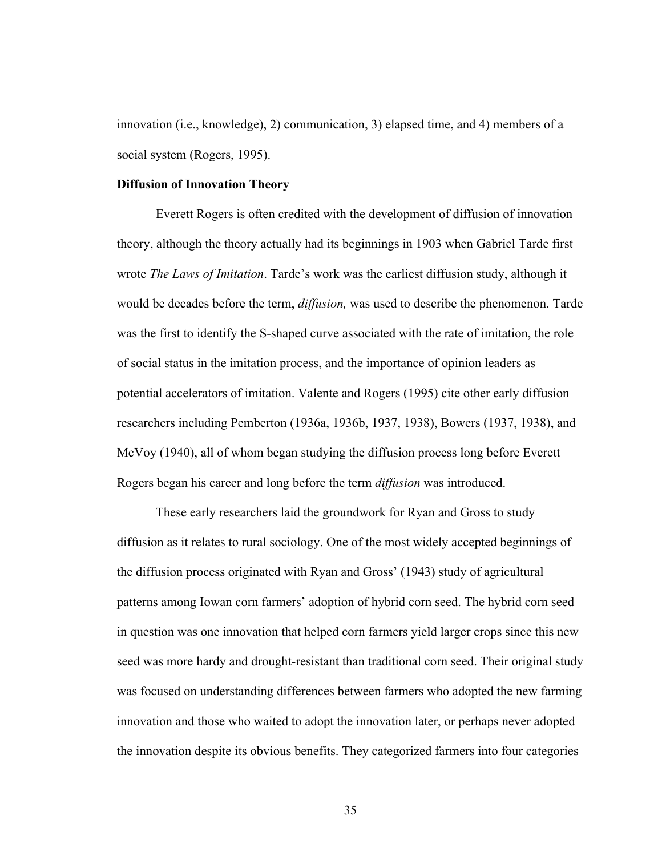innovation (i.e., knowledge), 2) communication, 3) elapsed time, and 4) members of a social system (Rogers, 1995).

#### **Diffusion of Innovation Theory**

Everett Rogers is often credited with the development of diffusion of innovation theory, although the theory actually had its beginnings in 1903 when Gabriel Tarde first wrote *The Laws of Imitation*. Tarde's work was the earliest diffusion study, although it would be decades before the term, *diffusion,* was used to describe the phenomenon. Tarde was the first to identify the S-shaped curve associated with the rate of imitation, the role of social status in the imitation process, and the importance of opinion leaders as potential accelerators of imitation. Valente and Rogers (1995) cite other early diffusion researchers including Pemberton (1936a, 1936b, 1937, 1938), Bowers (1937, 1938), and McVoy (1940), all of whom began studying the diffusion process long before Everett Rogers began his career and long before the term *diffusion* was introduced.

These early researchers laid the groundwork for Ryan and Gross to study diffusion as it relates to rural sociology. One of the most widely accepted beginnings of the diffusion process originated with Ryan and Gross' (1943) study of agricultural patterns among Iowan corn farmers' adoption of hybrid corn seed. The hybrid corn seed in question was one innovation that helped corn farmers yield larger crops since this new seed was more hardy and drought-resistant than traditional corn seed. Their original study was focused on understanding differences between farmers who adopted the new farming innovation and those who waited to adopt the innovation later, or perhaps never adopted the innovation despite its obvious benefits. They categorized farmers into four categories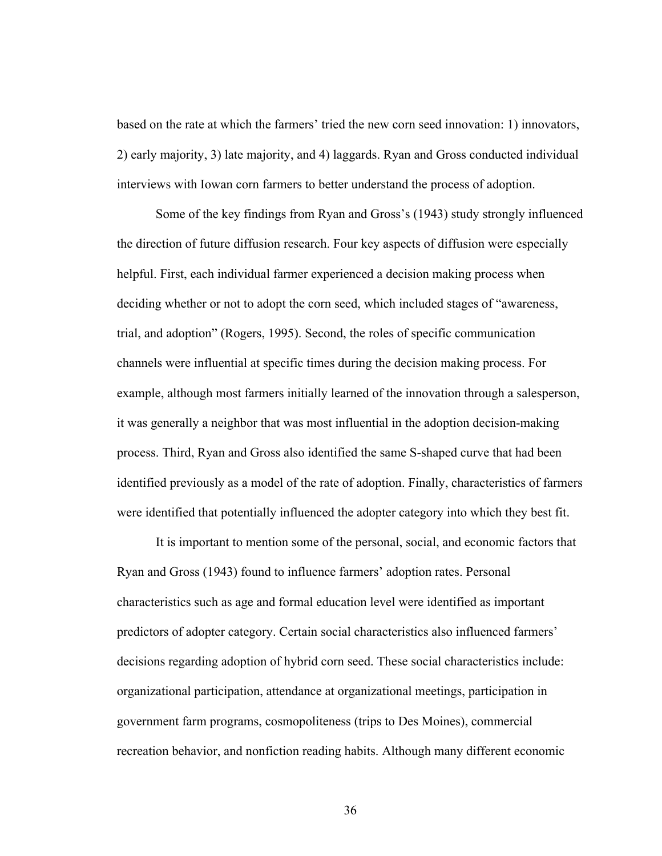based on the rate at which the farmers' tried the new corn seed innovation: 1) innovators, 2) early majority, 3) late majority, and 4) laggards. Ryan and Gross conducted individual interviews with Iowan corn farmers to better understand the process of adoption.

Some of the key findings from Ryan and Gross's (1943) study strongly influenced the direction of future diffusion research. Four key aspects of diffusion were especially helpful. First, each individual farmer experienced a decision making process when deciding whether or not to adopt the corn seed, which included stages of "awareness, trial, and adoption" (Rogers, 1995). Second, the roles of specific communication channels were influential at specific times during the decision making process. For example, although most farmers initially learned of the innovation through a salesperson, it was generally a neighbor that was most influential in the adoption decision-making process. Third, Ryan and Gross also identified the same S-shaped curve that had been identified previously as a model of the rate of adoption. Finally, characteristics of farmers were identified that potentially influenced the adopter category into which they best fit.

It is important to mention some of the personal, social, and economic factors that Ryan and Gross (1943) found to influence farmers' adoption rates. Personal characteristics such as age and formal education level were identified as important predictors of adopter category. Certain social characteristics also influenced farmers' decisions regarding adoption of hybrid corn seed. These social characteristics include: organizational participation, attendance at organizational meetings, participation in government farm programs, cosmopoliteness (trips to Des Moines), commercial recreation behavior, and nonfiction reading habits. Although many different economic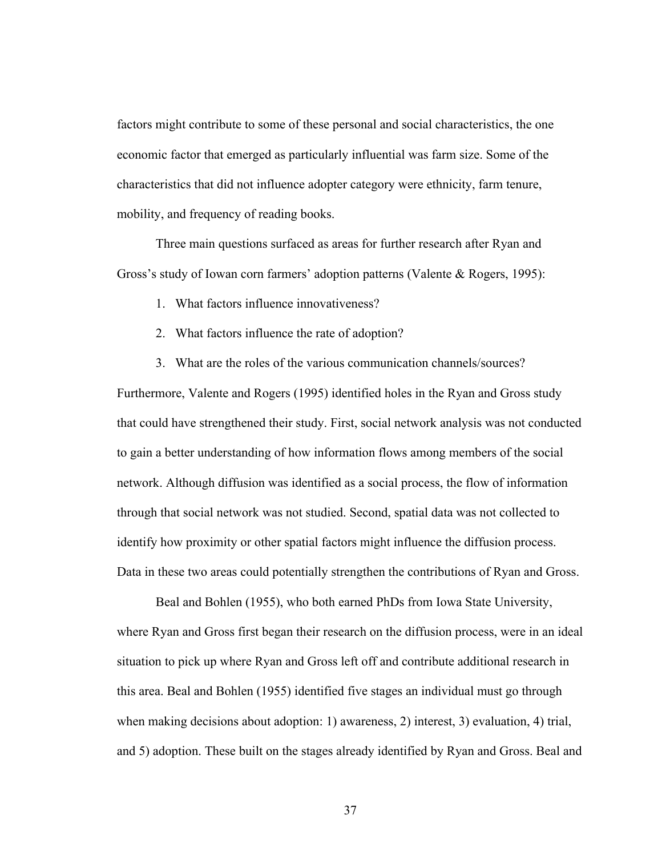factors might contribute to some of these personal and social characteristics, the one economic factor that emerged as particularly influential was farm size. Some of the characteristics that did not influence adopter category were ethnicity, farm tenure, mobility, and frequency of reading books.

Three main questions surfaced as areas for further research after Ryan and Gross's study of Iowan corn farmers' adoption patterns (Valente & Rogers, 1995):

1. What factors influence innovativeness?

- 2. What factors influence the rate of adoption?
- 3. What are the roles of the various communication channels/sources?

Furthermore, Valente and Rogers (1995) identified holes in the Ryan and Gross study that could have strengthened their study. First, social network analysis was not conducted to gain a better understanding of how information flows among members of the social network. Although diffusion was identified as a social process, the flow of information through that social network was not studied. Second, spatial data was not collected to identify how proximity or other spatial factors might influence the diffusion process. Data in these two areas could potentially strengthen the contributions of Ryan and Gross.

Beal and Bohlen (1955), who both earned PhDs from Iowa State University, where Ryan and Gross first began their research on the diffusion process, were in an ideal situation to pick up where Ryan and Gross left off and contribute additional research in this area. Beal and Bohlen (1955) identified five stages an individual must go through when making decisions about adoption: 1) awareness, 2) interest, 3) evaluation, 4) trial, and 5) adoption. These built on the stages already identified by Ryan and Gross. Beal and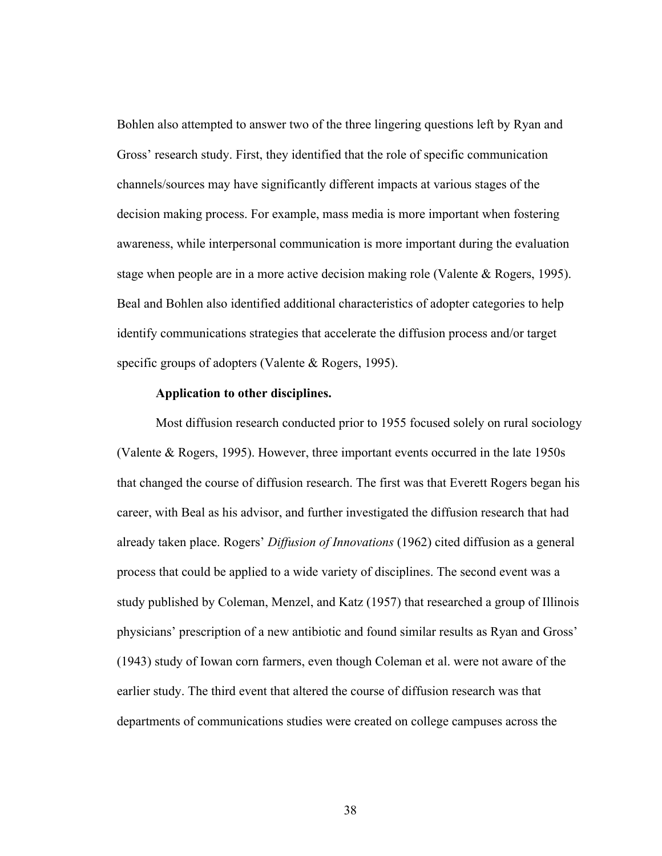Bohlen also attempted to answer two of the three lingering questions left by Ryan and Gross' research study. First, they identified that the role of specific communication channels/sources may have significantly different impacts at various stages of the decision making process. For example, mass media is more important when fostering awareness, while interpersonal communication is more important during the evaluation stage when people are in a more active decision making role (Valente & Rogers, 1995). Beal and Bohlen also identified additional characteristics of adopter categories to help identify communications strategies that accelerate the diffusion process and/or target specific groups of adopters (Valente & Rogers, 1995).

#### **Application to other disciplines.**

Most diffusion research conducted prior to 1955 focused solely on rural sociology (Valente & Rogers, 1995). However, three important events occurred in the late 1950s that changed the course of diffusion research. The first was that Everett Rogers began his career, with Beal as his advisor, and further investigated the diffusion research that had already taken place. Rogers' *Diffusion of Innovations* (1962) cited diffusion as a general process that could be applied to a wide variety of disciplines. The second event was a study published by Coleman, Menzel, and Katz (1957) that researched a group of Illinois physicians' prescription of a new antibiotic and found similar results as Ryan and Gross' (1943) study of Iowan corn farmers, even though Coleman et al. were not aware of the earlier study. The third event that altered the course of diffusion research was that departments of communications studies were created on college campuses across the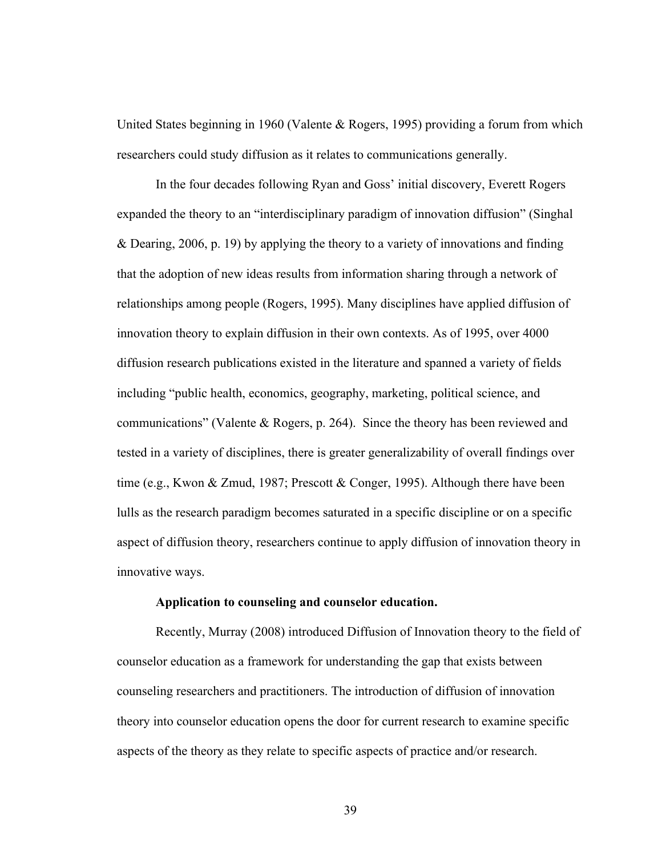United States beginning in 1960 (Valente & Rogers, 1995) providing a forum from which researchers could study diffusion as it relates to communications generally.

In the four decades following Ryan and Goss' initial discovery, Everett Rogers expanded the theory to an "interdisciplinary paradigm of innovation diffusion" (Singhal & Dearing, 2006, p. 19) by applying the theory to a variety of innovations and finding that the adoption of new ideas results from information sharing through a network of relationships among people (Rogers, 1995). Many disciplines have applied diffusion of innovation theory to explain diffusion in their own contexts. As of 1995, over 4000 diffusion research publications existed in the literature and spanned a variety of fields including "public health, economics, geography, marketing, political science, and communications" (Valente & Rogers, p. 264). Since the theory has been reviewed and tested in a variety of disciplines, there is greater generalizability of overall findings over time (e.g., Kwon & Zmud, 1987; Prescott & Conger, 1995). Although there have been lulls as the research paradigm becomes saturated in a specific discipline or on a specific aspect of diffusion theory, researchers continue to apply diffusion of innovation theory in innovative ways.

## **Application to counseling and counselor education.**

Recently, Murray (2008) introduced Diffusion of Innovation theory to the field of counselor education as a framework for understanding the gap that exists between counseling researchers and practitioners. The introduction of diffusion of innovation theory into counselor education opens the door for current research to examine specific aspects of the theory as they relate to specific aspects of practice and/or research.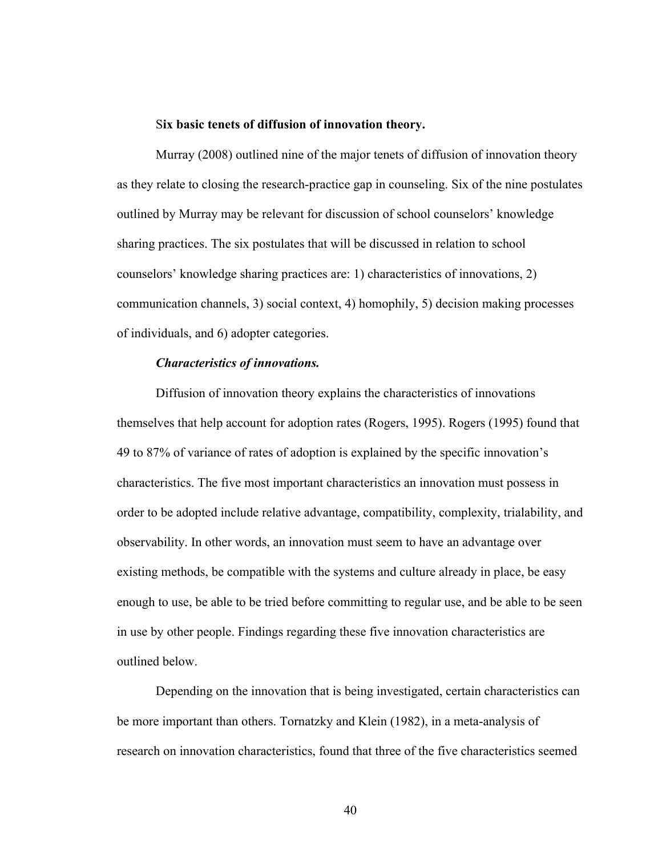#### S**ix basic tenets of diffusion of innovation theory.**

Murray (2008) outlined nine of the major tenets of diffusion of innovation theory as they relate to closing the research-practice gap in counseling. Six of the nine postulates outlined by Murray may be relevant for discussion of school counselors' knowledge sharing practices. The six postulates that will be discussed in relation to school counselors' knowledge sharing practices are: 1) characteristics of innovations, 2) communication channels, 3) social context, 4) homophily, 5) decision making processes of individuals, and 6) adopter categories.

## *Characteristics of innovations.*

Diffusion of innovation theory explains the characteristics of innovations themselves that help account for adoption rates (Rogers, 1995). Rogers (1995) found that 49 to 87% of variance of rates of adoption is explained by the specific innovation's characteristics. The five most important characteristics an innovation must possess in order to be adopted include relative advantage, compatibility, complexity, trialability, and observability. In other words, an innovation must seem to have an advantage over existing methods, be compatible with the systems and culture already in place, be easy enough to use, be able to be tried before committing to regular use, and be able to be seen in use by other people. Findings regarding these five innovation characteristics are outlined below.

Depending on the innovation that is being investigated, certain characteristics can be more important than others. Tornatzky and Klein (1982), in a meta-analysis of research on innovation characteristics, found that three of the five characteristics seemed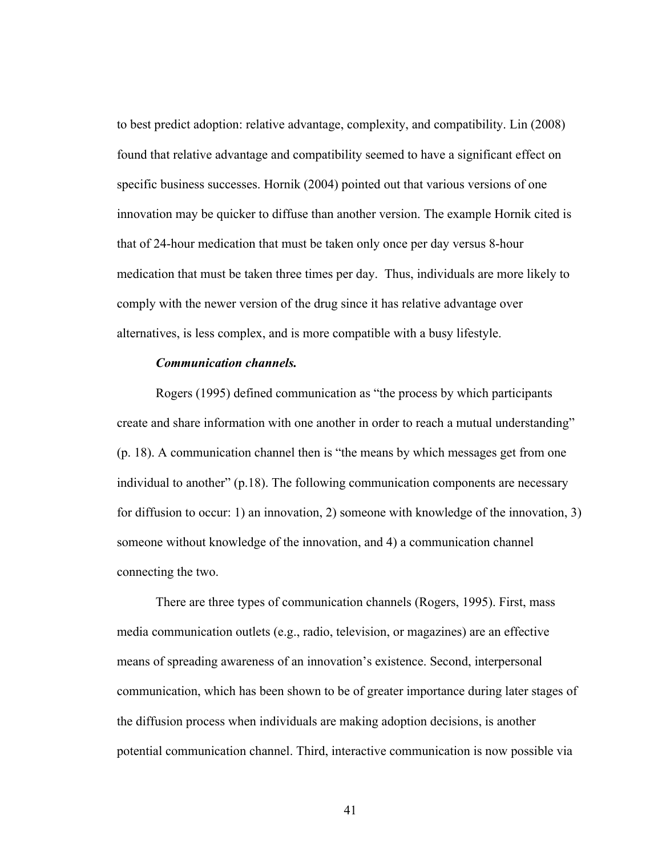to best predict adoption: relative advantage, complexity, and compatibility. Lin (2008) found that relative advantage and compatibility seemed to have a significant effect on specific business successes. Hornik (2004) pointed out that various versions of one innovation may be quicker to diffuse than another version. The example Hornik cited is that of 24-hour medication that must be taken only once per day versus 8-hour medication that must be taken three times per day. Thus, individuals are more likely to comply with the newer version of the drug since it has relative advantage over alternatives, is less complex, and is more compatible with a busy lifestyle.

## *Communication channels.*

Rogers (1995) defined communication as "the process by which participants create and share information with one another in order to reach a mutual understanding" (p. 18). A communication channel then is "the means by which messages get from one individual to another" (p.18). The following communication components are necessary for diffusion to occur: 1) an innovation, 2) someone with knowledge of the innovation, 3) someone without knowledge of the innovation, and 4) a communication channel connecting the two.

There are three types of communication channels (Rogers, 1995). First, mass media communication outlets (e.g., radio, television, or magazines) are an effective means of spreading awareness of an innovation's existence. Second, interpersonal communication, which has been shown to be of greater importance during later stages of the diffusion process when individuals are making adoption decisions, is another potential communication channel. Third, interactive communication is now possible via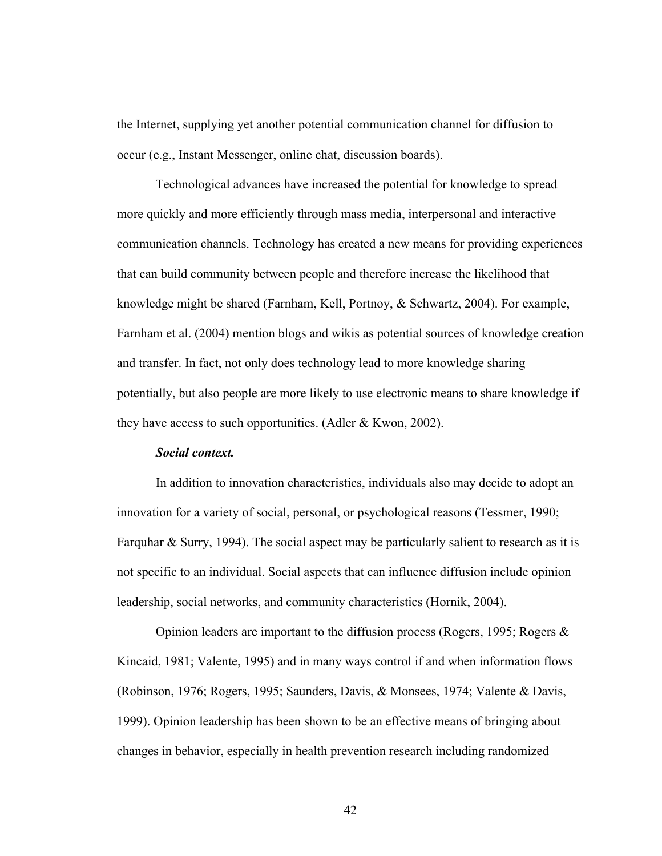the Internet, supplying yet another potential communication channel for diffusion to occur (e.g., Instant Messenger, online chat, discussion boards).

Technological advances have increased the potential for knowledge to spread more quickly and more efficiently through mass media, interpersonal and interactive communication channels. Technology has created a new means for providing experiences that can build community between people and therefore increase the likelihood that knowledge might be shared (Farnham, Kell, Portnoy, & Schwartz, 2004). For example, Farnham et al. (2004) mention blogs and wikis as potential sources of knowledge creation and transfer. In fact, not only does technology lead to more knowledge sharing potentially, but also people are more likely to use electronic means to share knowledge if they have access to such opportunities. (Adler & Kwon, 2002).

## *Social context.*

In addition to innovation characteristics, individuals also may decide to adopt an innovation for a variety of social, personal, or psychological reasons (Tessmer, 1990; Farquhar & Surry, 1994). The social aspect may be particularly salient to research as it is not specific to an individual. Social aspects that can influence diffusion include opinion leadership, social networks, and community characteristics (Hornik, 2004).

Opinion leaders are important to the diffusion process (Rogers, 1995; Rogers & Kincaid, 1981; Valente, 1995) and in many ways control if and when information flows (Robinson, 1976; Rogers, 1995; Saunders, Davis, & Monsees, 1974; Valente & Davis, 1999). Opinion leadership has been shown to be an effective means of bringing about changes in behavior, especially in health prevention research including randomized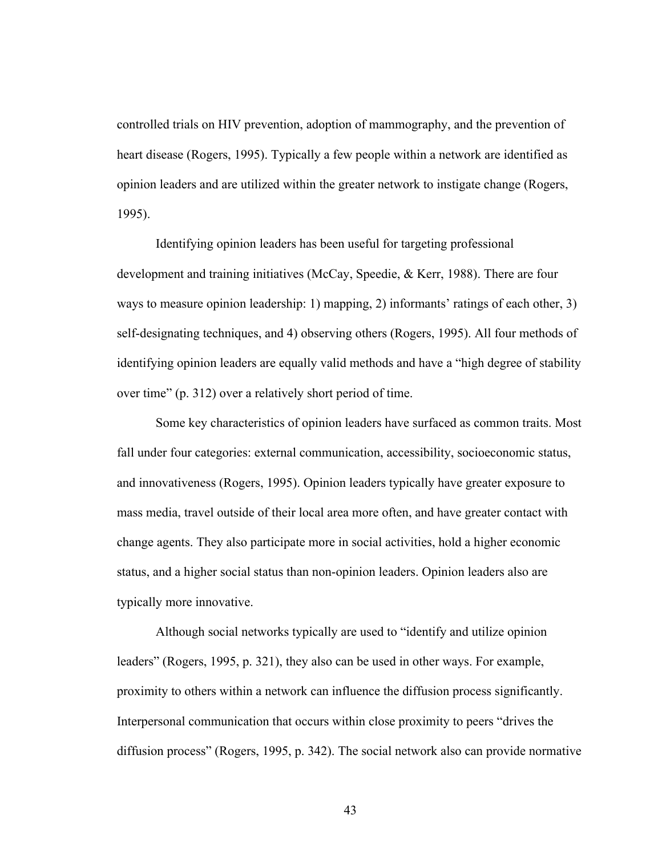controlled trials on HIV prevention, adoption of mammography, and the prevention of heart disease (Rogers, 1995). Typically a few people within a network are identified as opinion leaders and are utilized within the greater network to instigate change (Rogers, 1995).

Identifying opinion leaders has been useful for targeting professional development and training initiatives (McCay, Speedie, & Kerr, 1988). There are four ways to measure opinion leadership: 1) mapping, 2) informants' ratings of each other, 3) self-designating techniques, and 4) observing others (Rogers, 1995). All four methods of identifying opinion leaders are equally valid methods and have a "high degree of stability over time" (p. 312) over a relatively short period of time.

Some key characteristics of opinion leaders have surfaced as common traits. Most fall under four categories: external communication, accessibility, socioeconomic status, and innovativeness (Rogers, 1995). Opinion leaders typically have greater exposure to mass media, travel outside of their local area more often, and have greater contact with change agents. They also participate more in social activities, hold a higher economic status, and a higher social status than non-opinion leaders. Opinion leaders also are typically more innovative.

Although social networks typically are used to "identify and utilize opinion leaders" (Rogers, 1995, p. 321), they also can be used in other ways. For example, proximity to others within a network can influence the diffusion process significantly. Interpersonal communication that occurs within close proximity to peers "drives the diffusion process" (Rogers, 1995, p. 342). The social network also can provide normative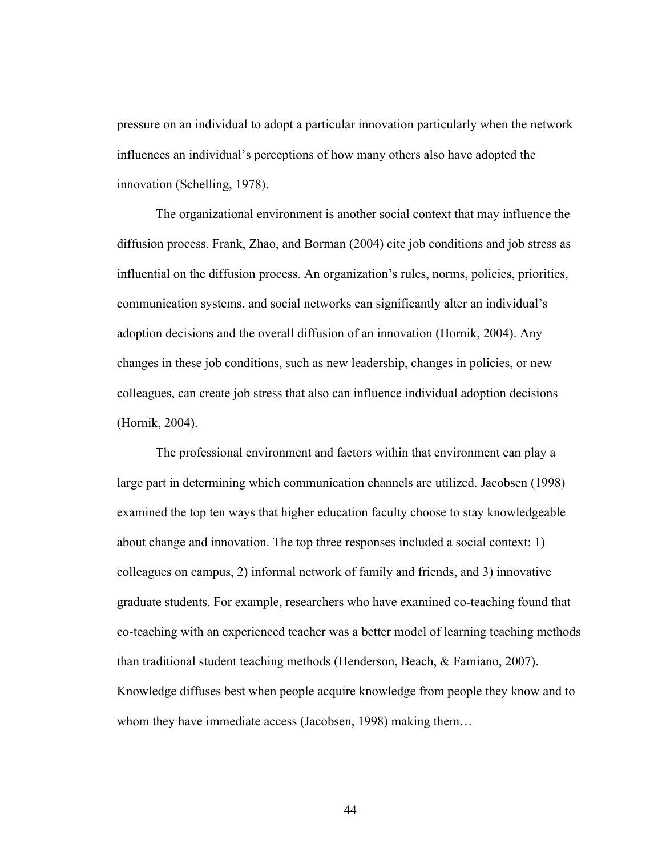pressure on an individual to adopt a particular innovation particularly when the network influences an individual's perceptions of how many others also have adopted the innovation (Schelling, 1978).

The organizational environment is another social context that may influence the diffusion process. Frank, Zhao, and Borman (2004) cite job conditions and job stress as influential on the diffusion process. An organization's rules, norms, policies, priorities, communication systems, and social networks can significantly alter an individual's adoption decisions and the overall diffusion of an innovation (Hornik, 2004). Any changes in these job conditions, such as new leadership, changes in policies, or new colleagues, can create job stress that also can influence individual adoption decisions (Hornik, 2004).

The professional environment and factors within that environment can play a large part in determining which communication channels are utilized. Jacobsen (1998) examined the top ten ways that higher education faculty choose to stay knowledgeable about change and innovation. The top three responses included a social context: 1) colleagues on campus, 2) informal network of family and friends, and 3) innovative graduate students. For example, researchers who have examined co-teaching found that co-teaching with an experienced teacher was a better model of learning teaching methods than traditional student teaching methods (Henderson, Beach, & Famiano, 2007). Knowledge diffuses best when people acquire knowledge from people they know and to whom they have immediate access (Jacobsen, 1998) making them...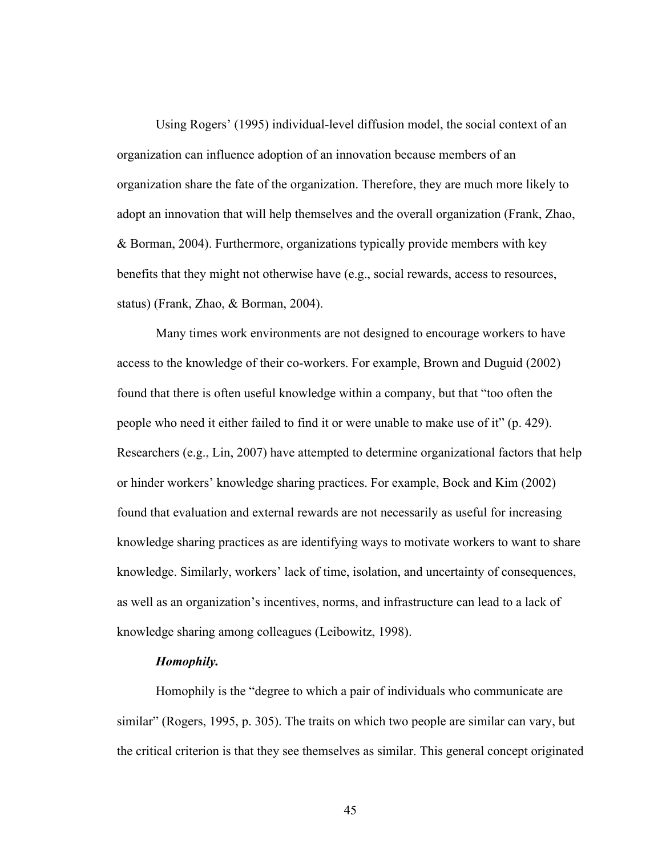Using Rogers' (1995) individual-level diffusion model, the social context of an organization can influence adoption of an innovation because members of an organization share the fate of the organization. Therefore, they are much more likely to adopt an innovation that will help themselves and the overall organization (Frank, Zhao, & Borman, 2004). Furthermore, organizations typically provide members with key benefits that they might not otherwise have (e.g., social rewards, access to resources, status) (Frank, Zhao, & Borman, 2004).

Many times work environments are not designed to encourage workers to have access to the knowledge of their co-workers. For example, Brown and Duguid (2002) found that there is often useful knowledge within a company, but that "too often the people who need it either failed to find it or were unable to make use of it" (p. 429). Researchers (e.g., Lin, 2007) have attempted to determine organizational factors that help or hinder workers' knowledge sharing practices. For example, Bock and Kim (2002) found that evaluation and external rewards are not necessarily as useful for increasing knowledge sharing practices as are identifying ways to motivate workers to want to share knowledge. Similarly, workers' lack of time, isolation, and uncertainty of consequences, as well as an organization's incentives, norms, and infrastructure can lead to a lack of knowledge sharing among colleagues (Leibowitz, 1998).

## *Homophily.*

Homophily is the "degree to which a pair of individuals who communicate are similar" (Rogers, 1995, p. 305). The traits on which two people are similar can vary, but the critical criterion is that they see themselves as similar. This general concept originated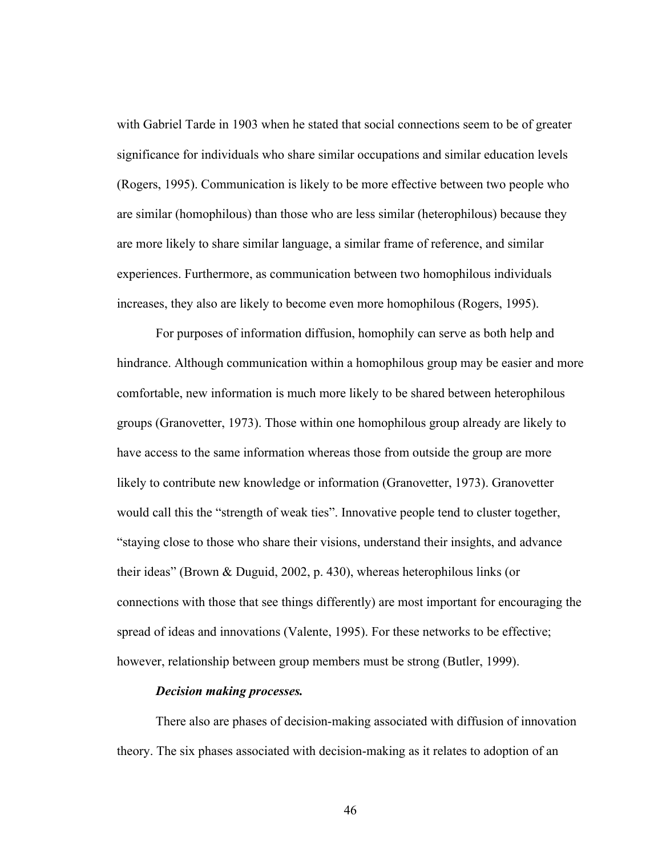with Gabriel Tarde in 1903 when he stated that social connections seem to be of greater significance for individuals who share similar occupations and similar education levels (Rogers, 1995). Communication is likely to be more effective between two people who are similar (homophilous) than those who are less similar (heterophilous) because they are more likely to share similar language, a similar frame of reference, and similar experiences. Furthermore, as communication between two homophilous individuals increases, they also are likely to become even more homophilous (Rogers, 1995).

For purposes of information diffusion, homophily can serve as both help and hindrance. Although communication within a homophilous group may be easier and more comfortable, new information is much more likely to be shared between heterophilous groups (Granovetter, 1973). Those within one homophilous group already are likely to have access to the same information whereas those from outside the group are more likely to contribute new knowledge or information (Granovetter, 1973). Granovetter would call this the "strength of weak ties". Innovative people tend to cluster together, "staying close to those who share their visions, understand their insights, and advance their ideas" (Brown & Duguid, 2002, p. 430), whereas heterophilous links (or connections with those that see things differently) are most important for encouraging the spread of ideas and innovations (Valente, 1995). For these networks to be effective; however, relationship between group members must be strong (Butler, 1999).

## *Decision making processes.*

There also are phases of decision-making associated with diffusion of innovation theory. The six phases associated with decision-making as it relates to adoption of an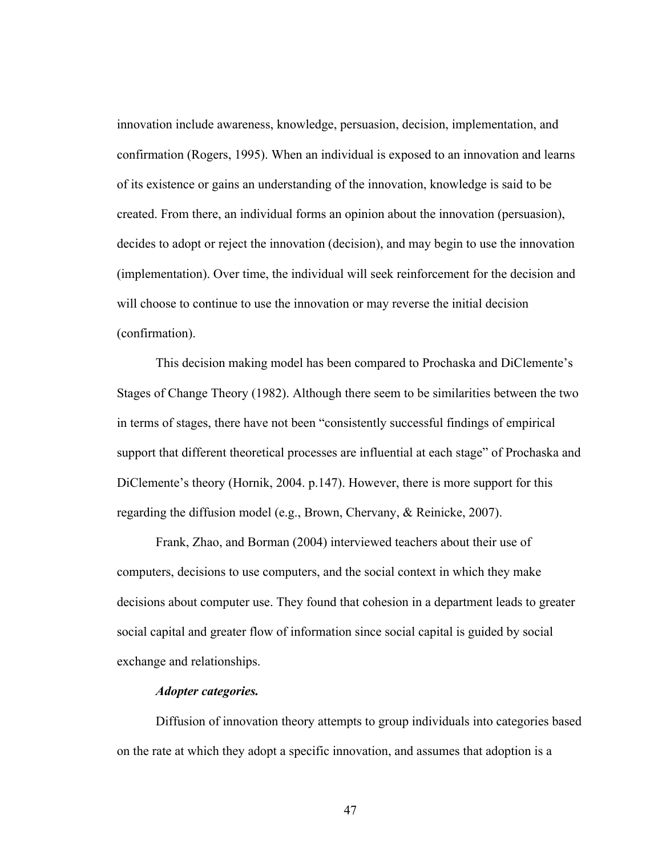innovation include awareness, knowledge, persuasion, decision, implementation, and confirmation (Rogers, 1995). When an individual is exposed to an innovation and learns of its existence or gains an understanding of the innovation, knowledge is said to be created. From there, an individual forms an opinion about the innovation (persuasion), decides to adopt or reject the innovation (decision), and may begin to use the innovation (implementation). Over time, the individual will seek reinforcement for the decision and will choose to continue to use the innovation or may reverse the initial decision (confirmation).

This decision making model has been compared to Prochaska and DiClemente's Stages of Change Theory (1982). Although there seem to be similarities between the two in terms of stages, there have not been "consistently successful findings of empirical support that different theoretical processes are influential at each stage" of Prochaska and DiClemente's theory (Hornik, 2004. p.147). However, there is more support for this regarding the diffusion model (e.g., Brown, Chervany, & Reinicke, 2007).

Frank, Zhao, and Borman (2004) interviewed teachers about their use of computers, decisions to use computers, and the social context in which they make decisions about computer use. They found that cohesion in a department leads to greater social capital and greater flow of information since social capital is guided by social exchange and relationships.

# *Adopter categories.*

Diffusion of innovation theory attempts to group individuals into categories based on the rate at which they adopt a specific innovation, and assumes that adoption is a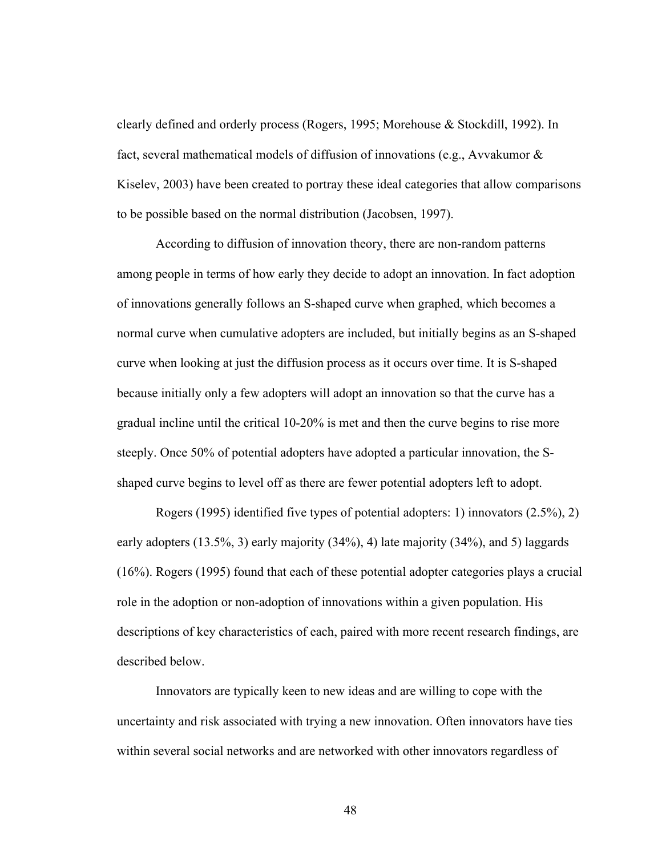clearly defined and orderly process (Rogers, 1995; Morehouse & Stockdill, 1992). In fact, several mathematical models of diffusion of innovations (e.g., Avvakumor & Kiselev, 2003) have been created to portray these ideal categories that allow comparisons to be possible based on the normal distribution (Jacobsen, 1997).

According to diffusion of innovation theory, there are non-random patterns among people in terms of how early they decide to adopt an innovation. In fact adoption of innovations generally follows an S-shaped curve when graphed, which becomes a normal curve when cumulative adopters are included, but initially begins as an S-shaped curve when looking at just the diffusion process as it occurs over time. It is S-shaped because initially only a few adopters will adopt an innovation so that the curve has a gradual incline until the critical 10-20% is met and then the curve begins to rise more steeply. Once 50% of potential adopters have adopted a particular innovation, the Sshaped curve begins to level off as there are fewer potential adopters left to adopt.

Rogers (1995) identified five types of potential adopters: 1) innovators (2.5%), 2) early adopters (13.5%, 3) early majority (34%), 4) late majority (34%), and 5) laggards (16%). Rogers (1995) found that each of these potential adopter categories plays a crucial role in the adoption or non-adoption of innovations within a given population. His descriptions of key characteristics of each, paired with more recent research findings, are described below.

Innovators are typically keen to new ideas and are willing to cope with the uncertainty and risk associated with trying a new innovation. Often innovators have ties within several social networks and are networked with other innovators regardless of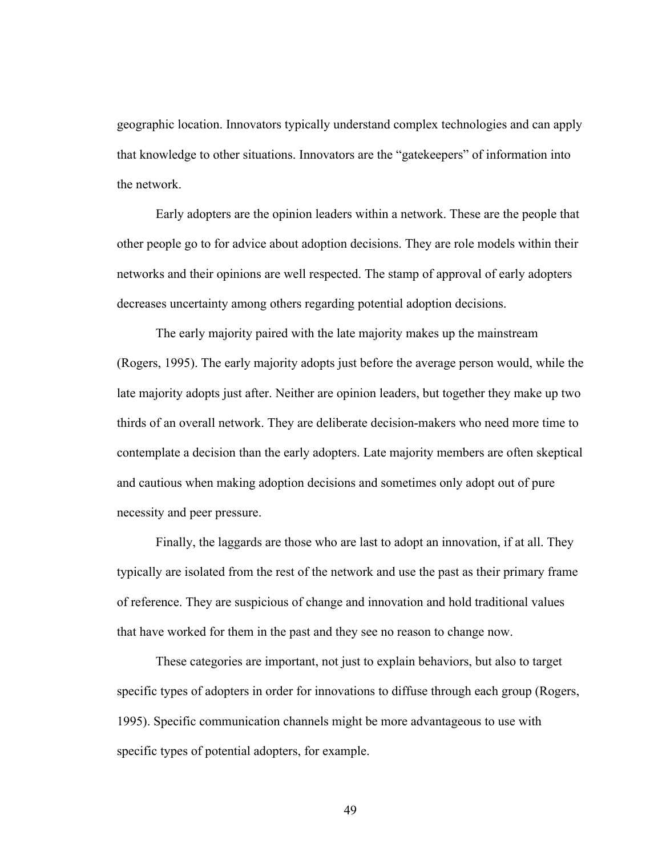geographic location. Innovators typically understand complex technologies and can apply that knowledge to other situations. Innovators are the "gatekeepers" of information into the network.

Early adopters are the opinion leaders within a network. These are the people that other people go to for advice about adoption decisions. They are role models within their networks and their opinions are well respected. The stamp of approval of early adopters decreases uncertainty among others regarding potential adoption decisions.

The early majority paired with the late majority makes up the mainstream (Rogers, 1995). The early majority adopts just before the average person would, while the late majority adopts just after. Neither are opinion leaders, but together they make up two thirds of an overall network. They are deliberate decision-makers who need more time to contemplate a decision than the early adopters. Late majority members are often skeptical and cautious when making adoption decisions and sometimes only adopt out of pure necessity and peer pressure.

Finally, the laggards are those who are last to adopt an innovation, if at all. They typically are isolated from the rest of the network and use the past as their primary frame of reference. They are suspicious of change and innovation and hold traditional values that have worked for them in the past and they see no reason to change now.

These categories are important, not just to explain behaviors, but also to target specific types of adopters in order for innovations to diffuse through each group (Rogers, 1995). Specific communication channels might be more advantageous to use with specific types of potential adopters, for example.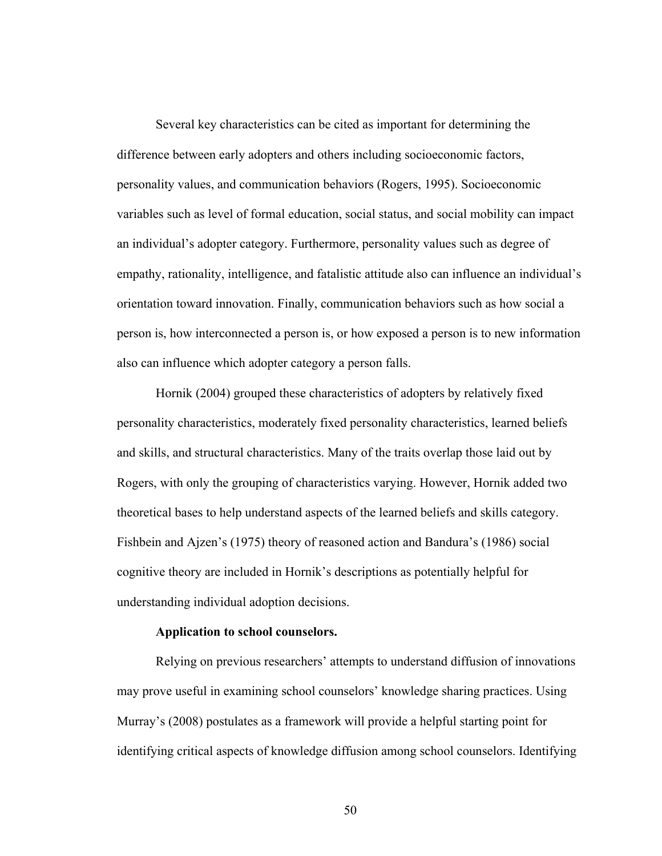Several key characteristics can be cited as important for determining the difference between early adopters and others including socioeconomic factors, personality values, and communication behaviors (Rogers, 1995). Socioeconomic variables such as level of formal education, social status, and social mobility can impact an individual's adopter category. Furthermore, personality values such as degree of empathy, rationality, intelligence, and fatalistic attitude also can influence an individual's orientation toward innovation. Finally, communication behaviors such as how social a person is, how interconnected a person is, or how exposed a person is to new information also can influence which adopter category a person falls.

Hornik (2004) grouped these characteristics of adopters by relatively fixed personality characteristics, moderately fixed personality characteristics, learned beliefs and skills, and structural characteristics. Many of the traits overlap those laid out by Rogers, with only the grouping of characteristics varying. However, Hornik added two theoretical bases to help understand aspects of the learned beliefs and skills category. Fishbein and Ajzen's (1975) theory of reasoned action and Bandura's (1986) social cognitive theory are included in Hornik's descriptions as potentially helpful for understanding individual adoption decisions.

## **Application to school counselors.**

Relying on previous researchers' attempts to understand diffusion of innovations may prove useful in examining school counselors' knowledge sharing practices. Using Murray's (2008) postulates as a framework will provide a helpful starting point for identifying critical aspects of knowledge diffusion among school counselors. Identifying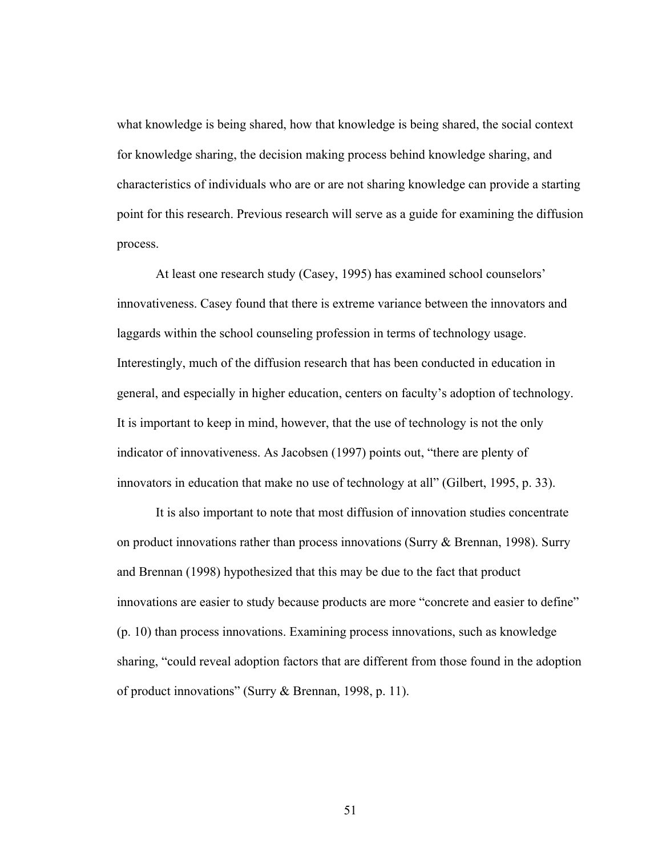what knowledge is being shared, how that knowledge is being shared, the social context for knowledge sharing, the decision making process behind knowledge sharing, and characteristics of individuals who are or are not sharing knowledge can provide a starting point for this research. Previous research will serve as a guide for examining the diffusion process.

At least one research study (Casey, 1995) has examined school counselors' innovativeness. Casey found that there is extreme variance between the innovators and laggards within the school counseling profession in terms of technology usage. Interestingly, much of the diffusion research that has been conducted in education in general, and especially in higher education, centers on faculty's adoption of technology. It is important to keep in mind, however, that the use of technology is not the only indicator of innovativeness. As Jacobsen (1997) points out, "there are plenty of innovators in education that make no use of technology at all" (Gilbert, 1995, p. 33).

It is also important to note that most diffusion of innovation studies concentrate on product innovations rather than process innovations (Surry & Brennan, 1998). Surry and Brennan (1998) hypothesized that this may be due to the fact that product innovations are easier to study because products are more "concrete and easier to define" (p. 10) than process innovations. Examining process innovations, such as knowledge sharing, "could reveal adoption factors that are different from those found in the adoption of product innovations" (Surry & Brennan, 1998, p. 11).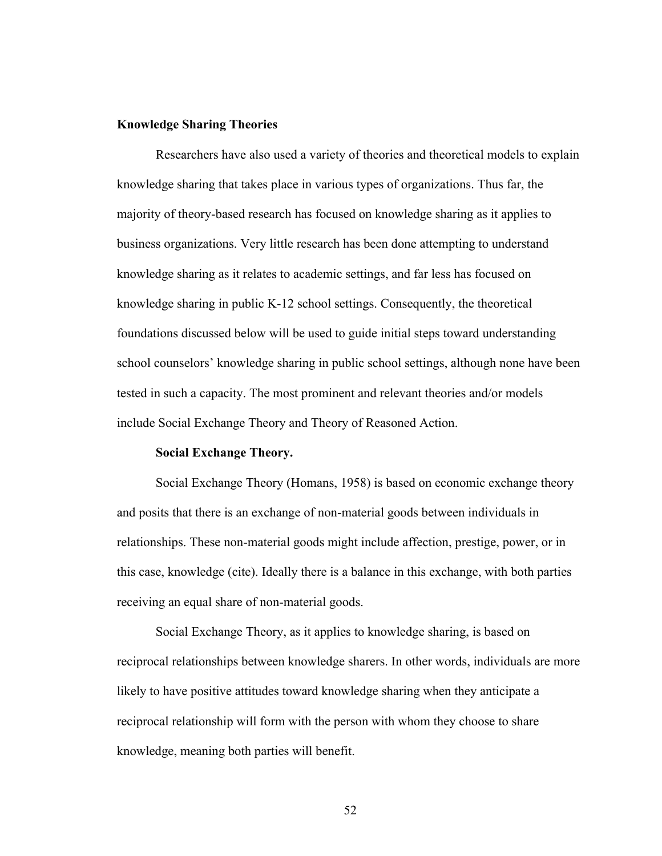## **Knowledge Sharing Theories**

Researchers have also used a variety of theories and theoretical models to explain knowledge sharing that takes place in various types of organizations. Thus far, the majority of theory-based research has focused on knowledge sharing as it applies to business organizations. Very little research has been done attempting to understand knowledge sharing as it relates to academic settings, and far less has focused on knowledge sharing in public K-12 school settings. Consequently, the theoretical foundations discussed below will be used to guide initial steps toward understanding school counselors' knowledge sharing in public school settings, although none have been tested in such a capacity. The most prominent and relevant theories and/or models include Social Exchange Theory and Theory of Reasoned Action.

## **Social Exchange Theory.**

Social Exchange Theory (Homans, 1958) is based on economic exchange theory and posits that there is an exchange of non-material goods between individuals in relationships. These non-material goods might include affection, prestige, power, or in this case, knowledge (cite). Ideally there is a balance in this exchange, with both parties receiving an equal share of non-material goods.

Social Exchange Theory, as it applies to knowledge sharing, is based on reciprocal relationships between knowledge sharers. In other words, individuals are more likely to have positive attitudes toward knowledge sharing when they anticipate a reciprocal relationship will form with the person with whom they choose to share knowledge, meaning both parties will benefit.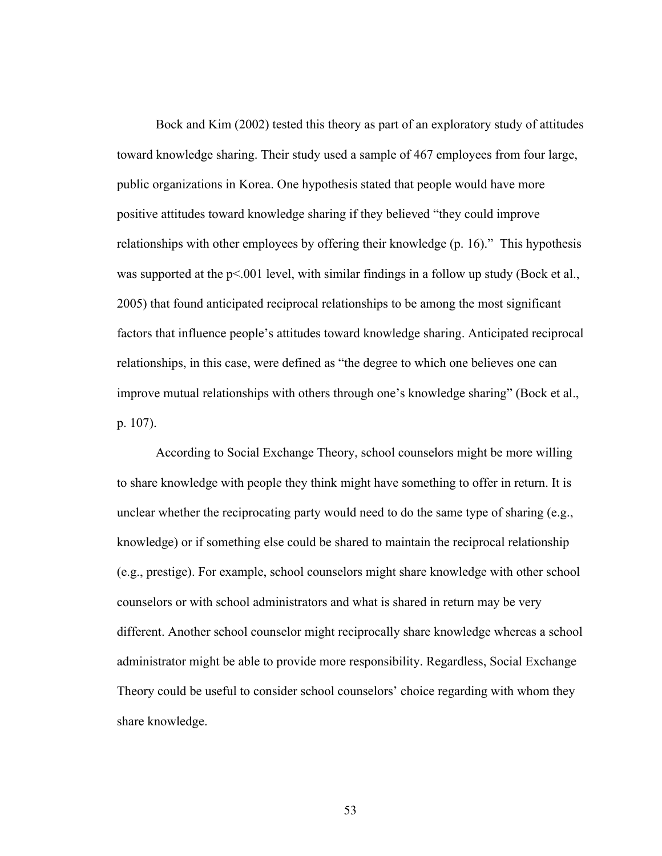Bock and Kim (2002) tested this theory as part of an exploratory study of attitudes toward knowledge sharing. Their study used a sample of 467 employees from four large, public organizations in Korea. One hypothesis stated that people would have more positive attitudes toward knowledge sharing if they believed "they could improve relationships with other employees by offering their knowledge (p. 16)." This hypothesis was supported at the  $p<001$  level, with similar findings in a follow up study (Bock et al., 2005) that found anticipated reciprocal relationships to be among the most significant factors that influence people's attitudes toward knowledge sharing. Anticipated reciprocal relationships, in this case, were defined as "the degree to which one believes one can improve mutual relationships with others through one's knowledge sharing" (Bock et al., p. 107).

According to Social Exchange Theory, school counselors might be more willing to share knowledge with people they think might have something to offer in return. It is unclear whether the reciprocating party would need to do the same type of sharing (e.g., knowledge) or if something else could be shared to maintain the reciprocal relationship (e.g., prestige). For example, school counselors might share knowledge with other school counselors or with school administrators and what is shared in return may be very different. Another school counselor might reciprocally share knowledge whereas a school administrator might be able to provide more responsibility. Regardless, Social Exchange Theory could be useful to consider school counselors' choice regarding with whom they share knowledge.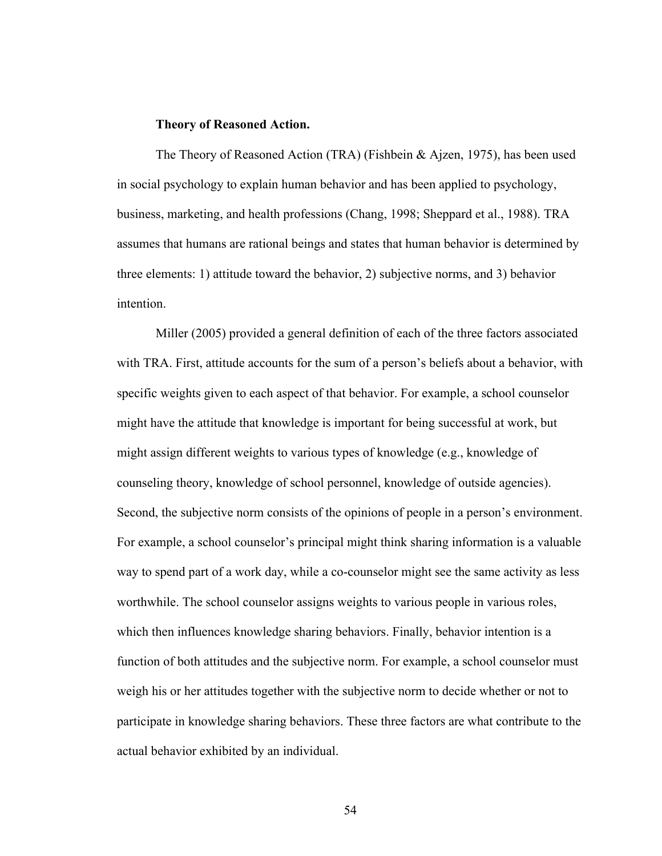#### **Theory of Reasoned Action.**

The Theory of Reasoned Action (TRA) (Fishbein & Ajzen, 1975), has been used in social psychology to explain human behavior and has been applied to psychology, business, marketing, and health professions (Chang, 1998; Sheppard et al., 1988). TRA assumes that humans are rational beings and states that human behavior is determined by three elements: 1) attitude toward the behavior, 2) subjective norms, and 3) behavior intention.

Miller (2005) provided a general definition of each of the three factors associated with TRA. First, attitude accounts for the sum of a person's beliefs about a behavior, with specific weights given to each aspect of that behavior. For example, a school counselor might have the attitude that knowledge is important for being successful at work, but might assign different weights to various types of knowledge (e.g., knowledge of counseling theory, knowledge of school personnel, knowledge of outside agencies). Second, the subjective norm consists of the opinions of people in a person's environment. For example, a school counselor's principal might think sharing information is a valuable way to spend part of a work day, while a co-counselor might see the same activity as less worthwhile. The school counselor assigns weights to various people in various roles, which then influences knowledge sharing behaviors. Finally, behavior intention is a function of both attitudes and the subjective norm. For example, a school counselor must weigh his or her attitudes together with the subjective norm to decide whether or not to participate in knowledge sharing behaviors. These three factors are what contribute to the actual behavior exhibited by an individual.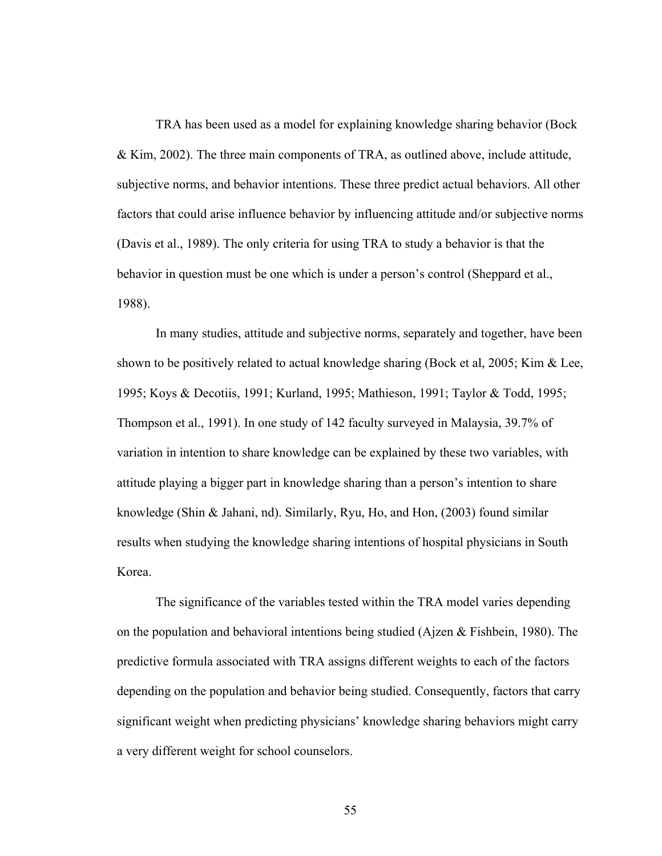TRA has been used as a model for explaining knowledge sharing behavior (Bock & Kim, 2002). The three main components of TRA, as outlined above, include attitude, subjective norms, and behavior intentions. These three predict actual behaviors. All other factors that could arise influence behavior by influencing attitude and/or subjective norms (Davis et al., 1989). The only criteria for using TRA to study a behavior is that the behavior in question must be one which is under a person's control (Sheppard et al., 1988).

In many studies, attitude and subjective norms, separately and together, have been shown to be positively related to actual knowledge sharing (Bock et al, 2005; Kim & Lee, 1995; Koys & Decotiis, 1991; Kurland, 1995; Mathieson, 1991; Taylor & Todd, 1995; Thompson et al., 1991). In one study of 142 faculty surveyed in Malaysia, 39.7% of variation in intention to share knowledge can be explained by these two variables, with attitude playing a bigger part in knowledge sharing than a person's intention to share knowledge (Shin & Jahani, nd). Similarly, Ryu, Ho, and Hon, (2003) found similar results when studying the knowledge sharing intentions of hospital physicians in South Korea.

The significance of the variables tested within the TRA model varies depending on the population and behavioral intentions being studied (Ajzen & Fishbein, 1980). The predictive formula associated with TRA assigns different weights to each of the factors depending on the population and behavior being studied. Consequently, factors that carry significant weight when predicting physicians' knowledge sharing behaviors might carry a very different weight for school counselors.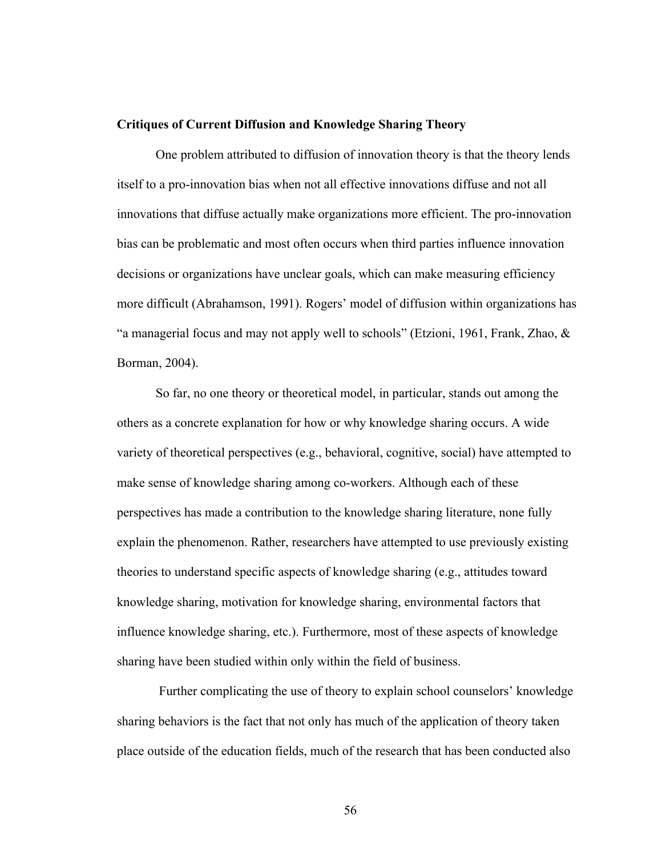#### **Critiques of Current Diffusion and Knowledge Sharing Theory**

One problem attributed to diffusion of innovation theory is that the theory lends itself to a pro-innovation bias when not all effective innovations diffuse and not all innovations that diffuse actually make organizations more efficient. The pro-innovation bias can be problematic and most often occurs when third parties influence innovation decisions or organizations have unclear goals, which can make measuring efficiency more difficult (Abrahamson, 1991). Rogers' model of diffusion within organizations has "a managerial focus and may not apply well to schools" (Etzioni, 1961, Frank, Zhao, & Borman, 2004).

So far, no one theory or theoretical model, in particular, stands out among the others as a concrete explanation for how or why knowledge sharing occurs. A wide variety of theoretical perspectives (e.g., behavioral, cognitive, social) have attempted to make sense of knowledge sharing among co-workers. Although each of these perspectives has made a contribution to the knowledge sharing literature, none fully explain the phenomenon. Rather, researchers have attempted to use previously existing theories to understand specific aspects of knowledge sharing (e.g., attitudes toward knowledge sharing, motivation for knowledge sharing, environmental factors that influence knowledge sharing, etc.). Furthermore, most of these aspects of knowledge sharing have been studied within only within the field of business.

 Further complicating the use of theory to explain school counselors' knowledge sharing behaviors is the fact that not only has much of the application of theory taken place outside of the education fields, much of the research that has been conducted also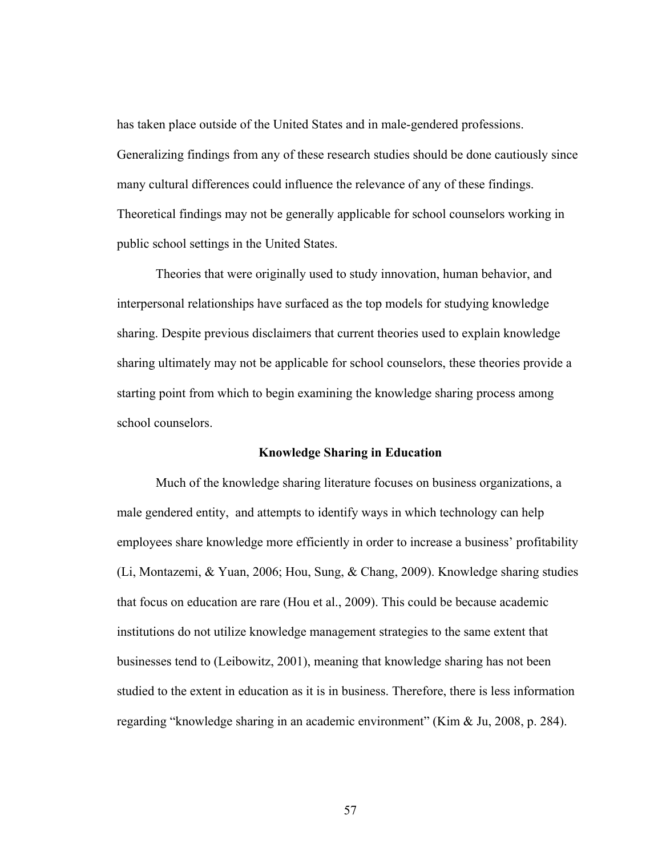has taken place outside of the United States and in male-gendered professions. Generalizing findings from any of these research studies should be done cautiously since many cultural differences could influence the relevance of any of these findings. Theoretical findings may not be generally applicable for school counselors working in public school settings in the United States.

Theories that were originally used to study innovation, human behavior, and interpersonal relationships have surfaced as the top models for studying knowledge sharing. Despite previous disclaimers that current theories used to explain knowledge sharing ultimately may not be applicable for school counselors, these theories provide a starting point from which to begin examining the knowledge sharing process among school counselors.

## **Knowledge Sharing in Education**

Much of the knowledge sharing literature focuses on business organizations, a male gendered entity, and attempts to identify ways in which technology can help employees share knowledge more efficiently in order to increase a business' profitability (Li, Montazemi, & Yuan, 2006; Hou, Sung, & Chang, 2009). Knowledge sharing studies that focus on education are rare (Hou et al., 2009). This could be because academic institutions do not utilize knowledge management strategies to the same extent that businesses tend to (Leibowitz, 2001), meaning that knowledge sharing has not been studied to the extent in education as it is in business. Therefore, there is less information regarding "knowledge sharing in an academic environment" (Kim & Ju, 2008, p. 284).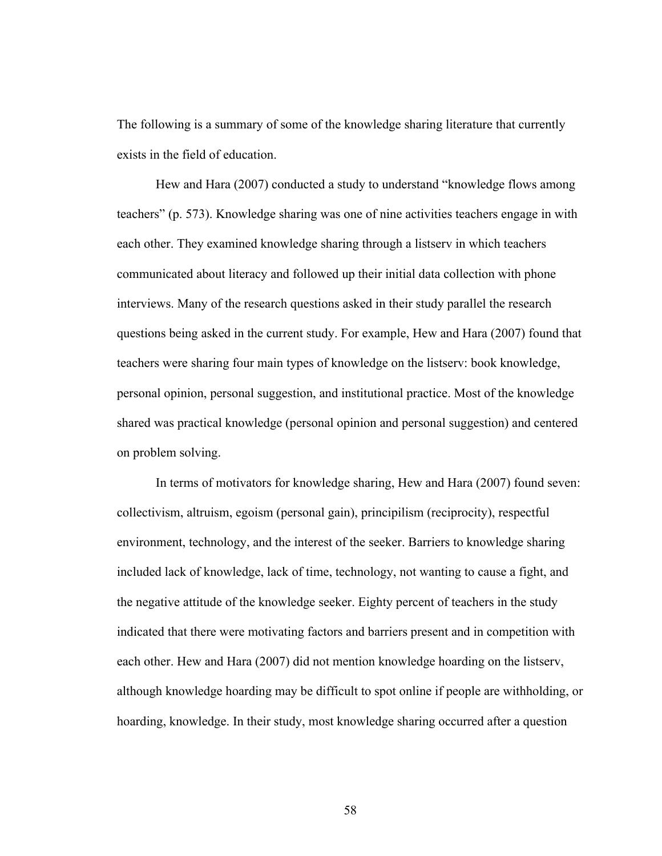The following is a summary of some of the knowledge sharing literature that currently exists in the field of education.

Hew and Hara (2007) conducted a study to understand "knowledge flows among teachers" (p. 573). Knowledge sharing was one of nine activities teachers engage in with each other. They examined knowledge sharing through a listserv in which teachers communicated about literacy and followed up their initial data collection with phone interviews. Many of the research questions asked in their study parallel the research questions being asked in the current study. For example, Hew and Hara (2007) found that teachers were sharing four main types of knowledge on the listserv: book knowledge, personal opinion, personal suggestion, and institutional practice. Most of the knowledge shared was practical knowledge (personal opinion and personal suggestion) and centered on problem solving.

In terms of motivators for knowledge sharing, Hew and Hara (2007) found seven: collectivism, altruism, egoism (personal gain), principilism (reciprocity), respectful environment, technology, and the interest of the seeker. Barriers to knowledge sharing included lack of knowledge, lack of time, technology, not wanting to cause a fight, and the negative attitude of the knowledge seeker. Eighty percent of teachers in the study indicated that there were motivating factors and barriers present and in competition with each other. Hew and Hara (2007) did not mention knowledge hoarding on the listserv, although knowledge hoarding may be difficult to spot online if people are withholding, or hoarding, knowledge. In their study, most knowledge sharing occurred after a question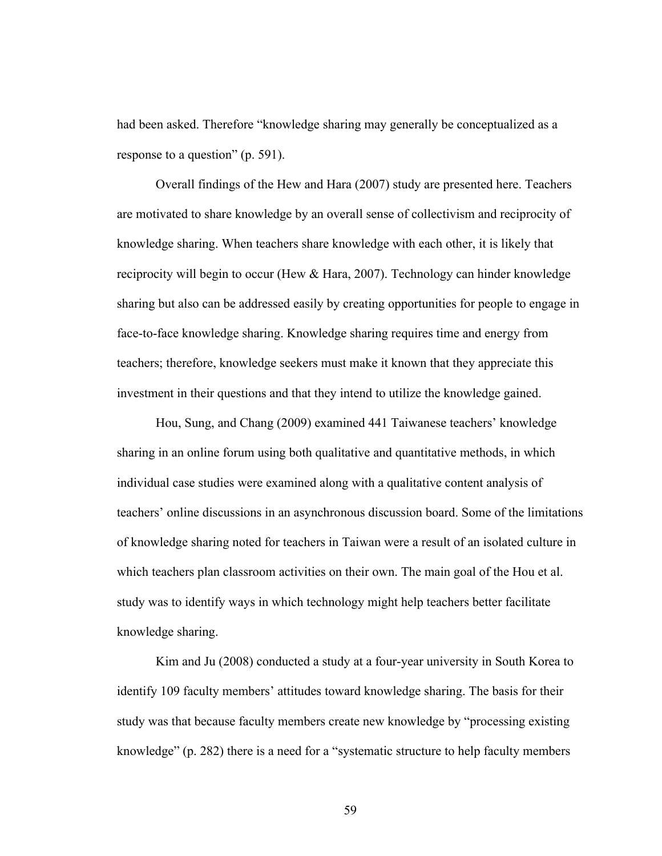had been asked. Therefore "knowledge sharing may generally be conceptualized as a response to a question" (p. 591).

Overall findings of the Hew and Hara (2007) study are presented here. Teachers are motivated to share knowledge by an overall sense of collectivism and reciprocity of knowledge sharing. When teachers share knowledge with each other, it is likely that reciprocity will begin to occur (Hew & Hara, 2007). Technology can hinder knowledge sharing but also can be addressed easily by creating opportunities for people to engage in face-to-face knowledge sharing. Knowledge sharing requires time and energy from teachers; therefore, knowledge seekers must make it known that they appreciate this investment in their questions and that they intend to utilize the knowledge gained.

Hou, Sung, and Chang (2009) examined 441 Taiwanese teachers' knowledge sharing in an online forum using both qualitative and quantitative methods, in which individual case studies were examined along with a qualitative content analysis of teachers' online discussions in an asynchronous discussion board. Some of the limitations of knowledge sharing noted for teachers in Taiwan were a result of an isolated culture in which teachers plan classroom activities on their own. The main goal of the Hou et al. study was to identify ways in which technology might help teachers better facilitate knowledge sharing.

Kim and Ju (2008) conducted a study at a four-year university in South Korea to identify 109 faculty members' attitudes toward knowledge sharing. The basis for their study was that because faculty members create new knowledge by "processing existing knowledge" (p. 282) there is a need for a "systematic structure to help faculty members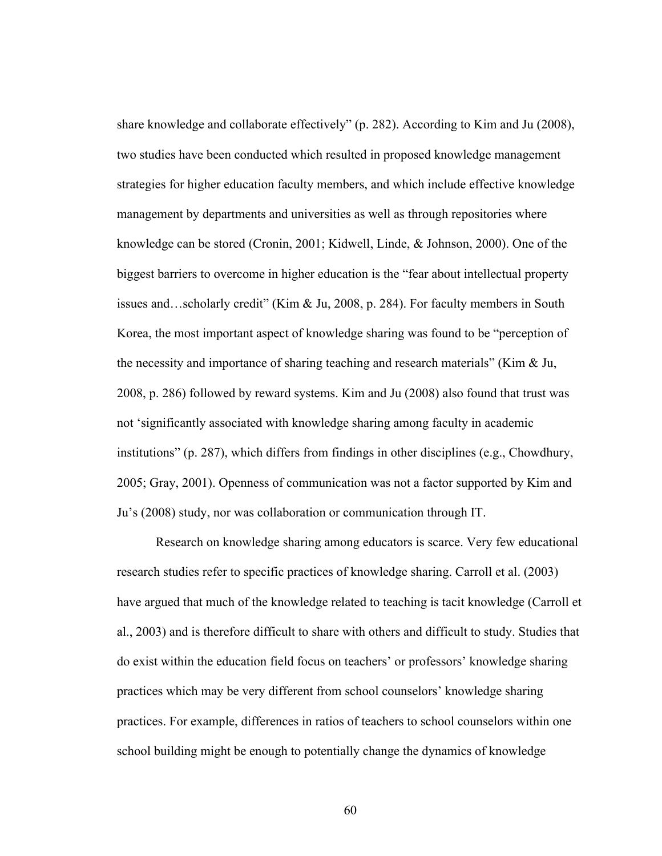share knowledge and collaborate effectively" (p. 282). According to Kim and Ju (2008), two studies have been conducted which resulted in proposed knowledge management strategies for higher education faculty members, and which include effective knowledge management by departments and universities as well as through repositories where knowledge can be stored (Cronin, 2001; Kidwell, Linde, & Johnson, 2000). One of the biggest barriers to overcome in higher education is the "fear about intellectual property issues and…scholarly credit" (Kim & Ju, 2008, p. 284). For faculty members in South Korea, the most important aspect of knowledge sharing was found to be "perception of the necessity and importance of sharing teaching and research materials" (Kim & Ju, 2008, p. 286) followed by reward systems. Kim and Ju (2008) also found that trust was not 'significantly associated with knowledge sharing among faculty in academic institutions" (p. 287), which differs from findings in other disciplines (e.g., Chowdhury, 2005; Gray, 2001). Openness of communication was not a factor supported by Kim and Ju's (2008) study, nor was collaboration or communication through IT.

Research on knowledge sharing among educators is scarce. Very few educational research studies refer to specific practices of knowledge sharing. Carroll et al. (2003) have argued that much of the knowledge related to teaching is tacit knowledge (Carroll et al., 2003) and is therefore difficult to share with others and difficult to study. Studies that do exist within the education field focus on teachers' or professors' knowledge sharing practices which may be very different from school counselors' knowledge sharing practices. For example, differences in ratios of teachers to school counselors within one school building might be enough to potentially change the dynamics of knowledge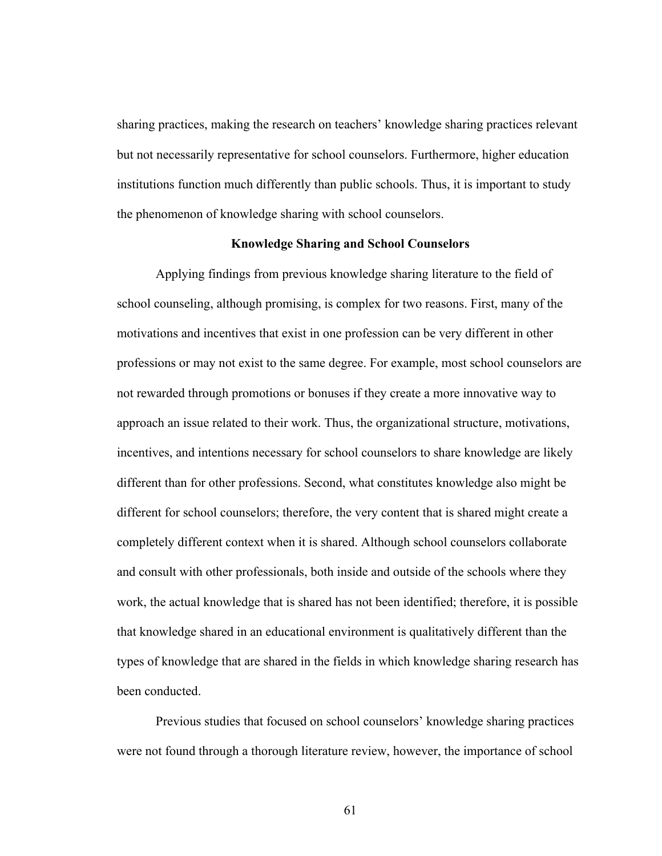sharing practices, making the research on teachers' knowledge sharing practices relevant but not necessarily representative for school counselors. Furthermore, higher education institutions function much differently than public schools. Thus, it is important to study the phenomenon of knowledge sharing with school counselors.

# **Knowledge Sharing and School Counselors**

Applying findings from previous knowledge sharing literature to the field of school counseling, although promising, is complex for two reasons. First, many of the motivations and incentives that exist in one profession can be very different in other professions or may not exist to the same degree. For example, most school counselors are not rewarded through promotions or bonuses if they create a more innovative way to approach an issue related to their work. Thus, the organizational structure, motivations, incentives, and intentions necessary for school counselors to share knowledge are likely different than for other professions. Second, what constitutes knowledge also might be different for school counselors; therefore, the very content that is shared might create a completely different context when it is shared. Although school counselors collaborate and consult with other professionals, both inside and outside of the schools where they work, the actual knowledge that is shared has not been identified; therefore, it is possible that knowledge shared in an educational environment is qualitatively different than the types of knowledge that are shared in the fields in which knowledge sharing research has been conducted.

Previous studies that focused on school counselors' knowledge sharing practices were not found through a thorough literature review, however, the importance of school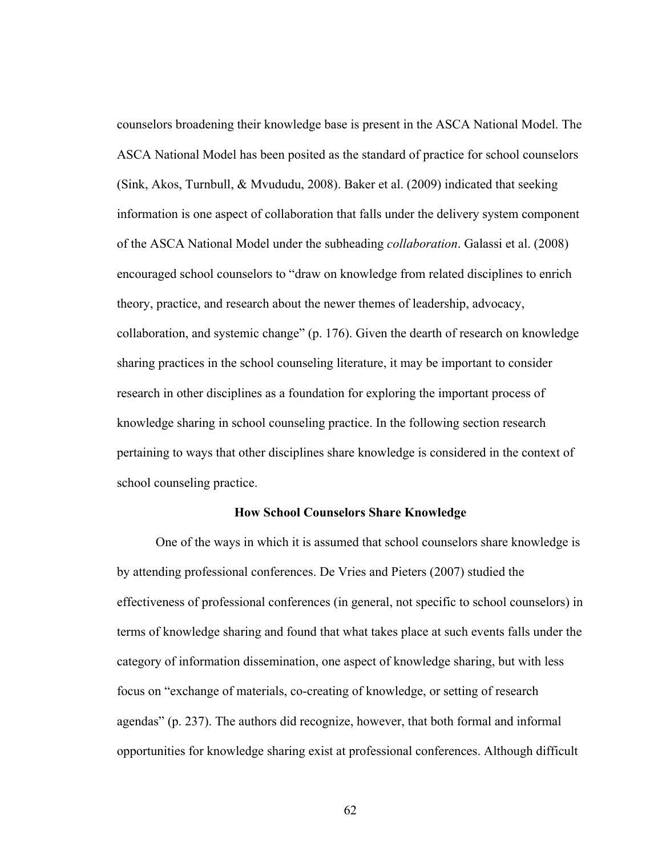counselors broadening their knowledge base is present in the ASCA National Model. The ASCA National Model has been posited as the standard of practice for school counselors (Sink, Akos, Turnbull, & Mvududu, 2008). Baker et al. (2009) indicated that seeking information is one aspect of collaboration that falls under the delivery system component of the ASCA National Model under the subheading *collaboration*. Galassi et al. (2008) encouraged school counselors to "draw on knowledge from related disciplines to enrich theory, practice, and research about the newer themes of leadership, advocacy, collaboration, and systemic change" (p. 176). Given the dearth of research on knowledge sharing practices in the school counseling literature, it may be important to consider research in other disciplines as a foundation for exploring the important process of knowledge sharing in school counseling practice. In the following section research pertaining to ways that other disciplines share knowledge is considered in the context of school counseling practice.

### **How School Counselors Share Knowledge**

One of the ways in which it is assumed that school counselors share knowledge is by attending professional conferences. De Vries and Pieters (2007) studied the effectiveness of professional conferences (in general, not specific to school counselors) in terms of knowledge sharing and found that what takes place at such events falls under the category of information dissemination, one aspect of knowledge sharing, but with less focus on "exchange of materials, co-creating of knowledge, or setting of research agendas" (p. 237). The authors did recognize, however, that both formal and informal opportunities for knowledge sharing exist at professional conferences. Although difficult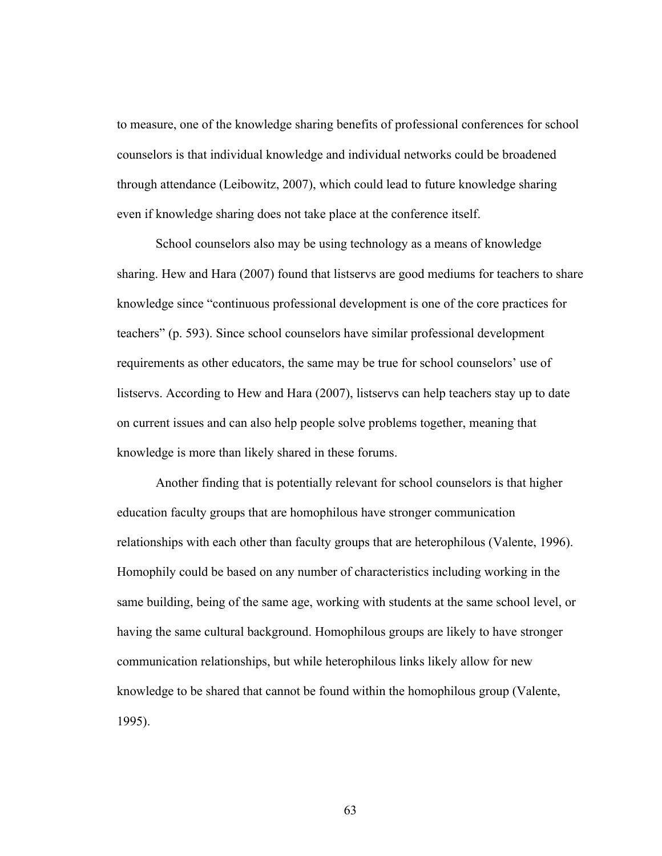to measure, one of the knowledge sharing benefits of professional conferences for school counselors is that individual knowledge and individual networks could be broadened through attendance (Leibowitz, 2007), which could lead to future knowledge sharing even if knowledge sharing does not take place at the conference itself.

School counselors also may be using technology as a means of knowledge sharing. Hew and Hara (2007) found that listservs are good mediums for teachers to share knowledge since "continuous professional development is one of the core practices for teachers" (p. 593). Since school counselors have similar professional development requirements as other educators, the same may be true for school counselors' use of listservs. According to Hew and Hara (2007), listservs can help teachers stay up to date on current issues and can also help people solve problems together, meaning that knowledge is more than likely shared in these forums.

Another finding that is potentially relevant for school counselors is that higher education faculty groups that are homophilous have stronger communication relationships with each other than faculty groups that are heterophilous (Valente, 1996). Homophily could be based on any number of characteristics including working in the same building, being of the same age, working with students at the same school level, or having the same cultural background. Homophilous groups are likely to have stronger communication relationships, but while heterophilous links likely allow for new knowledge to be shared that cannot be found within the homophilous group (Valente, 1995).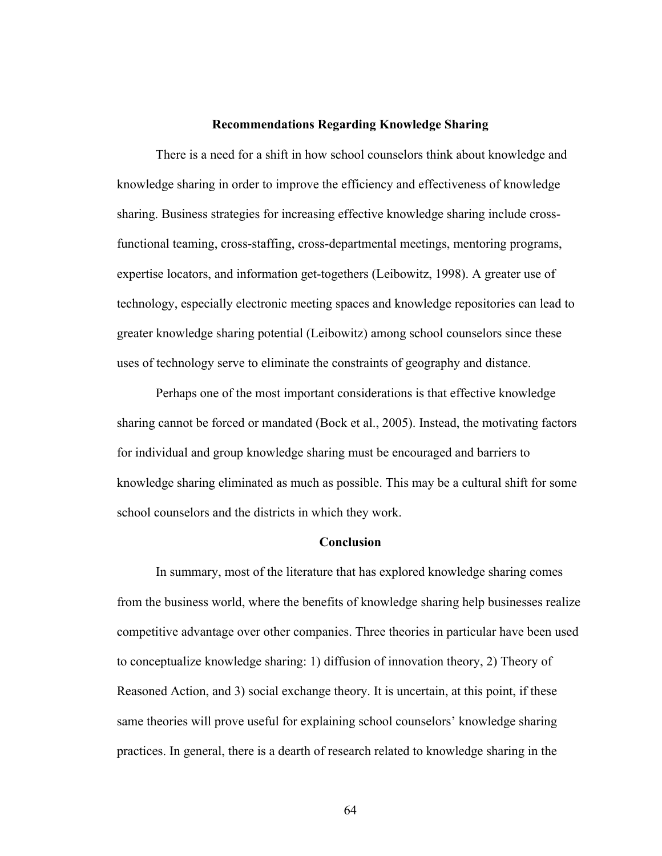### **Recommendations Regarding Knowledge Sharing**

There is a need for a shift in how school counselors think about knowledge and knowledge sharing in order to improve the efficiency and effectiveness of knowledge sharing. Business strategies for increasing effective knowledge sharing include crossfunctional teaming, cross-staffing, cross-departmental meetings, mentoring programs, expertise locators, and information get-togethers (Leibowitz, 1998). A greater use of technology, especially electronic meeting spaces and knowledge repositories can lead to greater knowledge sharing potential (Leibowitz) among school counselors since these uses of technology serve to eliminate the constraints of geography and distance.

Perhaps one of the most important considerations is that effective knowledge sharing cannot be forced or mandated (Bock et al., 2005). Instead, the motivating factors for individual and group knowledge sharing must be encouraged and barriers to knowledge sharing eliminated as much as possible. This may be a cultural shift for some school counselors and the districts in which they work.

### **Conclusion**

In summary, most of the literature that has explored knowledge sharing comes from the business world, where the benefits of knowledge sharing help businesses realize competitive advantage over other companies. Three theories in particular have been used to conceptualize knowledge sharing: 1) diffusion of innovation theory, 2) Theory of Reasoned Action, and 3) social exchange theory. It is uncertain, at this point, if these same theories will prove useful for explaining school counselors' knowledge sharing practices. In general, there is a dearth of research related to knowledge sharing in the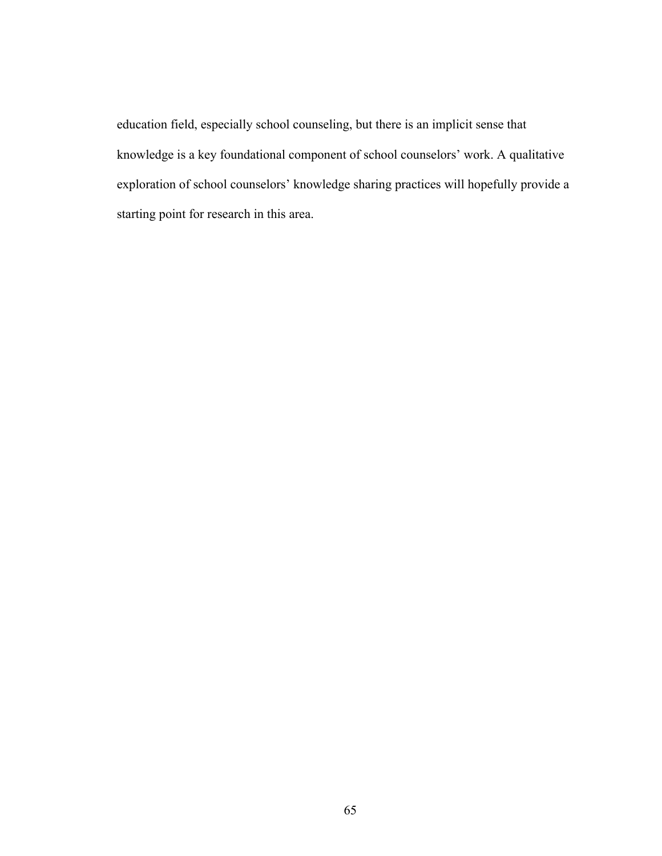education field, especially school counseling, but there is an implicit sense that knowledge is a key foundational component of school counselors' work. A qualitative exploration of school counselors' knowledge sharing practices will hopefully provide a starting point for research in this area.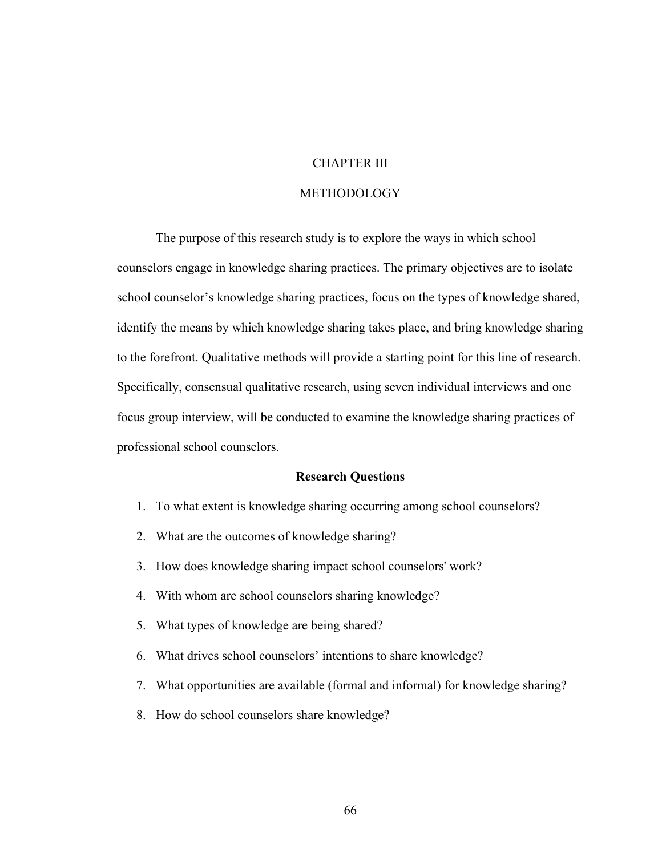# CHAPTER III

# METHODOLOGY

The purpose of this research study is to explore the ways in which school counselors engage in knowledge sharing practices. The primary objectives are to isolate school counselor's knowledge sharing practices, focus on the types of knowledge shared, identify the means by which knowledge sharing takes place, and bring knowledge sharing to the forefront. Qualitative methods will provide a starting point for this line of research. Specifically, consensual qualitative research, using seven individual interviews and one focus group interview, will be conducted to examine the knowledge sharing practices of professional school counselors.

### **Research Questions**

- 1. To what extent is knowledge sharing occurring among school counselors?
- 2. What are the outcomes of knowledge sharing?
- 3. How does knowledge sharing impact school counselors' work?
- 4. With whom are school counselors sharing knowledge?
- 5. What types of knowledge are being shared?
- 6. What drives school counselors' intentions to share knowledge?
- 7. What opportunities are available (formal and informal) for knowledge sharing?
- 8. How do school counselors share knowledge?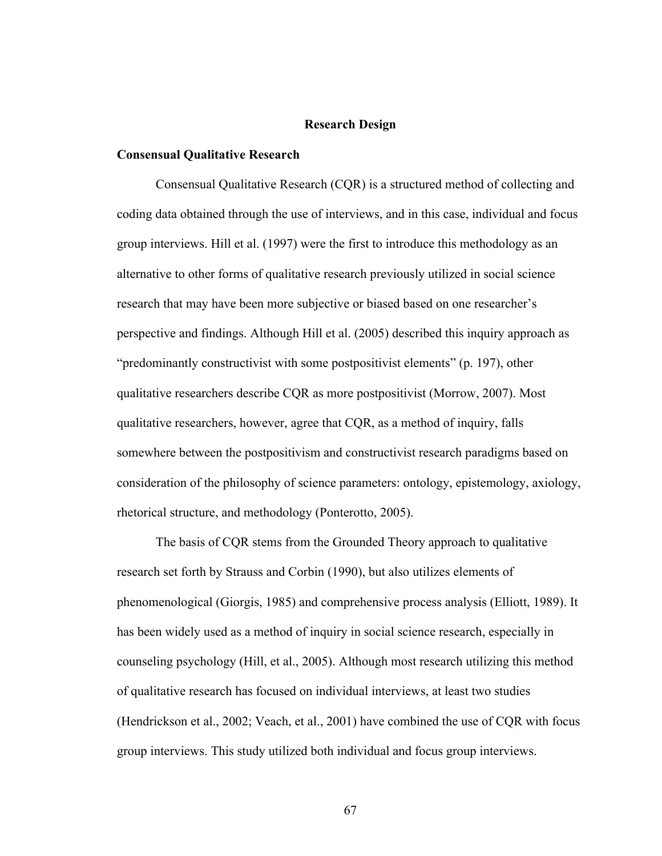### **Research Design**

#### **Consensual Qualitative Research**

Consensual Qualitative Research (CQR) is a structured method of collecting and coding data obtained through the use of interviews, and in this case, individual and focus group interviews. Hill et al. (1997) were the first to introduce this methodology as an alternative to other forms of qualitative research previously utilized in social science research that may have been more subjective or biased based on one researcher's perspective and findings. Although Hill et al. (2005) described this inquiry approach as "predominantly constructivist with some postpositivist elements" (p. 197), other qualitative researchers describe CQR as more postpositivist (Morrow, 2007). Most qualitative researchers, however, agree that CQR, as a method of inquiry, falls somewhere between the postpositivism and constructivist research paradigms based on consideration of the philosophy of science parameters: ontology, epistemology, axiology, rhetorical structure, and methodology (Ponterotto, 2005).

The basis of CQR stems from the Grounded Theory approach to qualitative research set forth by Strauss and Corbin (1990), but also utilizes elements of phenomenological (Giorgis, 1985) and comprehensive process analysis (Elliott, 1989). It has been widely used as a method of inquiry in social science research, especially in counseling psychology (Hill, et al., 2005). Although most research utilizing this method of qualitative research has focused on individual interviews, at least two studies (Hendrickson et al., 2002; Veach, et al., 2001) have combined the use of CQR with focus group interviews. This study utilized both individual and focus group interviews.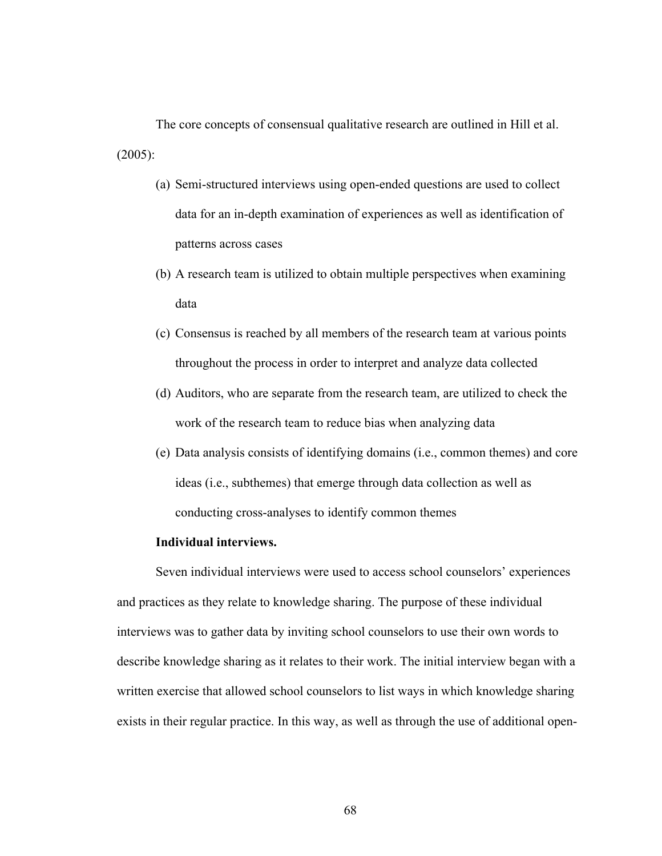The core concepts of consensual qualitative research are outlined in Hill et al. (2005):

- (a) Semi-structured interviews using open-ended questions are used to collect data for an in-depth examination of experiences as well as identification of patterns across cases
- (b) A research team is utilized to obtain multiple perspectives when examining data
- (c) Consensus is reached by all members of the research team at various points throughout the process in order to interpret and analyze data collected
- (d) Auditors, who are separate from the research team, are utilized to check the work of the research team to reduce bias when analyzing data
- (e) Data analysis consists of identifying domains (i.e., common themes) and core ideas (i.e., subthemes) that emerge through data collection as well as conducting cross-analyses to identify common themes

## **Individual interviews.**

Seven individual interviews were used to access school counselors' experiences and practices as they relate to knowledge sharing. The purpose of these individual interviews was to gather data by inviting school counselors to use their own words to describe knowledge sharing as it relates to their work. The initial interview began with a written exercise that allowed school counselors to list ways in which knowledge sharing exists in their regular practice. In this way, as well as through the use of additional open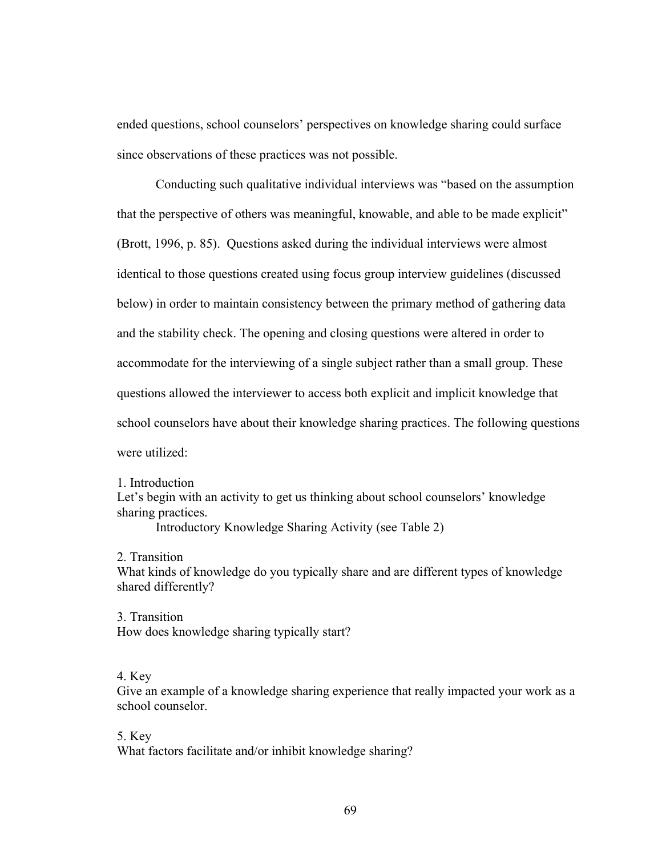ended questions, school counselors' perspectives on knowledge sharing could surface since observations of these practices was not possible.

Conducting such qualitative individual interviews was "based on the assumption that the perspective of others was meaningful, knowable, and able to be made explicit" (Brott, 1996, p. 85). Questions asked during the individual interviews were almost identical to those questions created using focus group interview guidelines (discussed below) in order to maintain consistency between the primary method of gathering data and the stability check. The opening and closing questions were altered in order to accommodate for the interviewing of a single subject rather than a small group. These questions allowed the interviewer to access both explicit and implicit knowledge that school counselors have about their knowledge sharing practices. The following questions were utilized:

1. Introduction

Let's begin with an activity to get us thinking about school counselors' knowledge sharing practices.

Introductory Knowledge Sharing Activity (see Table 2)

2. Transition

What kinds of knowledge do you typically share and are different types of knowledge shared differently?

3. Transition How does knowledge sharing typically start?

# 4. Key

Give an example of a knowledge sharing experience that really impacted your work as a school counselor.

5. Key What factors facilitate and/or inhibit knowledge sharing?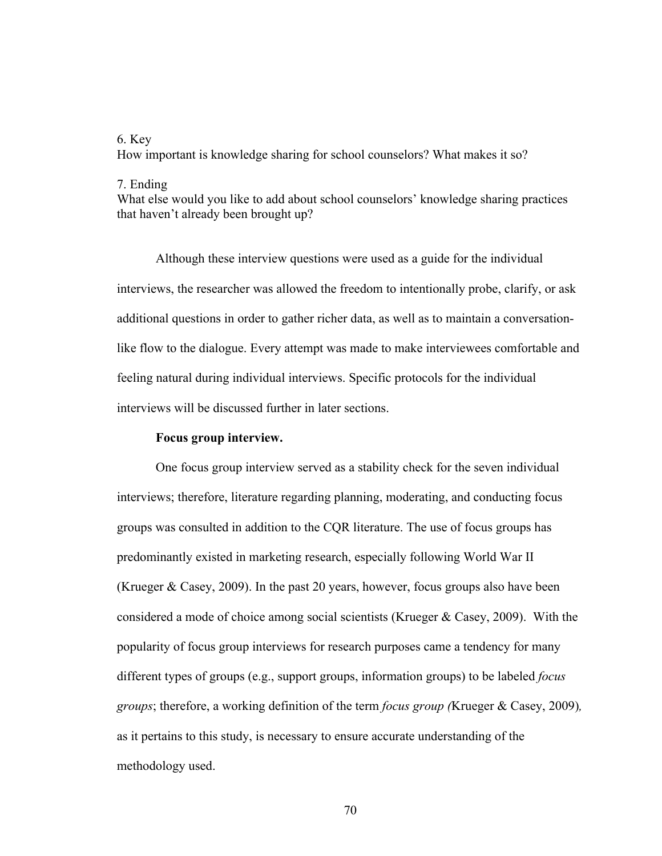# 6. Key

How important is knowledge sharing for school counselors? What makes it so?

#### 7. Ending

What else would you like to add about school counselors' knowledge sharing practices that haven't already been brought up?

Although these interview questions were used as a guide for the individual interviews, the researcher was allowed the freedom to intentionally probe, clarify, or ask additional questions in order to gather richer data, as well as to maintain a conversationlike flow to the dialogue. Every attempt was made to make interviewees comfortable and feeling natural during individual interviews. Specific protocols for the individual interviews will be discussed further in later sections.

### **Focus group interview.**

One focus group interview served as a stability check for the seven individual interviews; therefore, literature regarding planning, moderating, and conducting focus groups was consulted in addition to the CQR literature. The use of focus groups has predominantly existed in marketing research, especially following World War II (Krueger & Casey, 2009). In the past 20 years, however, focus groups also have been considered a mode of choice among social scientists (Krueger  $\&$  Casey, 2009). With the popularity of focus group interviews for research purposes came a tendency for many different types of groups (e.g., support groups, information groups) to be labeled *focus groups*; therefore, a working definition of the term *focus group (*Krueger & Casey, 2009)*,* as it pertains to this study, is necessary to ensure accurate understanding of the methodology used.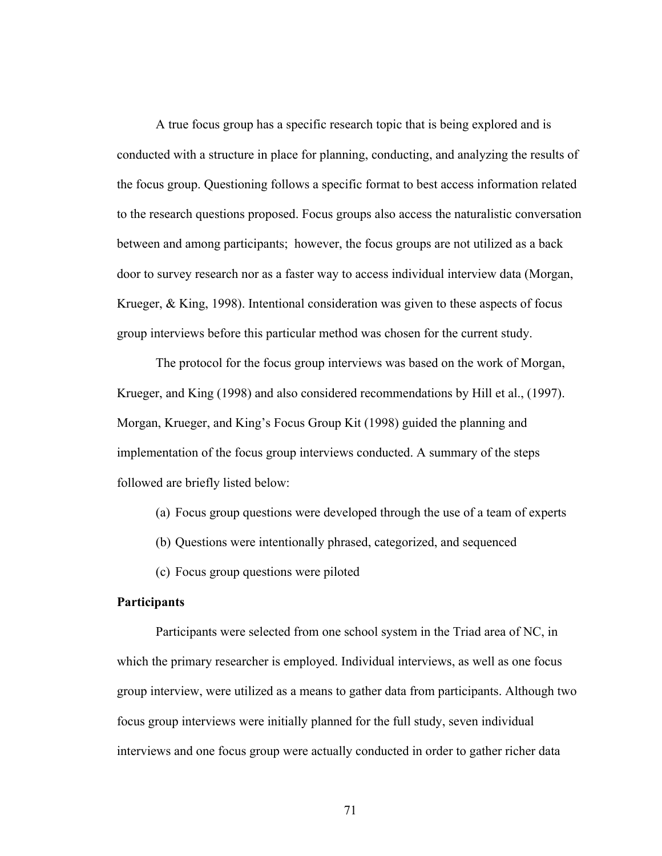A true focus group has a specific research topic that is being explored and is conducted with a structure in place for planning, conducting, and analyzing the results of the focus group. Questioning follows a specific format to best access information related to the research questions proposed. Focus groups also access the naturalistic conversation between and among participants; however, the focus groups are not utilized as a back door to survey research nor as a faster way to access individual interview data (Morgan, Krueger, & King, 1998). Intentional consideration was given to these aspects of focus group interviews before this particular method was chosen for the current study.

The protocol for the focus group interviews was based on the work of Morgan, Krueger, and King (1998) and also considered recommendations by Hill et al., (1997). Morgan, Krueger, and King's Focus Group Kit (1998) guided the planning and implementation of the focus group interviews conducted. A summary of the steps followed are briefly listed below:

(a) Focus group questions were developed through the use of a team of experts

(b) Questions were intentionally phrased, categorized, and sequenced

(c) Focus group questions were piloted

### **Participants**

Participants were selected from one school system in the Triad area of NC, in which the primary researcher is employed. Individual interviews, as well as one focus group interview, were utilized as a means to gather data from participants. Although two focus group interviews were initially planned for the full study, seven individual interviews and one focus group were actually conducted in order to gather richer data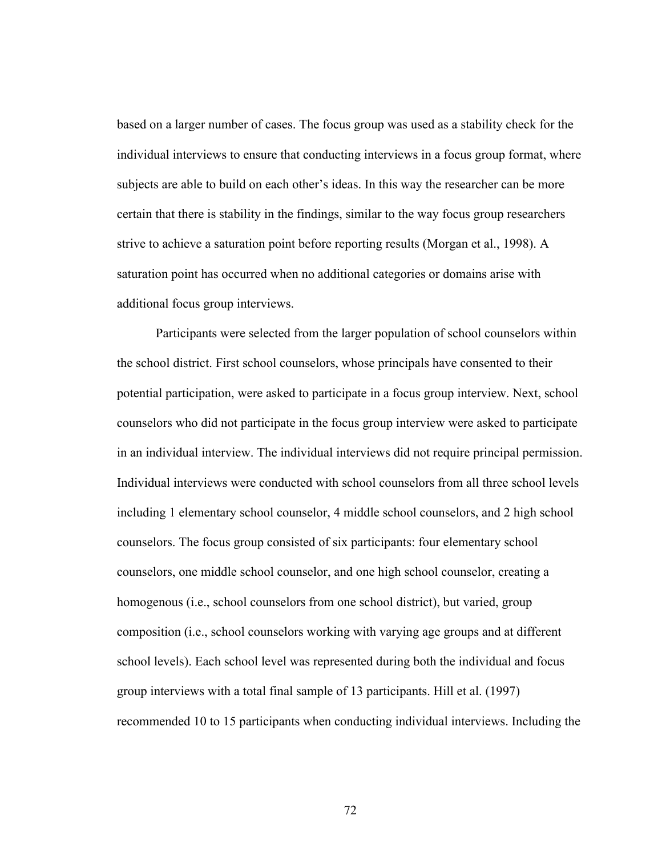based on a larger number of cases. The focus group was used as a stability check for the individual interviews to ensure that conducting interviews in a focus group format, where subjects are able to build on each other's ideas. In this way the researcher can be more certain that there is stability in the findings, similar to the way focus group researchers strive to achieve a saturation point before reporting results (Morgan et al., 1998). A saturation point has occurred when no additional categories or domains arise with additional focus group interviews.

Participants were selected from the larger population of school counselors within the school district. First school counselors, whose principals have consented to their potential participation, were asked to participate in a focus group interview. Next, school counselors who did not participate in the focus group interview were asked to participate in an individual interview. The individual interviews did not require principal permission. Individual interviews were conducted with school counselors from all three school levels including 1 elementary school counselor, 4 middle school counselors, and 2 high school counselors. The focus group consisted of six participants: four elementary school counselors, one middle school counselor, and one high school counselor, creating a homogenous (i.e., school counselors from one school district), but varied, group composition (i.e., school counselors working with varying age groups and at different school levels). Each school level was represented during both the individual and focus group interviews with a total final sample of 13 participants. Hill et al. (1997) recommended 10 to 15 participants when conducting individual interviews. Including the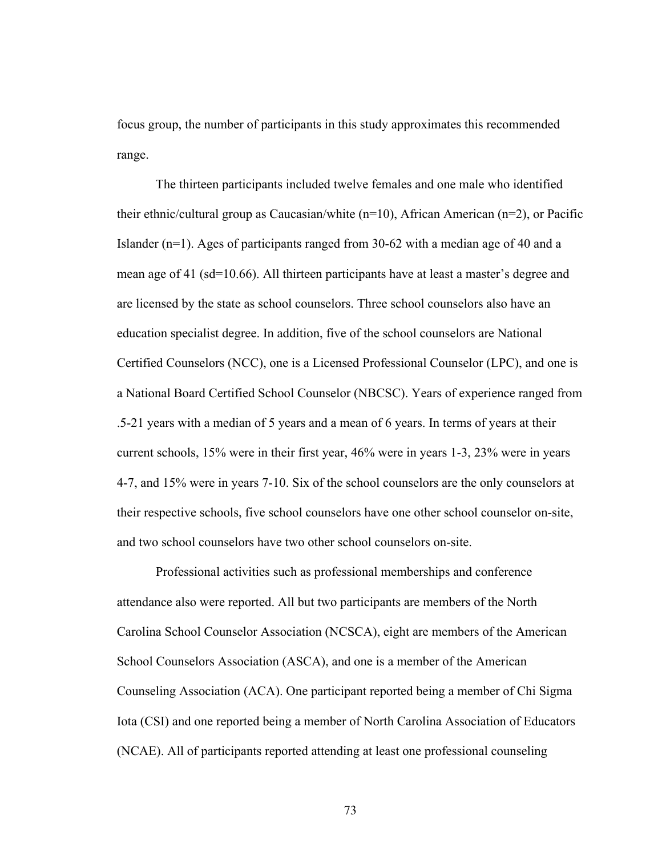focus group, the number of participants in this study approximates this recommended range.

The thirteen participants included twelve females and one male who identified their ethnic/cultural group as Caucasian/white (n=10), African American (n=2), or Pacific Islander (n=1). Ages of participants ranged from 30-62 with a median age of 40 and a mean age of 41 (sd=10.66). All thirteen participants have at least a master's degree and are licensed by the state as school counselors. Three school counselors also have an education specialist degree. In addition, five of the school counselors are National Certified Counselors (NCC), one is a Licensed Professional Counselor (LPC), and one is a National Board Certified School Counselor (NBCSC). Years of experience ranged from .5-21 years with a median of 5 years and a mean of 6 years. In terms of years at their current schools, 15% were in their first year, 46% were in years 1-3, 23% were in years 4-7, and 15% were in years 7-10. Six of the school counselors are the only counselors at their respective schools, five school counselors have one other school counselor on-site, and two school counselors have two other school counselors on-site.

Professional activities such as professional memberships and conference attendance also were reported. All but two participants are members of the North Carolina School Counselor Association (NCSCA), eight are members of the American School Counselors Association (ASCA), and one is a member of the American Counseling Association (ACA). One participant reported being a member of Chi Sigma Iota (CSI) and one reported being a member of North Carolina Association of Educators (NCAE). All of participants reported attending at least one professional counseling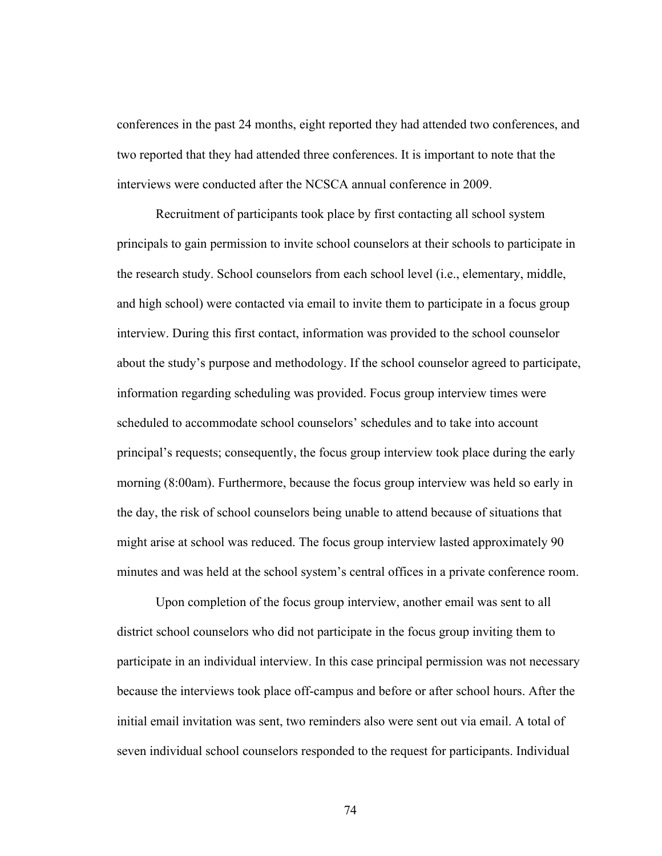conferences in the past 24 months, eight reported they had attended two conferences, and two reported that they had attended three conferences. It is important to note that the interviews were conducted after the NCSCA annual conference in 2009.

Recruitment of participants took place by first contacting all school system principals to gain permission to invite school counselors at their schools to participate in the research study. School counselors from each school level (i.e., elementary, middle, and high school) were contacted via email to invite them to participate in a focus group interview. During this first contact, information was provided to the school counselor about the study's purpose and methodology. If the school counselor agreed to participate, information regarding scheduling was provided. Focus group interview times were scheduled to accommodate school counselors' schedules and to take into account principal's requests; consequently, the focus group interview took place during the early morning (8:00am). Furthermore, because the focus group interview was held so early in the day, the risk of school counselors being unable to attend because of situations that might arise at school was reduced. The focus group interview lasted approximately 90 minutes and was held at the school system's central offices in a private conference room.

Upon completion of the focus group interview, another email was sent to all district school counselors who did not participate in the focus group inviting them to participate in an individual interview. In this case principal permission was not necessary because the interviews took place off-campus and before or after school hours. After the initial email invitation was sent, two reminders also were sent out via email. A total of seven individual school counselors responded to the request for participants. Individual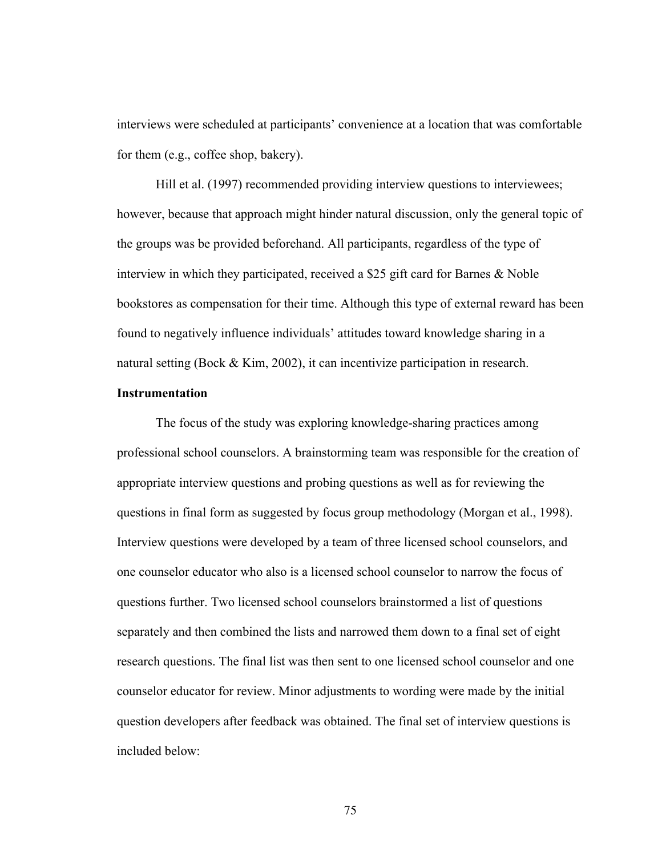interviews were scheduled at participants' convenience at a location that was comfortable for them (e.g., coffee shop, bakery).

Hill et al. (1997) recommended providing interview questions to interviewees; however, because that approach might hinder natural discussion, only the general topic of the groups was be provided beforehand. All participants, regardless of the type of interview in which they participated, received a \$25 gift card for Barnes & Noble bookstores as compensation for their time. Although this type of external reward has been found to negatively influence individuals' attitudes toward knowledge sharing in a natural setting (Bock & Kim, 2002), it can incentivize participation in research.

# **Instrumentation**

The focus of the study was exploring knowledge-sharing practices among professional school counselors. A brainstorming team was responsible for the creation of appropriate interview questions and probing questions as well as for reviewing the questions in final form as suggested by focus group methodology (Morgan et al., 1998). Interview questions were developed by a team of three licensed school counselors, and one counselor educator who also is a licensed school counselor to narrow the focus of questions further. Two licensed school counselors brainstormed a list of questions separately and then combined the lists and narrowed them down to a final set of eight research questions. The final list was then sent to one licensed school counselor and one counselor educator for review. Minor adjustments to wording were made by the initial question developers after feedback was obtained. The final set of interview questions is included below: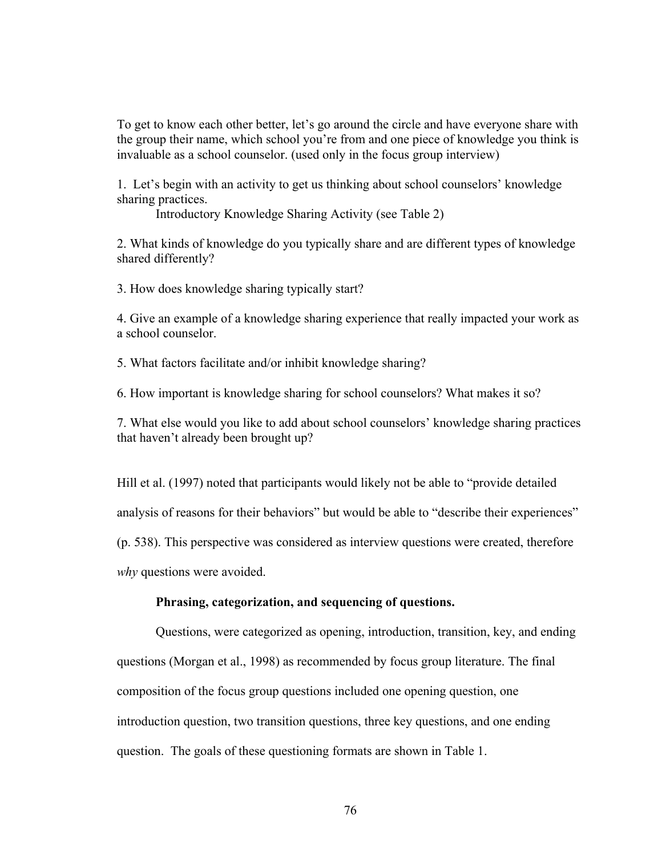To get to know each other better, let's go around the circle and have everyone share with the group their name, which school you're from and one piece of knowledge you think is invaluable as a school counselor. (used only in the focus group interview)

1. Let's begin with an activity to get us thinking about school counselors' knowledge sharing practices.

Introductory Knowledge Sharing Activity (see Table 2)

2. What kinds of knowledge do you typically share and are different types of knowledge shared differently?

3. How does knowledge sharing typically start?

4. Give an example of a knowledge sharing experience that really impacted your work as a school counselor.

5. What factors facilitate and/or inhibit knowledge sharing?

6. How important is knowledge sharing for school counselors? What makes it so?

7. What else would you like to add about school counselors' knowledge sharing practices that haven't already been brought up?

Hill et al. (1997) noted that participants would likely not be able to "provide detailed analysis of reasons for their behaviors" but would be able to "describe their experiences" (p. 538). This perspective was considered as interview questions were created, therefore *why* questions were avoided.

### **Phrasing, categorization, and sequencing of questions.**

Questions, were categorized as opening, introduction, transition, key, and ending questions (Morgan et al., 1998) as recommended by focus group literature. The final composition of the focus group questions included one opening question, one introduction question, two transition questions, three key questions, and one ending question. The goals of these questioning formats are shown in Table 1.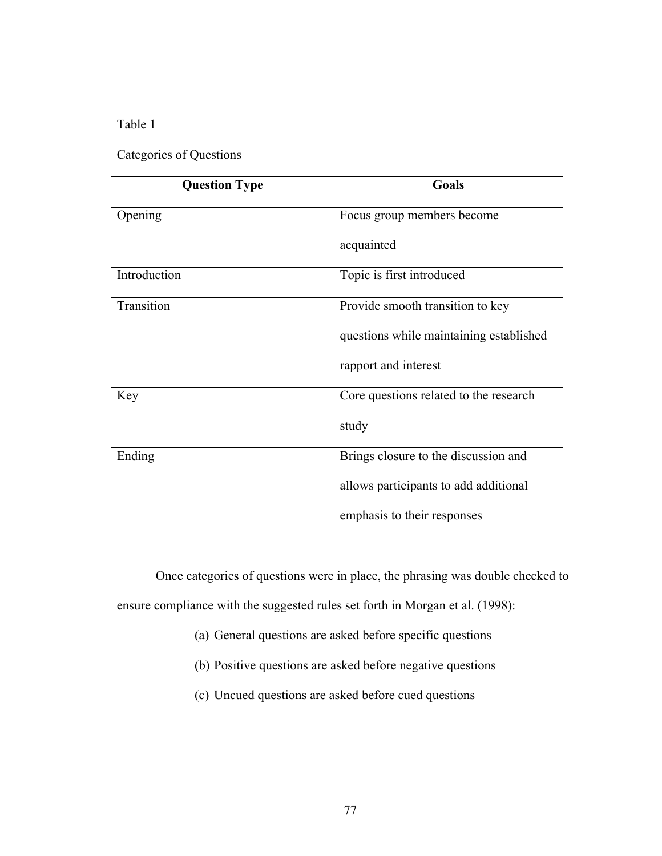Table 1

# Categories of Questions

| <b>Question Type</b> | Goals                                   |
|----------------------|-----------------------------------------|
| Opening              | Focus group members become              |
|                      | acquainted                              |
| Introduction         | Topic is first introduced               |
| Transition           | Provide smooth transition to key        |
|                      | questions while maintaining established |
|                      | rapport and interest                    |
| Key                  | Core questions related to the research  |
|                      | study                                   |
| Ending               | Brings closure to the discussion and    |
|                      | allows participants to add additional   |
|                      | emphasis to their responses             |

Once categories of questions were in place, the phrasing was double checked to ensure compliance with the suggested rules set forth in Morgan et al. (1998):

- (a) General questions are asked before specific questions
- (b) Positive questions are asked before negative questions
- (c) Uncued questions are asked before cued questions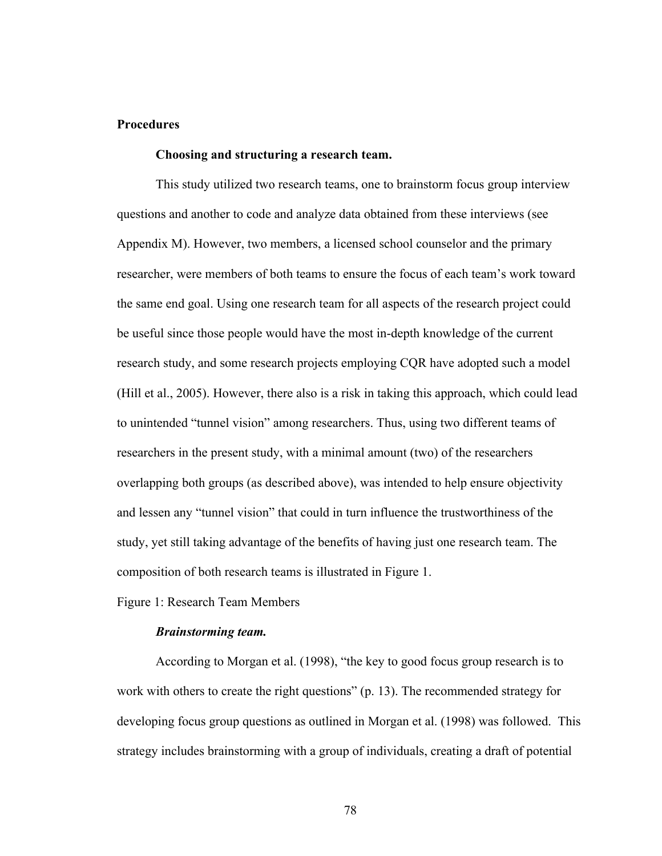# **Procedures**

# **Choosing and structuring a research team.**

This study utilized two research teams, one to brainstorm focus group interview questions and another to code and analyze data obtained from these interviews (see Appendix M). However, two members, a licensed school counselor and the primary researcher, were members of both teams to ensure the focus of each team's work toward the same end goal. Using one research team for all aspects of the research project could be useful since those people would have the most in-depth knowledge of the current research study, and some research projects employing CQR have adopted such a model (Hill et al., 2005). However, there also is a risk in taking this approach, which could lead to unintended "tunnel vision" among researchers. Thus, using two different teams of researchers in the present study, with a minimal amount (two) of the researchers overlapping both groups (as described above), was intended to help ensure objectivity and lessen any "tunnel vision" that could in turn influence the trustworthiness of the study, yet still taking advantage of the benefits of having just one research team. The composition of both research teams is illustrated in Figure 1.

Figure 1: Research Team Members

### *Brainstorming team.*

According to Morgan et al. (1998), "the key to good focus group research is to work with others to create the right questions" (p. 13). The recommended strategy for developing focus group questions as outlined in Morgan et al. (1998) was followed. This strategy includes brainstorming with a group of individuals, creating a draft of potential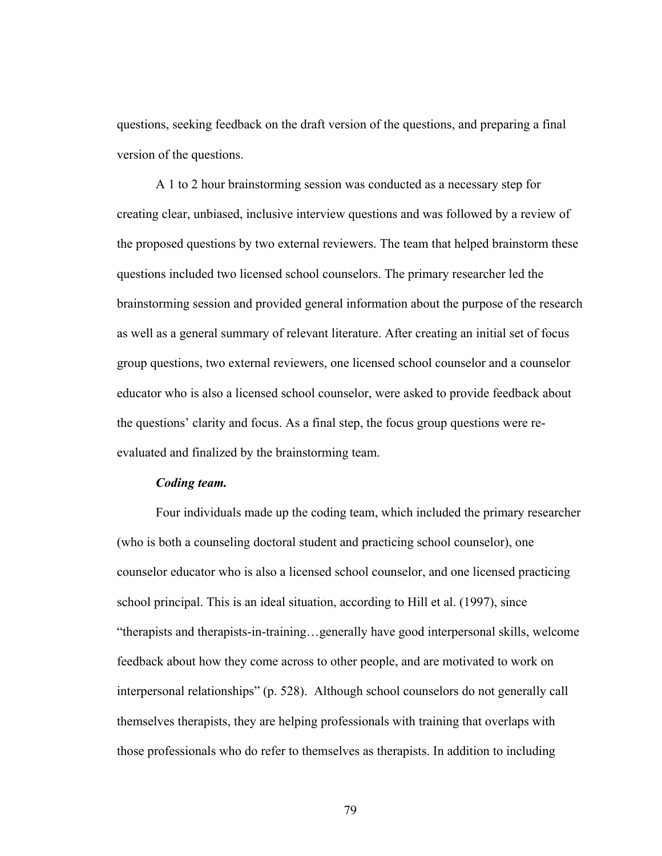questions, seeking feedback on the draft version of the questions, and preparing a final version of the questions.

A 1 to 2 hour brainstorming session was conducted as a necessary step for creating clear, unbiased, inclusive interview questions and was followed by a review of the proposed questions by two external reviewers. The team that helped brainstorm these questions included two licensed school counselors. The primary researcher led the brainstorming session and provided general information about the purpose of the research as well as a general summary of relevant literature. After creating an initial set of focus group questions, two external reviewers, one licensed school counselor and a counselor educator who is also a licensed school counselor, were asked to provide feedback about the questions' clarity and focus. As a final step, the focus group questions were reevaluated and finalized by the brainstorming team.

# *Coding team.*

Four individuals made up the coding team, which included the primary researcher (who is both a counseling doctoral student and practicing school counselor), one counselor educator who is also a licensed school counselor, and one licensed practicing school principal. This is an ideal situation, according to Hill et al. (1997), since "therapists and therapists-in-training…generally have good interpersonal skills, welcome feedback about how they come across to other people, and are motivated to work on interpersonal relationships" (p. 528). Although school counselors do not generally call themselves therapists, they are helping professionals with training that overlaps with those professionals who do refer to themselves as therapists. In addition to including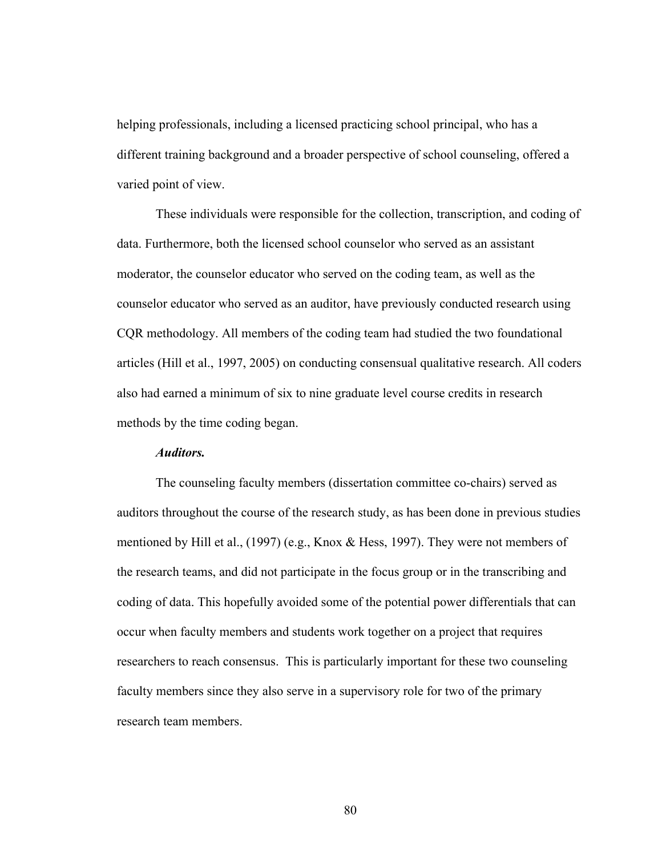helping professionals, including a licensed practicing school principal, who has a different training background and a broader perspective of school counseling, offered a varied point of view.

These individuals were responsible for the collection, transcription, and coding of data. Furthermore, both the licensed school counselor who served as an assistant moderator, the counselor educator who served on the coding team, as well as the counselor educator who served as an auditor, have previously conducted research using CQR methodology. All members of the coding team had studied the two foundational articles (Hill et al., 1997, 2005) on conducting consensual qualitative research. All coders also had earned a minimum of six to nine graduate level course credits in research methods by the time coding began.

# *Auditors.*

The counseling faculty members (dissertation committee co-chairs) served as auditors throughout the course of the research study, as has been done in previous studies mentioned by Hill et al., (1997) (e.g., Knox & Hess, 1997). They were not members of the research teams, and did not participate in the focus group or in the transcribing and coding of data. This hopefully avoided some of the potential power differentials that can occur when faculty members and students work together on a project that requires researchers to reach consensus. This is particularly important for these two counseling faculty members since they also serve in a supervisory role for two of the primary research team members.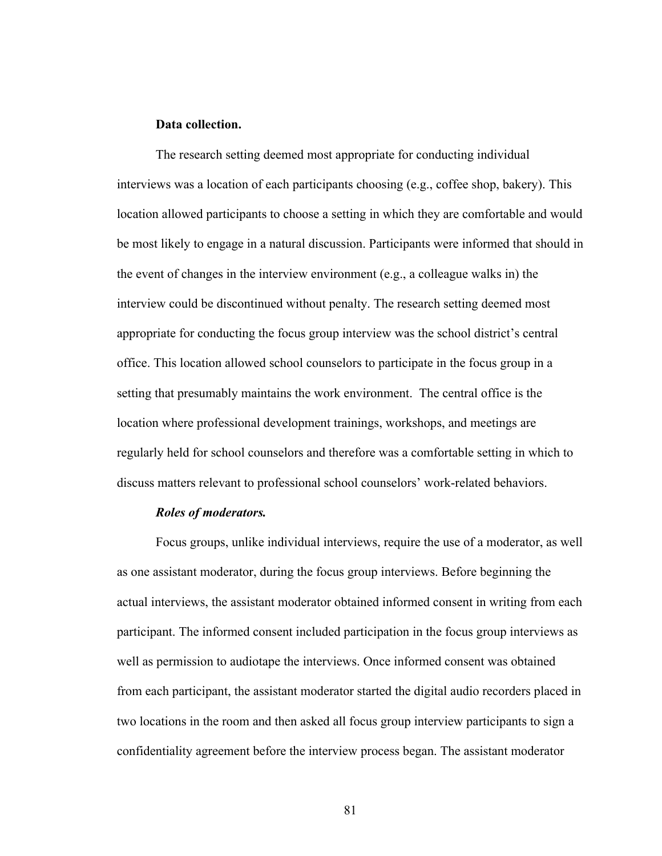# **Data collection.**

The research setting deemed most appropriate for conducting individual interviews was a location of each participants choosing (e.g., coffee shop, bakery). This location allowed participants to choose a setting in which they are comfortable and would be most likely to engage in a natural discussion. Participants were informed that should in the event of changes in the interview environment (e.g., a colleague walks in) the interview could be discontinued without penalty. The research setting deemed most appropriate for conducting the focus group interview was the school district's central office. This location allowed school counselors to participate in the focus group in a setting that presumably maintains the work environment. The central office is the location where professional development trainings, workshops, and meetings are regularly held for school counselors and therefore was a comfortable setting in which to discuss matters relevant to professional school counselors' work-related behaviors.

#### *Roles of moderators.*

Focus groups, unlike individual interviews, require the use of a moderator, as well as one assistant moderator, during the focus group interviews. Before beginning the actual interviews, the assistant moderator obtained informed consent in writing from each participant. The informed consent included participation in the focus group interviews as well as permission to audiotape the interviews. Once informed consent was obtained from each participant, the assistant moderator started the digital audio recorders placed in two locations in the room and then asked all focus group interview participants to sign a confidentiality agreement before the interview process began. The assistant moderator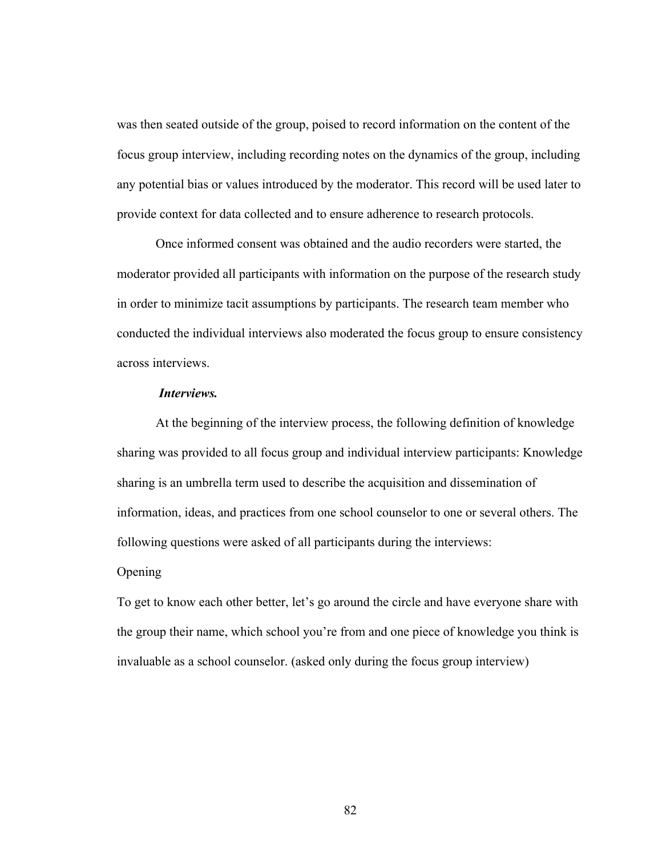was then seated outside of the group, poised to record information on the content of the focus group interview, including recording notes on the dynamics of the group, including any potential bias or values introduced by the moderator. This record will be used later to provide context for data collected and to ensure adherence to research protocols.

Once informed consent was obtained and the audio recorders were started, the moderator provided all participants with information on the purpose of the research study in order to minimize tacit assumptions by participants. The research team member who conducted the individual interviews also moderated the focus group to ensure consistency across interviews.

# *Interviews.*

At the beginning of the interview process, the following definition of knowledge sharing was provided to all focus group and individual interview participants: Knowledge sharing is an umbrella term used to describe the acquisition and dissemination of information, ideas, and practices from one school counselor to one or several others. The following questions were asked of all participants during the interviews:

# **Opening**

To get to know each other better, let's go around the circle and have everyone share with the group their name, which school you're from and one piece of knowledge you think is invaluable as a school counselor. (asked only during the focus group interview)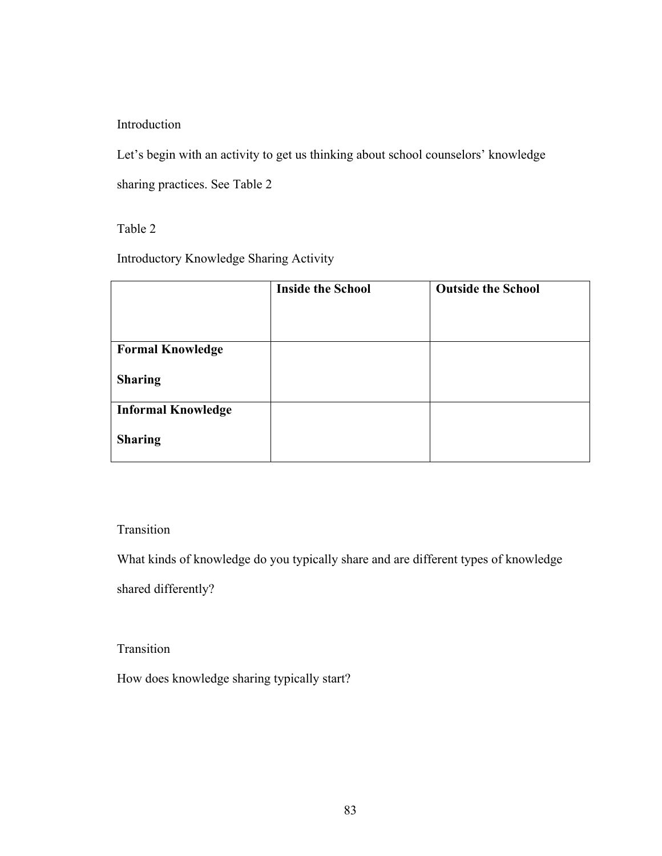Introduction

Let's begin with an activity to get us thinking about school counselors' knowledge

sharing practices. See Table 2

Table 2

Introductory Knowledge Sharing Activity

|                           | <b>Inside the School</b> | <b>Outside the School</b> |
|---------------------------|--------------------------|---------------------------|
|                           |                          |                           |
|                           |                          |                           |
| <b>Formal Knowledge</b>   |                          |                           |
| <b>Sharing</b>            |                          |                           |
| <b>Informal Knowledge</b> |                          |                           |
| <b>Sharing</b>            |                          |                           |

Transition

What kinds of knowledge do you typically share and are different types of knowledge

shared differently?

Transition

How does knowledge sharing typically start?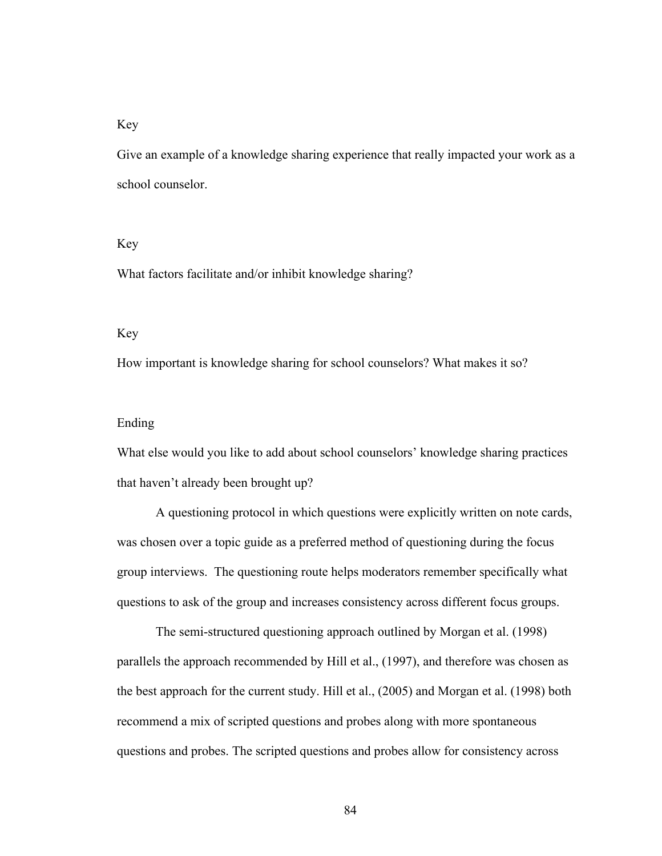# Key

Give an example of a knowledge sharing experience that really impacted your work as a school counselor.

### Key

What factors facilitate and/or inhibit knowledge sharing?

### Key

How important is knowledge sharing for school counselors? What makes it so?

### Ending

What else would you like to add about school counselors' knowledge sharing practices that haven't already been brought up?

A questioning protocol in which questions were explicitly written on note cards, was chosen over a topic guide as a preferred method of questioning during the focus group interviews. The questioning route helps moderators remember specifically what questions to ask of the group and increases consistency across different focus groups.

The semi-structured questioning approach outlined by Morgan et al. (1998) parallels the approach recommended by Hill et al., (1997), and therefore was chosen as the best approach for the current study. Hill et al., (2005) and Morgan et al. (1998) both recommend a mix of scripted questions and probes along with more spontaneous questions and probes. The scripted questions and probes allow for consistency across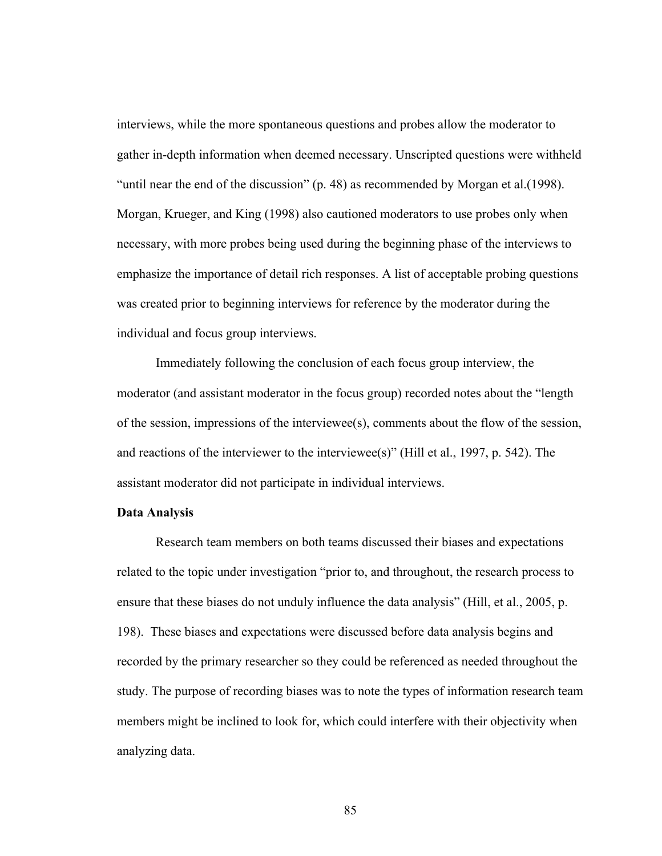interviews, while the more spontaneous questions and probes allow the moderator to gather in-depth information when deemed necessary. Unscripted questions were withheld "until near the end of the discussion" (p. 48) as recommended by Morgan et al.(1998). Morgan, Krueger, and King (1998) also cautioned moderators to use probes only when necessary, with more probes being used during the beginning phase of the interviews to emphasize the importance of detail rich responses. A list of acceptable probing questions was created prior to beginning interviews for reference by the moderator during the individual and focus group interviews.

Immediately following the conclusion of each focus group interview, the moderator (and assistant moderator in the focus group) recorded notes about the "length of the session, impressions of the interviewee(s), comments about the flow of the session, and reactions of the interviewer to the interviewee(s)" (Hill et al., 1997, p. 542). The assistant moderator did not participate in individual interviews.

#### **Data Analysis**

Research team members on both teams discussed their biases and expectations related to the topic under investigation "prior to, and throughout, the research process to ensure that these biases do not unduly influence the data analysis" (Hill, et al., 2005, p. 198). These biases and expectations were discussed before data analysis begins and recorded by the primary researcher so they could be referenced as needed throughout the study. The purpose of recording biases was to note the types of information research team members might be inclined to look for, which could interfere with their objectivity when analyzing data.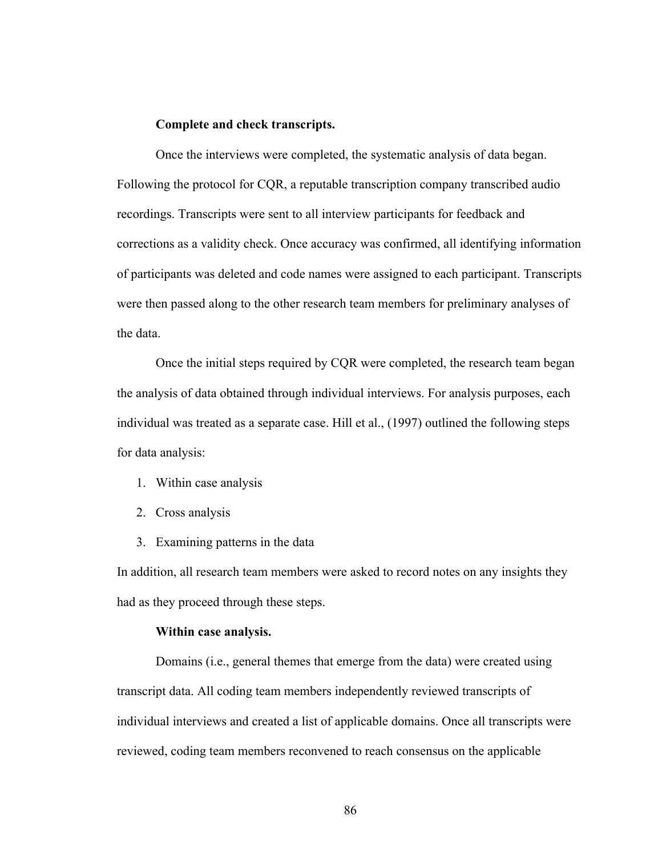### **Complete and check transcripts.**

Once the interviews were completed, the systematic analysis of data began. Following the protocol for CQR, a reputable transcription company transcribed audio recordings. Transcripts were sent to all interview participants for feedback and corrections as a validity check. Once accuracy was confirmed, all identifying information of participants was deleted and code names were assigned to each participant. Transcripts were then passed along to the other research team members for preliminary analyses of the data.

Once the initial steps required by CQR were completed, the research team began the analysis of data obtained through individual interviews. For analysis purposes, each individual was treated as a separate case. Hill et al., (1997) outlined the following steps for data analysis:

- 1. Within case analysis
- 2. Cross analysis
- 3. Examining patterns in the data

In addition, all research team members were asked to record notes on any insights they had as they proceed through these steps.

### **Within case analysis.**

Domains (i.e., general themes that emerge from the data) were created using transcript data. All coding team members independently reviewed transcripts of individual interviews and created a list of applicable domains. Once all transcripts were reviewed, coding team members reconvened to reach consensus on the applicable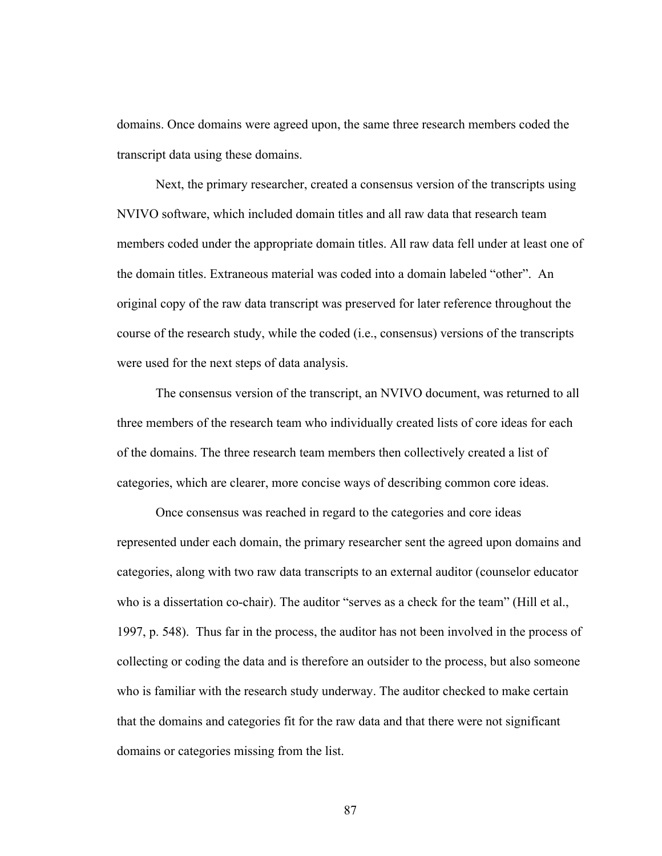domains. Once domains were agreed upon, the same three research members coded the transcript data using these domains.

Next, the primary researcher, created a consensus version of the transcripts using NVIVO software, which included domain titles and all raw data that research team members coded under the appropriate domain titles. All raw data fell under at least one of the domain titles. Extraneous material was coded into a domain labeled "other". An original copy of the raw data transcript was preserved for later reference throughout the course of the research study, while the coded (i.e., consensus) versions of the transcripts were used for the next steps of data analysis.

The consensus version of the transcript, an NVIVO document, was returned to all three members of the research team who individually created lists of core ideas for each of the domains. The three research team members then collectively created a list of categories, which are clearer, more concise ways of describing common core ideas.

Once consensus was reached in regard to the categories and core ideas represented under each domain, the primary researcher sent the agreed upon domains and categories, along with two raw data transcripts to an external auditor (counselor educator who is a dissertation co-chair). The auditor "serves as a check for the team" (Hill et al., 1997, p. 548). Thus far in the process, the auditor has not been involved in the process of collecting or coding the data and is therefore an outsider to the process, but also someone who is familiar with the research study underway. The auditor checked to make certain that the domains and categories fit for the raw data and that there were not significant domains or categories missing from the list.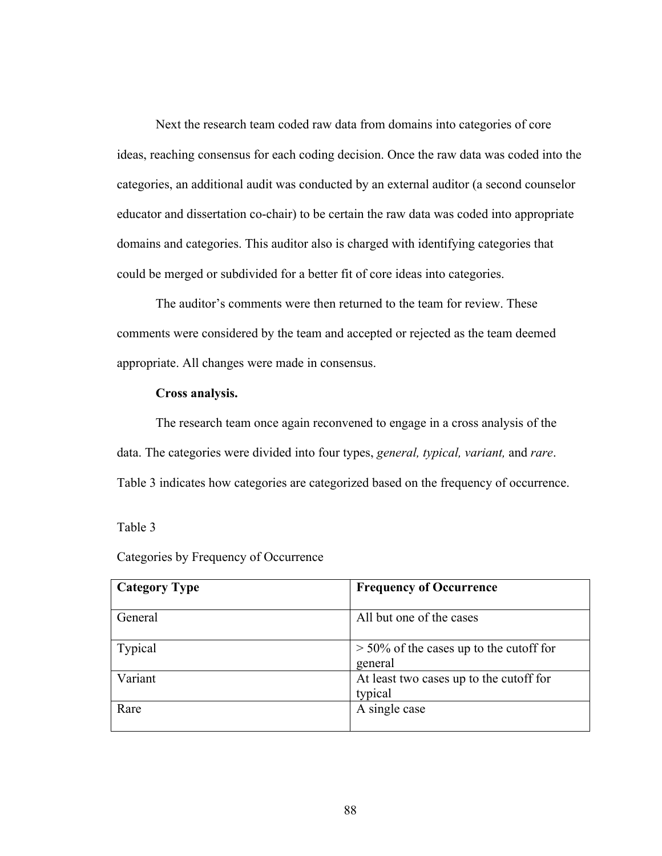Next the research team coded raw data from domains into categories of core ideas, reaching consensus for each coding decision. Once the raw data was coded into the categories, an additional audit was conducted by an external auditor (a second counselor educator and dissertation co-chair) to be certain the raw data was coded into appropriate domains and categories. This auditor also is charged with identifying categories that could be merged or subdivided for a better fit of core ideas into categories.

The auditor's comments were then returned to the team for review. These comments were considered by the team and accepted or rejected as the team deemed appropriate. All changes were made in consensus.

### **Cross analysis.**

The research team once again reconvened to engage in a cross analysis of the data. The categories were divided into four types, *general, typical, variant,* and *rare*. Table 3 indicates how categories are categorized based on the frequency of occurrence.

Table 3

|  |  | Categories by Frequency of Occurrence |
|--|--|---------------------------------------|
|  |  |                                       |

| <b>Category Type</b> | <b>Frequency of Occurrence</b>                       |
|----------------------|------------------------------------------------------|
| General              | All but one of the cases                             |
| Typical              | $>$ 50% of the cases up to the cutoff for<br>general |
| Variant              | At least two cases up to the cutoff for<br>typical   |
| Rare                 | A single case                                        |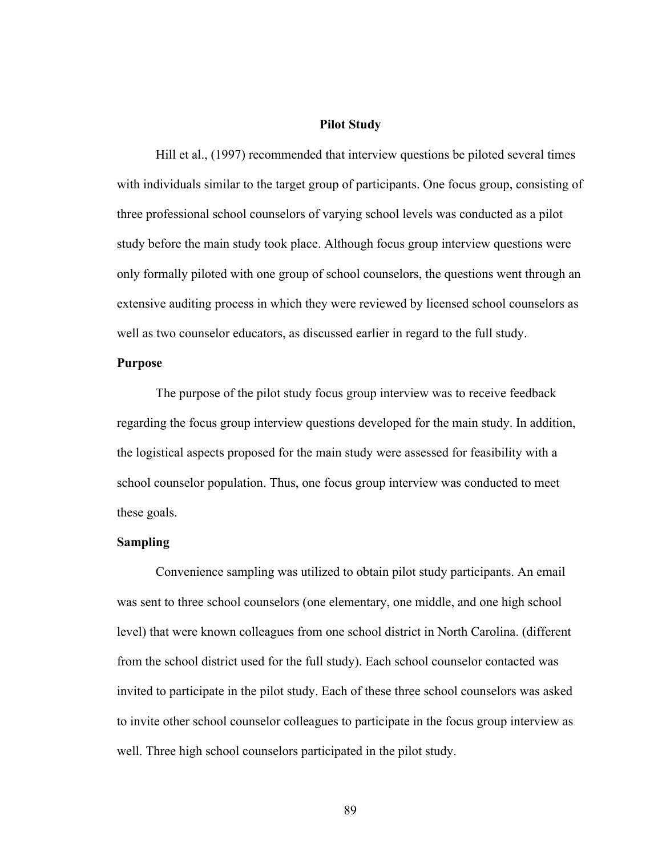# **Pilot Study**

Hill et al., (1997) recommended that interview questions be piloted several times with individuals similar to the target group of participants. One focus group, consisting of three professional school counselors of varying school levels was conducted as a pilot study before the main study took place. Although focus group interview questions were only formally piloted with one group of school counselors, the questions went through an extensive auditing process in which they were reviewed by licensed school counselors as well as two counselor educators, as discussed earlier in regard to the full study.

### **Purpose**

The purpose of the pilot study focus group interview was to receive feedback regarding the focus group interview questions developed for the main study. In addition, the logistical aspects proposed for the main study were assessed for feasibility with a school counselor population. Thus, one focus group interview was conducted to meet these goals.

# **Sampling**

Convenience sampling was utilized to obtain pilot study participants. An email was sent to three school counselors (one elementary, one middle, and one high school level) that were known colleagues from one school district in North Carolina. (different from the school district used for the full study). Each school counselor contacted was invited to participate in the pilot study. Each of these three school counselors was asked to invite other school counselor colleagues to participate in the focus group interview as well. Three high school counselors participated in the pilot study.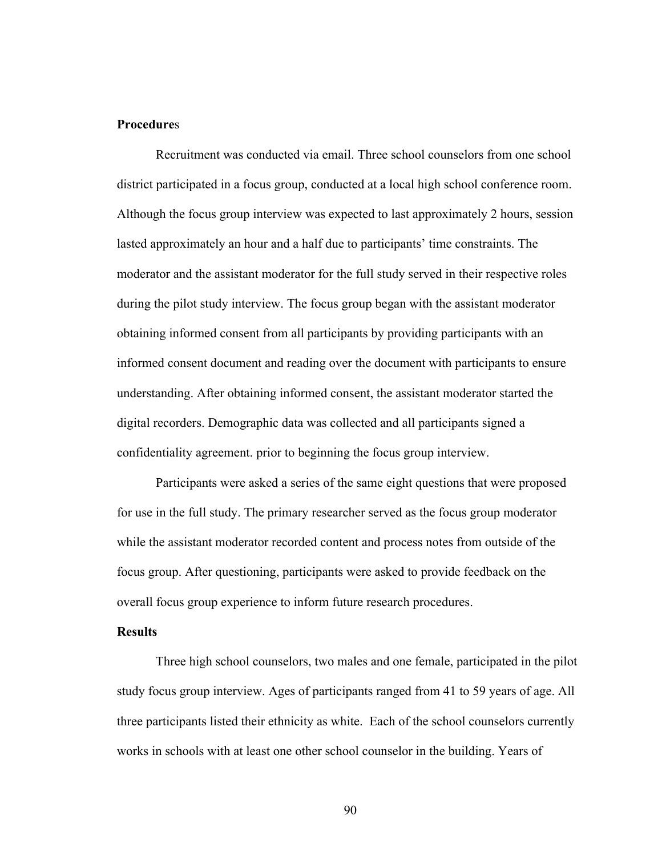# **Procedure**s

Recruitment was conducted via email. Three school counselors from one school district participated in a focus group, conducted at a local high school conference room. Although the focus group interview was expected to last approximately 2 hours, session lasted approximately an hour and a half due to participants' time constraints. The moderator and the assistant moderator for the full study served in their respective roles during the pilot study interview. The focus group began with the assistant moderator obtaining informed consent from all participants by providing participants with an informed consent document and reading over the document with participants to ensure understanding. After obtaining informed consent, the assistant moderator started the digital recorders. Demographic data was collected and all participants signed a confidentiality agreement. prior to beginning the focus group interview.

Participants were asked a series of the same eight questions that were proposed for use in the full study. The primary researcher served as the focus group moderator while the assistant moderator recorded content and process notes from outside of the focus group. After questioning, participants were asked to provide feedback on the overall focus group experience to inform future research procedures.

# **Results**

Three high school counselors, two males and one female, participated in the pilot study focus group interview. Ages of participants ranged from 41 to 59 years of age. All three participants listed their ethnicity as white. Each of the school counselors currently works in schools with at least one other school counselor in the building. Years of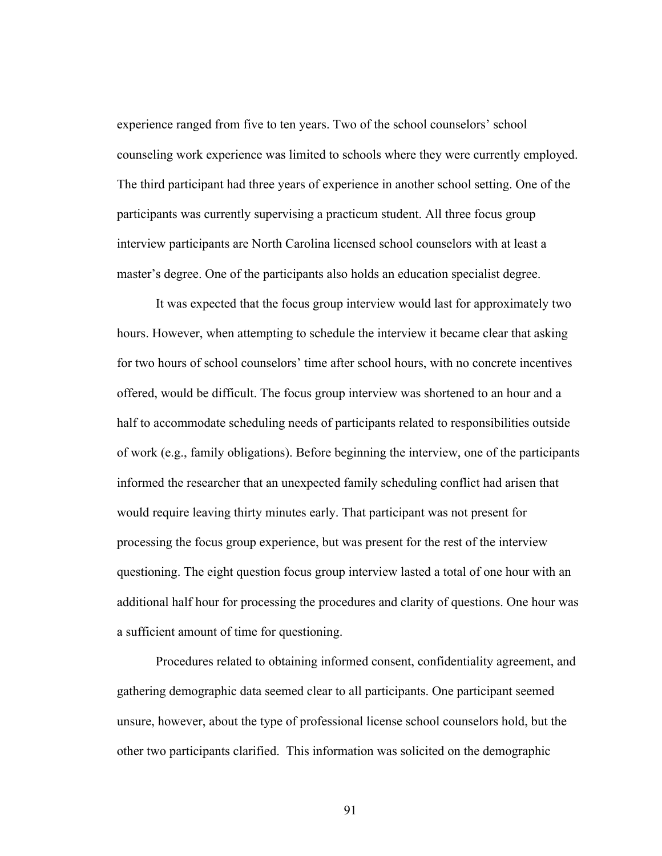experience ranged from five to ten years. Two of the school counselors' school counseling work experience was limited to schools where they were currently employed. The third participant had three years of experience in another school setting. One of the participants was currently supervising a practicum student. All three focus group interview participants are North Carolina licensed school counselors with at least a master's degree. One of the participants also holds an education specialist degree.

It was expected that the focus group interview would last for approximately two hours. However, when attempting to schedule the interview it became clear that asking for two hours of school counselors' time after school hours, with no concrete incentives offered, would be difficult. The focus group interview was shortened to an hour and a half to accommodate scheduling needs of participants related to responsibilities outside of work (e.g., family obligations). Before beginning the interview, one of the participants informed the researcher that an unexpected family scheduling conflict had arisen that would require leaving thirty minutes early. That participant was not present for processing the focus group experience, but was present for the rest of the interview questioning. The eight question focus group interview lasted a total of one hour with an additional half hour for processing the procedures and clarity of questions. One hour was a sufficient amount of time for questioning.

Procedures related to obtaining informed consent, confidentiality agreement, and gathering demographic data seemed clear to all participants. One participant seemed unsure, however, about the type of professional license school counselors hold, but the other two participants clarified. This information was solicited on the demographic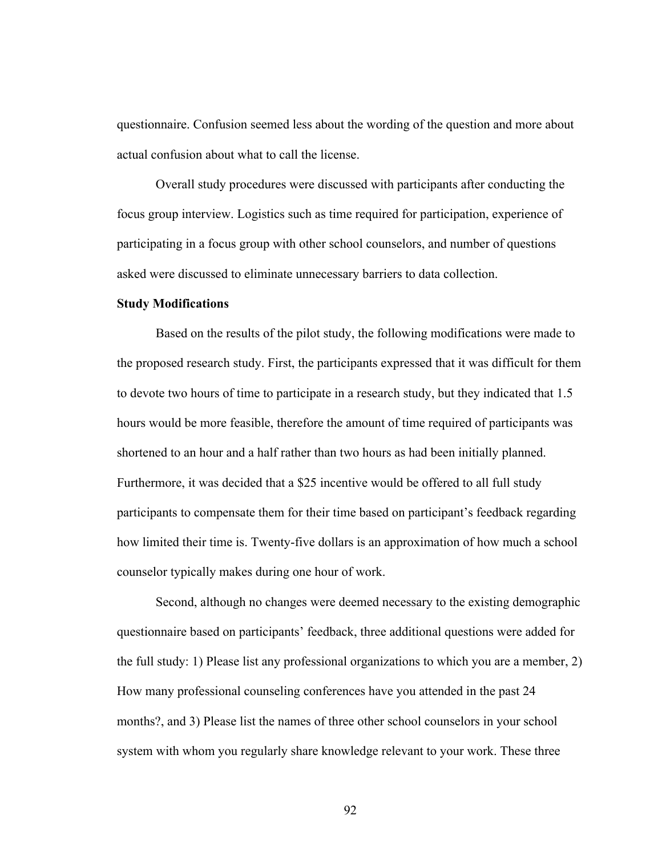questionnaire. Confusion seemed less about the wording of the question and more about actual confusion about what to call the license.

Overall study procedures were discussed with participants after conducting the focus group interview. Logistics such as time required for participation, experience of participating in a focus group with other school counselors, and number of questions asked were discussed to eliminate unnecessary barriers to data collection.

### **Study Modifications**

Based on the results of the pilot study, the following modifications were made to the proposed research study. First, the participants expressed that it was difficult for them to devote two hours of time to participate in a research study, but they indicated that 1.5 hours would be more feasible, therefore the amount of time required of participants was shortened to an hour and a half rather than two hours as had been initially planned. Furthermore, it was decided that a \$25 incentive would be offered to all full study participants to compensate them for their time based on participant's feedback regarding how limited their time is. Twenty-five dollars is an approximation of how much a school counselor typically makes during one hour of work.

Second, although no changes were deemed necessary to the existing demographic questionnaire based on participants' feedback, three additional questions were added for the full study: 1) Please list any professional organizations to which you are a member, 2) How many professional counseling conferences have you attended in the past 24 months?, and 3) Please list the names of three other school counselors in your school system with whom you regularly share knowledge relevant to your work. These three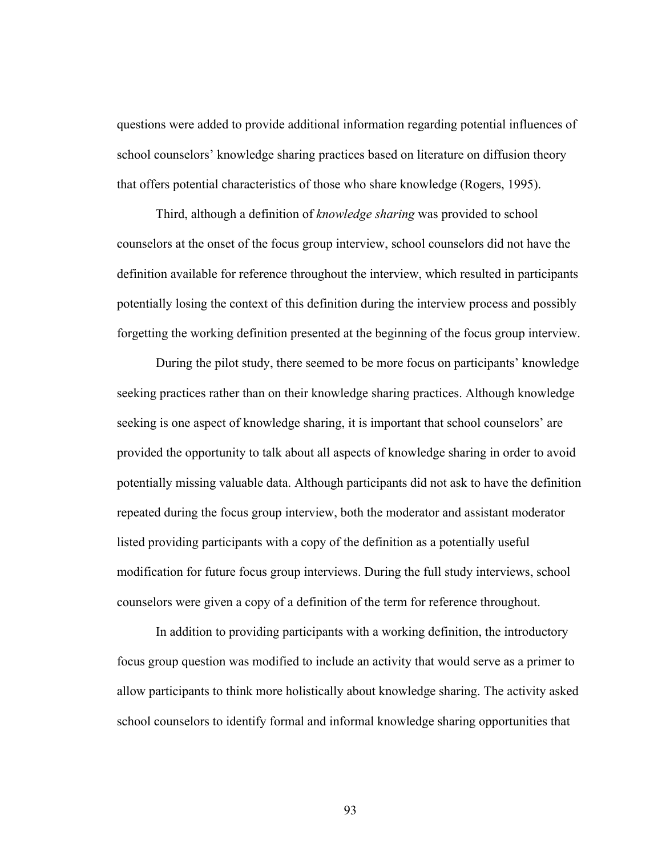questions were added to provide additional information regarding potential influences of school counselors' knowledge sharing practices based on literature on diffusion theory that offers potential characteristics of those who share knowledge (Rogers, 1995).

Third, although a definition of *knowledge sharing* was provided to school counselors at the onset of the focus group interview, school counselors did not have the definition available for reference throughout the interview, which resulted in participants potentially losing the context of this definition during the interview process and possibly forgetting the working definition presented at the beginning of the focus group interview.

During the pilot study, there seemed to be more focus on participants' knowledge seeking practices rather than on their knowledge sharing practices. Although knowledge seeking is one aspect of knowledge sharing, it is important that school counselors' are provided the opportunity to talk about all aspects of knowledge sharing in order to avoid potentially missing valuable data. Although participants did not ask to have the definition repeated during the focus group interview, both the moderator and assistant moderator listed providing participants with a copy of the definition as a potentially useful modification for future focus group interviews. During the full study interviews, school counselors were given a copy of a definition of the term for reference throughout.

In addition to providing participants with a working definition, the introductory focus group question was modified to include an activity that would serve as a primer to allow participants to think more holistically about knowledge sharing. The activity asked school counselors to identify formal and informal knowledge sharing opportunities that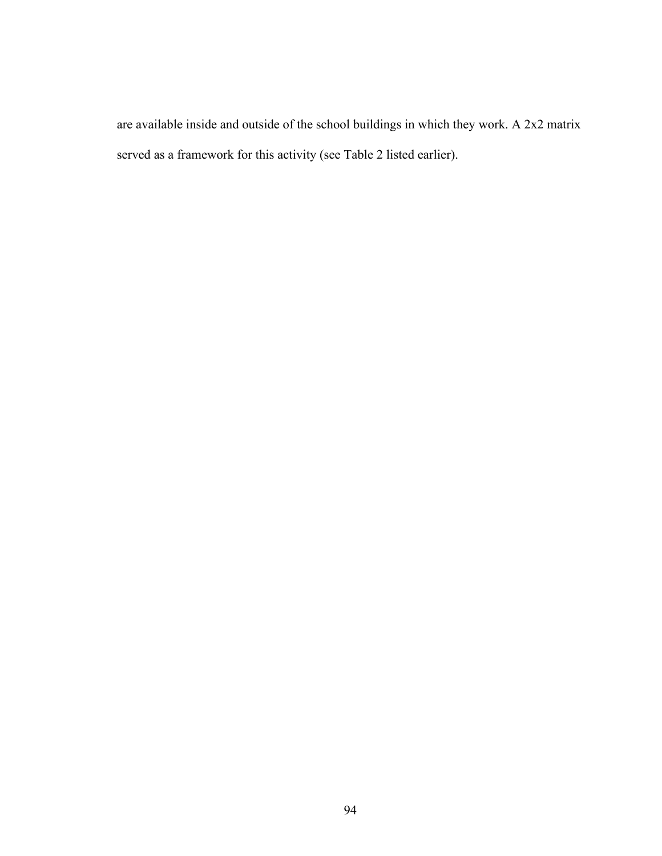are available inside and outside of the school buildings in which they work. A 2x2 matrix served as a framework for this activity (see Table 2 listed earlier).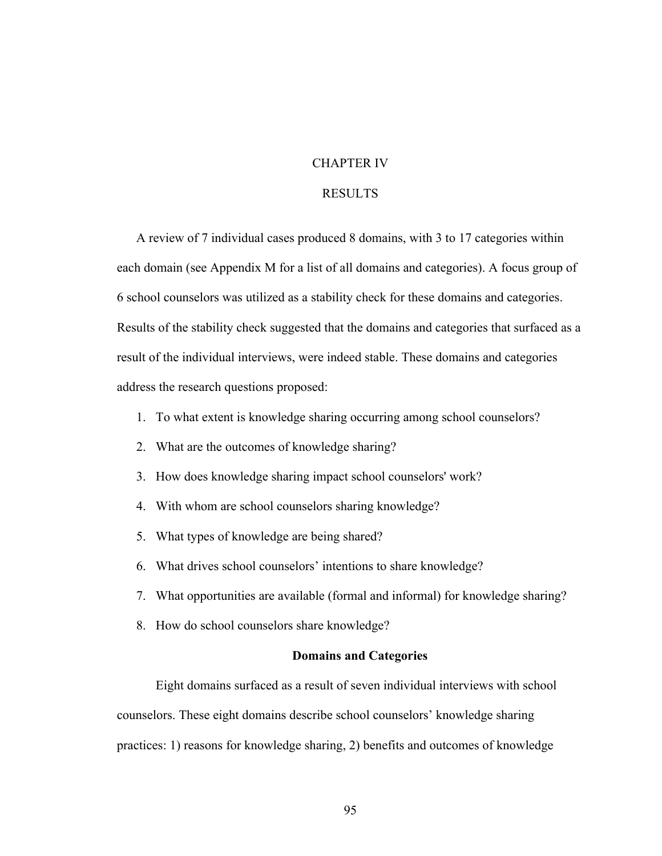# CHAPTER IV

# RESULTS

A review of 7 individual cases produced 8 domains, with 3 to 17 categories within each domain (see Appendix M for a list of all domains and categories). A focus group of 6 school counselors was utilized as a stability check for these domains and categories. Results of the stability check suggested that the domains and categories that surfaced as a result of the individual interviews, were indeed stable. These domains and categories address the research questions proposed:

- 1. To what extent is knowledge sharing occurring among school counselors?
- 2. What are the outcomes of knowledge sharing?
- 3. How does knowledge sharing impact school counselors' work?
- 4. With whom are school counselors sharing knowledge?
- 5. What types of knowledge are being shared?
- 6. What drives school counselors' intentions to share knowledge?
- 7. What opportunities are available (formal and informal) for knowledge sharing?
- 8. How do school counselors share knowledge?

# **Domains and Categories**

Eight domains surfaced as a result of seven individual interviews with school counselors. These eight domains describe school counselors' knowledge sharing practices: 1) reasons for knowledge sharing, 2) benefits and outcomes of knowledge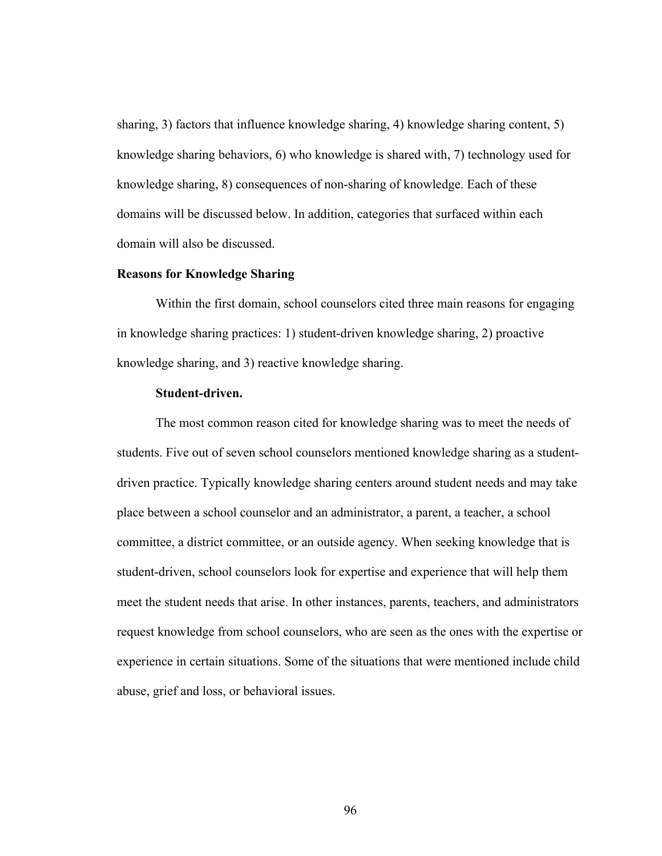sharing, 3) factors that influence knowledge sharing, 4) knowledge sharing content, 5) knowledge sharing behaviors, 6) who knowledge is shared with, 7) technology used for knowledge sharing, 8) consequences of non-sharing of knowledge. Each of these domains will be discussed below. In addition, categories that surfaced within each domain will also be discussed.

#### **Reasons for Knowledge Sharing**

Within the first domain, school counselors cited three main reasons for engaging in knowledge sharing practices: 1) student-driven knowledge sharing, 2) proactive knowledge sharing, and 3) reactive knowledge sharing.

### **Student-driven.**

The most common reason cited for knowledge sharing was to meet the needs of students. Five out of seven school counselors mentioned knowledge sharing as a studentdriven practice. Typically knowledge sharing centers around student needs and may take place between a school counselor and an administrator, a parent, a teacher, a school committee, a district committee, or an outside agency. When seeking knowledge that is student-driven, school counselors look for expertise and experience that will help them meet the student needs that arise. In other instances, parents, teachers, and administrators request knowledge from school counselors, who are seen as the ones with the expertise or experience in certain situations. Some of the situations that were mentioned include child abuse, grief and loss, or behavioral issues.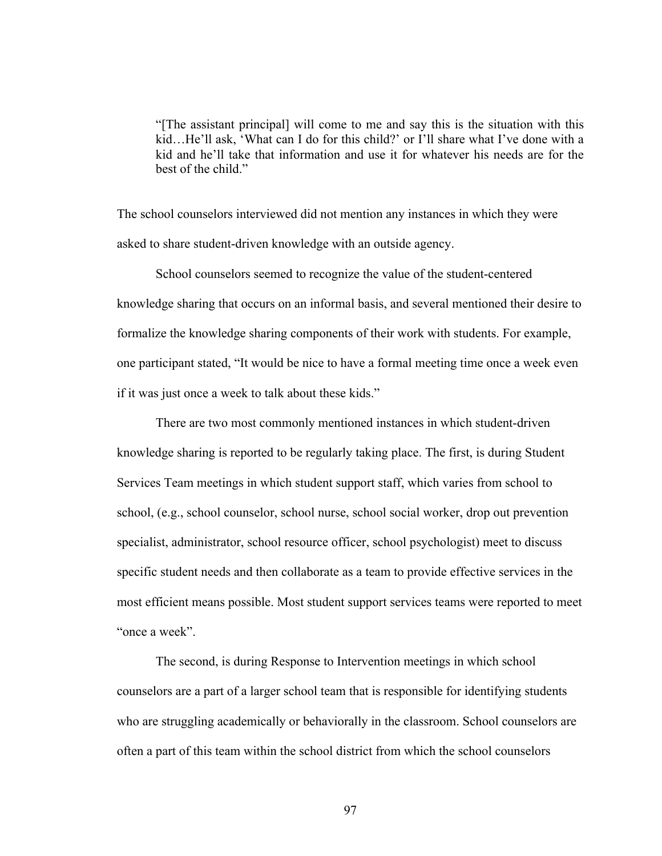"[The assistant principal] will come to me and say this is the situation with this kid…He'll ask, 'What can I do for this child?' or I'll share what I've done with a kid and he'll take that information and use it for whatever his needs are for the best of the child."

The school counselors interviewed did not mention any instances in which they were asked to share student-driven knowledge with an outside agency.

School counselors seemed to recognize the value of the student-centered knowledge sharing that occurs on an informal basis, and several mentioned their desire to formalize the knowledge sharing components of their work with students. For example, one participant stated, "It would be nice to have a formal meeting time once a week even if it was just once a week to talk about these kids."

There are two most commonly mentioned instances in which student-driven knowledge sharing is reported to be regularly taking place. The first, is during Student Services Team meetings in which student support staff, which varies from school to school, (e.g., school counselor, school nurse, school social worker, drop out prevention specialist, administrator, school resource officer, school psychologist) meet to discuss specific student needs and then collaborate as a team to provide effective services in the most efficient means possible. Most student support services teams were reported to meet "once a week".

The second, is during Response to Intervention meetings in which school counselors are a part of a larger school team that is responsible for identifying students who are struggling academically or behaviorally in the classroom. School counselors are often a part of this team within the school district from which the school counselors

97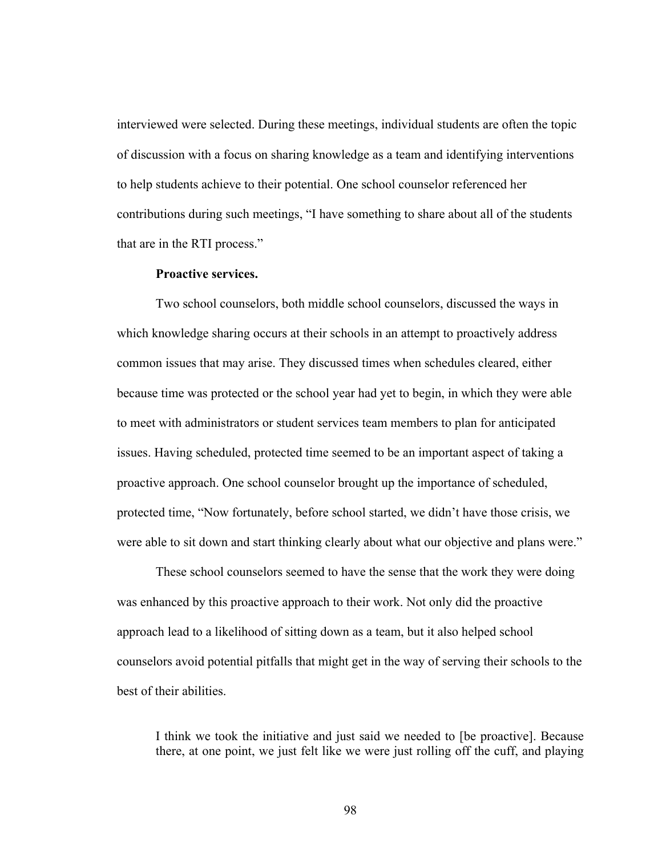interviewed were selected. During these meetings, individual students are often the topic of discussion with a focus on sharing knowledge as a team and identifying interventions to help students achieve to their potential. One school counselor referenced her contributions during such meetings, "I have something to share about all of the students that are in the RTI process."

#### **Proactive services.**

Two school counselors, both middle school counselors, discussed the ways in which knowledge sharing occurs at their schools in an attempt to proactively address common issues that may arise. They discussed times when schedules cleared, either because time was protected or the school year had yet to begin, in which they were able to meet with administrators or student services team members to plan for anticipated issues. Having scheduled, protected time seemed to be an important aspect of taking a proactive approach. One school counselor brought up the importance of scheduled, protected time, "Now fortunately, before school started, we didn't have those crisis, we were able to sit down and start thinking clearly about what our objective and plans were."

These school counselors seemed to have the sense that the work they were doing was enhanced by this proactive approach to their work. Not only did the proactive approach lead to a likelihood of sitting down as a team, but it also helped school counselors avoid potential pitfalls that might get in the way of serving their schools to the best of their abilities.

I think we took the initiative and just said we needed to [be proactive]. Because there, at one point, we just felt like we were just rolling off the cuff, and playing

98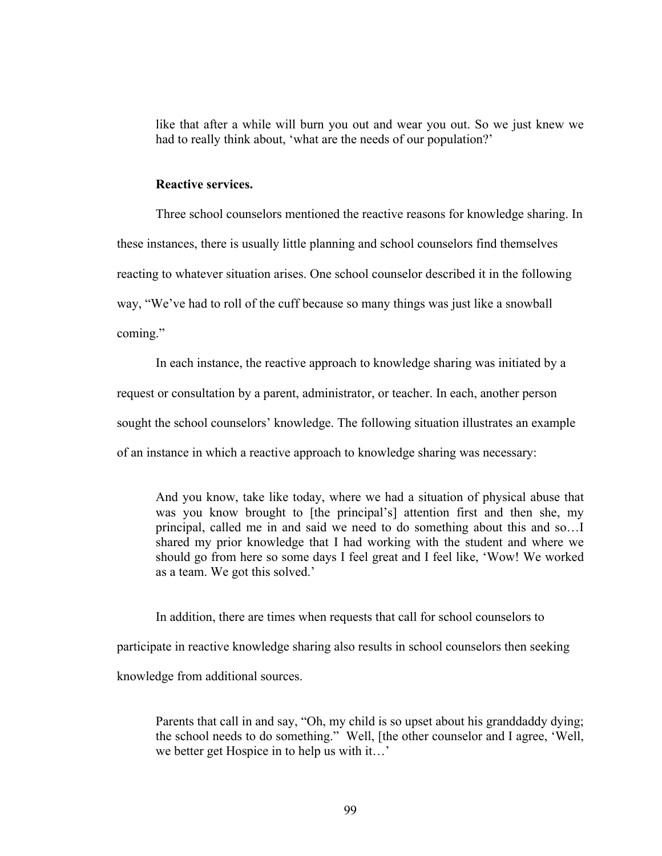like that after a while will burn you out and wear you out. So we just knew we had to really think about, 'what are the needs of our population?'

### **Reactive services.**

Three school counselors mentioned the reactive reasons for knowledge sharing. In these instances, there is usually little planning and school counselors find themselves reacting to whatever situation arises. One school counselor described it in the following way, "We've had to roll of the cuff because so many things was just like a snowball coming."

In each instance, the reactive approach to knowledge sharing was initiated by a request or consultation by a parent, administrator, or teacher. In each, another person sought the school counselors' knowledge. The following situation illustrates an example of an instance in which a reactive approach to knowledge sharing was necessary:

And you know, take like today, where we had a situation of physical abuse that was you know brought to [the principal's] attention first and then she, my principal, called me in and said we need to do something about this and so…I shared my prior knowledge that I had working with the student and where we should go from here so some days I feel great and I feel like, 'Wow! We worked as a team. We got this solved.'

In addition, there are times when requests that call for school counselors to participate in reactive knowledge sharing also results in school counselors then seeking knowledge from additional sources.

Parents that call in and say, "Oh, my child is so upset about his granddaddy dying; the school needs to do something." Well, [the other counselor and I agree, 'Well, we better get Hospice in to help us with it…'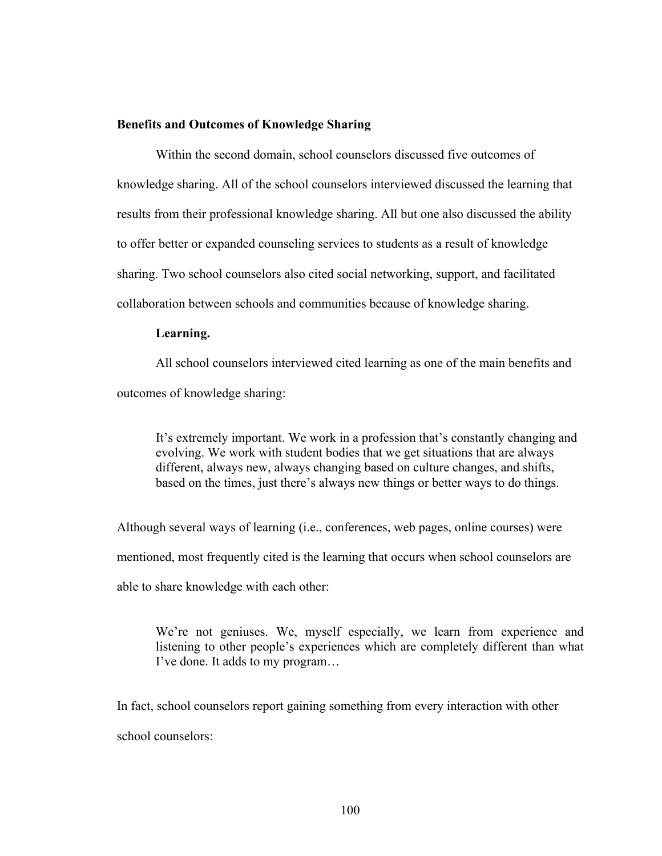### **Benefits and Outcomes of Knowledge Sharing**

Within the second domain, school counselors discussed five outcomes of knowledge sharing. All of the school counselors interviewed discussed the learning that results from their professional knowledge sharing. All but one also discussed the ability to offer better or expanded counseling services to students as a result of knowledge sharing. Two school counselors also cited social networking, support, and facilitated collaboration between schools and communities because of knowledge sharing.

#### **Learning.**

All school counselors interviewed cited learning as one of the main benefits and outcomes of knowledge sharing:

It's extremely important. We work in a profession that's constantly changing and evolving. We work with student bodies that we get situations that are always different, always new, always changing based on culture changes, and shifts, based on the times, just there's always new things or better ways to do things.

Although several ways of learning (i.e., conferences, web pages, online courses) were mentioned, most frequently cited is the learning that occurs when school counselors are able to share knowledge with each other:

We're not geniuses. We, myself especially, we learn from experience and listening to other people's experiences which are completely different than what I've done. It adds to my program…

In fact, school counselors report gaining something from every interaction with other school counselors: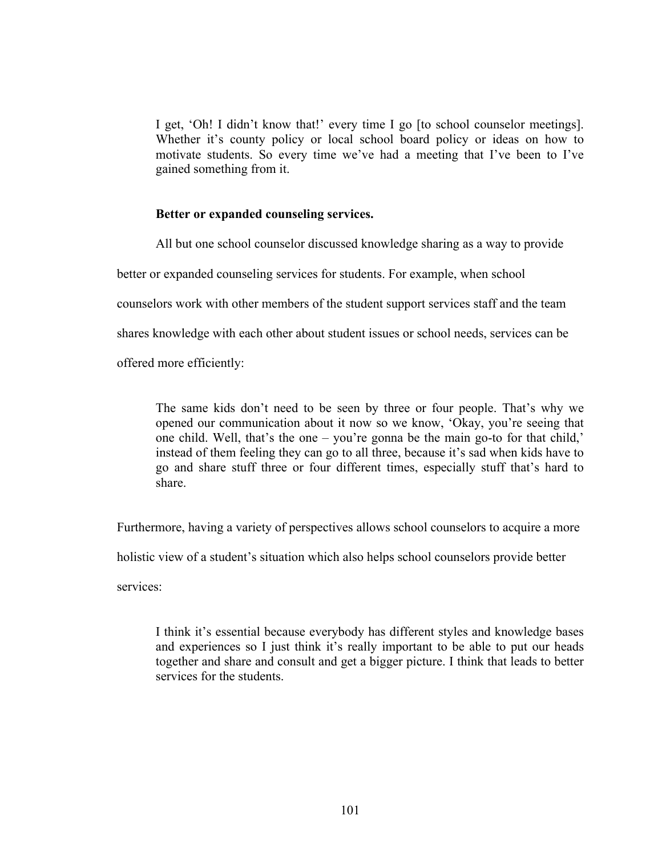I get, 'Oh! I didn't know that!' every time I go [to school counselor meetings]. Whether it's county policy or local school board policy or ideas on how to motivate students. So every time we've had a meeting that I've been to I've gained something from it.

# **Better or expanded counseling services.**

All but one school counselor discussed knowledge sharing as a way to provide

better or expanded counseling services for students. For example, when school

counselors work with other members of the student support services staff and the team

shares knowledge with each other about student issues or school needs, services can be

offered more efficiently:

The same kids don't need to be seen by three or four people. That's why we opened our communication about it now so we know, 'Okay, you're seeing that one child. Well, that's the one – you're gonna be the main go-to for that child,' instead of them feeling they can go to all three, because it's sad when kids have to go and share stuff three or four different times, especially stuff that's hard to share.

Furthermore, having a variety of perspectives allows school counselors to acquire a more

holistic view of a student's situation which also helps school counselors provide better

services:

I think it's essential because everybody has different styles and knowledge bases and experiences so I just think it's really important to be able to put our heads together and share and consult and get a bigger picture. I think that leads to better services for the students.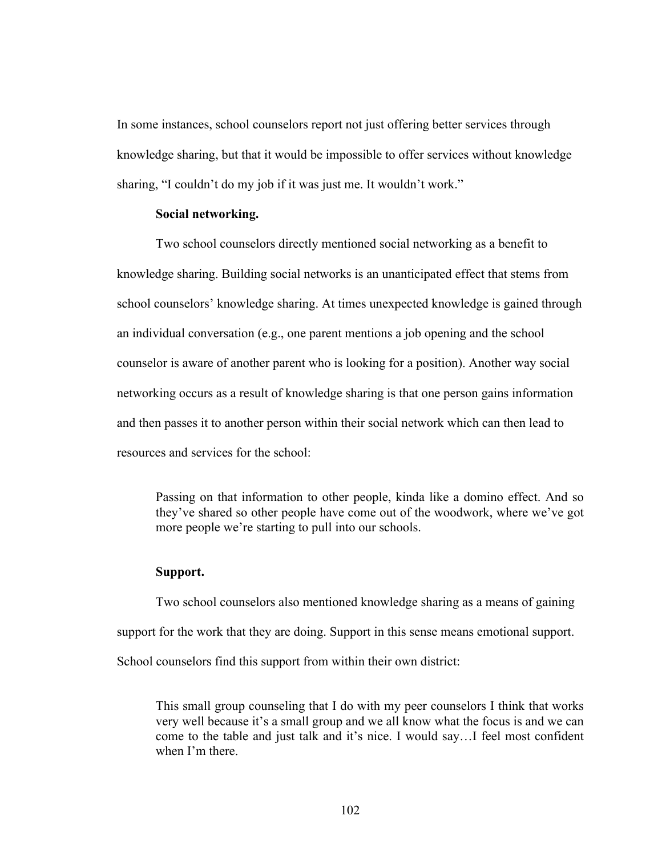In some instances, school counselors report not just offering better services through knowledge sharing, but that it would be impossible to offer services without knowledge sharing, "I couldn't do my job if it was just me. It wouldn't work."

# **Social networking.**

Two school counselors directly mentioned social networking as a benefit to knowledge sharing. Building social networks is an unanticipated effect that stems from school counselors' knowledge sharing. At times unexpected knowledge is gained through an individual conversation (e.g., one parent mentions a job opening and the school counselor is aware of another parent who is looking for a position). Another way social networking occurs as a result of knowledge sharing is that one person gains information and then passes it to another person within their social network which can then lead to resources and services for the school:

Passing on that information to other people, kinda like a domino effect. And so they've shared so other people have come out of the woodwork, where we've got more people we're starting to pull into our schools.

### **Support.**

Two school counselors also mentioned knowledge sharing as a means of gaining support for the work that they are doing. Support in this sense means emotional support. School counselors find this support from within their own district:

This small group counseling that I do with my peer counselors I think that works very well because it's a small group and we all know what the focus is and we can come to the table and just talk and it's nice. I would say…I feel most confident when I'm there.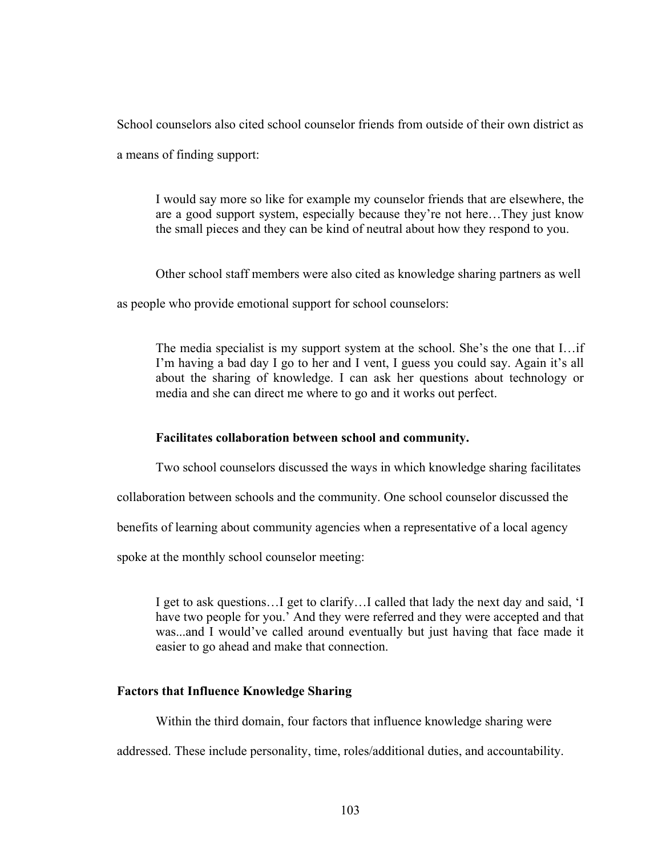School counselors also cited school counselor friends from outside of their own district as

a means of finding support:

I would say more so like for example my counselor friends that are elsewhere, the are a good support system, especially because they're not here…They just know the small pieces and they can be kind of neutral about how they respond to you.

Other school staff members were also cited as knowledge sharing partners as well

as people who provide emotional support for school counselors:

The media specialist is my support system at the school. She's the one that I…if I'm having a bad day I go to her and I vent, I guess you could say. Again it's all about the sharing of knowledge. I can ask her questions about technology or media and she can direct me where to go and it works out perfect.

# **Facilitates collaboration between school and community.**

Two school counselors discussed the ways in which knowledge sharing facilitates

collaboration between schools and the community. One school counselor discussed the

benefits of learning about community agencies when a representative of a local agency

spoke at the monthly school counselor meeting:

I get to ask questions…I get to clarify…I called that lady the next day and said, 'I have two people for you.' And they were referred and they were accepted and that was...and I would've called around eventually but just having that face made it easier to go ahead and make that connection.

# **Factors that Influence Knowledge Sharing**

Within the third domain, four factors that influence knowledge sharing were

addressed. These include personality, time, roles/additional duties, and accountability.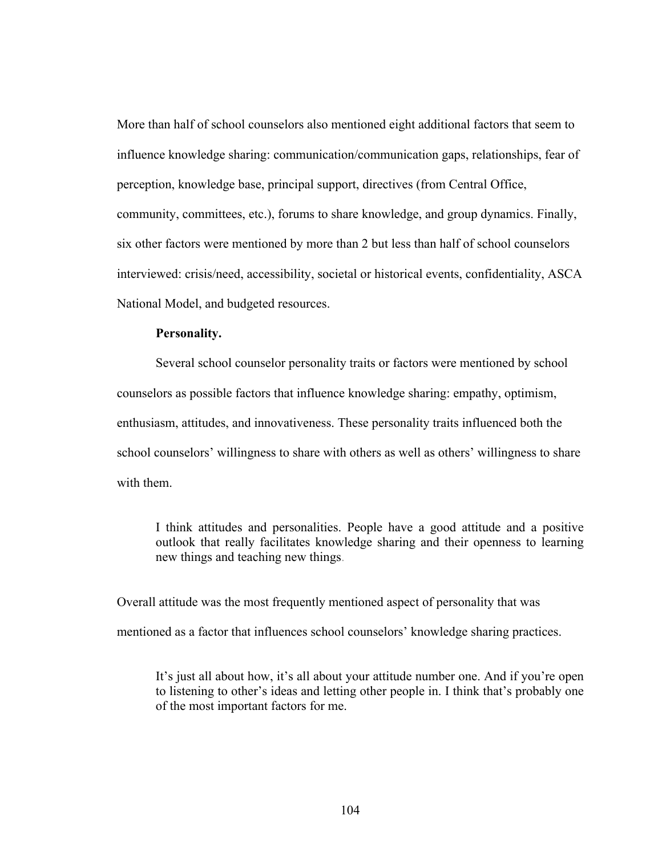More than half of school counselors also mentioned eight additional factors that seem to influence knowledge sharing: communication/communication gaps, relationships, fear of perception, knowledge base, principal support, directives (from Central Office, community, committees, etc.), forums to share knowledge, and group dynamics. Finally, six other factors were mentioned by more than 2 but less than half of school counselors interviewed: crisis/need, accessibility, societal or historical events, confidentiality, ASCA National Model, and budgeted resources.

#### **Personality.**

Several school counselor personality traits or factors were mentioned by school counselors as possible factors that influence knowledge sharing: empathy, optimism, enthusiasm, attitudes, and innovativeness. These personality traits influenced both the school counselors' willingness to share with others as well as others' willingness to share with them.

I think attitudes and personalities. People have a good attitude and a positive outlook that really facilitates knowledge sharing and their openness to learning new things and teaching new things.

Overall attitude was the most frequently mentioned aspect of personality that was

mentioned as a factor that influences school counselors' knowledge sharing practices.

It's just all about how, it's all about your attitude number one. And if you're open to listening to other's ideas and letting other people in. I think that's probably one of the most important factors for me.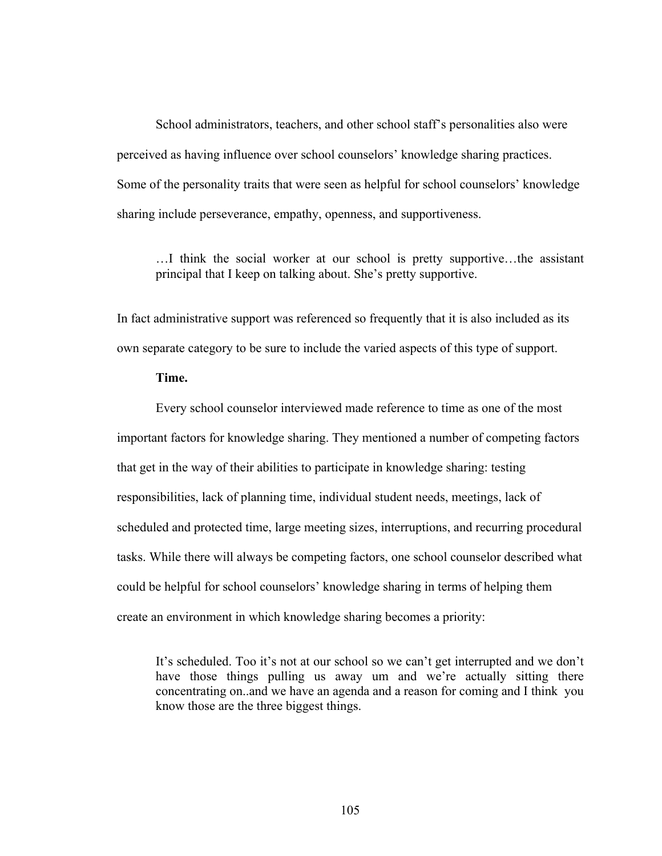School administrators, teachers, and other school staff's personalities also were perceived as having influence over school counselors' knowledge sharing practices. Some of the personality traits that were seen as helpful for school counselors' knowledge sharing include perseverance, empathy, openness, and supportiveness.

…I think the social worker at our school is pretty supportive…the assistant principal that I keep on talking about. She's pretty supportive.

In fact administrative support was referenced so frequently that it is also included as its own separate category to be sure to include the varied aspects of this type of support.

# **Time.**

Every school counselor interviewed made reference to time as one of the most important factors for knowledge sharing. They mentioned a number of competing factors that get in the way of their abilities to participate in knowledge sharing: testing responsibilities, lack of planning time, individual student needs, meetings, lack of scheduled and protected time, large meeting sizes, interruptions, and recurring procedural tasks. While there will always be competing factors, one school counselor described what could be helpful for school counselors' knowledge sharing in terms of helping them create an environment in which knowledge sharing becomes a priority:

It's scheduled. Too it's not at our school so we can't get interrupted and we don't have those things pulling us away um and we're actually sitting there concentrating on..and we have an agenda and a reason for coming and I think you know those are the three biggest things.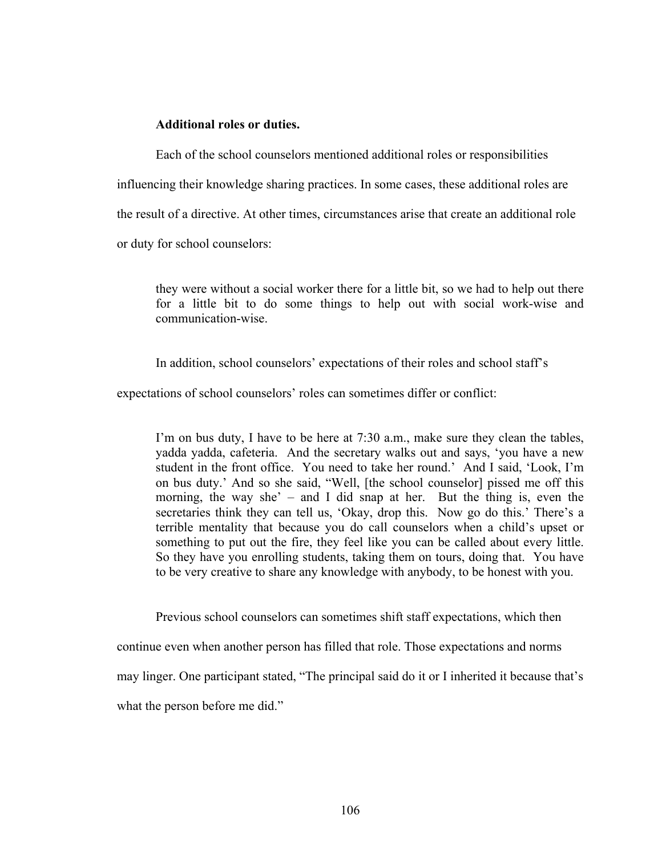## **Additional roles or duties.**

Each of the school counselors mentioned additional roles or responsibilities influencing their knowledge sharing practices. In some cases, these additional roles are the result of a directive. At other times, circumstances arise that create an additional role or duty for school counselors:

they were without a social worker there for a little bit, so we had to help out there for a little bit to do some things to help out with social work-wise and communication-wise.

In addition, school counselors' expectations of their roles and school staff's

expectations of school counselors' roles can sometimes differ or conflict:

I'm on bus duty, I have to be here at 7:30 a.m., make sure they clean the tables, yadda yadda, cafeteria. And the secretary walks out and says, 'you have a new student in the front office. You need to take her round.' And I said, 'Look, I'm on bus duty.' And so she said, "Well, [the school counselor] pissed me off this morning, the way she' – and I did snap at her. But the thing is, even the secretaries think they can tell us, 'Okay, drop this. Now go do this.' There's a terrible mentality that because you do call counselors when a child's upset or something to put out the fire, they feel like you can be called about every little. So they have you enrolling students, taking them on tours, doing that. You have to be very creative to share any knowledge with anybody, to be honest with you.

Previous school counselors can sometimes shift staff expectations, which then

continue even when another person has filled that role. Those expectations and norms may linger. One participant stated, "The principal said do it or I inherited it because that's

what the person before me did."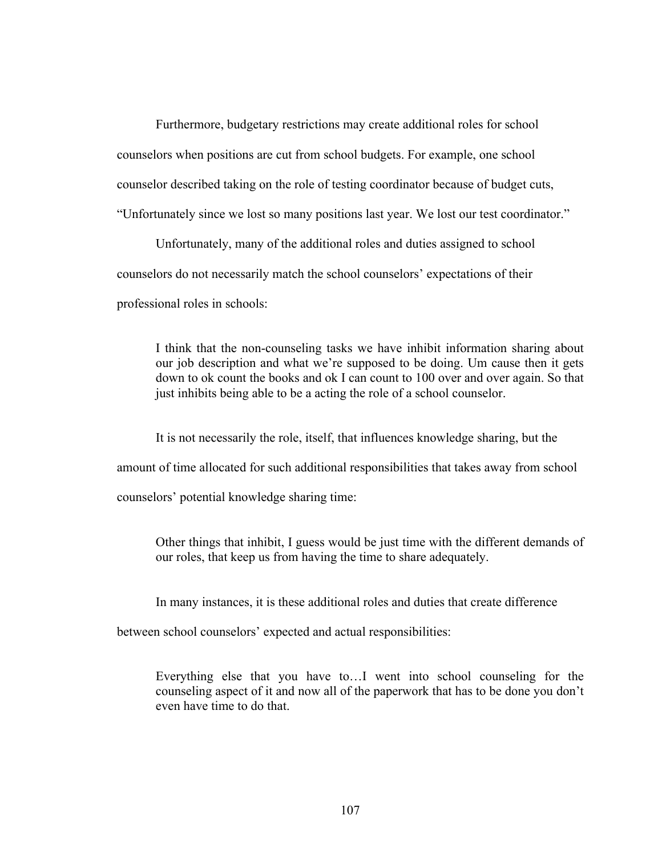Furthermore, budgetary restrictions may create additional roles for school counselors when positions are cut from school budgets. For example, one school counselor described taking on the role of testing coordinator because of budget cuts, "Unfortunately since we lost so many positions last year. We lost our test coordinator."

Unfortunately, many of the additional roles and duties assigned to school counselors do not necessarily match the school counselors' expectations of their professional roles in schools:

I think that the non-counseling tasks we have inhibit information sharing about our job description and what we're supposed to be doing. Um cause then it gets down to ok count the books and ok I can count to 100 over and over again. So that just inhibits being able to be a acting the role of a school counselor.

It is not necessarily the role, itself, that influences knowledge sharing, but the amount of time allocated for such additional responsibilities that takes away from school counselors' potential knowledge sharing time:

Other things that inhibit, I guess would be just time with the different demands of our roles, that keep us from having the time to share adequately.

In many instances, it is these additional roles and duties that create difference

between school counselors' expected and actual responsibilities:

Everything else that you have to…I went into school counseling for the counseling aspect of it and now all of the paperwork that has to be done you don't even have time to do that.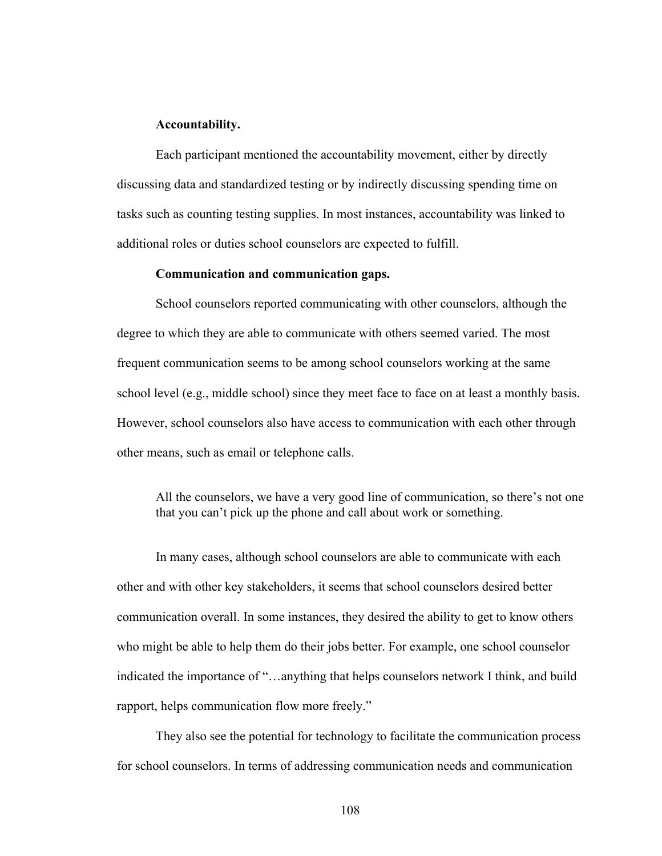#### **Accountability.**

Each participant mentioned the accountability movement, either by directly discussing data and standardized testing or by indirectly discussing spending time on tasks such as counting testing supplies. In most instances, accountability was linked to additional roles or duties school counselors are expected to fulfill.

### **Communication and communication gaps.**

School counselors reported communicating with other counselors, although the degree to which they are able to communicate with others seemed varied. The most frequent communication seems to be among school counselors working at the same school level (e.g., middle school) since they meet face to face on at least a monthly basis. However, school counselors also have access to communication with each other through other means, such as email or telephone calls.

All the counselors, we have a very good line of communication, so there's not one that you can't pick up the phone and call about work or something.

In many cases, although school counselors are able to communicate with each other and with other key stakeholders, it seems that school counselors desired better communication overall. In some instances, they desired the ability to get to know others who might be able to help them do their jobs better. For example, one school counselor indicated the importance of "…anything that helps counselors network I think, and build rapport, helps communication flow more freely."

They also see the potential for technology to facilitate the communication process for school counselors. In terms of addressing communication needs and communication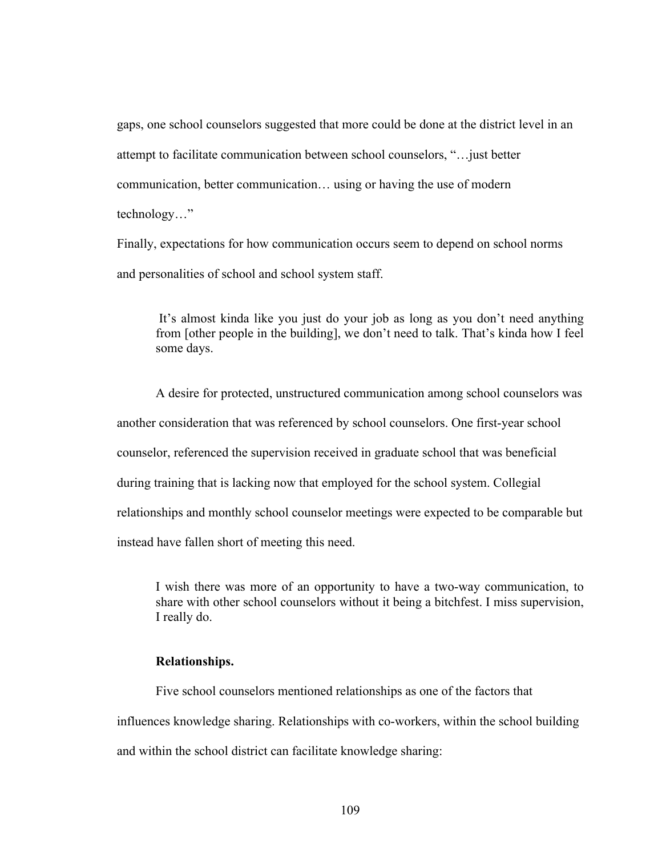gaps, one school counselors suggested that more could be done at the district level in an attempt to facilitate communication between school counselors, "…just better communication, better communication… using or having the use of modern technology…"

Finally, expectations for how communication occurs seem to depend on school norms and personalities of school and school system staff.

It's almost kinda like you just do your job as long as you don't need anything from [other people in the building], we don't need to talk. That's kinda how I feel some days.

A desire for protected, unstructured communication among school counselors was another consideration that was referenced by school counselors. One first-year school counselor, referenced the supervision received in graduate school that was beneficial during training that is lacking now that employed for the school system. Collegial relationships and monthly school counselor meetings were expected to be comparable but instead have fallen short of meeting this need.

I wish there was more of an opportunity to have a two-way communication, to share with other school counselors without it being a bitchfest. I miss supervision, I really do.

### **Relationships.**

Five school counselors mentioned relationships as one of the factors that influences knowledge sharing. Relationships with co-workers, within the school building and within the school district can facilitate knowledge sharing: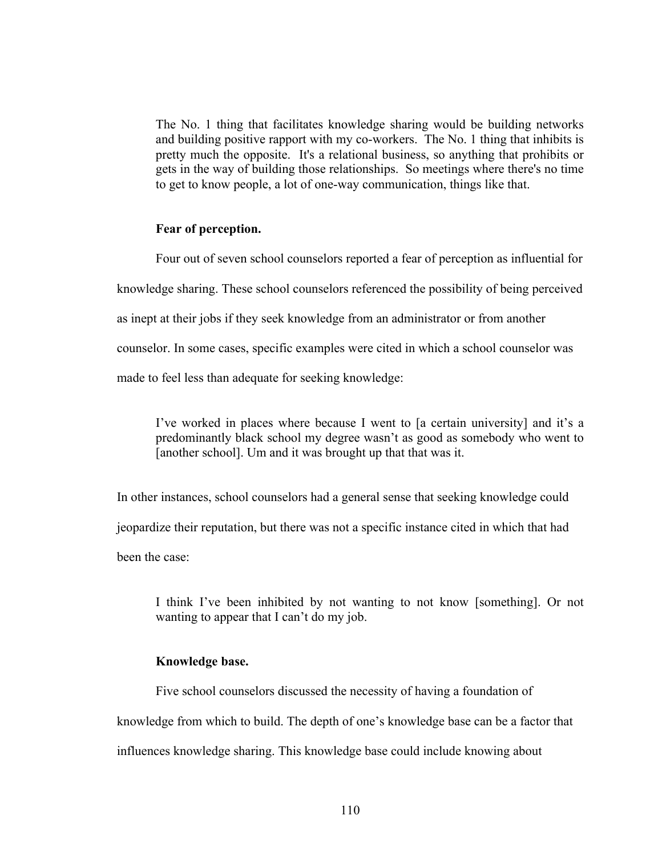The No. 1 thing that facilitates knowledge sharing would be building networks and building positive rapport with my co-workers. The No. 1 thing that inhibits is pretty much the opposite. It's a relational business, so anything that prohibits or gets in the way of building those relationships. So meetings where there's no time to get to know people, a lot of one-way communication, things like that.

### **Fear of perception.**

Four out of seven school counselors reported a fear of perception as influential for knowledge sharing. These school counselors referenced the possibility of being perceived as inept at their jobs if they seek knowledge from an administrator or from another counselor. In some cases, specific examples were cited in which a school counselor was made to feel less than adequate for seeking knowledge:

I've worked in places where because I went to [a certain university] and it's a predominantly black school my degree wasn't as good as somebody who went to [another school]. Um and it was brought up that that was it.

In other instances, school counselors had a general sense that seeking knowledge could jeopardize their reputation, but there was not a specific instance cited in which that had been the case:

I think I've been inhibited by not wanting to not know [something]. Or not wanting to appear that I can't do my job.

# **Knowledge base.**

Five school counselors discussed the necessity of having a foundation of knowledge from which to build. The depth of one's knowledge base can be a factor that influences knowledge sharing. This knowledge base could include knowing about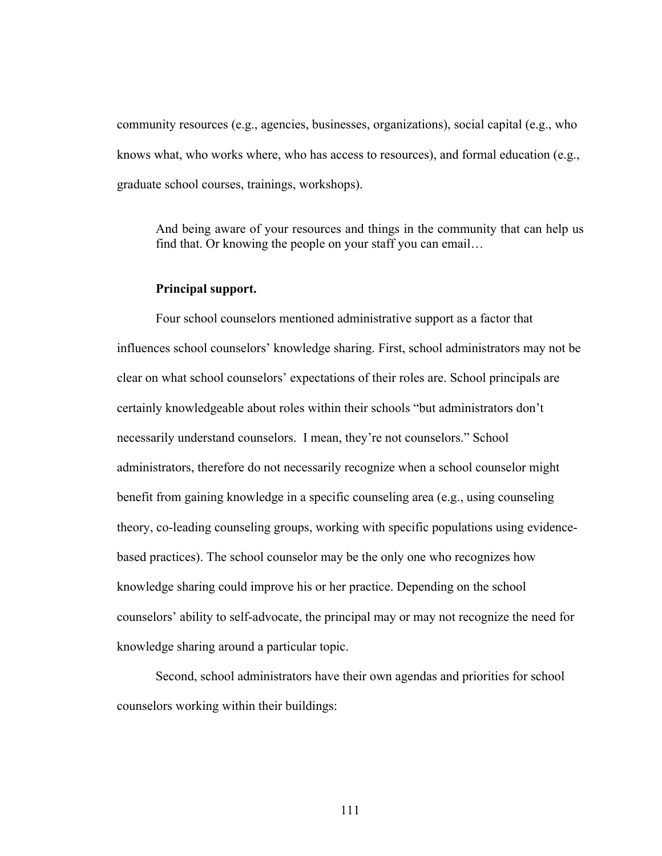community resources (e.g., agencies, businesses, organizations), social capital (e.g., who knows what, who works where, who has access to resources), and formal education (e.g., graduate school courses, trainings, workshops).

And being aware of your resources and things in the community that can help us find that. Or knowing the people on your staff you can email…

### **Principal support.**

Four school counselors mentioned administrative support as a factor that influences school counselors' knowledge sharing. First, school administrators may not be clear on what school counselors' expectations of their roles are. School principals are certainly knowledgeable about roles within their schools "but administrators don't necessarily understand counselors. I mean, they're not counselors." School administrators, therefore do not necessarily recognize when a school counselor might benefit from gaining knowledge in a specific counseling area (e.g., using counseling theory, co-leading counseling groups, working with specific populations using evidencebased practices). The school counselor may be the only one who recognizes how knowledge sharing could improve his or her practice. Depending on the school counselors' ability to self-advocate, the principal may or may not recognize the need for knowledge sharing around a particular topic.

Second, school administrators have their own agendas and priorities for school counselors working within their buildings: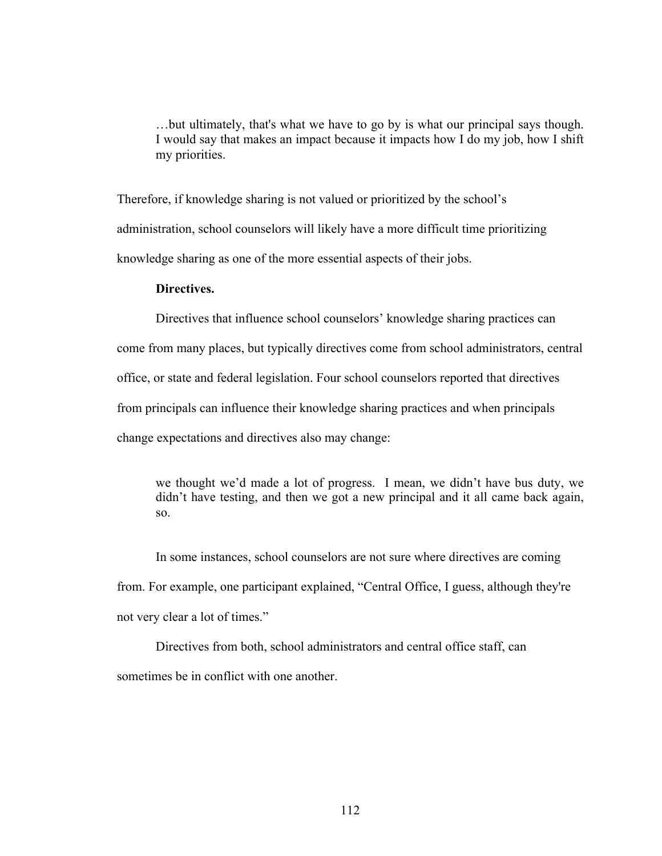…but ultimately, that's what we have to go by is what our principal says though. I would say that makes an impact because it impacts how I do my job, how I shift my priorities.

Therefore, if knowledge sharing is not valued or prioritized by the school's administration, school counselors will likely have a more difficult time prioritizing knowledge sharing as one of the more essential aspects of their jobs.

# **Directives.**

Directives that influence school counselors' knowledge sharing practices can

come from many places, but typically directives come from school administrators, central

office, or state and federal legislation. Four school counselors reported that directives

from principals can influence their knowledge sharing practices and when principals

change expectations and directives also may change:

we thought we'd made a lot of progress. I mean, we didn't have bus duty, we didn't have testing, and then we got a new principal and it all came back again, so.

In some instances, school counselors are not sure where directives are coming from. For example, one participant explained, "Central Office, I guess, although they're not very clear a lot of times."

Directives from both, school administrators and central office staff, can sometimes be in conflict with one another.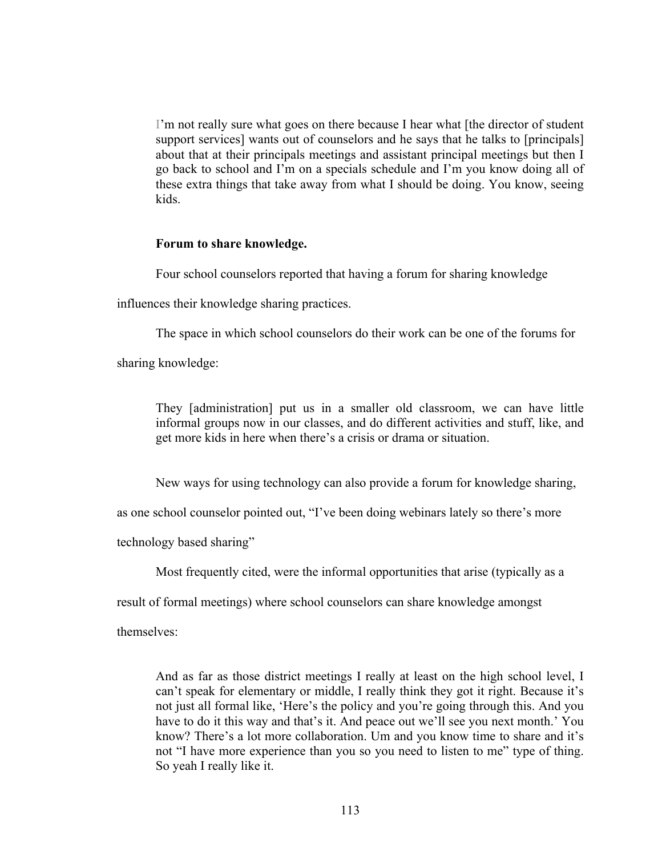I'm not really sure what goes on there because I hear what [the director of student support services] wants out of counselors and he says that he talks to [principals] about that at their principals meetings and assistant principal meetings but then I go back to school and I'm on a specials schedule and I'm you know doing all of these extra things that take away from what I should be doing. You know, seeing kids.

### **Forum to share knowledge.**

Four school counselors reported that having a forum for sharing knowledge

influences their knowledge sharing practices.

The space in which school counselors do their work can be one of the forums for

sharing knowledge:

They [administration] put us in a smaller old classroom, we can have little informal groups now in our classes, and do different activities and stuff, like, and get more kids in here when there's a crisis or drama or situation.

New ways for using technology can also provide a forum for knowledge sharing,

as one school counselor pointed out, "I've been doing webinars lately so there's more

technology based sharing"

Most frequently cited, were the informal opportunities that arise (typically as a

result of formal meetings) where school counselors can share knowledge amongst

themselves:

And as far as those district meetings I really at least on the high school level, I can't speak for elementary or middle, I really think they got it right. Because it's not just all formal like, 'Here's the policy and you're going through this. And you have to do it this way and that's it. And peace out we'll see you next month.' You know? There's a lot more collaboration. Um and you know time to share and it's not "I have more experience than you so you need to listen to me" type of thing. So yeah I really like it.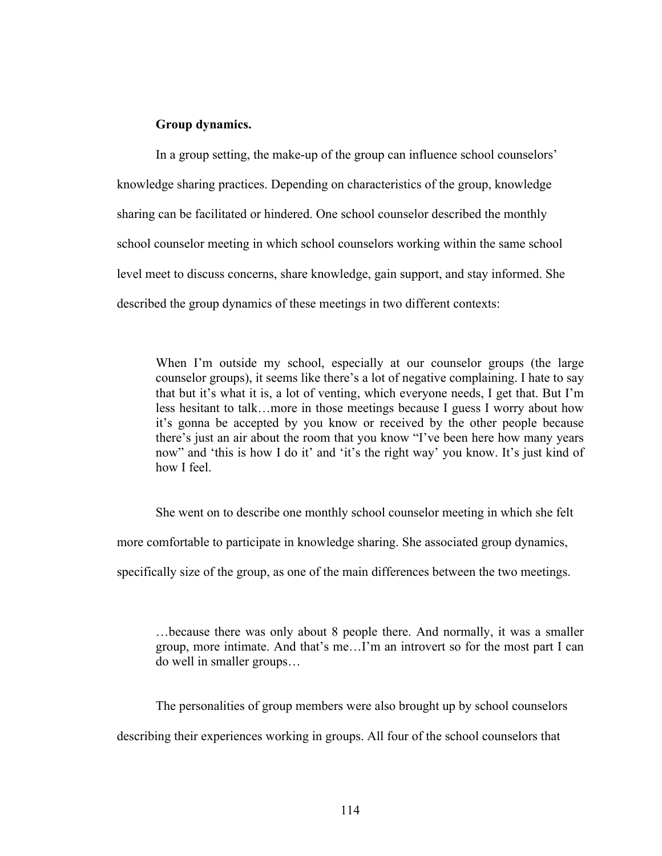### **Group dynamics.**

In a group setting, the make-up of the group can influence school counselors' knowledge sharing practices. Depending on characteristics of the group, knowledge sharing can be facilitated or hindered. One school counselor described the monthly school counselor meeting in which school counselors working within the same school level meet to discuss concerns, share knowledge, gain support, and stay informed. She described the group dynamics of these meetings in two different contexts:

When I'm outside my school, especially at our counselor groups (the large counselor groups), it seems like there's a lot of negative complaining. I hate to say that but it's what it is, a lot of venting, which everyone needs, I get that. But I'm less hesitant to talk…more in those meetings because I guess I worry about how it's gonna be accepted by you know or received by the other people because there's just an air about the room that you know "I've been here how many years now" and 'this is how I do it' and 'it's the right way' you know. It's just kind of how I feel.

She went on to describe one monthly school counselor meeting in which she felt

more comfortable to participate in knowledge sharing. She associated group dynamics,

specifically size of the group, as one of the main differences between the two meetings.

…because there was only about 8 people there. And normally, it was a smaller group, more intimate. And that's me…I'm an introvert so for the most part I can do well in smaller groups…

The personalities of group members were also brought up by school counselors

describing their experiences working in groups. All four of the school counselors that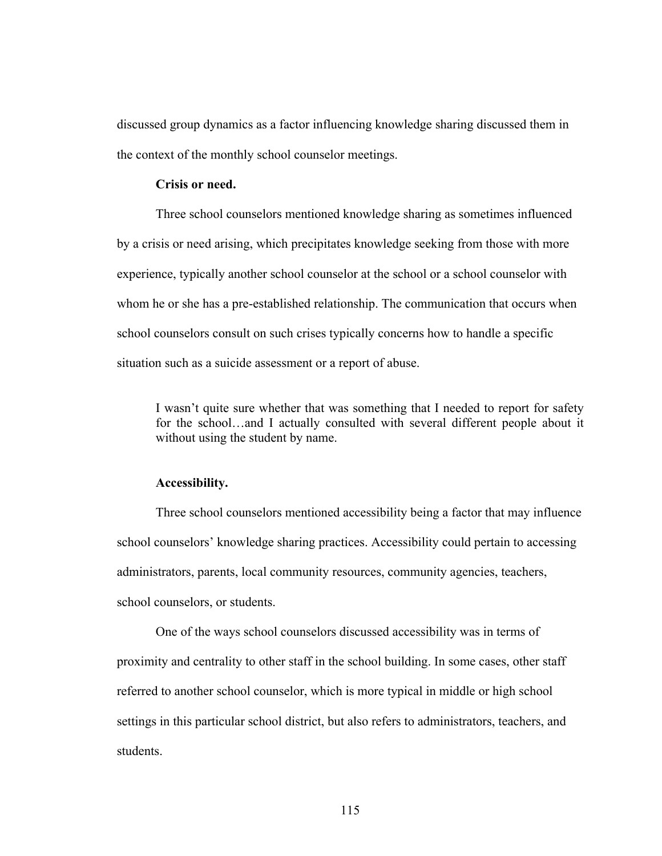discussed group dynamics as a factor influencing knowledge sharing discussed them in the context of the monthly school counselor meetings.

# **Crisis or need.**

Three school counselors mentioned knowledge sharing as sometimes influenced by a crisis or need arising, which precipitates knowledge seeking from those with more experience, typically another school counselor at the school or a school counselor with whom he or she has a pre-established relationship. The communication that occurs when school counselors consult on such crises typically concerns how to handle a specific situation such as a suicide assessment or a report of abuse.

I wasn't quite sure whether that was something that I needed to report for safety for the school…and I actually consulted with several different people about it without using the student by name.

#### **Accessibility.**

Three school counselors mentioned accessibility being a factor that may influence school counselors' knowledge sharing practices. Accessibility could pertain to accessing administrators, parents, local community resources, community agencies, teachers, school counselors, or students.

One of the ways school counselors discussed accessibility was in terms of proximity and centrality to other staff in the school building. In some cases, other staff referred to another school counselor, which is more typical in middle or high school settings in this particular school district, but also refers to administrators, teachers, and students.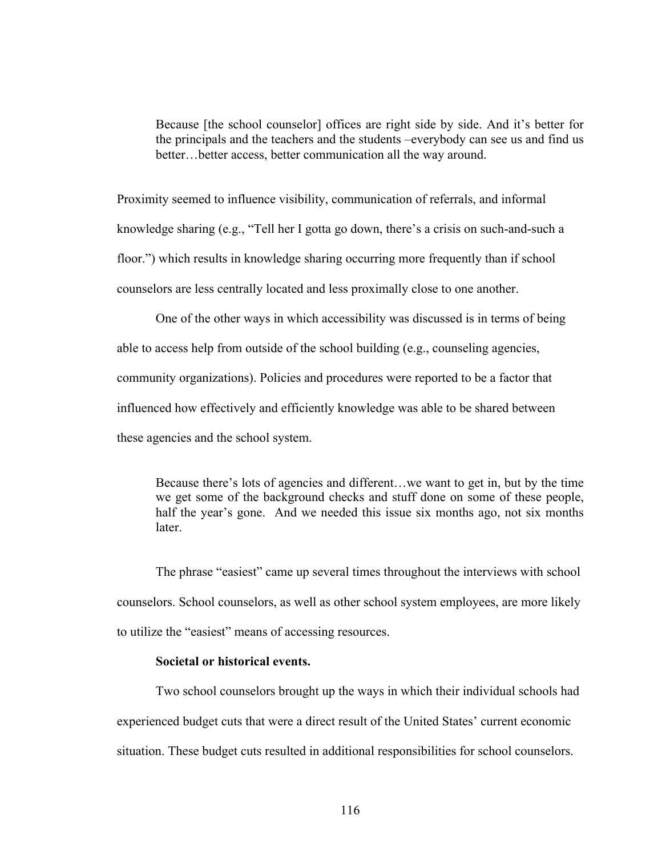Because [the school counselor] offices are right side by side. And it's better for the principals and the teachers and the students –everybody can see us and find us better…better access, better communication all the way around.

Proximity seemed to influence visibility, communication of referrals, and informal knowledge sharing (e.g., "Tell her I gotta go down, there's a crisis on such-and-such a floor.") which results in knowledge sharing occurring more frequently than if school counselors are less centrally located and less proximally close to one another.

One of the other ways in which accessibility was discussed is in terms of being able to access help from outside of the school building (e.g., counseling agencies, community organizations). Policies and procedures were reported to be a factor that influenced how effectively and efficiently knowledge was able to be shared between these agencies and the school system.

Because there's lots of agencies and different…we want to get in, but by the time we get some of the background checks and stuff done on some of these people, half the year's gone. And we needed this issue six months ago, not six months later.

The phrase "easiest" came up several times throughout the interviews with school counselors. School counselors, as well as other school system employees, are more likely to utilize the "easiest" means of accessing resources.

### **Societal or historical events.**

Two school counselors brought up the ways in which their individual schools had experienced budget cuts that were a direct result of the United States' current economic situation. These budget cuts resulted in additional responsibilities for school counselors.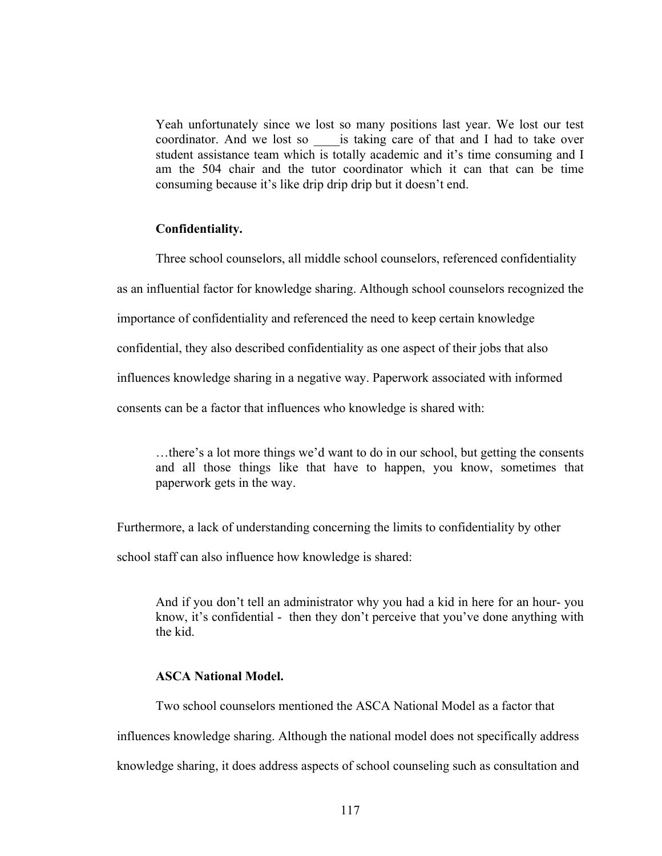Yeah unfortunately since we lost so many positions last year. We lost our test coordinator. And we lost so \_\_\_\_is taking care of that and I had to take over student assistance team which is totally academic and it's time consuming and I am the 504 chair and the tutor coordinator which it can that can be time consuming because it's like drip drip drip but it doesn't end.

# **Confidentiality.**

Three school counselors, all middle school counselors, referenced confidentiality

as an influential factor for knowledge sharing. Although school counselors recognized the

importance of confidentiality and referenced the need to keep certain knowledge

confidential, they also described confidentiality as one aspect of their jobs that also

influences knowledge sharing in a negative way. Paperwork associated with informed

consents can be a factor that influences who knowledge is shared with:

…there's a lot more things we'd want to do in our school, but getting the consents and all those things like that have to happen, you know, sometimes that paperwork gets in the way.

Furthermore, a lack of understanding concerning the limits to confidentiality by other school staff can also influence how knowledge is shared:

And if you don't tell an administrator why you had a kid in here for an hour- you know, it's confidential - then they don't perceive that you've done anything with the kid.

# **ASCA National Model.**

Two school counselors mentioned the ASCA National Model as a factor that

influences knowledge sharing. Although the national model does not specifically address

knowledge sharing, it does address aspects of school counseling such as consultation and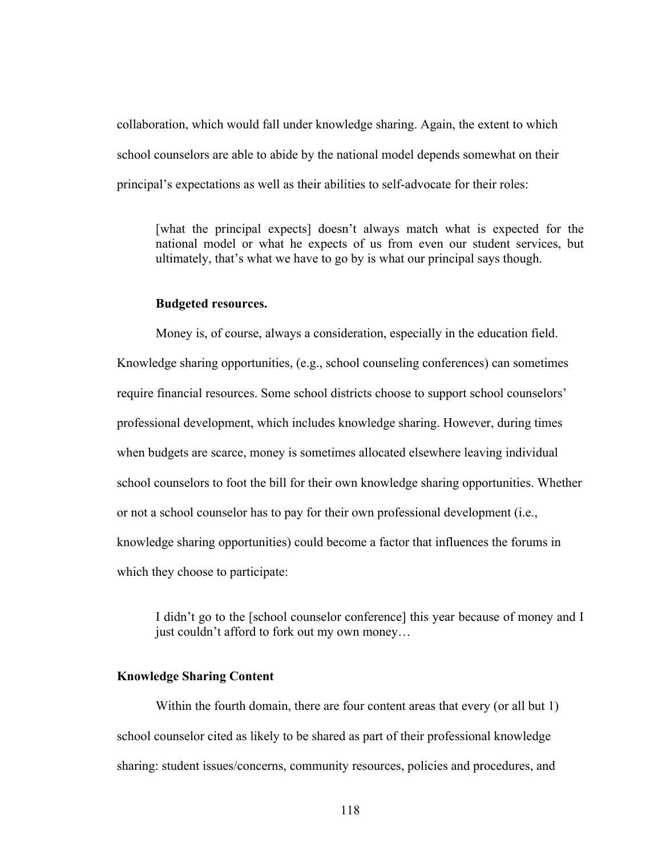collaboration, which would fall under knowledge sharing. Again, the extent to which school counselors are able to abide by the national model depends somewhat on their principal's expectations as well as their abilities to self-advocate for their roles:

[what the principal expects] doesn't always match what is expected for the national model or what he expects of us from even our student services, but ultimately, that's what we have to go by is what our principal says though.

#### **Budgeted resources.**

Money is, of course, always a consideration, especially in the education field. Knowledge sharing opportunities, (e.g., school counseling conferences) can sometimes require financial resources. Some school districts choose to support school counselors' professional development, which includes knowledge sharing. However, during times when budgets are scarce, money is sometimes allocated elsewhere leaving individual school counselors to foot the bill for their own knowledge sharing opportunities. Whether or not a school counselor has to pay for their own professional development (i.e., knowledge sharing opportunities) could become a factor that influences the forums in which they choose to participate:

I didn't go to the [school counselor conference] this year because of money and I just couldn't afford to fork out my own money…

# **Knowledge Sharing Content**

Within the fourth domain, there are four content areas that every (or all but 1) school counselor cited as likely to be shared as part of their professional knowledge sharing: student issues/concerns, community resources, policies and procedures, and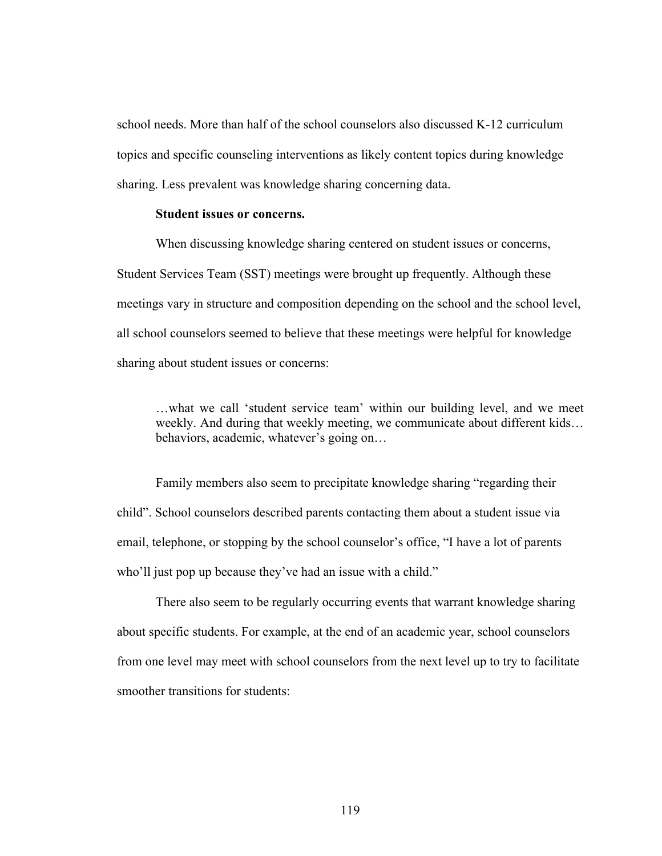school needs. More than half of the school counselors also discussed K-12 curriculum topics and specific counseling interventions as likely content topics during knowledge sharing. Less prevalent was knowledge sharing concerning data.

### **Student issues or concerns.**

When discussing knowledge sharing centered on student issues or concerns, Student Services Team (SST) meetings were brought up frequently. Although these meetings vary in structure and composition depending on the school and the school level, all school counselors seemed to believe that these meetings were helpful for knowledge sharing about student issues or concerns:

…what we call 'student service team' within our building level, and we meet weekly. And during that weekly meeting, we communicate about different kids… behaviors, academic, whatever's going on…

Family members also seem to precipitate knowledge sharing "regarding their child". School counselors described parents contacting them about a student issue via email, telephone, or stopping by the school counselor's office, "I have a lot of parents who'll just pop up because they've had an issue with a child."

There also seem to be regularly occurring events that warrant knowledge sharing about specific students. For example, at the end of an academic year, school counselors from one level may meet with school counselors from the next level up to try to facilitate smoother transitions for students: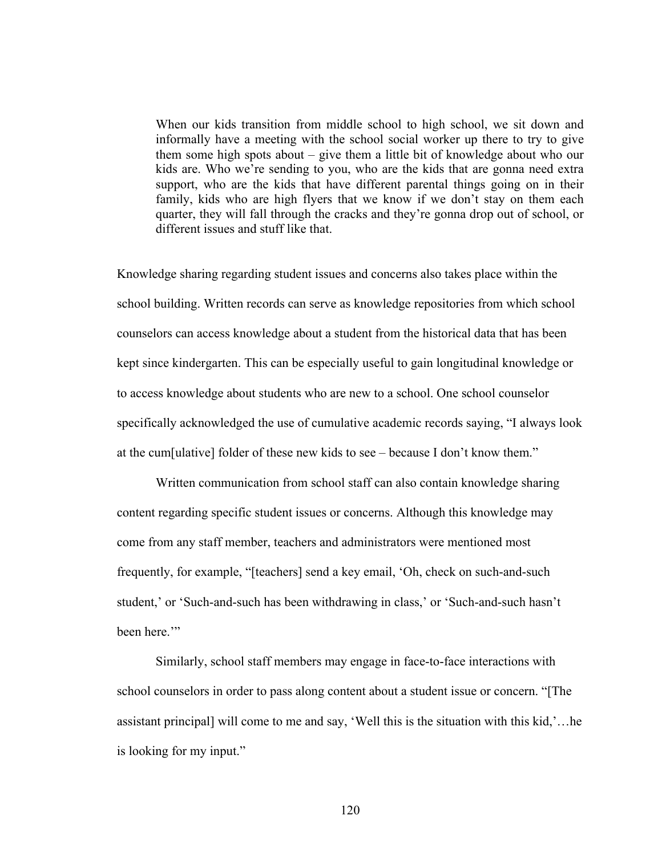When our kids transition from middle school to high school, we sit down and informally have a meeting with the school social worker up there to try to give them some high spots about – give them a little bit of knowledge about who our kids are. Who we're sending to you, who are the kids that are gonna need extra support, who are the kids that have different parental things going on in their family, kids who are high flyers that we know if we don't stay on them each quarter, they will fall through the cracks and they're gonna drop out of school, or different issues and stuff like that.

Knowledge sharing regarding student issues and concerns also takes place within the school building. Written records can serve as knowledge repositories from which school counselors can access knowledge about a student from the historical data that has been kept since kindergarten. This can be especially useful to gain longitudinal knowledge or to access knowledge about students who are new to a school. One school counselor specifically acknowledged the use of cumulative academic records saying, "I always look at the cum[ulative] folder of these new kids to see – because I don't know them."

Written communication from school staff can also contain knowledge sharing content regarding specific student issues or concerns. Although this knowledge may come from any staff member, teachers and administrators were mentioned most frequently, for example, "[teachers] send a key email, 'Oh, check on such-and-such student,' or 'Such-and-such has been withdrawing in class,' or 'Such-and-such hasn't been here.'"

Similarly, school staff members may engage in face-to-face interactions with school counselors in order to pass along content about a student issue or concern. "[The assistant principal] will come to me and say, 'Well this is the situation with this kid,'…he is looking for my input."

120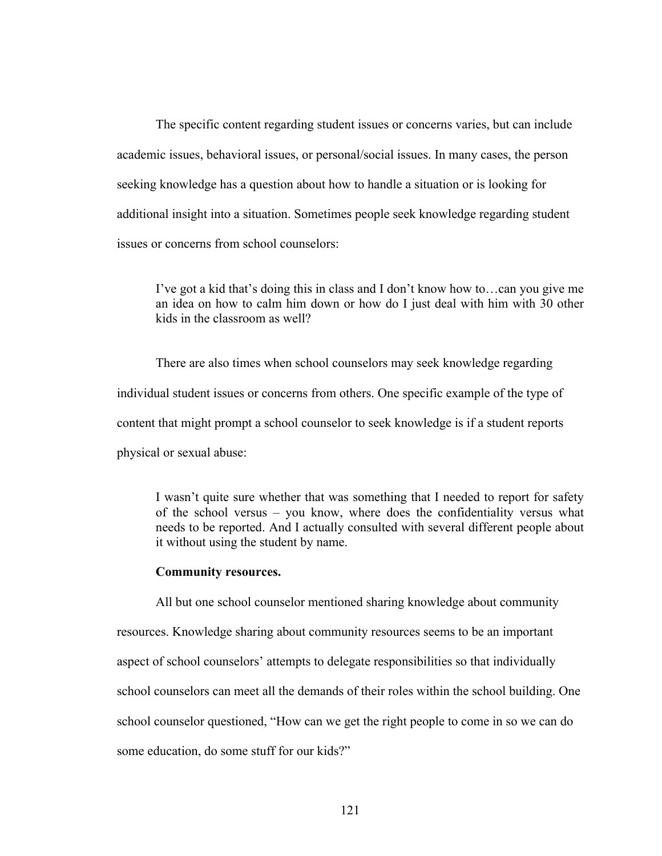The specific content regarding student issues or concerns varies, but can include academic issues, behavioral issues, or personal/social issues. In many cases, the person seeking knowledge has a question about how to handle a situation or is looking for additional insight into a situation. Sometimes people seek knowledge regarding student issues or concerns from school counselors:

I've got a kid that's doing this in class and I don't know how to…can you give me an idea on how to calm him down or how do I just deal with him with 30 other kids in the classroom as well?

There are also times when school counselors may seek knowledge regarding individual student issues or concerns from others. One specific example of the type of content that might prompt a school counselor to seek knowledge is if a student reports physical or sexual abuse:

I wasn't quite sure whether that was something that I needed to report for safety of the school versus – you know, where does the confidentiality versus what needs to be reported. And I actually consulted with several different people about it without using the student by name.

#### **Community resources.**

All but one school counselor mentioned sharing knowledge about community resources. Knowledge sharing about community resources seems to be an important aspect of school counselors' attempts to delegate responsibilities so that individually school counselors can meet all the demands of their roles within the school building. One school counselor questioned, "How can we get the right people to come in so we can do some education, do some stuff for our kids?"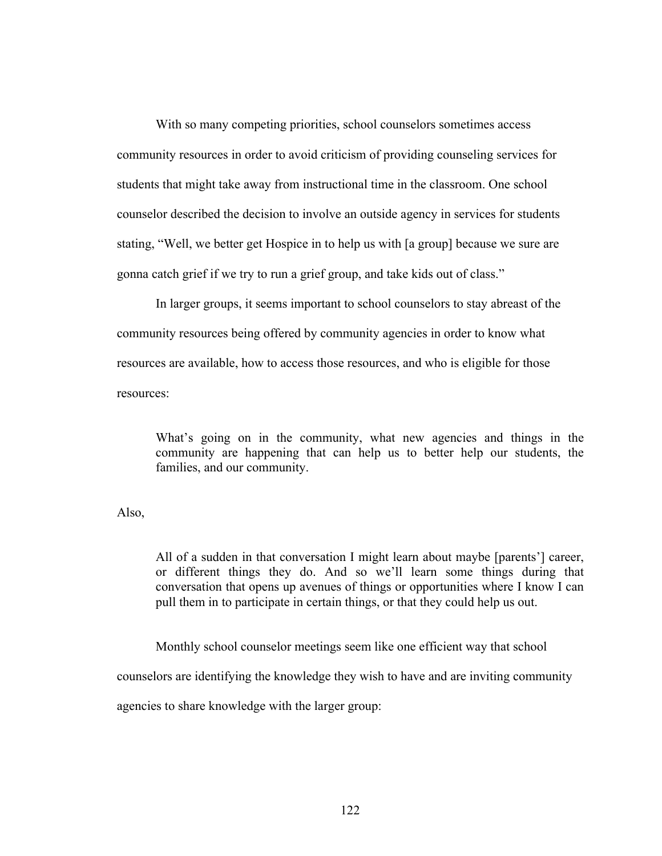With so many competing priorities, school counselors sometimes access community resources in order to avoid criticism of providing counseling services for students that might take away from instructional time in the classroom. One school counselor described the decision to involve an outside agency in services for students stating, "Well, we better get Hospice in to help us with [a group] because we sure are gonna catch grief if we try to run a grief group, and take kids out of class."

In larger groups, it seems important to school counselors to stay abreast of the community resources being offered by community agencies in order to know what resources are available, how to access those resources, and who is eligible for those resources:

What's going on in the community, what new agencies and things in the community are happening that can help us to better help our students, the families, and our community.

Also,

All of a sudden in that conversation I might learn about maybe [parents'] career, or different things they do. And so we'll learn some things during that conversation that opens up avenues of things or opportunities where I know I can pull them in to participate in certain things, or that they could help us out.

Monthly school counselor meetings seem like one efficient way that school

counselors are identifying the knowledge they wish to have and are inviting community

agencies to share knowledge with the larger group: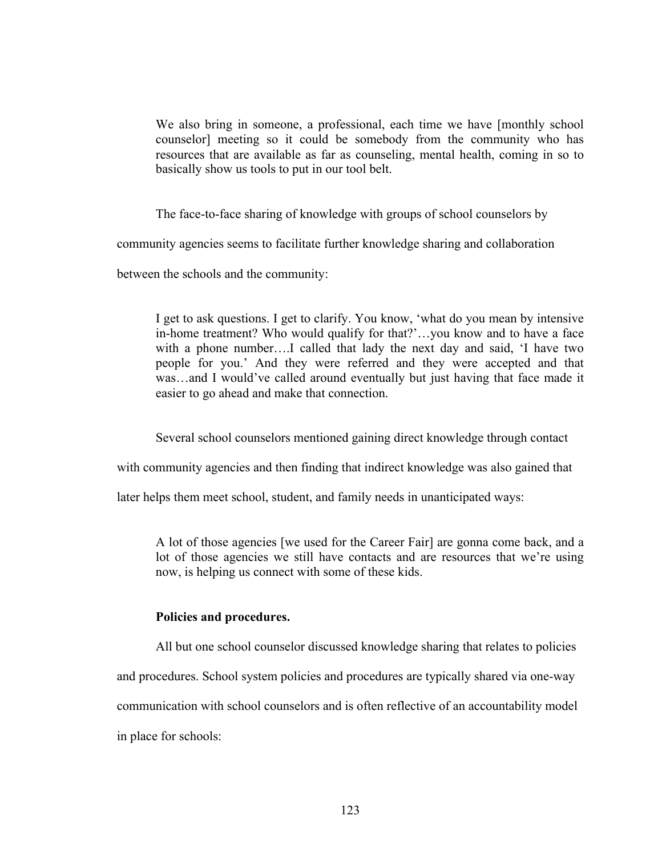We also bring in someone, a professional, each time we have [monthly school counselor] meeting so it could be somebody from the community who has resources that are available as far as counseling, mental health, coming in so to basically show us tools to put in our tool belt.

The face-to-face sharing of knowledge with groups of school counselors by

community agencies seems to facilitate further knowledge sharing and collaboration

between the schools and the community:

I get to ask questions. I get to clarify. You know, 'what do you mean by intensive in-home treatment? Who would qualify for that?'…you know and to have a face with a phone number....I called that lady the next day and said, 'I have two people for you.' And they were referred and they were accepted and that was…and I would've called around eventually but just having that face made it easier to go ahead and make that connection.

Several school counselors mentioned gaining direct knowledge through contact

with community agencies and then finding that indirect knowledge was also gained that

later helps them meet school, student, and family needs in unanticipated ways:

A lot of those agencies [we used for the Career Fair] are gonna come back, and a lot of those agencies we still have contacts and are resources that we're using now, is helping us connect with some of these kids.

### **Policies and procedures.**

All but one school counselor discussed knowledge sharing that relates to policies and procedures. School system policies and procedures are typically shared via one-way communication with school counselors and is often reflective of an accountability model in place for schools: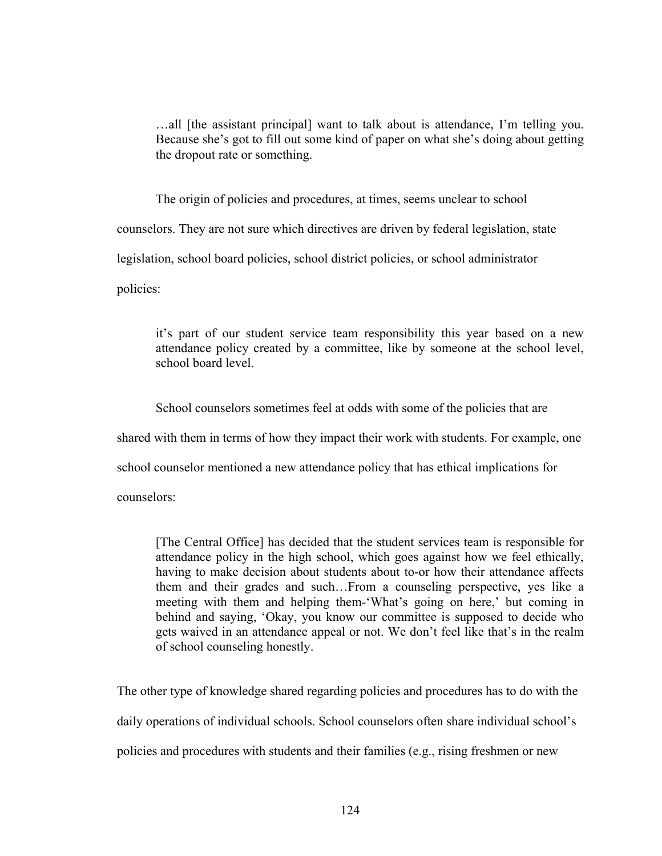…all [the assistant principal] want to talk about is attendance, I'm telling you. Because she's got to fill out some kind of paper on what she's doing about getting the dropout rate or something.

The origin of policies and procedures, at times, seems unclear to school

counselors. They are not sure which directives are driven by federal legislation, state

legislation, school board policies, school district policies, or school administrator

policies:

it's part of our student service team responsibility this year based on a new attendance policy created by a committee, like by someone at the school level, school board level.

School counselors sometimes feel at odds with some of the policies that are

shared with them in terms of how they impact their work with students. For example, one

school counselor mentioned a new attendance policy that has ethical implications for

counselors:

[The Central Office] has decided that the student services team is responsible for attendance policy in the high school, which goes against how we feel ethically, having to make decision about students about to-or how their attendance affects them and their grades and such…From a counseling perspective, yes like a meeting with them and helping them-'What's going on here,' but coming in behind and saying, 'Okay, you know our committee is supposed to decide who gets waived in an attendance appeal or not. We don't feel like that's in the realm of school counseling honestly.

The other type of knowledge shared regarding policies and procedures has to do with the

daily operations of individual schools. School counselors often share individual school's

policies and procedures with students and their families (e.g., rising freshmen or new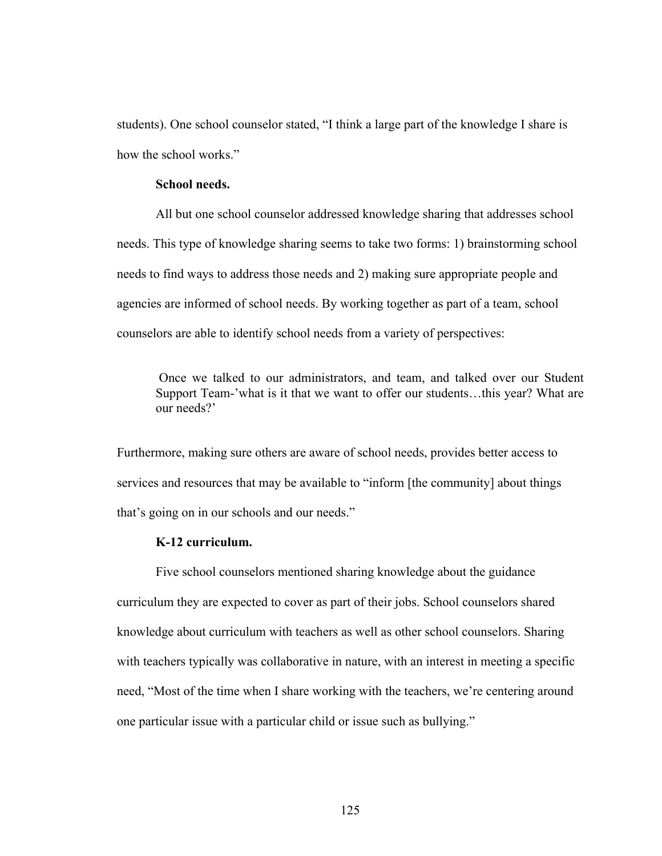students). One school counselor stated, "I think a large part of the knowledge I share is how the school works."

# **School needs.**

All but one school counselor addressed knowledge sharing that addresses school needs. This type of knowledge sharing seems to take two forms: 1) brainstorming school needs to find ways to address those needs and 2) making sure appropriate people and agencies are informed of school needs. By working together as part of a team, school counselors are able to identify school needs from a variety of perspectives:

Once we talked to our administrators, and team, and talked over our Student Support Team-'what is it that we want to offer our students…this year? What are our needs?'

Furthermore, making sure others are aware of school needs, provides better access to services and resources that may be available to "inform [the community] about things that's going on in our schools and our needs."

#### **K-12 curriculum.**

Five school counselors mentioned sharing knowledge about the guidance curriculum they are expected to cover as part of their jobs. School counselors shared knowledge about curriculum with teachers as well as other school counselors. Sharing with teachers typically was collaborative in nature, with an interest in meeting a specific need, "Most of the time when I share working with the teachers, we're centering around one particular issue with a particular child or issue such as bullying."

125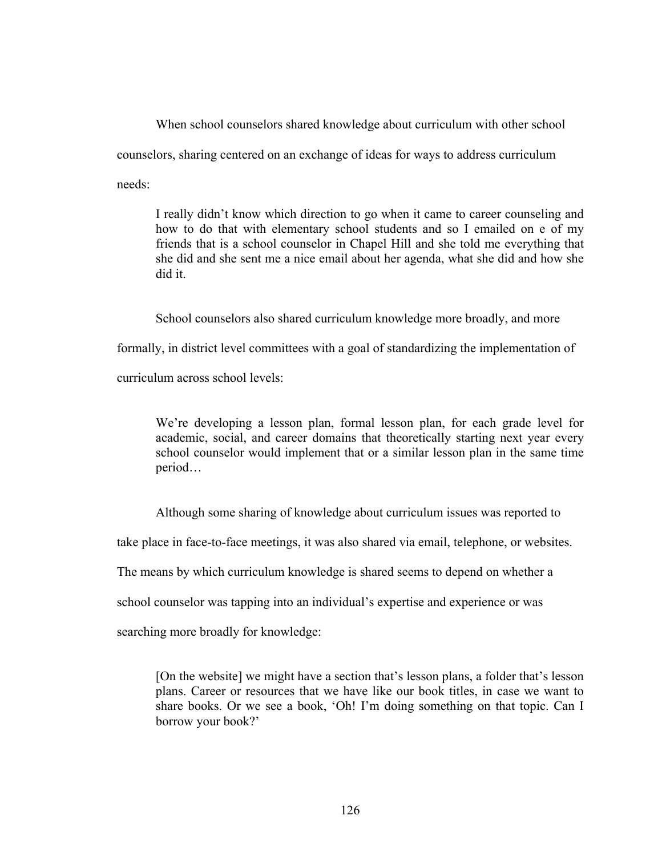When school counselors shared knowledge about curriculum with other school counselors, sharing centered on an exchange of ideas for ways to address curriculum needs:

I really didn't know which direction to go when it came to career counseling and how to do that with elementary school students and so I emailed on e of my friends that is a school counselor in Chapel Hill and she told me everything that she did and she sent me a nice email about her agenda, what she did and how she did it.

School counselors also shared curriculum knowledge more broadly, and more

formally, in district level committees with a goal of standardizing the implementation of

curriculum across school levels:

We're developing a lesson plan, formal lesson plan, for each grade level for academic, social, and career domains that theoretically starting next year every school counselor would implement that or a similar lesson plan in the same time period…

Although some sharing of knowledge about curriculum issues was reported to

take place in face-to-face meetings, it was also shared via email, telephone, or websites.

The means by which curriculum knowledge is shared seems to depend on whether a

school counselor was tapping into an individual's expertise and experience or was

searching more broadly for knowledge:

[On the website] we might have a section that's lesson plans, a folder that's lesson plans. Career or resources that we have like our book titles, in case we want to share books. Or we see a book, 'Oh! I'm doing something on that topic. Can I borrow your book?'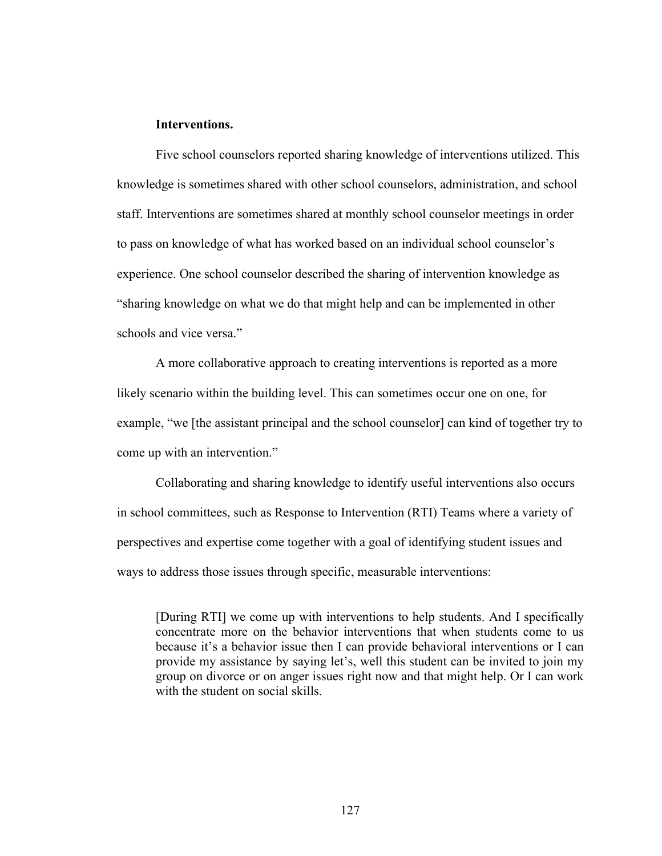## **Interventions.**

Five school counselors reported sharing knowledge of interventions utilized. This knowledge is sometimes shared with other school counselors, administration, and school staff. Interventions are sometimes shared at monthly school counselor meetings in order to pass on knowledge of what has worked based on an individual school counselor's experience. One school counselor described the sharing of intervention knowledge as "sharing knowledge on what we do that might help and can be implemented in other schools and vice versa."

A more collaborative approach to creating interventions is reported as a more likely scenario within the building level. This can sometimes occur one on one, for example, "we [the assistant principal and the school counselor] can kind of together try to come up with an intervention."

Collaborating and sharing knowledge to identify useful interventions also occurs in school committees, such as Response to Intervention (RTI) Teams where a variety of perspectives and expertise come together with a goal of identifying student issues and ways to address those issues through specific, measurable interventions:

[During RTI] we come up with interventions to help students. And I specifically concentrate more on the behavior interventions that when students come to us because it's a behavior issue then I can provide behavioral interventions or I can provide my assistance by saying let's, well this student can be invited to join my group on divorce or on anger issues right now and that might help. Or I can work with the student on social skills.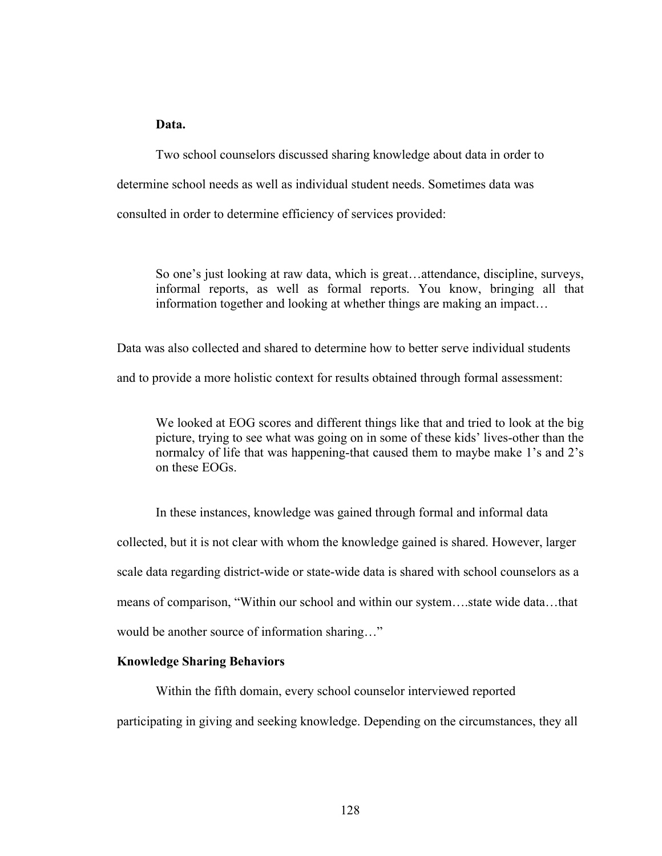# **Data.**

Two school counselors discussed sharing knowledge about data in order to determine school needs as well as individual student needs. Sometimes data was consulted in order to determine efficiency of services provided:

So one's just looking at raw data, which is great…attendance, discipline, surveys, informal reports, as well as formal reports. You know, bringing all that information together and looking at whether things are making an impact…

Data was also collected and shared to determine how to better serve individual students

and to provide a more holistic context for results obtained through formal assessment:

We looked at EOG scores and different things like that and tried to look at the big picture, trying to see what was going on in some of these kids' lives-other than the normalcy of life that was happening-that caused them to maybe make 1's and 2's on these EOGs.

In these instances, knowledge was gained through formal and informal data collected, but it is not clear with whom the knowledge gained is shared. However, larger scale data regarding district-wide or state-wide data is shared with school counselors as a means of comparison, "Within our school and within our system….state wide data…that would be another source of information sharing…"

# **Knowledge Sharing Behaviors**

Within the fifth domain, every school counselor interviewed reported

participating in giving and seeking knowledge. Depending on the circumstances, they all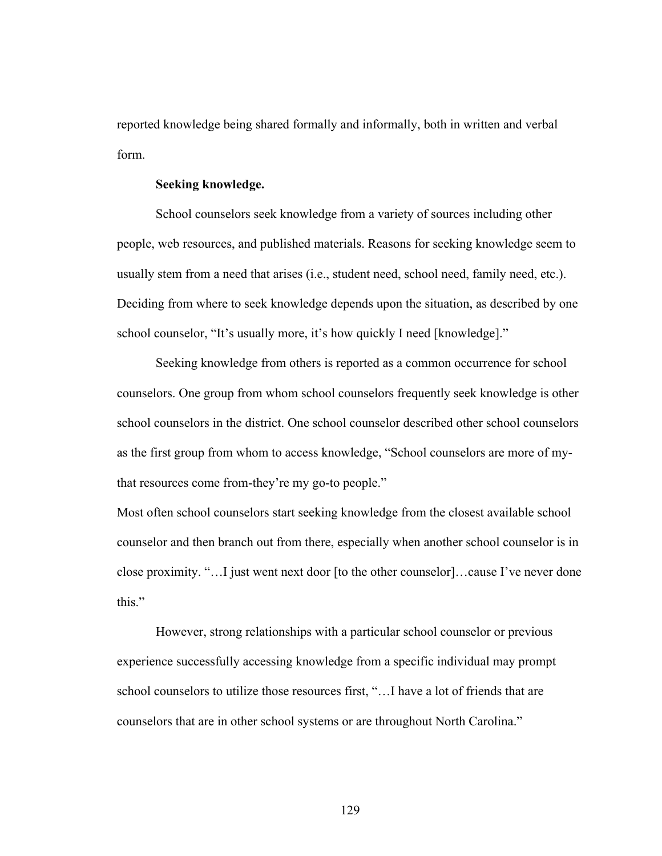reported knowledge being shared formally and informally, both in written and verbal form.

#### **Seeking knowledge.**

School counselors seek knowledge from a variety of sources including other people, web resources, and published materials. Reasons for seeking knowledge seem to usually stem from a need that arises (i.e., student need, school need, family need, etc.). Deciding from where to seek knowledge depends upon the situation, as described by one school counselor, "It's usually more, it's how quickly I need [knowledge]."

Seeking knowledge from others is reported as a common occurrence for school counselors. One group from whom school counselors frequently seek knowledge is other school counselors in the district. One school counselor described other school counselors as the first group from whom to access knowledge, "School counselors are more of mythat resources come from-they're my go-to people."

Most often school counselors start seeking knowledge from the closest available school counselor and then branch out from there, especially when another school counselor is in close proximity. "…I just went next door [to the other counselor]…cause I've never done this."

However, strong relationships with a particular school counselor or previous experience successfully accessing knowledge from a specific individual may prompt school counselors to utilize those resources first, "…I have a lot of friends that are counselors that are in other school systems or are throughout North Carolina."

129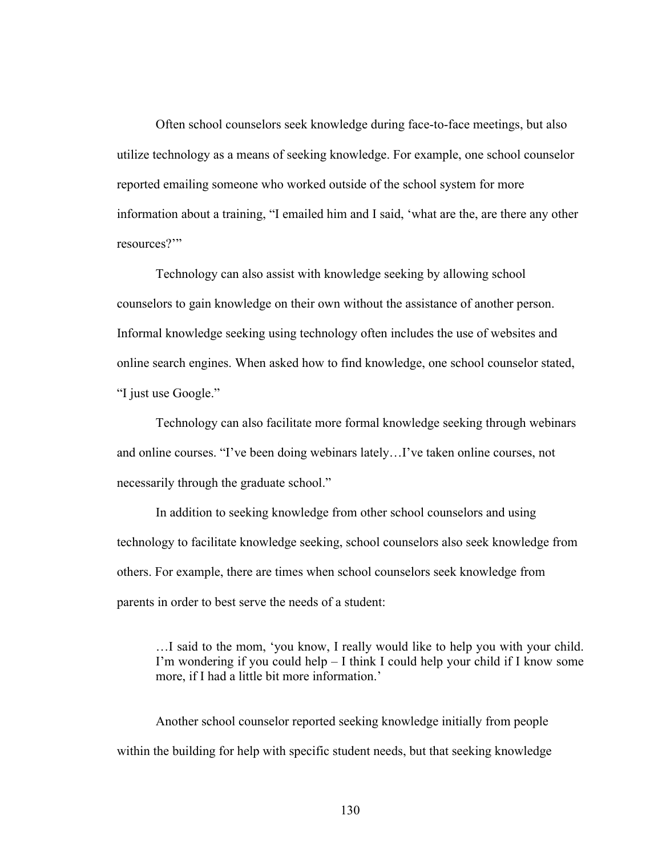Often school counselors seek knowledge during face-to-face meetings, but also utilize technology as a means of seeking knowledge. For example, one school counselor reported emailing someone who worked outside of the school system for more information about a training, "I emailed him and I said, 'what are the, are there any other resources?'"

Technology can also assist with knowledge seeking by allowing school counselors to gain knowledge on their own without the assistance of another person. Informal knowledge seeking using technology often includes the use of websites and online search engines. When asked how to find knowledge, one school counselor stated, "I just use Google."

Technology can also facilitate more formal knowledge seeking through webinars and online courses. "I've been doing webinars lately…I've taken online courses, not necessarily through the graduate school."

In addition to seeking knowledge from other school counselors and using technology to facilitate knowledge seeking, school counselors also seek knowledge from others. For example, there are times when school counselors seek knowledge from parents in order to best serve the needs of a student:

…I said to the mom, 'you know, I really would like to help you with your child. I'm wondering if you could help – I think I could help your child if I know some more, if I had a little bit more information.'

Another school counselor reported seeking knowledge initially from people within the building for help with specific student needs, but that seeking knowledge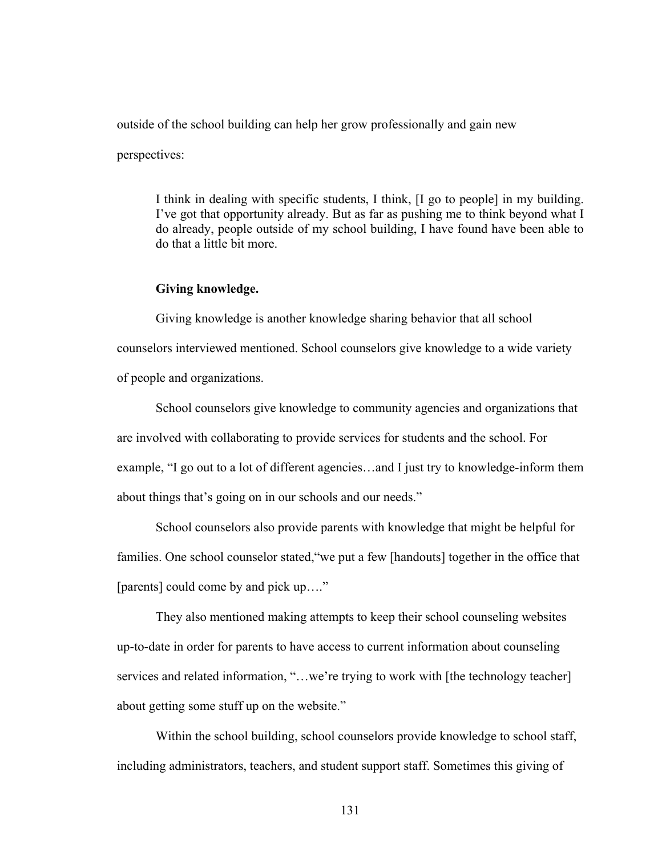outside of the school building can help her grow professionally and gain new

perspectives:

I think in dealing with specific students, I think, [I go to people] in my building. I've got that opportunity already. But as far as pushing me to think beyond what I do already, people outside of my school building, I have found have been able to do that a little bit more.

#### **Giving knowledge.**

Giving knowledge is another knowledge sharing behavior that all school counselors interviewed mentioned. School counselors give knowledge to a wide variety of people and organizations.

School counselors give knowledge to community agencies and organizations that are involved with collaborating to provide services for students and the school. For example, "I go out to a lot of different agencies…and I just try to knowledge-inform them about things that's going on in our schools and our needs."

School counselors also provide parents with knowledge that might be helpful for families. One school counselor stated,"we put a few [handouts] together in the office that [parents] could come by and pick up…."

They also mentioned making attempts to keep their school counseling websites up-to-date in order for parents to have access to current information about counseling services and related information, "...we're trying to work with [the technology teacher] about getting some stuff up on the website."

Within the school building, school counselors provide knowledge to school staff, including administrators, teachers, and student support staff. Sometimes this giving of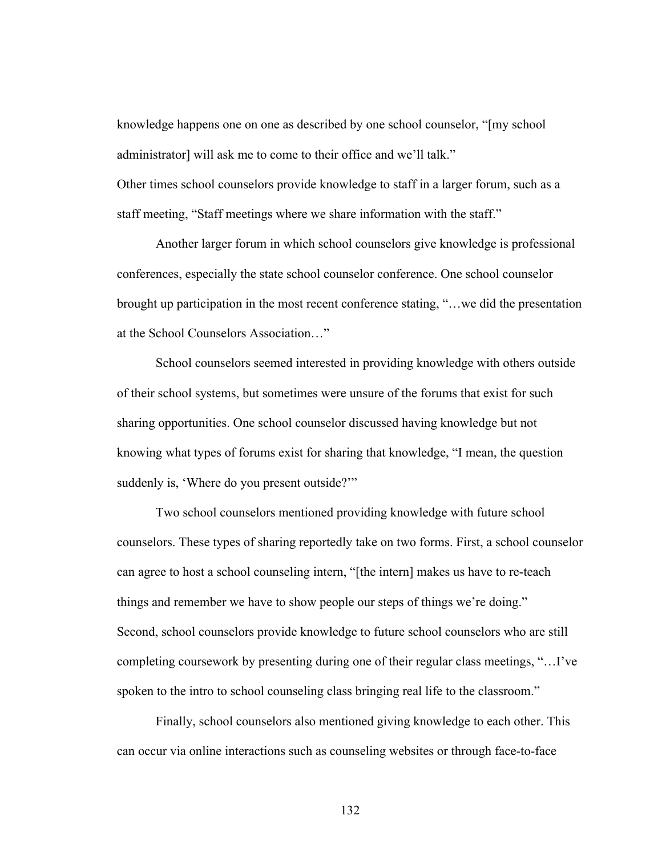knowledge happens one on one as described by one school counselor, "[my school administrator] will ask me to come to their office and we'll talk." Other times school counselors provide knowledge to staff in a larger forum, such as a

staff meeting, "Staff meetings where we share information with the staff."

Another larger forum in which school counselors give knowledge is professional conferences, especially the state school counselor conference. One school counselor brought up participation in the most recent conference stating, "…we did the presentation at the School Counselors Association…"

School counselors seemed interested in providing knowledge with others outside of their school systems, but sometimes were unsure of the forums that exist for such sharing opportunities. One school counselor discussed having knowledge but not knowing what types of forums exist for sharing that knowledge, "I mean, the question suddenly is, 'Where do you present outside?'"

Two school counselors mentioned providing knowledge with future school counselors. These types of sharing reportedly take on two forms. First, a school counselor can agree to host a school counseling intern, "[the intern] makes us have to re-teach things and remember we have to show people our steps of things we're doing." Second, school counselors provide knowledge to future school counselors who are still completing coursework by presenting during one of their regular class meetings, "…I've spoken to the intro to school counseling class bringing real life to the classroom."

Finally, school counselors also mentioned giving knowledge to each other. This can occur via online interactions such as counseling websites or through face-to-face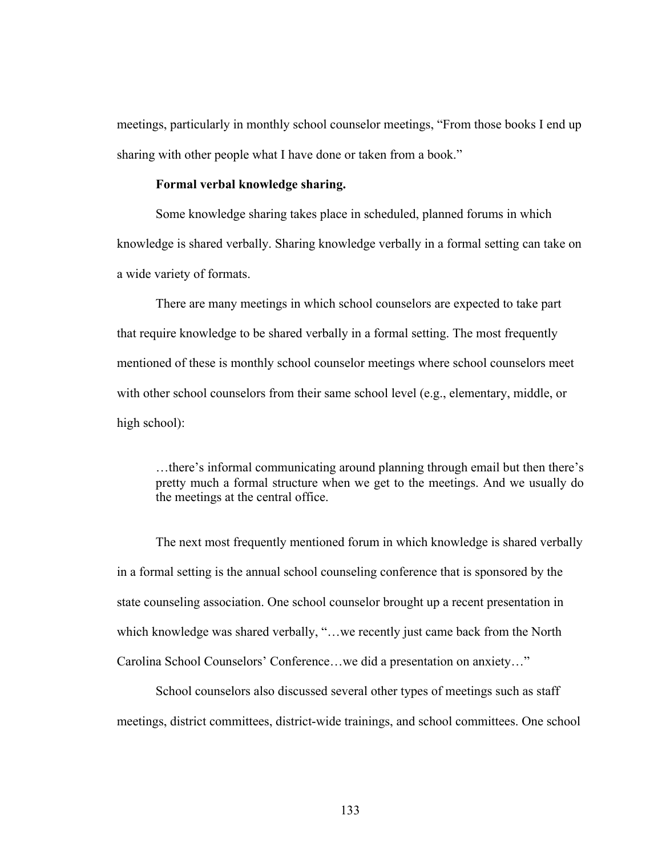meetings, particularly in monthly school counselor meetings, "From those books I end up sharing with other people what I have done or taken from a book."

## **Formal verbal knowledge sharing.**

Some knowledge sharing takes place in scheduled, planned forums in which knowledge is shared verbally. Sharing knowledge verbally in a formal setting can take on a wide variety of formats.

There are many meetings in which school counselors are expected to take part that require knowledge to be shared verbally in a formal setting. The most frequently mentioned of these is monthly school counselor meetings where school counselors meet with other school counselors from their same school level (e.g., elementary, middle, or high school):

…there's informal communicating around planning through email but then there's pretty much a formal structure when we get to the meetings. And we usually do the meetings at the central office.

The next most frequently mentioned forum in which knowledge is shared verbally in a formal setting is the annual school counseling conference that is sponsored by the state counseling association. One school counselor brought up a recent presentation in which knowledge was shared verbally, "…we recently just came back from the North Carolina School Counselors' Conference…we did a presentation on anxiety…"

School counselors also discussed several other types of meetings such as staff meetings, district committees, district-wide trainings, and school committees. One school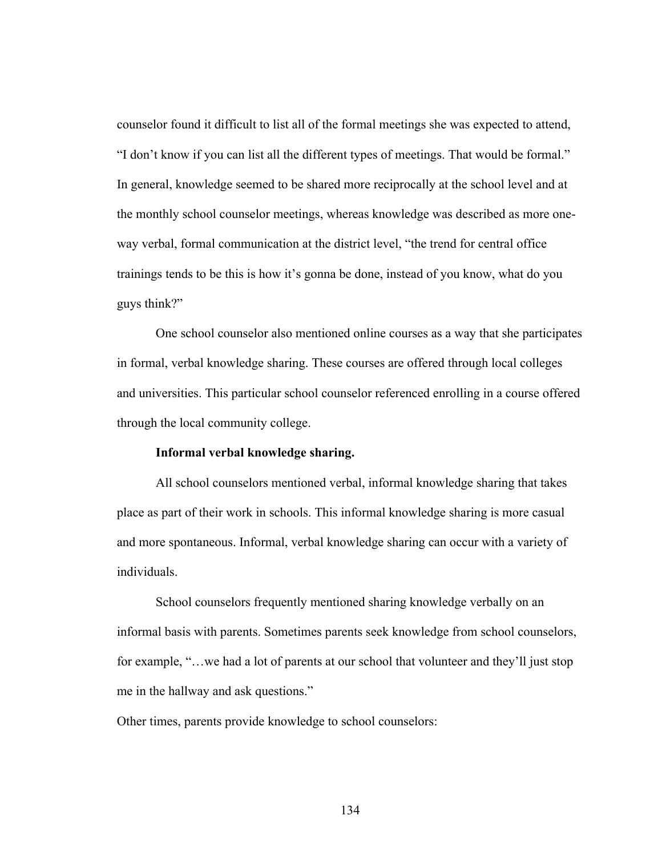counselor found it difficult to list all of the formal meetings she was expected to attend, "I don't know if you can list all the different types of meetings. That would be formal." In general, knowledge seemed to be shared more reciprocally at the school level and at the monthly school counselor meetings, whereas knowledge was described as more oneway verbal, formal communication at the district level, "the trend for central office trainings tends to be this is how it's gonna be done, instead of you know, what do you guys think?"

One school counselor also mentioned online courses as a way that she participates in formal, verbal knowledge sharing. These courses are offered through local colleges and universities. This particular school counselor referenced enrolling in a course offered through the local community college.

## **Informal verbal knowledge sharing.**

All school counselors mentioned verbal, informal knowledge sharing that takes place as part of their work in schools. This informal knowledge sharing is more casual and more spontaneous. Informal, verbal knowledge sharing can occur with a variety of individuals.

School counselors frequently mentioned sharing knowledge verbally on an informal basis with parents. Sometimes parents seek knowledge from school counselors, for example, "... we had a lot of parents at our school that volunteer and they'll just stop me in the hallway and ask questions."

Other times, parents provide knowledge to school counselors: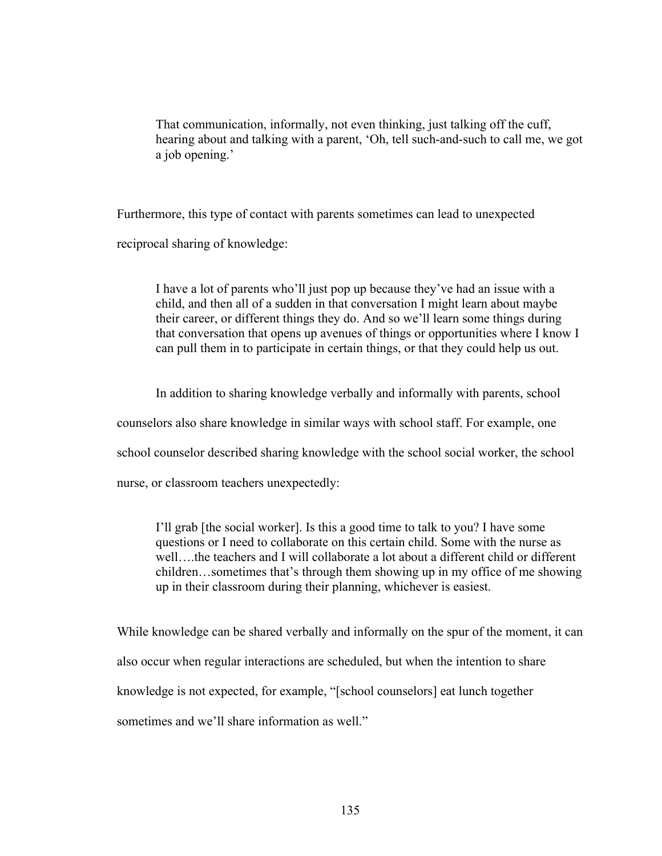That communication, informally, not even thinking, just talking off the cuff, hearing about and talking with a parent, 'Oh, tell such-and-such to call me, we got a job opening.'

Furthermore, this type of contact with parents sometimes can lead to unexpected

reciprocal sharing of knowledge:

I have a lot of parents who'll just pop up because they've had an issue with a child, and then all of a sudden in that conversation I might learn about maybe their career, or different things they do. And so we'll learn some things during that conversation that opens up avenues of things or opportunities where I know I can pull them in to participate in certain things, or that they could help us out.

In addition to sharing knowledge verbally and informally with parents, school

counselors also share knowledge in similar ways with school staff. For example, one

school counselor described sharing knowledge with the school social worker, the school

nurse, or classroom teachers unexpectedly:

I'll grab [the social worker]. Is this a good time to talk to you? I have some questions or I need to collaborate on this certain child. Some with the nurse as well….the teachers and I will collaborate a lot about a different child or different children…sometimes that's through them showing up in my office of me showing up in their classroom during their planning, whichever is easiest.

While knowledge can be shared verbally and informally on the spur of the moment, it can also occur when regular interactions are scheduled, but when the intention to share knowledge is not expected, for example, "[school counselors] eat lunch together sometimes and we'll share information as well."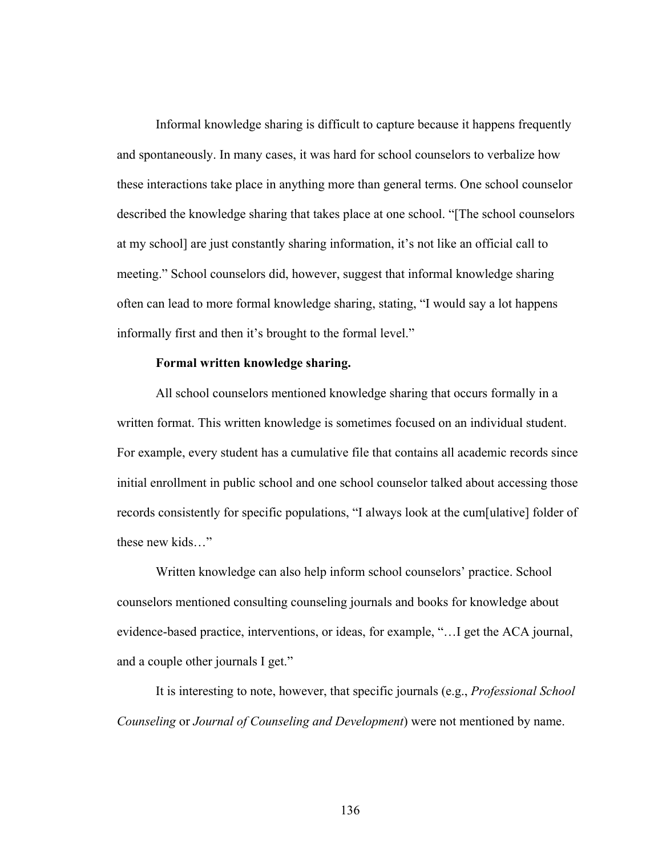Informal knowledge sharing is difficult to capture because it happens frequently and spontaneously. In many cases, it was hard for school counselors to verbalize how these interactions take place in anything more than general terms. One school counselor described the knowledge sharing that takes place at one school. "[The school counselors at my school] are just constantly sharing information, it's not like an official call to meeting." School counselors did, however, suggest that informal knowledge sharing often can lead to more formal knowledge sharing, stating, "I would say a lot happens informally first and then it's brought to the formal level."

#### **Formal written knowledge sharing.**

All school counselors mentioned knowledge sharing that occurs formally in a written format. This written knowledge is sometimes focused on an individual student. For example, every student has a cumulative file that contains all academic records since initial enrollment in public school and one school counselor talked about accessing those records consistently for specific populations, "I always look at the cum[ulative] folder of these new kids…"

Written knowledge can also help inform school counselors' practice. School counselors mentioned consulting counseling journals and books for knowledge about evidence-based practice, interventions, or ideas, for example, "…I get the ACA journal, and a couple other journals I get."

It is interesting to note, however, that specific journals (e.g., *Professional School Counseling* or *Journal of Counseling and Development*) were not mentioned by name.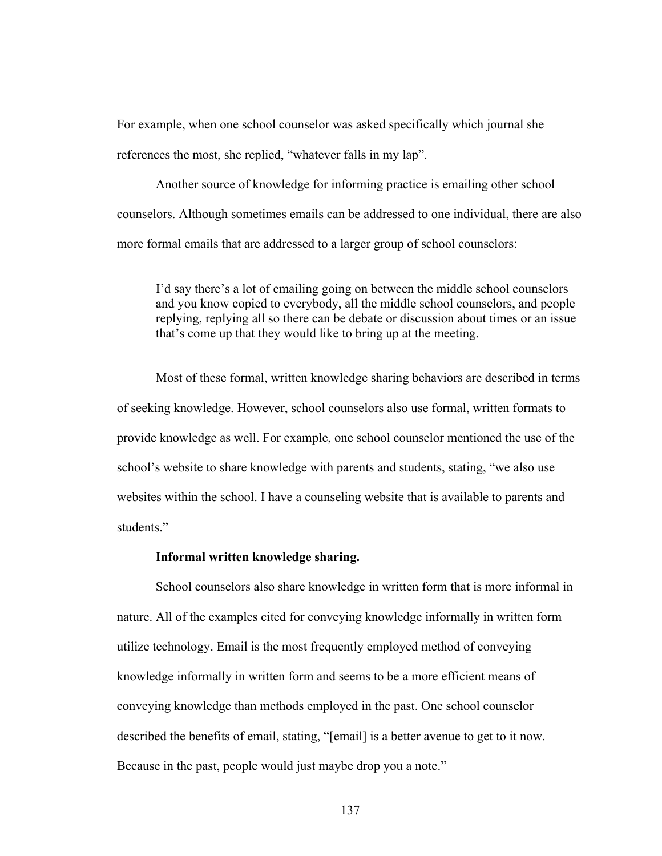For example, when one school counselor was asked specifically which journal she references the most, she replied, "whatever falls in my lap".

Another source of knowledge for informing practice is emailing other school counselors. Although sometimes emails can be addressed to one individual, there are also more formal emails that are addressed to a larger group of school counselors:

I'd say there's a lot of emailing going on between the middle school counselors and you know copied to everybody, all the middle school counselors, and people replying, replying all so there can be debate or discussion about times or an issue that's come up that they would like to bring up at the meeting.

Most of these formal, written knowledge sharing behaviors are described in terms of seeking knowledge. However, school counselors also use formal, written formats to provide knowledge as well. For example, one school counselor mentioned the use of the school's website to share knowledge with parents and students, stating, "we also use websites within the school. I have a counseling website that is available to parents and students."

#### **Informal written knowledge sharing.**

School counselors also share knowledge in written form that is more informal in nature. All of the examples cited for conveying knowledge informally in written form utilize technology. Email is the most frequently employed method of conveying knowledge informally in written form and seems to be a more efficient means of conveying knowledge than methods employed in the past. One school counselor described the benefits of email, stating, "[email] is a better avenue to get to it now. Because in the past, people would just maybe drop you a note."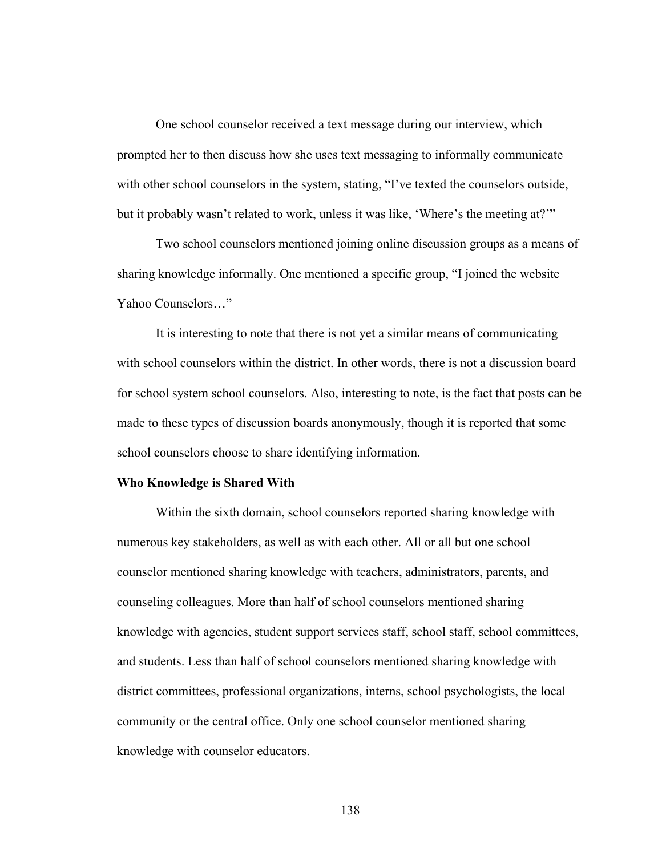One school counselor received a text message during our interview, which prompted her to then discuss how she uses text messaging to informally communicate with other school counselors in the system, stating, "I've texted the counselors outside, but it probably wasn't related to work, unless it was like, 'Where's the meeting at?'"

Two school counselors mentioned joining online discussion groups as a means of sharing knowledge informally. One mentioned a specific group, "I joined the website Yahoo Counselors…"

It is interesting to note that there is not yet a similar means of communicating with school counselors within the district. In other words, there is not a discussion board for school system school counselors. Also, interesting to note, is the fact that posts can be made to these types of discussion boards anonymously, though it is reported that some school counselors choose to share identifying information.

#### **Who Knowledge is Shared With**

Within the sixth domain, school counselors reported sharing knowledge with numerous key stakeholders, as well as with each other. All or all but one school counselor mentioned sharing knowledge with teachers, administrators, parents, and counseling colleagues. More than half of school counselors mentioned sharing knowledge with agencies, student support services staff, school staff, school committees, and students. Less than half of school counselors mentioned sharing knowledge with district committees, professional organizations, interns, school psychologists, the local community or the central office. Only one school counselor mentioned sharing knowledge with counselor educators.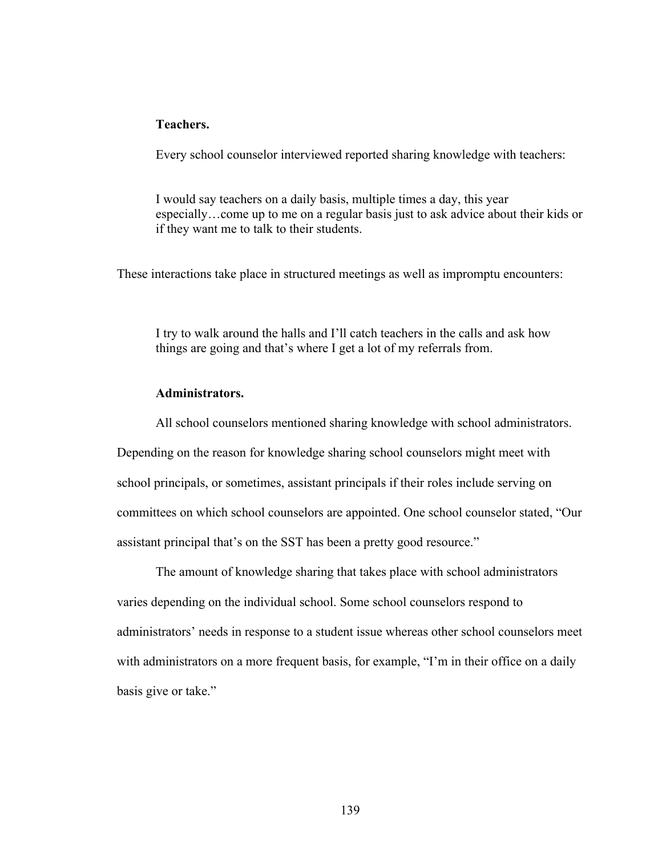## **Teachers.**

Every school counselor interviewed reported sharing knowledge with teachers:

I would say teachers on a daily basis, multiple times a day, this year especially…come up to me on a regular basis just to ask advice about their kids or if they want me to talk to their students.

These interactions take place in structured meetings as well as impromptu encounters:

I try to walk around the halls and I'll catch teachers in the calls and ask how things are going and that's where I get a lot of my referrals from.

# **Administrators.**

All school counselors mentioned sharing knowledge with school administrators.

Depending on the reason for knowledge sharing school counselors might meet with school principals, or sometimes, assistant principals if their roles include serving on committees on which school counselors are appointed. One school counselor stated, "Our assistant principal that's on the SST has been a pretty good resource."

The amount of knowledge sharing that takes place with school administrators varies depending on the individual school. Some school counselors respond to administrators' needs in response to a student issue whereas other school counselors meet with administrators on a more frequent basis, for example, "I'm in their office on a daily basis give or take."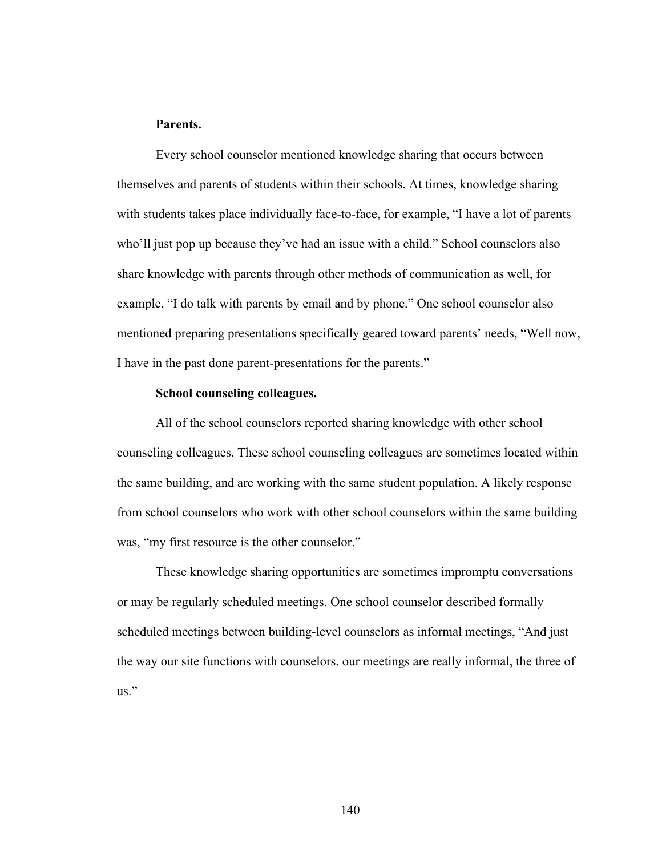## **Parents.**

Every school counselor mentioned knowledge sharing that occurs between themselves and parents of students within their schools. At times, knowledge sharing with students takes place individually face-to-face, for example, "I have a lot of parents who'll just pop up because they've had an issue with a child." School counselors also share knowledge with parents through other methods of communication as well, for example, "I do talk with parents by email and by phone." One school counselor also mentioned preparing presentations specifically geared toward parents' needs, "Well now, I have in the past done parent-presentations for the parents."

#### **School counseling colleagues.**

All of the school counselors reported sharing knowledge with other school counseling colleagues. These school counseling colleagues are sometimes located within the same building, and are working with the same student population. A likely response from school counselors who work with other school counselors within the same building was, "my first resource is the other counselor."

These knowledge sharing opportunities are sometimes impromptu conversations or may be regularly scheduled meetings. One school counselor described formally scheduled meetings between building-level counselors as informal meetings, "And just the way our site functions with counselors, our meetings are really informal, the three of us."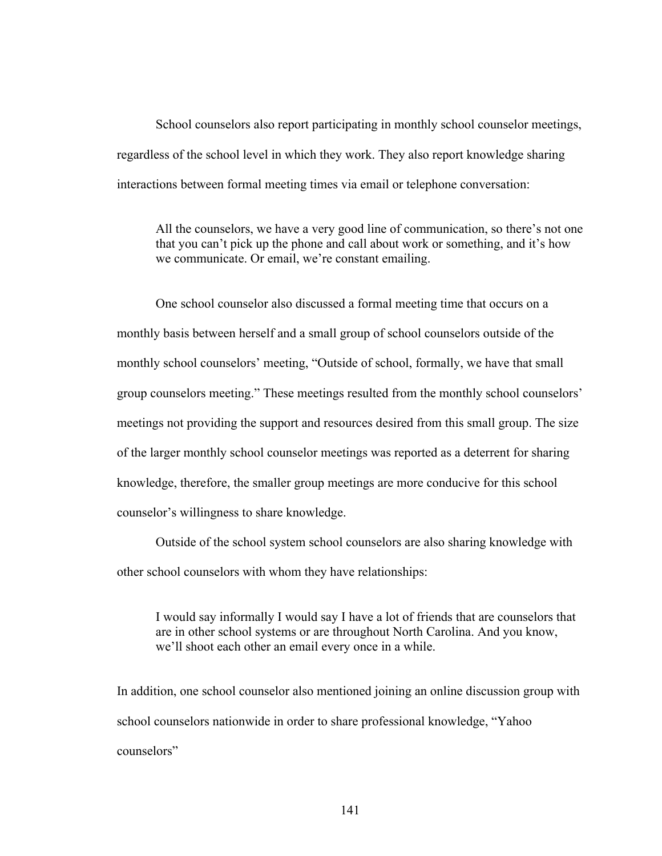School counselors also report participating in monthly school counselor meetings, regardless of the school level in which they work. They also report knowledge sharing interactions between formal meeting times via email or telephone conversation:

All the counselors, we have a very good line of communication, so there's not one that you can't pick up the phone and call about work or something, and it's how we communicate. Or email, we're constant emailing.

One school counselor also discussed a formal meeting time that occurs on a monthly basis between herself and a small group of school counselors outside of the monthly school counselors' meeting, "Outside of school, formally, we have that small group counselors meeting." These meetings resulted from the monthly school counselors' meetings not providing the support and resources desired from this small group. The size of the larger monthly school counselor meetings was reported as a deterrent for sharing knowledge, therefore, the smaller group meetings are more conducive for this school counselor's willingness to share knowledge.

Outside of the school system school counselors are also sharing knowledge with other school counselors with whom they have relationships:

I would say informally I would say I have a lot of friends that are counselors that are in other school systems or are throughout North Carolina. And you know, we'll shoot each other an email every once in a while.

In addition, one school counselor also mentioned joining an online discussion group with school counselors nationwide in order to share professional knowledge, "Yahoo counselors"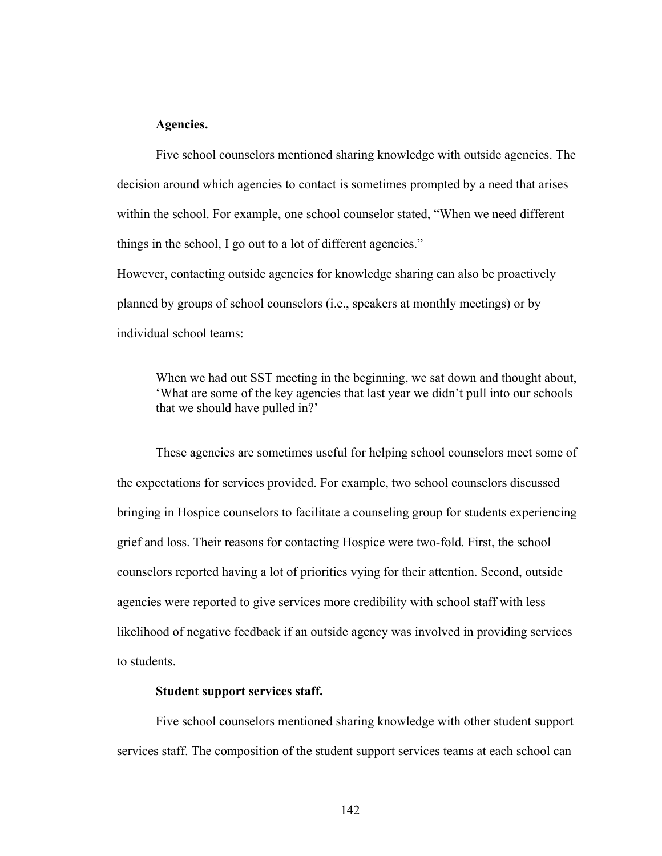#### **Agencies.**

Five school counselors mentioned sharing knowledge with outside agencies. The decision around which agencies to contact is sometimes prompted by a need that arises within the school. For example, one school counselor stated, "When we need different things in the school, I go out to a lot of different agencies."

However, contacting outside agencies for knowledge sharing can also be proactively planned by groups of school counselors (i.e., speakers at monthly meetings) or by individual school teams:

When we had out SST meeting in the beginning, we sat down and thought about, 'What are some of the key agencies that last year we didn't pull into our schools that we should have pulled in?'

These agencies are sometimes useful for helping school counselors meet some of the expectations for services provided. For example, two school counselors discussed bringing in Hospice counselors to facilitate a counseling group for students experiencing grief and loss. Their reasons for contacting Hospice were two-fold. First, the school counselors reported having a lot of priorities vying for their attention. Second, outside agencies were reported to give services more credibility with school staff with less likelihood of negative feedback if an outside agency was involved in providing services to students.

## **Student support services staff.**

Five school counselors mentioned sharing knowledge with other student support services staff. The composition of the student support services teams at each school can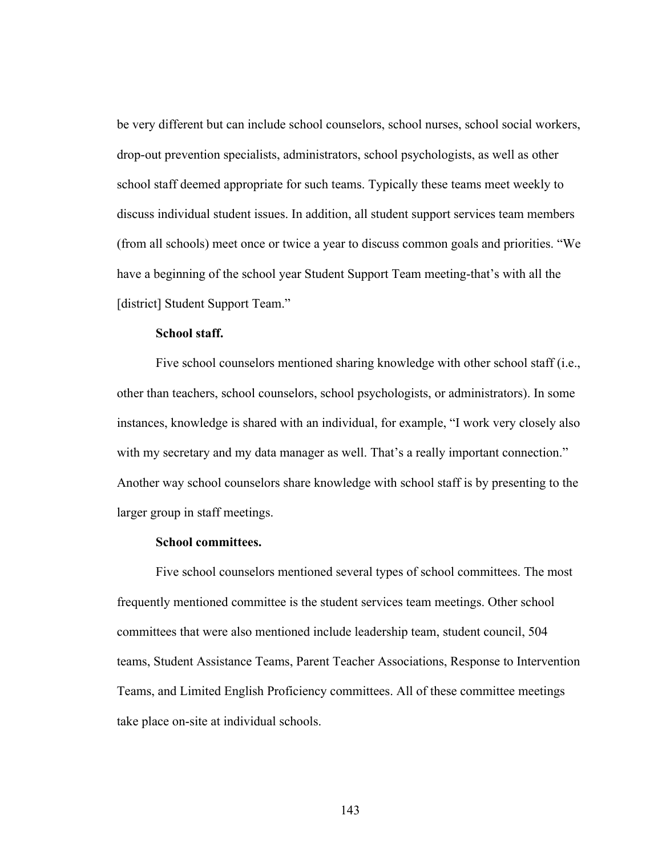be very different but can include school counselors, school nurses, school social workers, drop-out prevention specialists, administrators, school psychologists, as well as other school staff deemed appropriate for such teams. Typically these teams meet weekly to discuss individual student issues. In addition, all student support services team members (from all schools) meet once or twice a year to discuss common goals and priorities. "We have a beginning of the school year Student Support Team meeting-that's with all the [district] Student Support Team."

## **School staff.**

Five school counselors mentioned sharing knowledge with other school staff (i.e., other than teachers, school counselors, school psychologists, or administrators). In some instances, knowledge is shared with an individual, for example, "I work very closely also with my secretary and my data manager as well. That's a really important connection." Another way school counselors share knowledge with school staff is by presenting to the larger group in staff meetings.

## **School committees.**

Five school counselors mentioned several types of school committees. The most frequently mentioned committee is the student services team meetings. Other school committees that were also mentioned include leadership team, student council, 504 teams, Student Assistance Teams, Parent Teacher Associations, Response to Intervention Teams, and Limited English Proficiency committees. All of these committee meetings take place on-site at individual schools.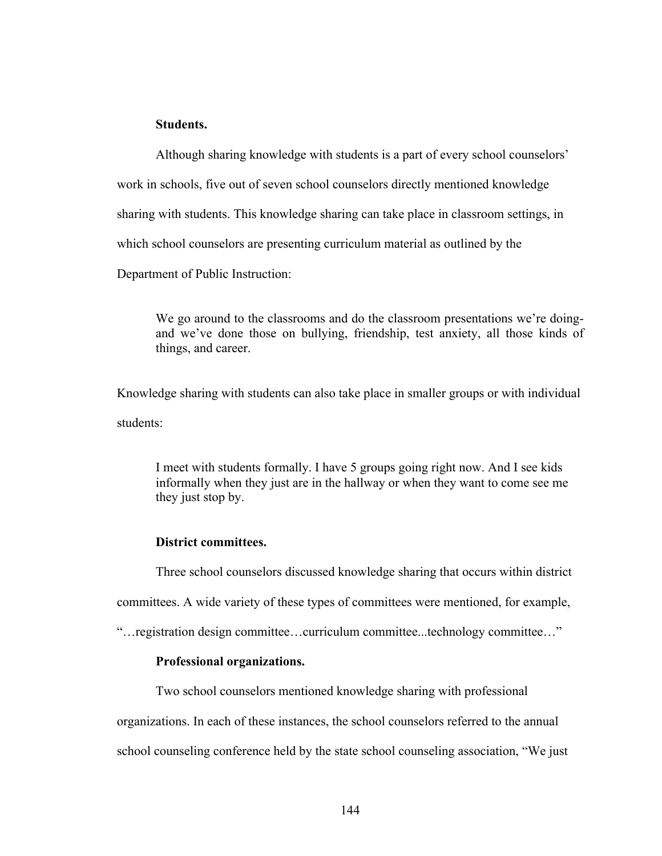## **Students.**

Although sharing knowledge with students is a part of every school counselors' work in schools, five out of seven school counselors directly mentioned knowledge sharing with students. This knowledge sharing can take place in classroom settings, in which school counselors are presenting curriculum material as outlined by the Department of Public Instruction:

We go around to the classrooms and do the classroom presentations we're doingand we've done those on bullying, friendship, test anxiety, all those kinds of things, and career.

Knowledge sharing with students can also take place in smaller groups or with individual students:

I meet with students formally. I have 5 groups going right now. And I see kids informally when they just are in the hallway or when they want to come see me they just stop by.

## **District committees.**

Three school counselors discussed knowledge sharing that occurs within district

committees. A wide variety of these types of committees were mentioned, for example,

"…registration design committee…curriculum committee...technology committee…"

## **Professional organizations.**

Two school counselors mentioned knowledge sharing with professional

organizations. In each of these instances, the school counselors referred to the annual

school counseling conference held by the state school counseling association, "We just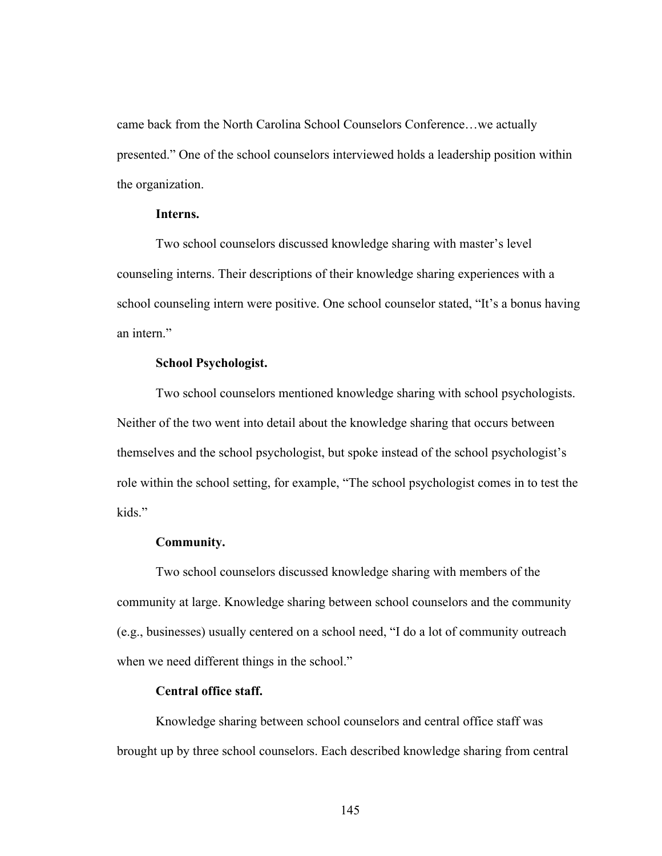came back from the North Carolina School Counselors Conference…we actually presented." One of the school counselors interviewed holds a leadership position within the organization.

## **Interns.**

Two school counselors discussed knowledge sharing with master's level counseling interns. Their descriptions of their knowledge sharing experiences with a school counseling intern were positive. One school counselor stated, "It's a bonus having an intern."

## **School Psychologist.**

Two school counselors mentioned knowledge sharing with school psychologists. Neither of the two went into detail about the knowledge sharing that occurs between themselves and the school psychologist, but spoke instead of the school psychologist's role within the school setting, for example, "The school psychologist comes in to test the kids."

## **Community.**

Two school counselors discussed knowledge sharing with members of the community at large. Knowledge sharing between school counselors and the community (e.g., businesses) usually centered on a school need, "I do a lot of community outreach when we need different things in the school."

## **Central office staff.**

Knowledge sharing between school counselors and central office staff was brought up by three school counselors. Each described knowledge sharing from central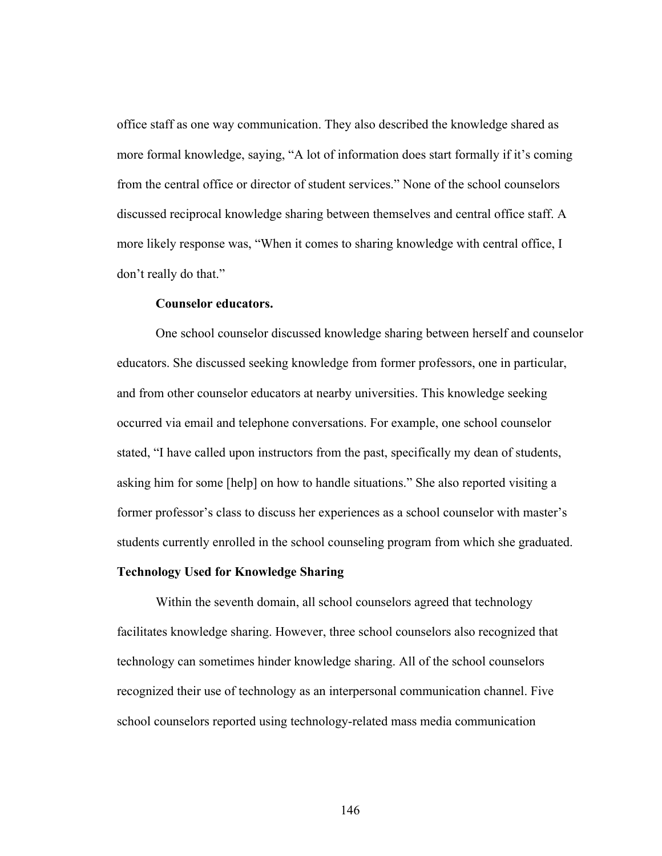office staff as one way communication. They also described the knowledge shared as more formal knowledge, saying, "A lot of information does start formally if it's coming from the central office or director of student services." None of the school counselors discussed reciprocal knowledge sharing between themselves and central office staff. A more likely response was, "When it comes to sharing knowledge with central office, I don't really do that."

## **Counselor educators.**

One school counselor discussed knowledge sharing between herself and counselor educators. She discussed seeking knowledge from former professors, one in particular, and from other counselor educators at nearby universities. This knowledge seeking occurred via email and telephone conversations. For example, one school counselor stated, "I have called upon instructors from the past, specifically my dean of students, asking him for some [help] on how to handle situations." She also reported visiting a former professor's class to discuss her experiences as a school counselor with master's students currently enrolled in the school counseling program from which she graduated.

## **Technology Used for Knowledge Sharing**

Within the seventh domain, all school counselors agreed that technology facilitates knowledge sharing. However, three school counselors also recognized that technology can sometimes hinder knowledge sharing. All of the school counselors recognized their use of technology as an interpersonal communication channel. Five school counselors reported using technology-related mass media communication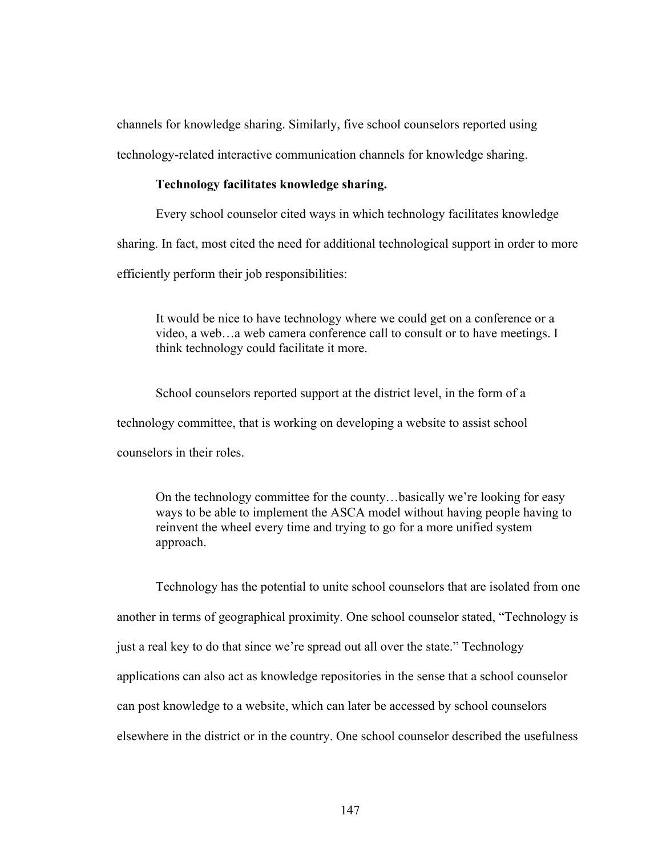channels for knowledge sharing. Similarly, five school counselors reported using technology-related interactive communication channels for knowledge sharing.

#### **Technology facilitates knowledge sharing.**

Every school counselor cited ways in which technology facilitates knowledge sharing. In fact, most cited the need for additional technological support in order to more efficiently perform their job responsibilities:

It would be nice to have technology where we could get on a conference or a video, a web…a web camera conference call to consult or to have meetings. I think technology could facilitate it more.

School counselors reported support at the district level, in the form of a technology committee, that is working on developing a website to assist school counselors in their roles.

On the technology committee for the county…basically we're looking for easy ways to be able to implement the ASCA model without having people having to reinvent the wheel every time and trying to go for a more unified system approach.

Technology has the potential to unite school counselors that are isolated from one another in terms of geographical proximity. One school counselor stated, "Technology is just a real key to do that since we're spread out all over the state." Technology applications can also act as knowledge repositories in the sense that a school counselor can post knowledge to a website, which can later be accessed by school counselors elsewhere in the district or in the country. One school counselor described the usefulness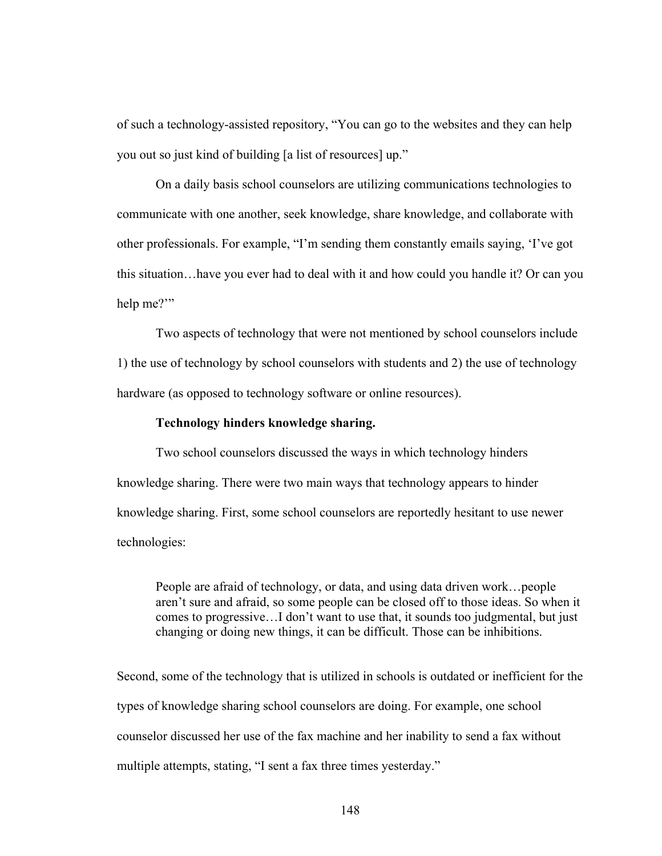of such a technology-assisted repository, "You can go to the websites and they can help you out so just kind of building [a list of resources] up."

On a daily basis school counselors are utilizing communications technologies to communicate with one another, seek knowledge, share knowledge, and collaborate with other professionals. For example, "I'm sending them constantly emails saying, 'I've got this situation…have you ever had to deal with it and how could you handle it? Or can you help me?"

Two aspects of technology that were not mentioned by school counselors include 1) the use of technology by school counselors with students and 2) the use of technology hardware (as opposed to technology software or online resources).

## **Technology hinders knowledge sharing.**

Two school counselors discussed the ways in which technology hinders knowledge sharing. There were two main ways that technology appears to hinder knowledge sharing. First, some school counselors are reportedly hesitant to use newer technologies:

People are afraid of technology, or data, and using data driven work…people aren't sure and afraid, so some people can be closed off to those ideas. So when it comes to progressive…I don't want to use that, it sounds too judgmental, but just changing or doing new things, it can be difficult. Those can be inhibitions.

Second, some of the technology that is utilized in schools is outdated or inefficient for the types of knowledge sharing school counselors are doing. For example, one school counselor discussed her use of the fax machine and her inability to send a fax without multiple attempts, stating, "I sent a fax three times yesterday."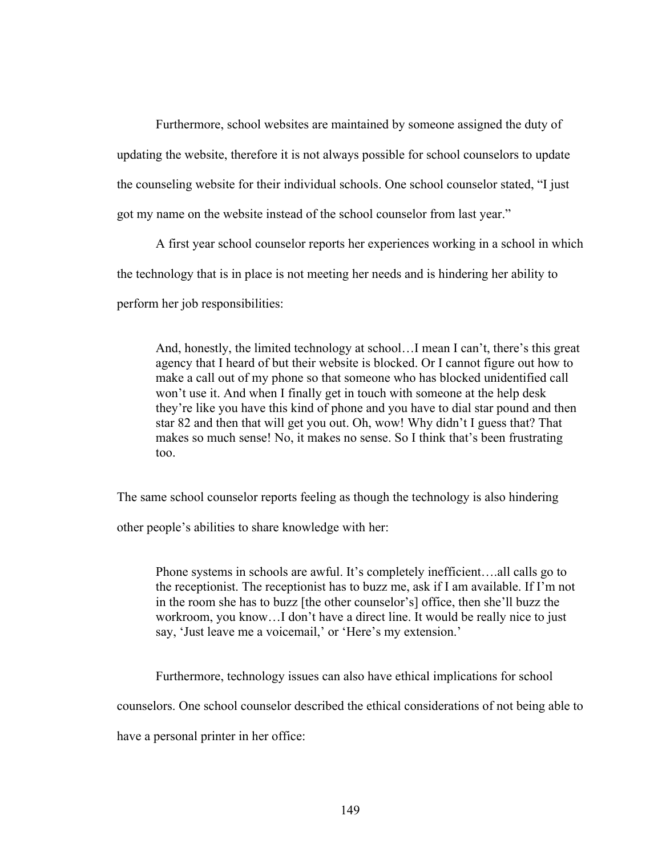Furthermore, school websites are maintained by someone assigned the duty of updating the website, therefore it is not always possible for school counselors to update the counseling website for their individual schools. One school counselor stated, "I just got my name on the website instead of the school counselor from last year."

A first year school counselor reports her experiences working in a school in which the technology that is in place is not meeting her needs and is hindering her ability to perform her job responsibilities:

And, honestly, the limited technology at school…I mean I can't, there's this great agency that I heard of but their website is blocked. Or I cannot figure out how to make a call out of my phone so that someone who has blocked unidentified call won't use it. And when I finally get in touch with someone at the help desk they're like you have this kind of phone and you have to dial star pound and then star 82 and then that will get you out. Oh, wow! Why didn't I guess that? That makes so much sense! No, it makes no sense. So I think that's been frustrating too.

The same school counselor reports feeling as though the technology is also hindering

other people's abilities to share knowledge with her:

Phone systems in schools are awful. It's completely inefficient….all calls go to the receptionist. The receptionist has to buzz me, ask if I am available. If I'm not in the room she has to buzz [the other counselor's] office, then she'll buzz the workroom, you know…I don't have a direct line. It would be really nice to just say, 'Just leave me a voicemail,' or 'Here's my extension.'

Furthermore, technology issues can also have ethical implications for school

counselors. One school counselor described the ethical considerations of not being able to

have a personal printer in her office: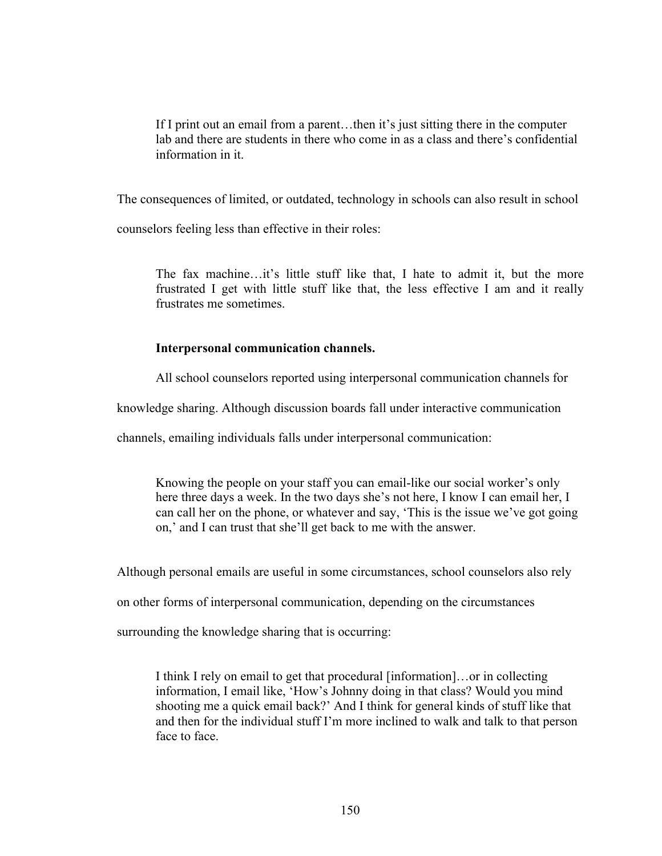If I print out an email from a parent…then it's just sitting there in the computer lab and there are students in there who come in as a class and there's confidential information in it.

The consequences of limited, or outdated, technology in schools can also result in school

counselors feeling less than effective in their roles:

The fax machine…it's little stuff like that, I hate to admit it, but the more frustrated I get with little stuff like that, the less effective I am and it really frustrates me sometimes.

# **Interpersonal communication channels.**

All school counselors reported using interpersonal communication channels for

knowledge sharing. Although discussion boards fall under interactive communication

channels, emailing individuals falls under interpersonal communication:

Knowing the people on your staff you can email-like our social worker's only here three days a week. In the two days she's not here, I know I can email her, I can call her on the phone, or whatever and say, 'This is the issue we've got going on,' and I can trust that she'll get back to me with the answer.

Although personal emails are useful in some circumstances, school counselors also rely

on other forms of interpersonal communication, depending on the circumstances

surrounding the knowledge sharing that is occurring:

I think I rely on email to get that procedural [information]…or in collecting information, I email like, 'How's Johnny doing in that class? Would you mind shooting me a quick email back?' And I think for general kinds of stuff like that and then for the individual stuff I'm more inclined to walk and talk to that person face to face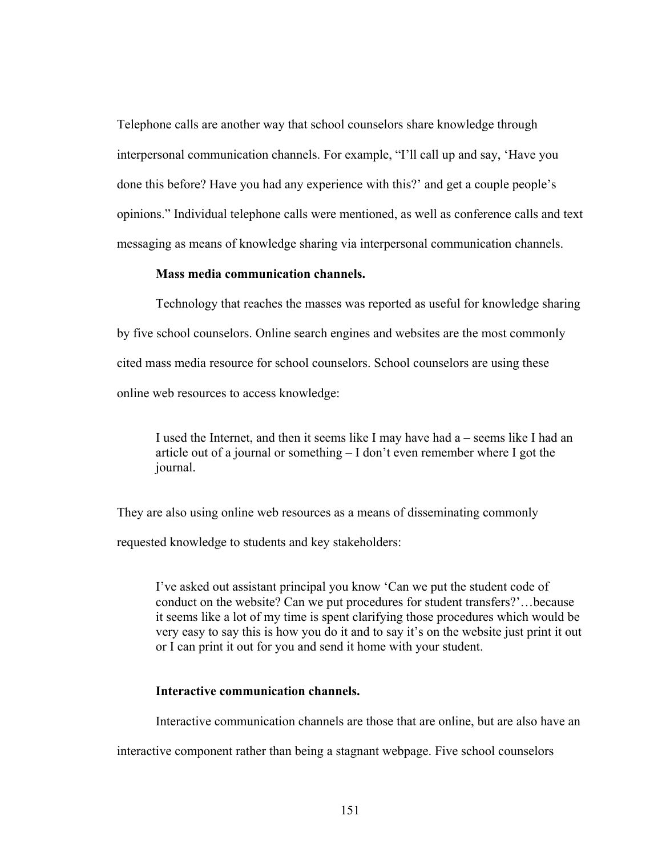Telephone calls are another way that school counselors share knowledge through interpersonal communication channels. For example, "I'll call up and say, 'Have you done this before? Have you had any experience with this?' and get a couple people's opinions." Individual telephone calls were mentioned, as well as conference calls and text messaging as means of knowledge sharing via interpersonal communication channels.

## **Mass media communication channels.**

Technology that reaches the masses was reported as useful for knowledge sharing by five school counselors. Online search engines and websites are the most commonly cited mass media resource for school counselors. School counselors are using these online web resources to access knowledge:

I used the Internet, and then it seems like I may have had a – seems like I had an article out of a journal or something – I don't even remember where I got the journal.

They are also using online web resources as a means of disseminating commonly

requested knowledge to students and key stakeholders:

I've asked out assistant principal you know 'Can we put the student code of conduct on the website? Can we put procedures for student transfers?'…because it seems like a lot of my time is spent clarifying those procedures which would be very easy to say this is how you do it and to say it's on the website just print it out or I can print it out for you and send it home with your student.

# **Interactive communication channels.**

Interactive communication channels are those that are online, but are also have an

interactive component rather than being a stagnant webpage. Five school counselors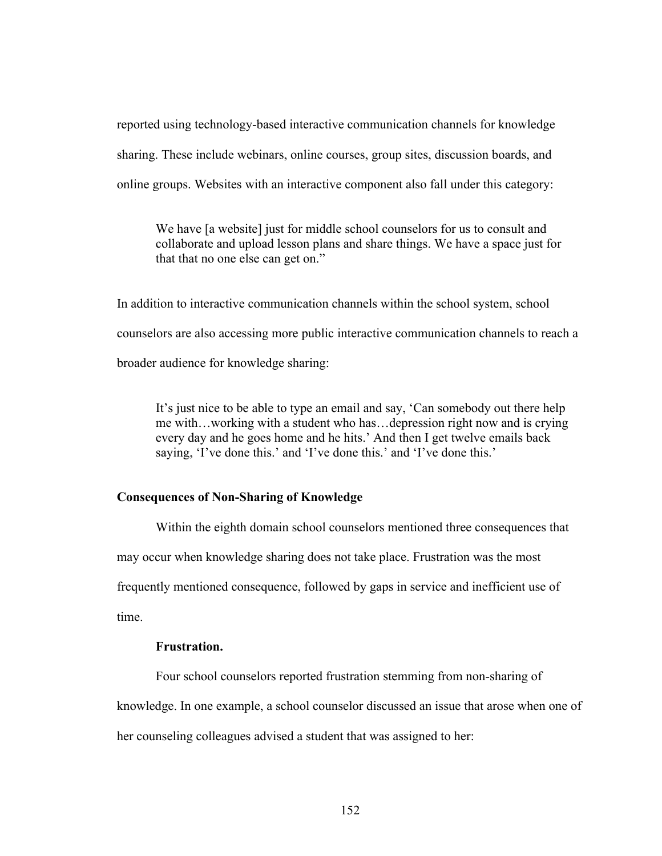reported using technology-based interactive communication channels for knowledge sharing. These include webinars, online courses, group sites, discussion boards, and online groups. Websites with an interactive component also fall under this category:

We have [a website] just for middle school counselors for us to consult and collaborate and upload lesson plans and share things. We have a space just for that that no one else can get on."

In addition to interactive communication channels within the school system, school counselors are also accessing more public interactive communication channels to reach a broader audience for knowledge sharing:

It's just nice to be able to type an email and say, 'Can somebody out there help me with…working with a student who has…depression right now and is crying every day and he goes home and he hits.' And then I get twelve emails back saying, 'I've done this.' and 'I've done this.' and 'I've done this.'

## **Consequences of Non-Sharing of Knowledge**

Within the eighth domain school counselors mentioned three consequences that may occur when knowledge sharing does not take place. Frustration was the most frequently mentioned consequence, followed by gaps in service and inefficient use of time.

## **Frustration.**

Four school counselors reported frustration stemming from non-sharing of knowledge. In one example, a school counselor discussed an issue that arose when one of her counseling colleagues advised a student that was assigned to her: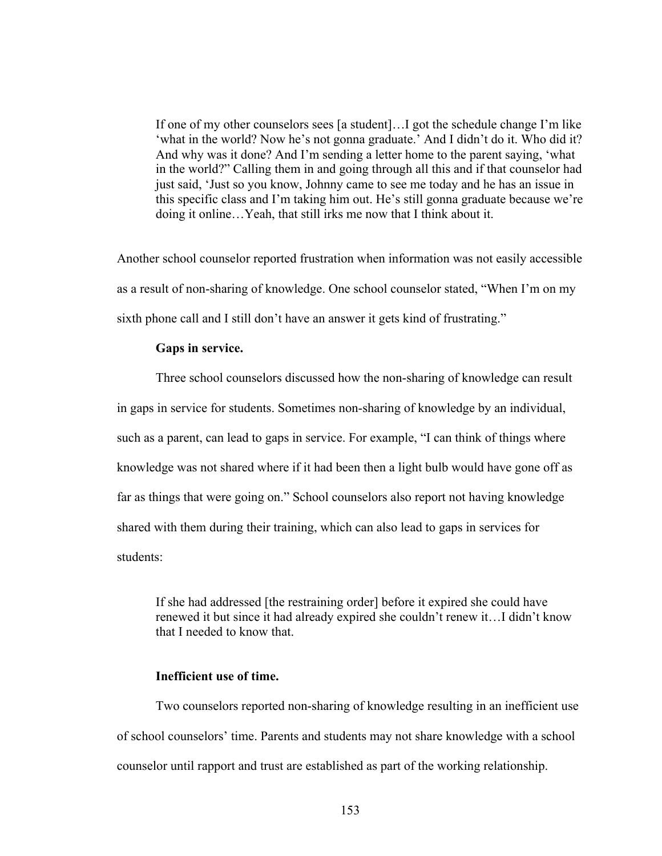If one of my other counselors sees [a student]…I got the schedule change I'm like 'what in the world? Now he's not gonna graduate.' And I didn't do it. Who did it? And why was it done? And I'm sending a letter home to the parent saying, 'what in the world?" Calling them in and going through all this and if that counselor had just said, 'Just so you know, Johnny came to see me today and he has an issue in this specific class and I'm taking him out. He's still gonna graduate because we're doing it online…Yeah, that still irks me now that I think about it.

Another school counselor reported frustration when information was not easily accessible as a result of non-sharing of knowledge. One school counselor stated, "When I'm on my sixth phone call and I still don't have an answer it gets kind of frustrating."

#### **Gaps in service.**

Three school counselors discussed how the non-sharing of knowledge can result in gaps in service for students. Sometimes non-sharing of knowledge by an individual, such as a parent, can lead to gaps in service. For example, "I can think of things where knowledge was not shared where if it had been then a light bulb would have gone off as far as things that were going on." School counselors also report not having knowledge shared with them during their training, which can also lead to gaps in services for students:

If she had addressed [the restraining order] before it expired she could have renewed it but since it had already expired she couldn't renew it…I didn't know that I needed to know that.

## **Inefficient use of time.**

Two counselors reported non-sharing of knowledge resulting in an inefficient use of school counselors' time. Parents and students may not share knowledge with a school counselor until rapport and trust are established as part of the working relationship.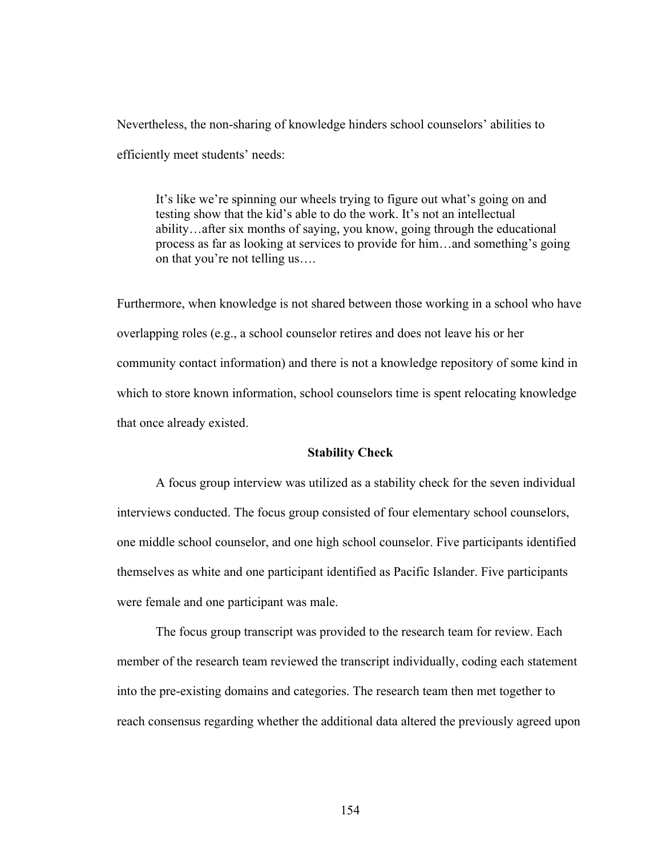Nevertheless, the non-sharing of knowledge hinders school counselors' abilities to efficiently meet students' needs:

It's like we're spinning our wheels trying to figure out what's going on and testing show that the kid's able to do the work. It's not an intellectual ability…after six months of saying, you know, going through the educational process as far as looking at services to provide for him…and something's going on that you're not telling us….

Furthermore, when knowledge is not shared between those working in a school who have overlapping roles (e.g., a school counselor retires and does not leave his or her community contact information) and there is not a knowledge repository of some kind in which to store known information, school counselors time is spent relocating knowledge that once already existed.

## **Stability Check**

A focus group interview was utilized as a stability check for the seven individual interviews conducted. The focus group consisted of four elementary school counselors, one middle school counselor, and one high school counselor. Five participants identified themselves as white and one participant identified as Pacific Islander. Five participants were female and one participant was male.

The focus group transcript was provided to the research team for review. Each member of the research team reviewed the transcript individually, coding each statement into the pre-existing domains and categories. The research team then met together to reach consensus regarding whether the additional data altered the previously agreed upon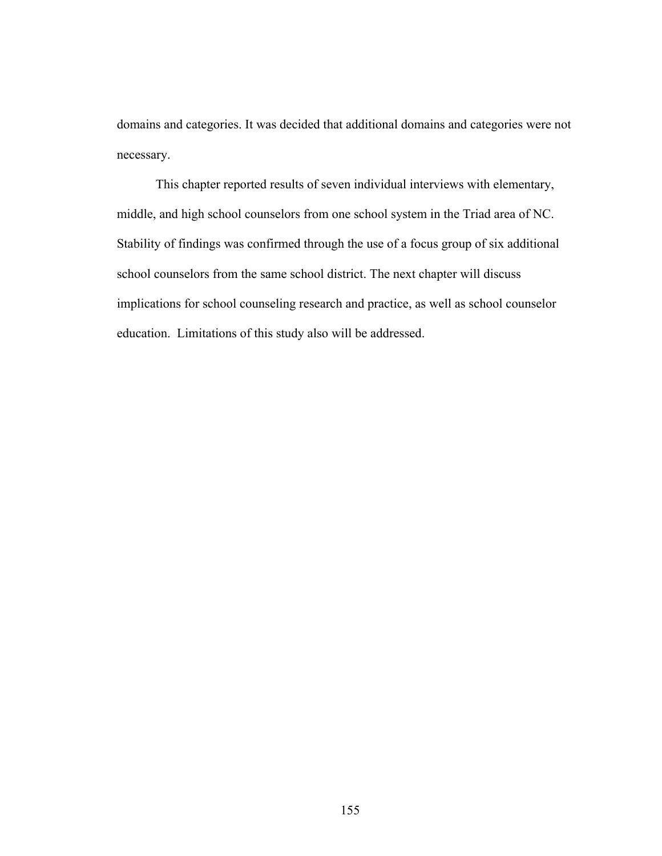domains and categories. It was decided that additional domains and categories were not necessary.

This chapter reported results of seven individual interviews with elementary, middle, and high school counselors from one school system in the Triad area of NC. Stability of findings was confirmed through the use of a focus group of six additional school counselors from the same school district. The next chapter will discuss implications for school counseling research and practice, as well as school counselor education. Limitations of this study also will be addressed.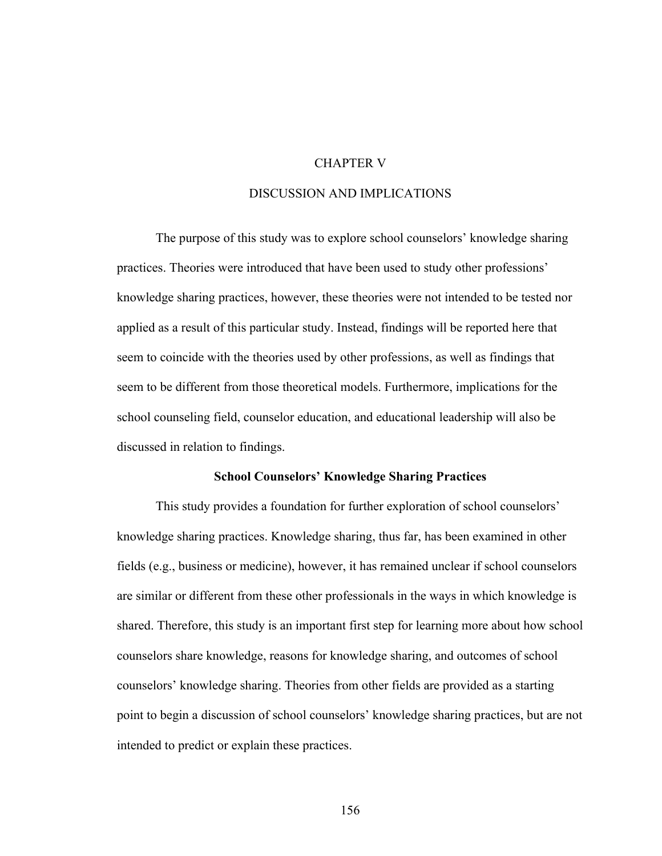## CHAPTER V

## DISCUSSION AND IMPLICATIONS

The purpose of this study was to explore school counselors' knowledge sharing practices. Theories were introduced that have been used to study other professions' knowledge sharing practices, however, these theories were not intended to be tested nor applied as a result of this particular study. Instead, findings will be reported here that seem to coincide with the theories used by other professions, as well as findings that seem to be different from those theoretical models. Furthermore, implications for the school counseling field, counselor education, and educational leadership will also be discussed in relation to findings.

## **School Counselors' Knowledge Sharing Practices**

This study provides a foundation for further exploration of school counselors' knowledge sharing practices. Knowledge sharing, thus far, has been examined in other fields (e.g., business or medicine), however, it has remained unclear if school counselors are similar or different from these other professionals in the ways in which knowledge is shared. Therefore, this study is an important first step for learning more about how school counselors share knowledge, reasons for knowledge sharing, and outcomes of school counselors' knowledge sharing. Theories from other fields are provided as a starting point to begin a discussion of school counselors' knowledge sharing practices, but are not intended to predict or explain these practices.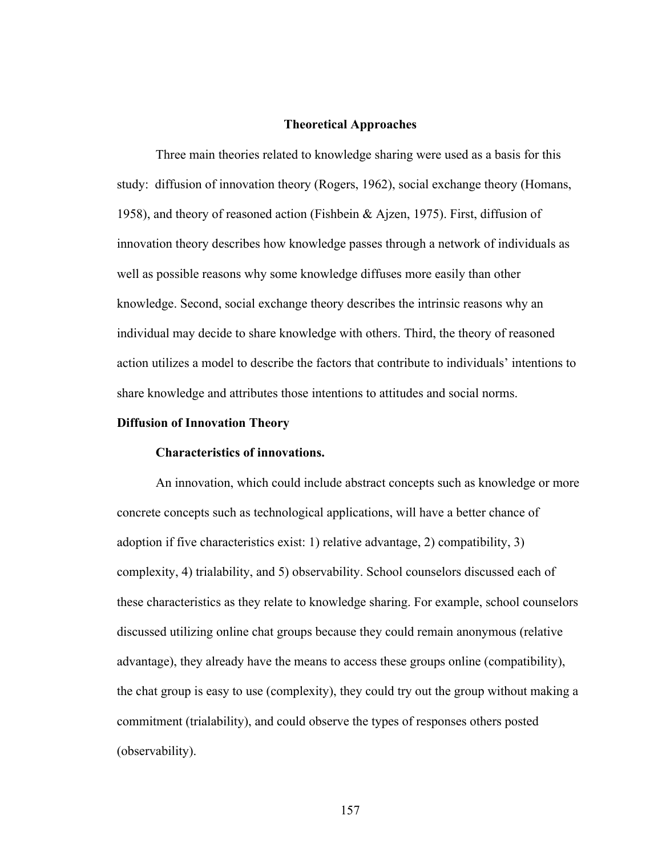#### **Theoretical Approaches**

Three main theories related to knowledge sharing were used as a basis for this study: diffusion of innovation theory (Rogers, 1962), social exchange theory (Homans, 1958), and theory of reasoned action (Fishbein & Ajzen, 1975). First, diffusion of innovation theory describes how knowledge passes through a network of individuals as well as possible reasons why some knowledge diffuses more easily than other knowledge. Second, social exchange theory describes the intrinsic reasons why an individual may decide to share knowledge with others. Third, the theory of reasoned action utilizes a model to describe the factors that contribute to individuals' intentions to share knowledge and attributes those intentions to attitudes and social norms.

#### **Diffusion of Innovation Theory**

#### **Characteristics of innovations.**

An innovation, which could include abstract concepts such as knowledge or more concrete concepts such as technological applications, will have a better chance of adoption if five characteristics exist: 1) relative advantage, 2) compatibility, 3) complexity, 4) trialability, and 5) observability. School counselors discussed each of these characteristics as they relate to knowledge sharing. For example, school counselors discussed utilizing online chat groups because they could remain anonymous (relative advantage), they already have the means to access these groups online (compatibility), the chat group is easy to use (complexity), they could try out the group without making a commitment (trialability), and could observe the types of responses others posted (observability).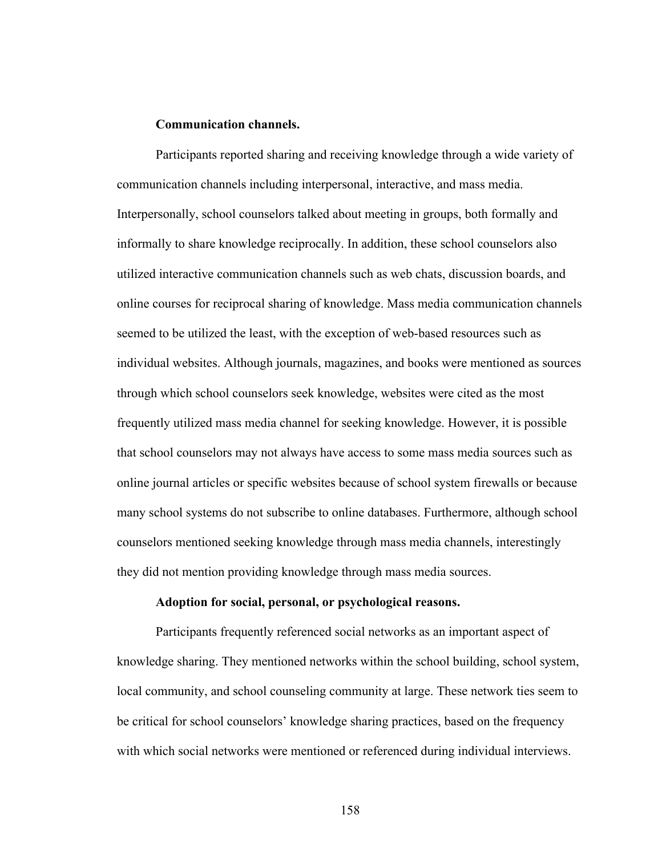## **Communication channels.**

Participants reported sharing and receiving knowledge through a wide variety of communication channels including interpersonal, interactive, and mass media. Interpersonally, school counselors talked about meeting in groups, both formally and informally to share knowledge reciprocally. In addition, these school counselors also utilized interactive communication channels such as web chats, discussion boards, and online courses for reciprocal sharing of knowledge. Mass media communication channels seemed to be utilized the least, with the exception of web-based resources such as individual websites. Although journals, magazines, and books were mentioned as sources through which school counselors seek knowledge, websites were cited as the most frequently utilized mass media channel for seeking knowledge. However, it is possible that school counselors may not always have access to some mass media sources such as online journal articles or specific websites because of school system firewalls or because many school systems do not subscribe to online databases. Furthermore, although school counselors mentioned seeking knowledge through mass media channels, interestingly they did not mention providing knowledge through mass media sources.

## **Adoption for social, personal, or psychological reasons.**

Participants frequently referenced social networks as an important aspect of knowledge sharing. They mentioned networks within the school building, school system, local community, and school counseling community at large. These network ties seem to be critical for school counselors' knowledge sharing practices, based on the frequency with which social networks were mentioned or referenced during individual interviews.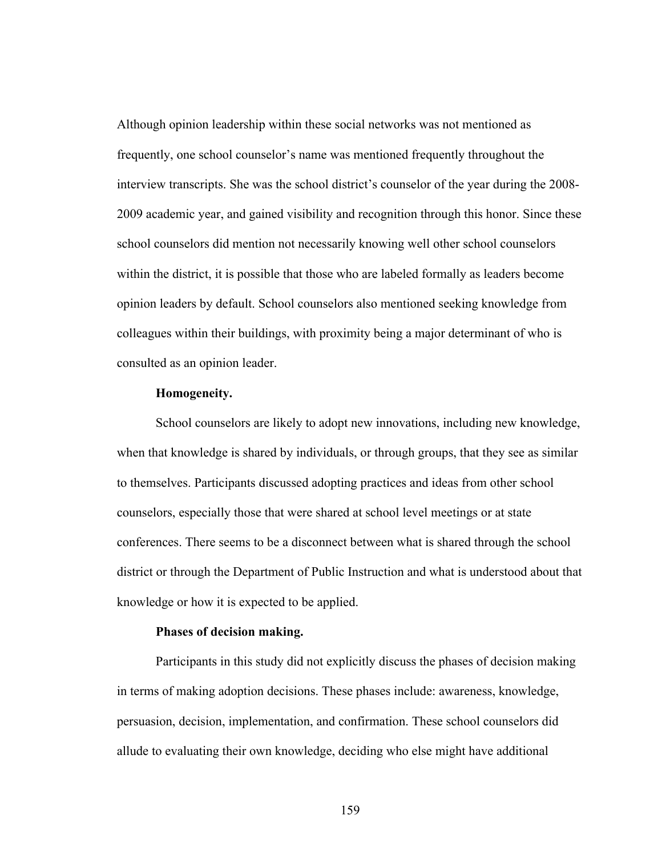Although opinion leadership within these social networks was not mentioned as frequently, one school counselor's name was mentioned frequently throughout the interview transcripts. She was the school district's counselor of the year during the 2008- 2009 academic year, and gained visibility and recognition through this honor. Since these school counselors did mention not necessarily knowing well other school counselors within the district, it is possible that those who are labeled formally as leaders become opinion leaders by default. School counselors also mentioned seeking knowledge from colleagues within their buildings, with proximity being a major determinant of who is consulted as an opinion leader.

## **Homogeneity.**

School counselors are likely to adopt new innovations, including new knowledge, when that knowledge is shared by individuals, or through groups, that they see as similar to themselves. Participants discussed adopting practices and ideas from other school counselors, especially those that were shared at school level meetings or at state conferences. There seems to be a disconnect between what is shared through the school district or through the Department of Public Instruction and what is understood about that knowledge or how it is expected to be applied.

## **Phases of decision making.**

Participants in this study did not explicitly discuss the phases of decision making in terms of making adoption decisions. These phases include: awareness, knowledge, persuasion, decision, implementation, and confirmation. These school counselors did allude to evaluating their own knowledge, deciding who else might have additional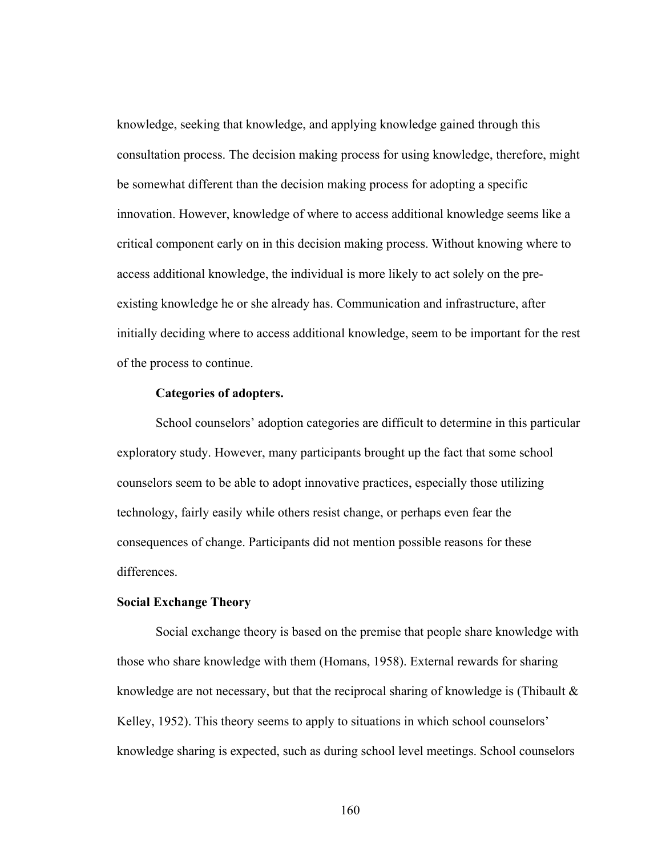knowledge, seeking that knowledge, and applying knowledge gained through this consultation process. The decision making process for using knowledge, therefore, might be somewhat different than the decision making process for adopting a specific innovation. However, knowledge of where to access additional knowledge seems like a critical component early on in this decision making process. Without knowing where to access additional knowledge, the individual is more likely to act solely on the preexisting knowledge he or she already has. Communication and infrastructure, after initially deciding where to access additional knowledge, seem to be important for the rest of the process to continue.

#### **Categories of adopters.**

School counselors' adoption categories are difficult to determine in this particular exploratory study. However, many participants brought up the fact that some school counselors seem to be able to adopt innovative practices, especially those utilizing technology, fairly easily while others resist change, or perhaps even fear the consequences of change. Participants did not mention possible reasons for these differences.

## **Social Exchange Theory**

Social exchange theory is based on the premise that people share knowledge with those who share knowledge with them (Homans, 1958). External rewards for sharing knowledge are not necessary, but that the reciprocal sharing of knowledge is (Thibault  $\&$ Kelley, 1952). This theory seems to apply to situations in which school counselors' knowledge sharing is expected, such as during school level meetings. School counselors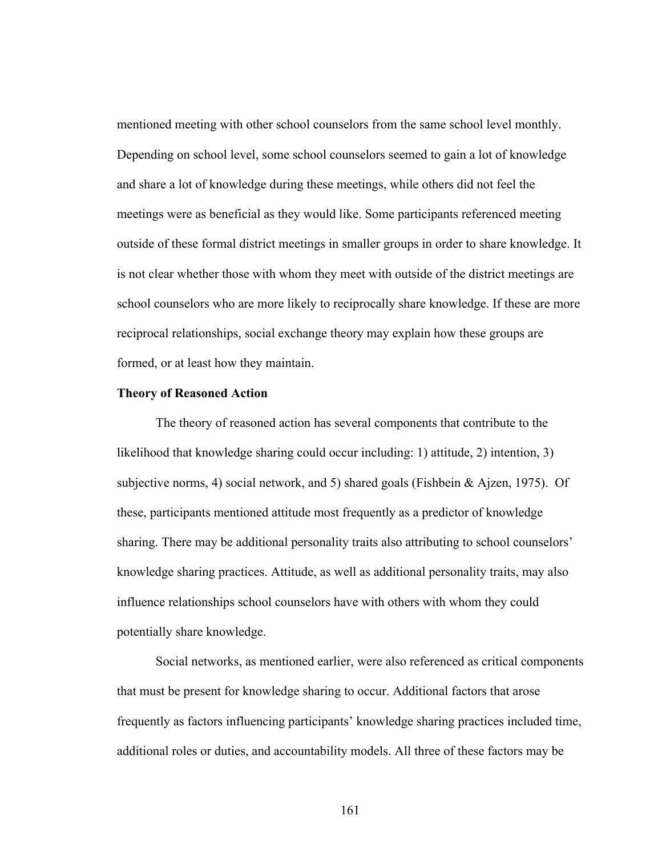mentioned meeting with other school counselors from the same school level monthly. Depending on school level, some school counselors seemed to gain a lot of knowledge and share a lot of knowledge during these meetings, while others did not feel the meetings were as beneficial as they would like. Some participants referenced meeting outside of these formal district meetings in smaller groups in order to share knowledge. It is not clear whether those with whom they meet with outside of the district meetings are school counselors who are more likely to reciprocally share knowledge. If these are more reciprocal relationships, social exchange theory may explain how these groups are formed, or at least how they maintain.

#### **Theory of Reasoned Action**

The theory of reasoned action has several components that contribute to the likelihood that knowledge sharing could occur including: 1) attitude, 2) intention, 3) subjective norms, 4) social network, and 5) shared goals (Fishbein & Ajzen, 1975). Of these, participants mentioned attitude most frequently as a predictor of knowledge sharing. There may be additional personality traits also attributing to school counselors' knowledge sharing practices. Attitude, as well as additional personality traits, may also influence relationships school counselors have with others with whom they could potentially share knowledge.

Social networks, as mentioned earlier, were also referenced as critical components that must be present for knowledge sharing to occur. Additional factors that arose frequently as factors influencing participants' knowledge sharing practices included time, additional roles or duties, and accountability models. All three of these factors may be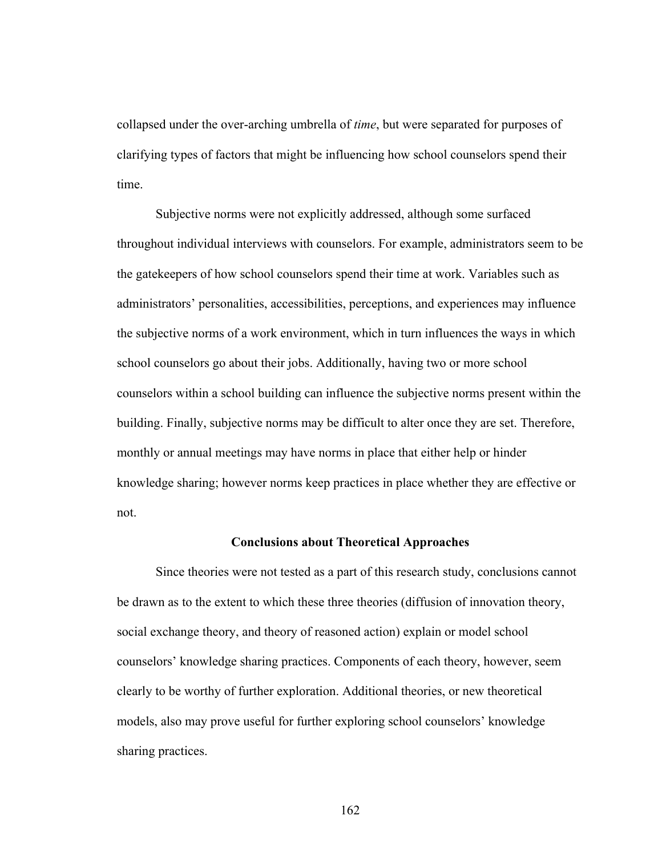collapsed under the over-arching umbrella of *time*, but were separated for purposes of clarifying types of factors that might be influencing how school counselors spend their time.

Subjective norms were not explicitly addressed, although some surfaced throughout individual interviews with counselors. For example, administrators seem to be the gatekeepers of how school counselors spend their time at work. Variables such as administrators' personalities, accessibilities, perceptions, and experiences may influence the subjective norms of a work environment, which in turn influences the ways in which school counselors go about their jobs. Additionally, having two or more school counselors within a school building can influence the subjective norms present within the building. Finally, subjective norms may be difficult to alter once they are set. Therefore, monthly or annual meetings may have norms in place that either help or hinder knowledge sharing; however norms keep practices in place whether they are effective or not.

## **Conclusions about Theoretical Approaches**

Since theories were not tested as a part of this research study, conclusions cannot be drawn as to the extent to which these three theories (diffusion of innovation theory, social exchange theory, and theory of reasoned action) explain or model school counselors' knowledge sharing practices. Components of each theory, however, seem clearly to be worthy of further exploration. Additional theories, or new theoretical models, also may prove useful for further exploring school counselors' knowledge sharing practices.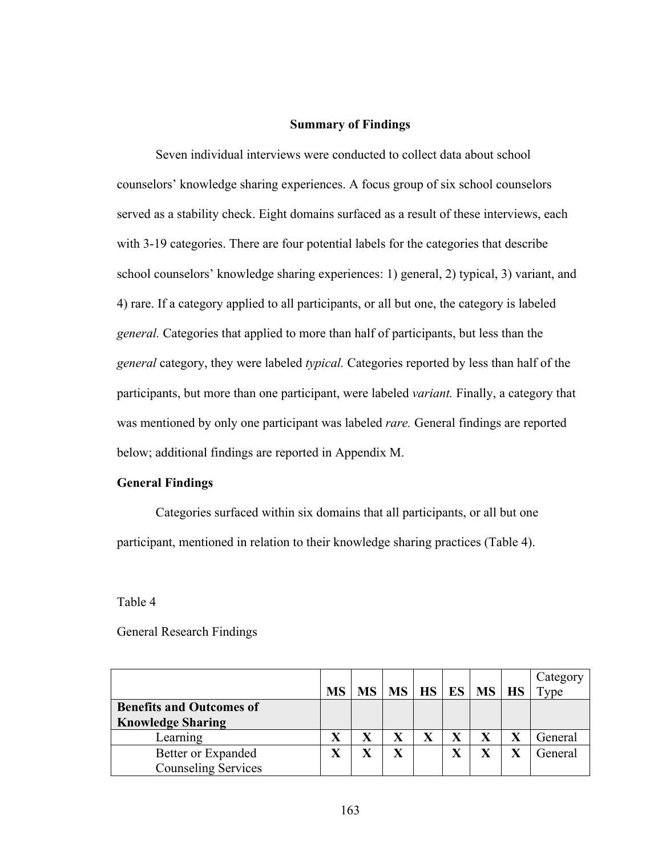#### **Summary of Findings**

Seven individual interviews were conducted to collect data about school counselors' knowledge sharing experiences. A focus group of six school counselors served as a stability check. Eight domains surfaced as a result of these interviews, each with 3-19 categories. There are four potential labels for the categories that describe school counselors' knowledge sharing experiences: 1) general, 2) typical, 3) variant, and 4) rare. If a category applied to all participants, or all but one, the category is labeled *general.* Categories that applied to more than half of participants, but less than the *general* category, they were labeled *typical.* Categories reported by less than half of the participants, but more than one participant, were labeled *variant.* Finally, a category that was mentioned by only one participant was labeled *rare.* General findings are reported below; additional findings are reported in Appendix M.

#### **General Findings**

Categories surfaced within six domains that all participants, or all but one participant, mentioned in relation to their knowledge sharing practices (Table 4).

Table 4

| <b>General Research Findings</b> |  |
|----------------------------------|--|
|----------------------------------|--|

|                                 |           |                         |                         |   |                          | Category |
|---------------------------------|-----------|-------------------------|-------------------------|---|--------------------------|----------|
|                                 | <b>MS</b> | <b>MS</b>               |                         |   | $MS$   HS   ES   MS   HS | Type     |
| <b>Benefits and Outcomes of</b> |           |                         |                         |   |                          |          |
| <b>Knowledge Sharing</b>        |           |                         |                         |   |                          |          |
| Learning                        |           |                         |                         | v |                          | General  |
| Better or Expanded              |           | $\overline{\mathbf{X}}$ | $\overline{\textbf{X}}$ | v | $\mathbf X$              | General  |
| <b>Counseling Services</b>      |           |                         |                         |   |                          |          |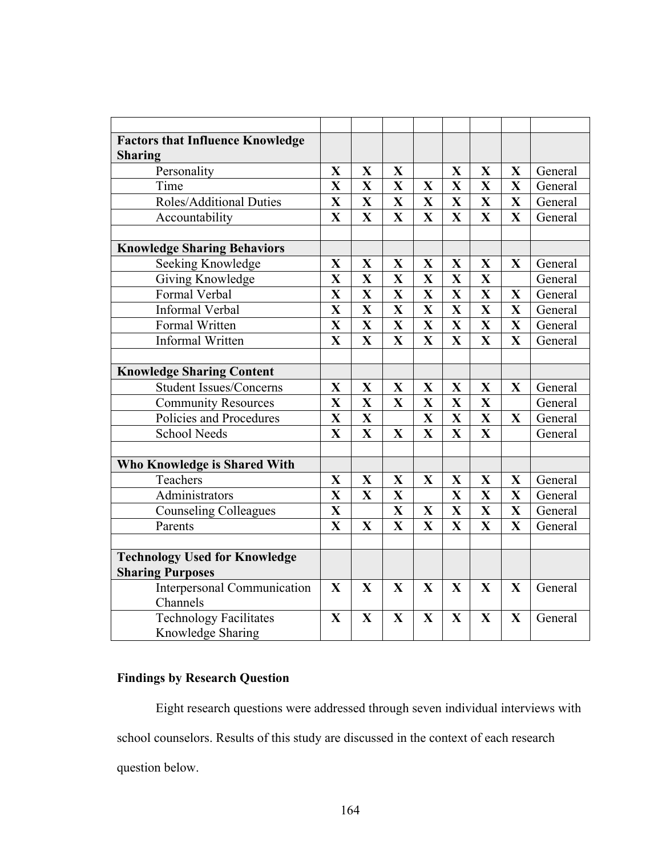| <b>Factors that Influence Knowledge</b> |                         |              |                         |                         |                         |                         |                         |         |
|-----------------------------------------|-------------------------|--------------|-------------------------|-------------------------|-------------------------|-------------------------|-------------------------|---------|
| <b>Sharing</b>                          |                         |              |                         |                         |                         |                         |                         |         |
| Personality                             | $\mathbf X$             | $\mathbf X$  | $\mathbf X$             |                         | $\mathbf X$             | $\mathbf{X}$            | $\mathbf X$             | General |
| Time                                    | $\overline{\mathbf{X}}$ | X            | $\overline{\mathbf{X}}$ | X                       | $\mathbf{X}$            | $\mathbf{X}$            | $\overline{\mathbf{X}}$ | General |
| <b>Roles/Additional Duties</b>          | $\mathbf{X}$            | $\mathbf X$  | X                       | X                       | $\mathbf X$             | $\mathbf X$             | $\mathbf{X}$            | General |
| Accountability                          | $\mathbf{X}$            | $\mathbf X$  | $\mathbf{X}$            | X                       | $\mathbf X$             | $\mathbf X$             | $\mathbf{X}$            | General |
|                                         |                         |              |                         |                         |                         |                         |                         |         |
| <b>Knowledge Sharing Behaviors</b>      |                         |              |                         |                         |                         |                         |                         |         |
| Seeking Knowledge                       | $\mathbf{X}$            | $\mathbf X$  | X                       | X                       | $\mathbf{X}$            | X                       | $\mathbf X$             | General |
| Giving Knowledge                        | $\mathbf{X}$            | $\mathbf{X}$ | $\overline{\mathbf{X}}$ | $\overline{\mathbf{X}}$ | X                       | $\overline{\mathbf{X}}$ |                         | General |
| Formal Verbal                           | $\mathbf X$             | $\mathbf X$  | X                       | $\mathbf{X}$            | $\mathbf X$             | $\mathbf{X}$            | $\mathbf X$             | General |
| <b>Informal Verbal</b>                  | $\overline{\mathbf{X}}$ | $\mathbf X$  | $\overline{\mathbf{X}}$ | $\overline{\mathbf{X}}$ | X                       | $\mathbf{X}$            | $\overline{\mathbf{X}}$ | General |
| Formal Written                          | $\overline{\mathbf{X}}$ | $\mathbf{X}$ | $\overline{\mathbf{X}}$ | $\overline{\mathbf{X}}$ | $\overline{\mathbf{X}}$ | $\overline{\mathbf{X}}$ | $\overline{\mathbf{X}}$ | General |
| <b>Informal Written</b>                 | $\mathbf{X}$            | $\mathbf X$  | $\overline{\mathbf{X}}$ | $\overline{\mathbf{X}}$ | $\overline{\mathbf{X}}$ | $\overline{\mathbf{X}}$ | $\overline{\mathbf{X}}$ | General |
|                                         |                         |              |                         |                         |                         |                         |                         |         |
| <b>Knowledge Sharing Content</b>        |                         |              |                         |                         |                         |                         |                         |         |
| <b>Student Issues/Concerns</b>          | $\mathbf X$             | $\mathbf{X}$ | X                       | X                       | X                       | X                       | $\mathbf X$             | General |
| <b>Community Resources</b>              | $\overline{\mathbf{X}}$ | X            | $\overline{\mathbf{X}}$ | $\overline{\mathbf{X}}$ | $\overline{\mathbf{X}}$ | $\overline{\mathbf{X}}$ |                         | General |
| Policies and Procedures                 | $\mathbf X$             | $\mathbf X$  |                         | $\mathbf{X}$            | $\mathbf X$             | $\overline{\mathbf{X}}$ | X                       | General |
| <b>School Needs</b>                     | $\mathbf X$             | $\mathbf X$  | $\mathbf X$             | X                       | X                       | X                       |                         | General |
|                                         |                         |              |                         |                         |                         |                         |                         |         |
| <b>Who Knowledge is Shared With</b>     |                         |              |                         |                         |                         |                         |                         |         |
| Teachers                                | $\mathbf X$             | $\mathbf X$  | $\mathbf X$             | X                       | X                       | X                       | X                       | General |
| Administrators                          | $\mathbf{X}$            | $\mathbf X$  | $\mathbf{X}$            |                         | $\mathbf X$             | $\overline{\mathbf{X}}$ | $\mathbf{X}$            | General |
| <b>Counseling Colleagues</b>            | $\overline{\mathbf{X}}$ |              | $\mathbf X$             | X                       | $\mathbf X$             | $\mathbf{X}$            | $\mathbf X$             | General |
| Parents                                 | $\mathbf{X}$            | $\mathbf X$  | $\overline{\mathbf{X}}$ | $\mathbf{X}$            | $\mathbf{X}$            | $\mathbf{X}$            | $\mathbf{X}$            | General |
|                                         |                         |              |                         |                         |                         |                         |                         |         |
| <b>Technology Used for Knowledge</b>    |                         |              |                         |                         |                         |                         |                         |         |
| <b>Sharing Purposes</b>                 |                         |              |                         |                         |                         |                         |                         |         |
| <b>Interpersonal Communication</b>      | $\mathbf{X}$            | $\mathbf X$  | $\mathbf X$             | X                       | $\mathbf X$             | $\mathbf X$             | $\mathbf{X}$            | General |
| Channels                                |                         |              |                         |                         |                         |                         |                         |         |
| <b>Technology Facilitates</b>           | $\mathbf{X}$            | $\mathbf X$  | X                       | $\mathbf X$             | $\mathbf X$             | $\mathbf{X}$            | $\mathbf{X}$            | General |
| Knowledge Sharing                       |                         |              |                         |                         |                         |                         |                         |         |

# **Findings by Research Question**

Eight research questions were addressed through seven individual interviews with school counselors. Results of this study are discussed in the context of each research question below.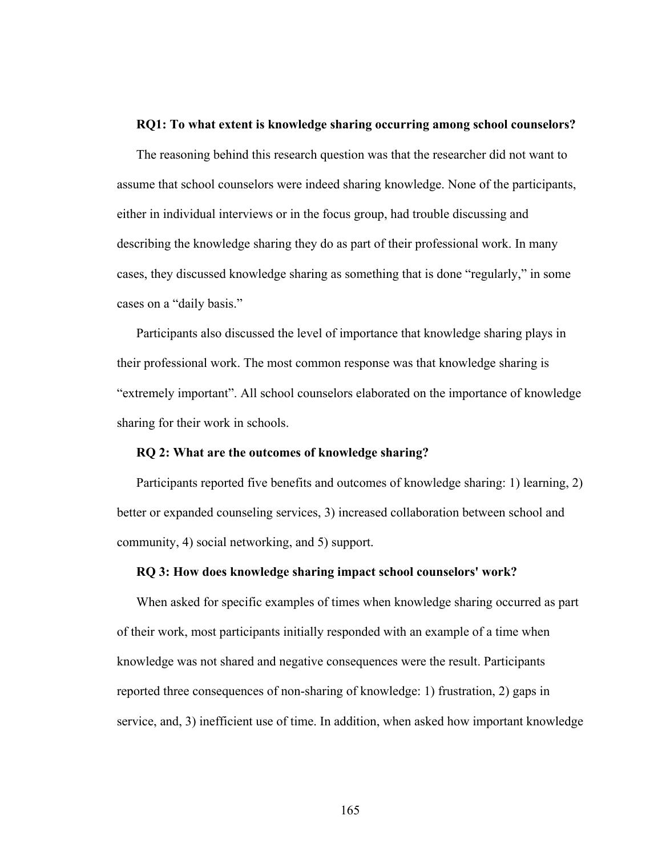#### **RQ1: To what extent is knowledge sharing occurring among school counselors?**

The reasoning behind this research question was that the researcher did not want to assume that school counselors were indeed sharing knowledge. None of the participants, either in individual interviews or in the focus group, had trouble discussing and describing the knowledge sharing they do as part of their professional work. In many cases, they discussed knowledge sharing as something that is done "regularly," in some cases on a "daily basis."

Participants also discussed the level of importance that knowledge sharing plays in their professional work. The most common response was that knowledge sharing is "extremely important". All school counselors elaborated on the importance of knowledge sharing for their work in schools.

#### **RQ 2: What are the outcomes of knowledge sharing?**

Participants reported five benefits and outcomes of knowledge sharing: 1) learning, 2) better or expanded counseling services, 3) increased collaboration between school and community, 4) social networking, and 5) support.

#### **RQ 3: How does knowledge sharing impact school counselors' work?**

When asked for specific examples of times when knowledge sharing occurred as part of their work, most participants initially responded with an example of a time when knowledge was not shared and negative consequences were the result. Participants reported three consequences of non-sharing of knowledge: 1) frustration, 2) gaps in service, and, 3) inefficient use of time. In addition, when asked how important knowledge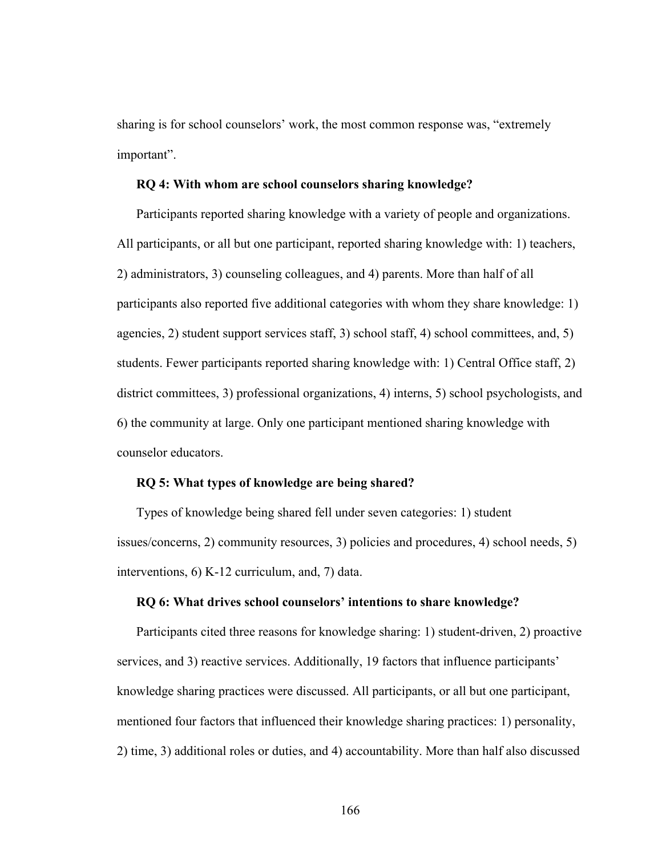sharing is for school counselors' work, the most common response was, "extremely important".

## **RQ 4: With whom are school counselors sharing knowledge?**

Participants reported sharing knowledge with a variety of people and organizations. All participants, or all but one participant, reported sharing knowledge with: 1) teachers, 2) administrators, 3) counseling colleagues, and 4) parents. More than half of all participants also reported five additional categories with whom they share knowledge: 1) agencies, 2) student support services staff, 3) school staff, 4) school committees, and, 5) students. Fewer participants reported sharing knowledge with: 1) Central Office staff, 2) district committees, 3) professional organizations, 4) interns, 5) school psychologists, and 6) the community at large. Only one participant mentioned sharing knowledge with counselor educators.

#### **RQ 5: What types of knowledge are being shared?**

Types of knowledge being shared fell under seven categories: 1) student issues/concerns, 2) community resources, 3) policies and procedures, 4) school needs, 5) interventions, 6) K-12 curriculum, and, 7) data.

#### **RQ 6: What drives school counselors' intentions to share knowledge?**

Participants cited three reasons for knowledge sharing: 1) student-driven, 2) proactive services, and 3) reactive services. Additionally, 19 factors that influence participants' knowledge sharing practices were discussed. All participants, or all but one participant, mentioned four factors that influenced their knowledge sharing practices: 1) personality, 2) time, 3) additional roles or duties, and 4) accountability. More than half also discussed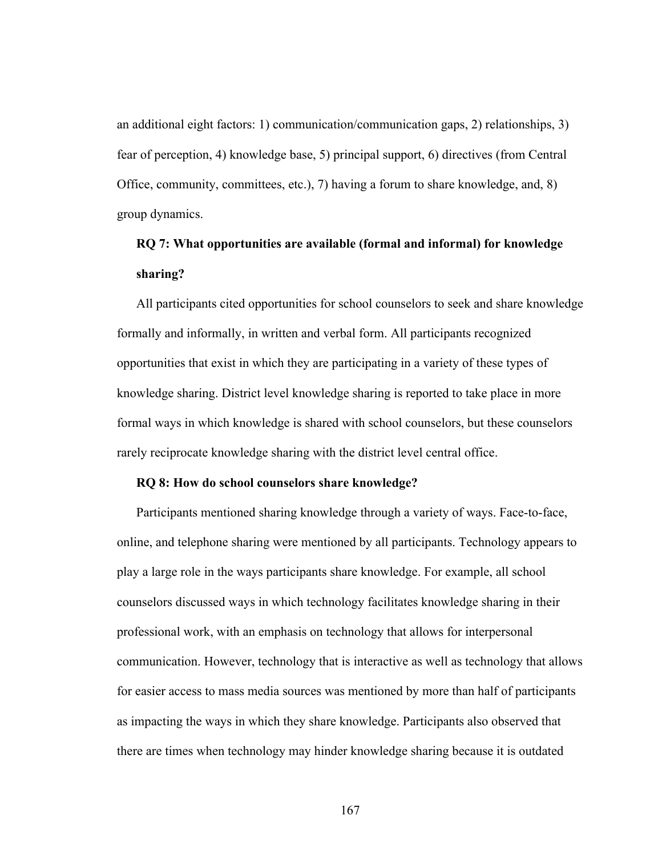an additional eight factors: 1) communication/communication gaps, 2) relationships, 3) fear of perception, 4) knowledge base, 5) principal support, 6) directives (from Central Office, community, committees, etc.), 7) having a forum to share knowledge, and, 8) group dynamics.

# **RQ 7: What opportunities are available (formal and informal) for knowledge sharing?**

All participants cited opportunities for school counselors to seek and share knowledge formally and informally, in written and verbal form. All participants recognized opportunities that exist in which they are participating in a variety of these types of knowledge sharing. District level knowledge sharing is reported to take place in more formal ways in which knowledge is shared with school counselors, but these counselors rarely reciprocate knowledge sharing with the district level central office.

#### **RQ 8: How do school counselors share knowledge?**

Participants mentioned sharing knowledge through a variety of ways. Face-to-face, online, and telephone sharing were mentioned by all participants. Technology appears to play a large role in the ways participants share knowledge. For example, all school counselors discussed ways in which technology facilitates knowledge sharing in their professional work, with an emphasis on technology that allows for interpersonal communication. However, technology that is interactive as well as technology that allows for easier access to mass media sources was mentioned by more than half of participants as impacting the ways in which they share knowledge. Participants also observed that there are times when technology may hinder knowledge sharing because it is outdated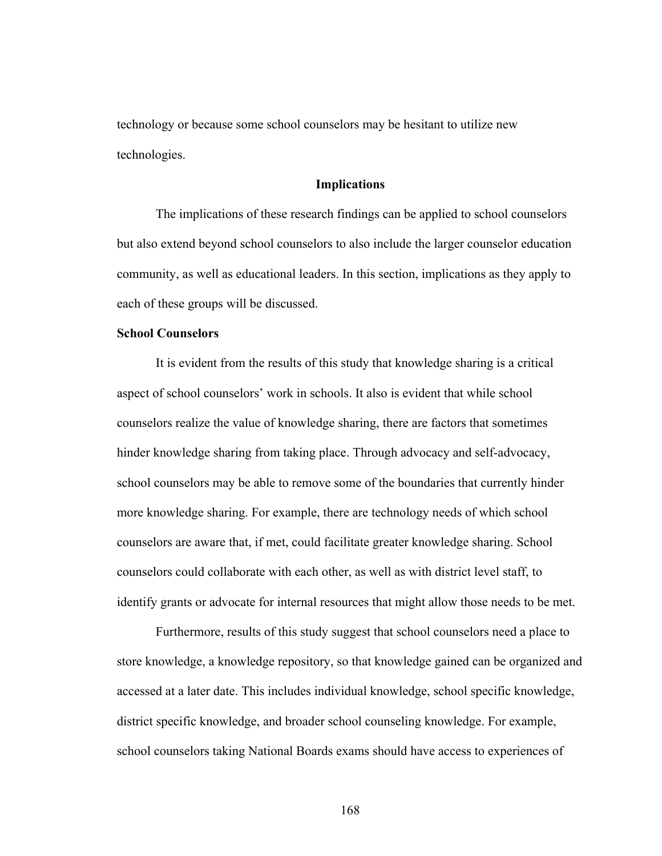technology or because some school counselors may be hesitant to utilize new technologies.

#### **Implications**

The implications of these research findings can be applied to school counselors but also extend beyond school counselors to also include the larger counselor education community, as well as educational leaders. In this section, implications as they apply to each of these groups will be discussed.

#### **School Counselors**

It is evident from the results of this study that knowledge sharing is a critical aspect of school counselors' work in schools. It also is evident that while school counselors realize the value of knowledge sharing, there are factors that sometimes hinder knowledge sharing from taking place. Through advocacy and self-advocacy, school counselors may be able to remove some of the boundaries that currently hinder more knowledge sharing. For example, there are technology needs of which school counselors are aware that, if met, could facilitate greater knowledge sharing. School counselors could collaborate with each other, as well as with district level staff, to identify grants or advocate for internal resources that might allow those needs to be met.

Furthermore, results of this study suggest that school counselors need a place to store knowledge, a knowledge repository, so that knowledge gained can be organized and accessed at a later date. This includes individual knowledge, school specific knowledge, district specific knowledge, and broader school counseling knowledge. For example, school counselors taking National Boards exams should have access to experiences of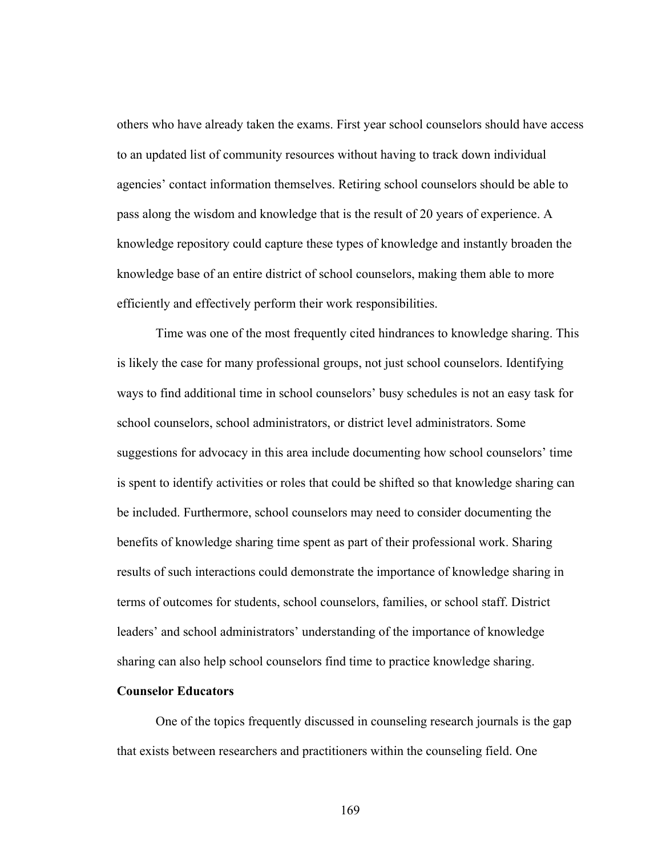others who have already taken the exams. First year school counselors should have access to an updated list of community resources without having to track down individual agencies' contact information themselves. Retiring school counselors should be able to pass along the wisdom and knowledge that is the result of 20 years of experience. A knowledge repository could capture these types of knowledge and instantly broaden the knowledge base of an entire district of school counselors, making them able to more efficiently and effectively perform their work responsibilities.

Time was one of the most frequently cited hindrances to knowledge sharing. This is likely the case for many professional groups, not just school counselors. Identifying ways to find additional time in school counselors' busy schedules is not an easy task for school counselors, school administrators, or district level administrators. Some suggestions for advocacy in this area include documenting how school counselors' time is spent to identify activities or roles that could be shifted so that knowledge sharing can be included. Furthermore, school counselors may need to consider documenting the benefits of knowledge sharing time spent as part of their professional work. Sharing results of such interactions could demonstrate the importance of knowledge sharing in terms of outcomes for students, school counselors, families, or school staff. District leaders' and school administrators' understanding of the importance of knowledge sharing can also help school counselors find time to practice knowledge sharing.

#### **Counselor Educators**

One of the topics frequently discussed in counseling research journals is the gap that exists between researchers and practitioners within the counseling field. One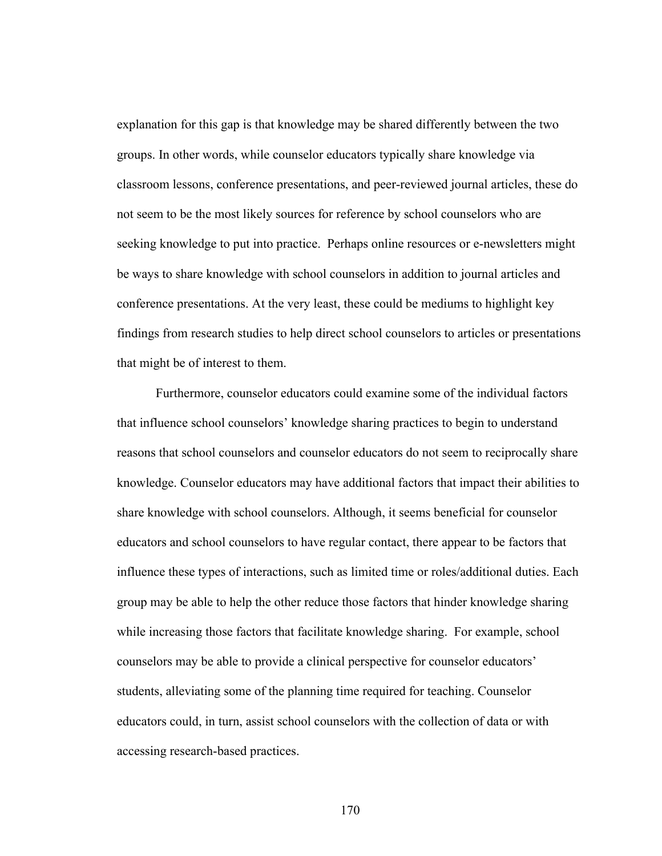explanation for this gap is that knowledge may be shared differently between the two groups. In other words, while counselor educators typically share knowledge via classroom lessons, conference presentations, and peer-reviewed journal articles, these do not seem to be the most likely sources for reference by school counselors who are seeking knowledge to put into practice. Perhaps online resources or e-newsletters might be ways to share knowledge with school counselors in addition to journal articles and conference presentations. At the very least, these could be mediums to highlight key findings from research studies to help direct school counselors to articles or presentations that might be of interest to them.

Furthermore, counselor educators could examine some of the individual factors that influence school counselors' knowledge sharing practices to begin to understand reasons that school counselors and counselor educators do not seem to reciprocally share knowledge. Counselor educators may have additional factors that impact their abilities to share knowledge with school counselors. Although, it seems beneficial for counselor educators and school counselors to have regular contact, there appear to be factors that influence these types of interactions, such as limited time or roles/additional duties. Each group may be able to help the other reduce those factors that hinder knowledge sharing while increasing those factors that facilitate knowledge sharing. For example, school counselors may be able to provide a clinical perspective for counselor educators' students, alleviating some of the planning time required for teaching. Counselor educators could, in turn, assist school counselors with the collection of data or with accessing research-based practices.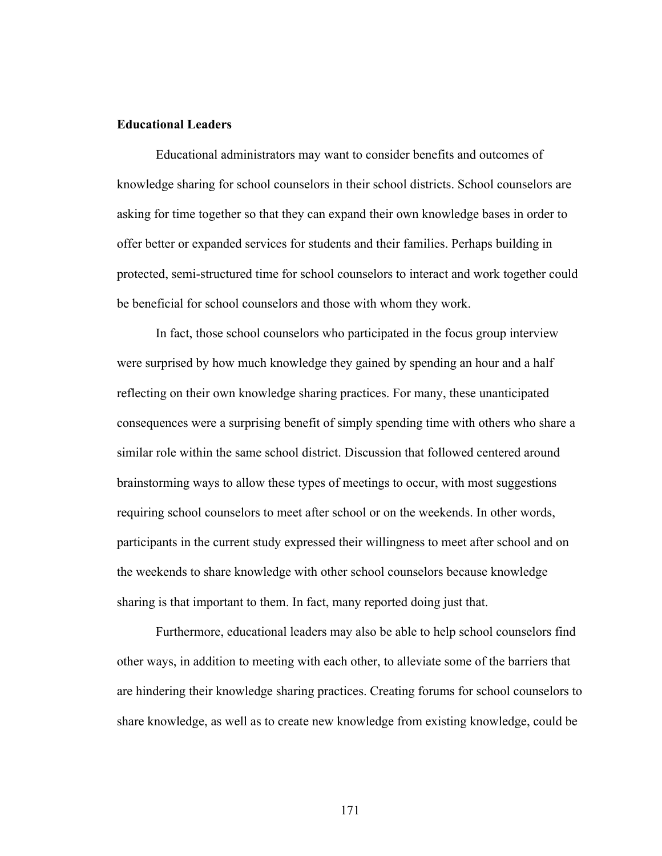## **Educational Leaders**

Educational administrators may want to consider benefits and outcomes of knowledge sharing for school counselors in their school districts. School counselors are asking for time together so that they can expand their own knowledge bases in order to offer better or expanded services for students and their families. Perhaps building in protected, semi-structured time for school counselors to interact and work together could be beneficial for school counselors and those with whom they work.

In fact, those school counselors who participated in the focus group interview were surprised by how much knowledge they gained by spending an hour and a half reflecting on their own knowledge sharing practices. For many, these unanticipated consequences were a surprising benefit of simply spending time with others who share a similar role within the same school district. Discussion that followed centered around brainstorming ways to allow these types of meetings to occur, with most suggestions requiring school counselors to meet after school or on the weekends. In other words, participants in the current study expressed their willingness to meet after school and on the weekends to share knowledge with other school counselors because knowledge sharing is that important to them. In fact, many reported doing just that.

Furthermore, educational leaders may also be able to help school counselors find other ways, in addition to meeting with each other, to alleviate some of the barriers that are hindering their knowledge sharing practices. Creating forums for school counselors to share knowledge, as well as to create new knowledge from existing knowledge, could be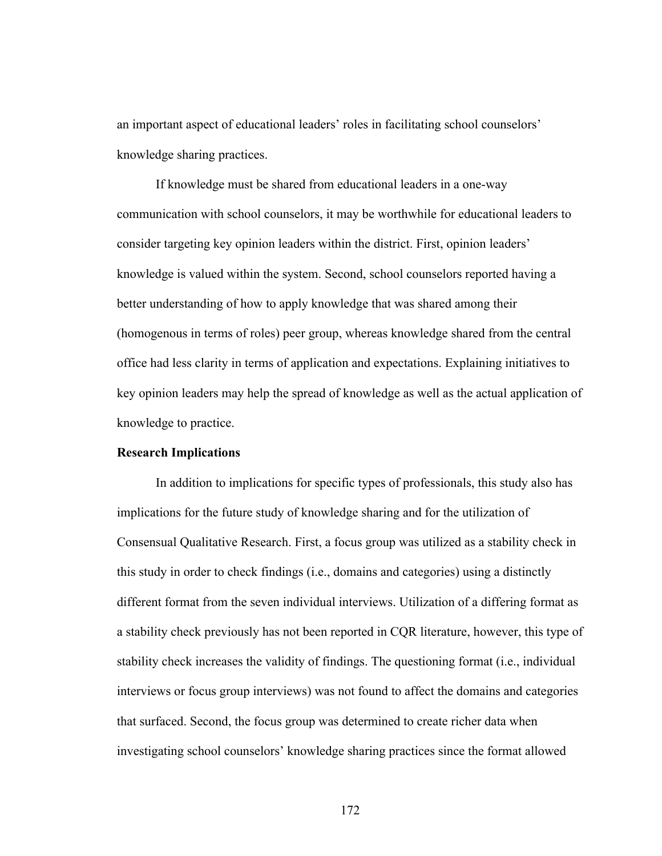an important aspect of educational leaders' roles in facilitating school counselors' knowledge sharing practices.

If knowledge must be shared from educational leaders in a one-way communication with school counselors, it may be worthwhile for educational leaders to consider targeting key opinion leaders within the district. First, opinion leaders' knowledge is valued within the system. Second, school counselors reported having a better understanding of how to apply knowledge that was shared among their (homogenous in terms of roles) peer group, whereas knowledge shared from the central office had less clarity in terms of application and expectations. Explaining initiatives to key opinion leaders may help the spread of knowledge as well as the actual application of knowledge to practice.

#### **Research Implications**

In addition to implications for specific types of professionals, this study also has implications for the future study of knowledge sharing and for the utilization of Consensual Qualitative Research. First, a focus group was utilized as a stability check in this study in order to check findings (i.e., domains and categories) using a distinctly different format from the seven individual interviews. Utilization of a differing format as a stability check previously has not been reported in CQR literature, however, this type of stability check increases the validity of findings. The questioning format (i.e., individual interviews or focus group interviews) was not found to affect the domains and categories that surfaced. Second, the focus group was determined to create richer data when investigating school counselors' knowledge sharing practices since the format allowed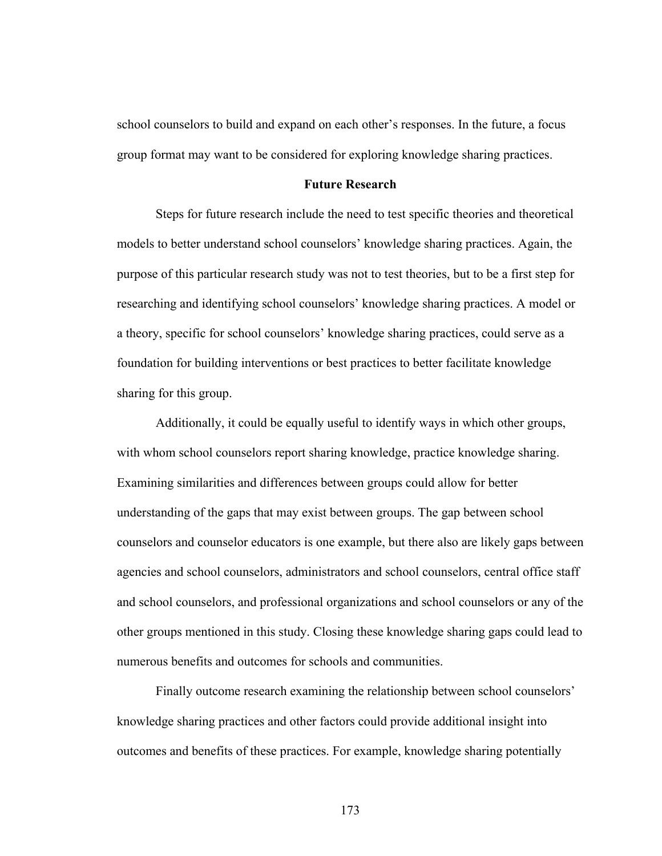school counselors to build and expand on each other's responses. In the future, a focus group format may want to be considered for exploring knowledge sharing practices.

#### **Future Research**

Steps for future research include the need to test specific theories and theoretical models to better understand school counselors' knowledge sharing practices. Again, the purpose of this particular research study was not to test theories, but to be a first step for researching and identifying school counselors' knowledge sharing practices. A model or a theory, specific for school counselors' knowledge sharing practices, could serve as a foundation for building interventions or best practices to better facilitate knowledge sharing for this group.

Additionally, it could be equally useful to identify ways in which other groups, with whom school counselors report sharing knowledge, practice knowledge sharing. Examining similarities and differences between groups could allow for better understanding of the gaps that may exist between groups. The gap between school counselors and counselor educators is one example, but there also are likely gaps between agencies and school counselors, administrators and school counselors, central office staff and school counselors, and professional organizations and school counselors or any of the other groups mentioned in this study. Closing these knowledge sharing gaps could lead to numerous benefits and outcomes for schools and communities.

Finally outcome research examining the relationship between school counselors' knowledge sharing practices and other factors could provide additional insight into outcomes and benefits of these practices. For example, knowledge sharing potentially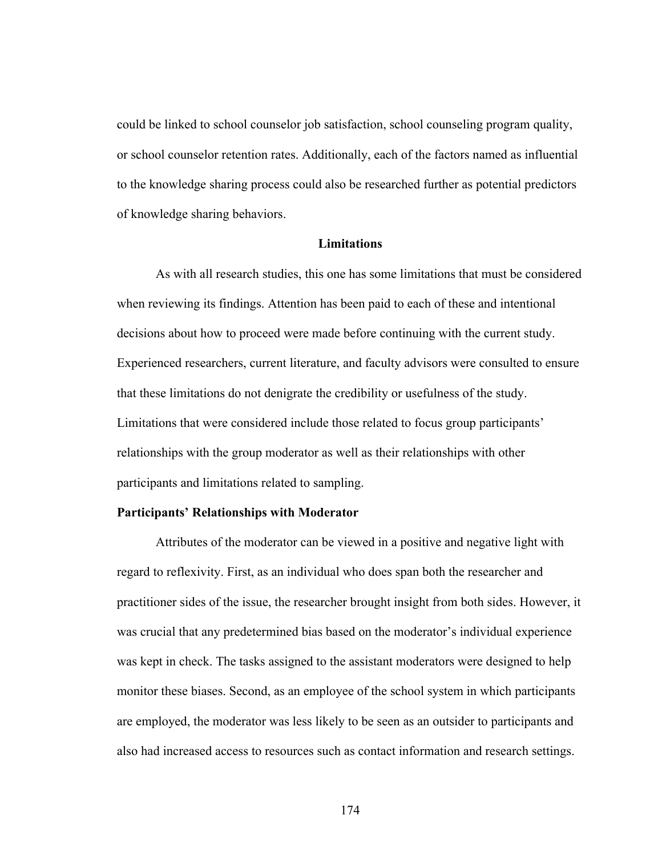could be linked to school counselor job satisfaction, school counseling program quality, or school counselor retention rates. Additionally, each of the factors named as influential to the knowledge sharing process could also be researched further as potential predictors of knowledge sharing behaviors.

#### **Limitations**

As with all research studies, this one has some limitations that must be considered when reviewing its findings. Attention has been paid to each of these and intentional decisions about how to proceed were made before continuing with the current study. Experienced researchers, current literature, and faculty advisors were consulted to ensure that these limitations do not denigrate the credibility or usefulness of the study. Limitations that were considered include those related to focus group participants' relationships with the group moderator as well as their relationships with other participants and limitations related to sampling.

#### **Participants' Relationships with Moderator**

Attributes of the moderator can be viewed in a positive and negative light with regard to reflexivity. First, as an individual who does span both the researcher and practitioner sides of the issue, the researcher brought insight from both sides. However, it was crucial that any predetermined bias based on the moderator's individual experience was kept in check. The tasks assigned to the assistant moderators were designed to help monitor these biases. Second, as an employee of the school system in which participants are employed, the moderator was less likely to be seen as an outsider to participants and also had increased access to resources such as contact information and research settings.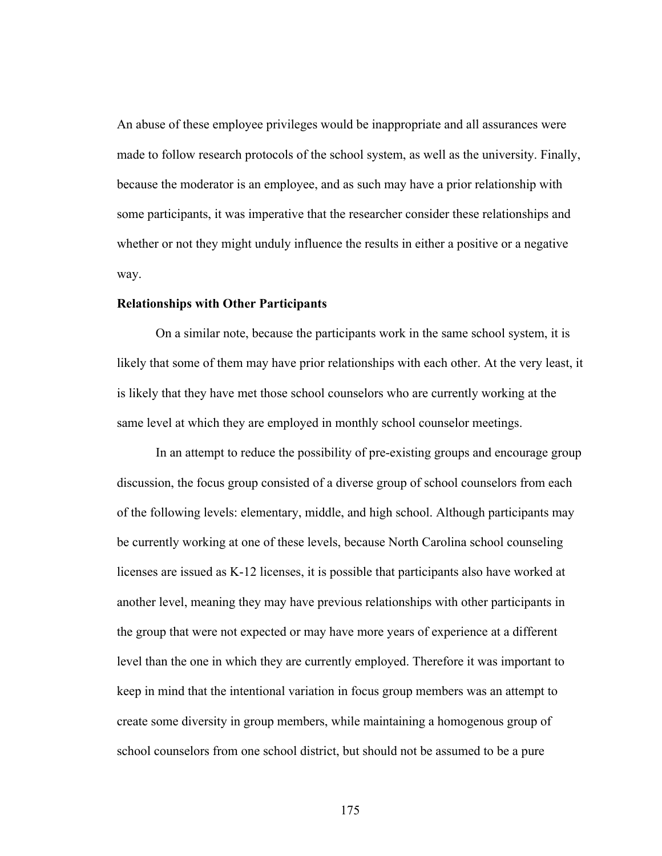An abuse of these employee privileges would be inappropriate and all assurances were made to follow research protocols of the school system, as well as the university. Finally, because the moderator is an employee, and as such may have a prior relationship with some participants, it was imperative that the researcher consider these relationships and whether or not they might unduly influence the results in either a positive or a negative way.

#### **Relationships with Other Participants**

On a similar note, because the participants work in the same school system, it is likely that some of them may have prior relationships with each other. At the very least, it is likely that they have met those school counselors who are currently working at the same level at which they are employed in monthly school counselor meetings.

In an attempt to reduce the possibility of pre-existing groups and encourage group discussion, the focus group consisted of a diverse group of school counselors from each of the following levels: elementary, middle, and high school. Although participants may be currently working at one of these levels, because North Carolina school counseling licenses are issued as K-12 licenses, it is possible that participants also have worked at another level, meaning they may have previous relationships with other participants in the group that were not expected or may have more years of experience at a different level than the one in which they are currently employed. Therefore it was important to keep in mind that the intentional variation in focus group members was an attempt to create some diversity in group members, while maintaining a homogenous group of school counselors from one school district, but should not be assumed to be a pure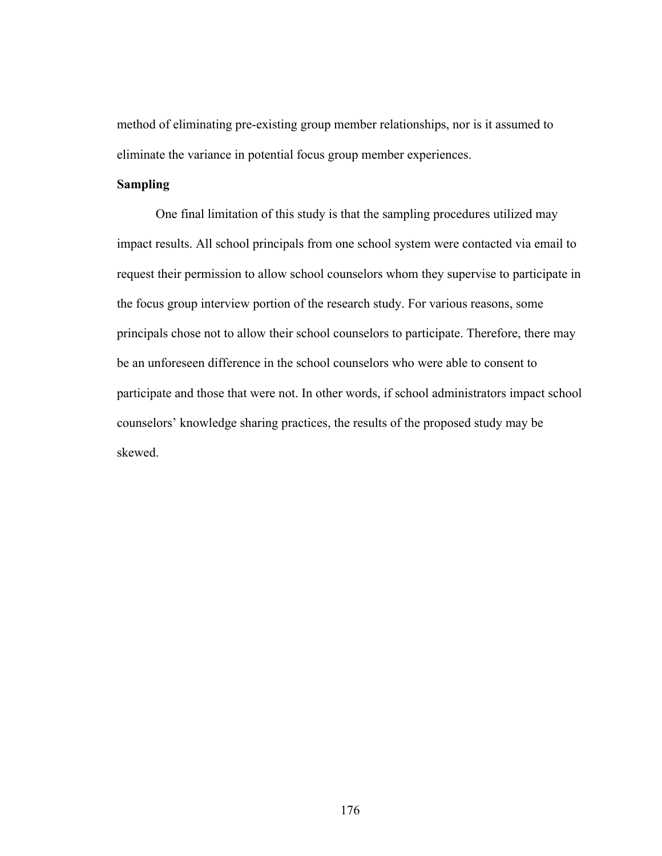method of eliminating pre-existing group member relationships, nor is it assumed to eliminate the variance in potential focus group member experiences.

# **Sampling**

One final limitation of this study is that the sampling procedures utilized may impact results. All school principals from one school system were contacted via email to request their permission to allow school counselors whom they supervise to participate in the focus group interview portion of the research study. For various reasons, some principals chose not to allow their school counselors to participate. Therefore, there may be an unforeseen difference in the school counselors who were able to consent to participate and those that were not. In other words, if school administrators impact school counselors' knowledge sharing practices, the results of the proposed study may be skewed.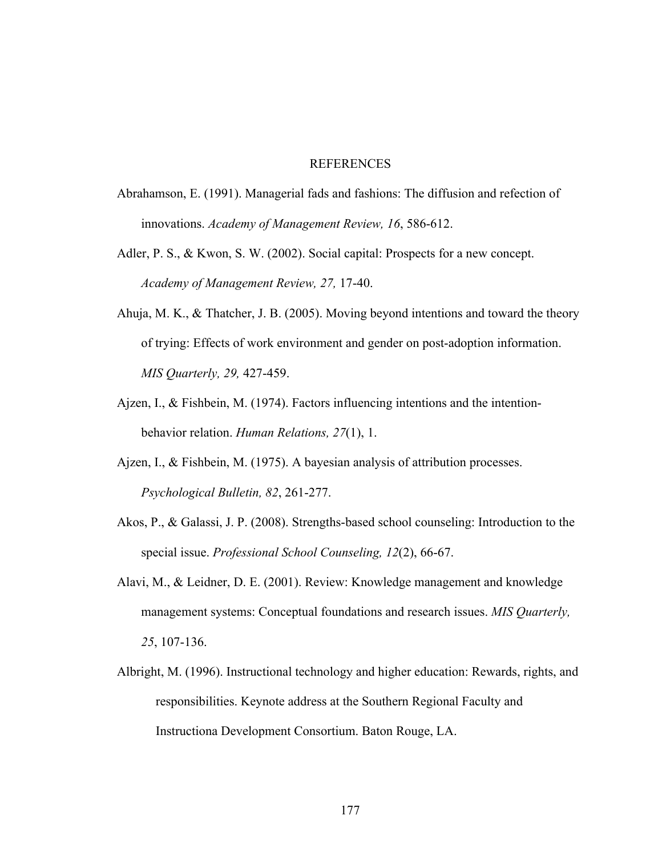#### REFERENCES

- Abrahamson, E. (1991). Managerial fads and fashions: The diffusion and refection of innovations. *Academy of Management Review, 16*, 586-612.
- Adler, P. S., & Kwon, S. W. (2002). Social capital: Prospects for a new concept. *Academy of Management Review, 27,* 17-40.
- Ahuja, M. K., & Thatcher, J. B. (2005). Moving beyond intentions and toward the theory of trying: Effects of work environment and gender on post-adoption information. *MIS Quarterly, 29,* 427-459.
- Ajzen, I., & Fishbein, M. (1974). Factors influencing intentions and the intentionbehavior relation. *Human Relations, 27*(1), 1.
- Ajzen, I., & Fishbein, M. (1975). A bayesian analysis of attribution processes. *Psychological Bulletin, 82*, 261-277.
- Akos, P., & Galassi, J. P. (2008). Strengths-based school counseling: Introduction to the special issue. *Professional School Counseling, 12*(2), 66-67.
- Alavi, M., & Leidner, D. E. (2001). Review: Knowledge management and knowledge management systems: Conceptual foundations and research issues. *MIS Quarterly, 25*, 107-136.
- Albright, M. (1996). Instructional technology and higher education: Rewards, rights, and responsibilities. Keynote address at the Southern Regional Faculty and Instructiona Development Consortium. Baton Rouge, LA.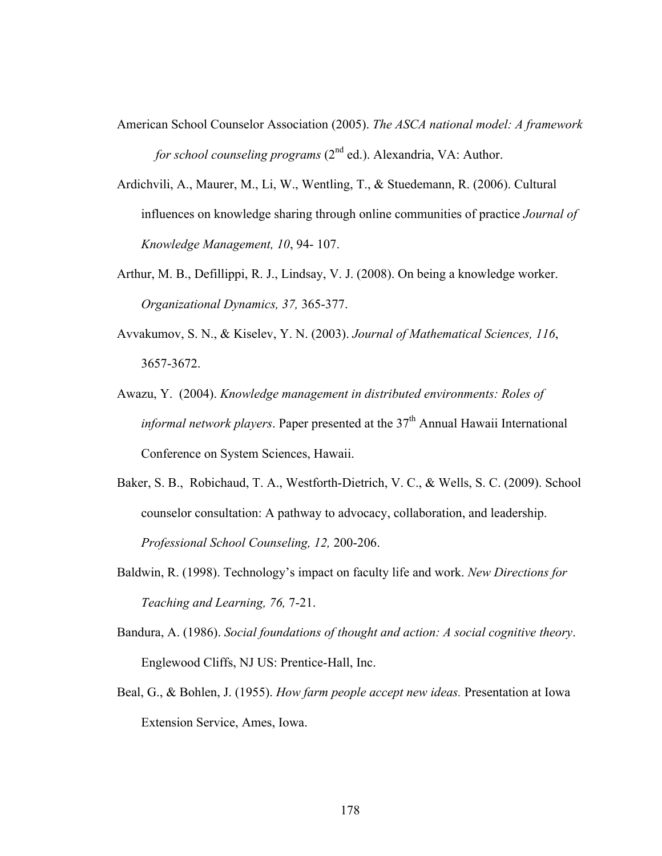- American School Counselor Association (2005). *The ASCA national model: A framework for school counseling programs* (2<sup>nd</sup> ed.). Alexandria, VA: Author.
- Ardichvili, A., Maurer, M., Li, W., Wentling, T., & Stuedemann, R. (2006). Cultural influences on knowledge sharing through online communities of practice *Journal of Knowledge Management, 10*, 94- 107.
- Arthur, M. B., Defillippi, R. J., Lindsay, V. J. (2008). On being a knowledge worker. *Organizational Dynamics, 37,* 365-377.
- Avvakumov, S. N., & Kiselev, Y. N. (2003). *Journal of Mathematical Sciences, 116*, 3657-3672.
- Awazu, Y. (2004). *Knowledge management in distributed environments: Roles of informal network players*. Paper presented at the  $37<sup>th</sup>$  Annual Hawaii International Conference on System Sciences, Hawaii.
- Baker, S. B., Robichaud, T. A., Westforth-Dietrich, V. C., & Wells, S. C. (2009). School counselor consultation: A pathway to advocacy, collaboration, and leadership. *Professional School Counseling, 12,* 200-206.
- Baldwin, R. (1998). Technology's impact on faculty life and work. *New Directions for Teaching and Learning, 76,* 7-21.
- Bandura, A. (1986). *Social foundations of thought and action: A social cognitive theory*. Englewood Cliffs, NJ US: Prentice-Hall, Inc.
- Beal, G., & Bohlen, J. (1955). *How farm people accept new ideas.* Presentation at Iowa Extension Service, Ames, Iowa.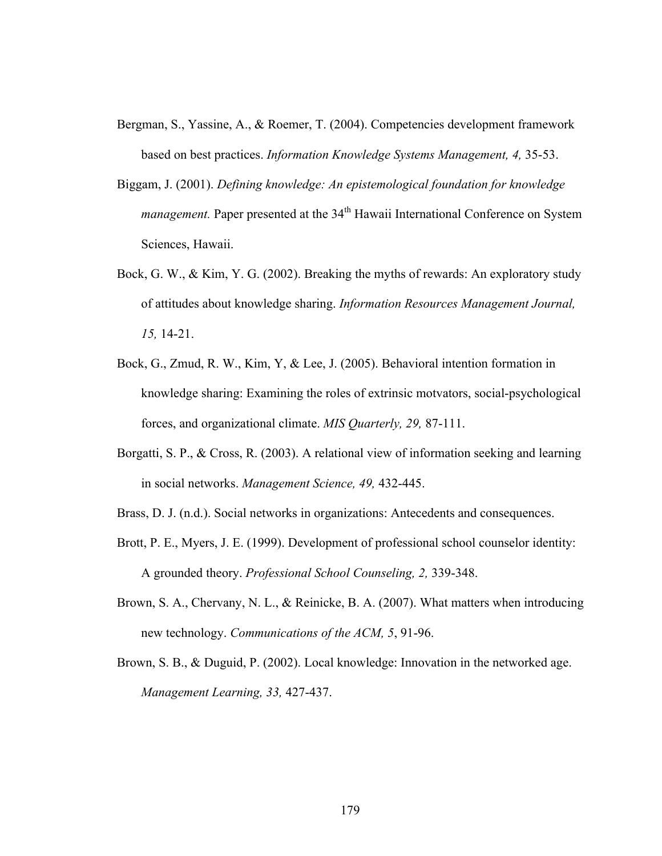- Bergman, S., Yassine, A., & Roemer, T. (2004). Competencies development framework based on best practices. *Information Knowledge Systems Management, 4,* 35-53.
- Biggam, J. (2001). *Defining knowledge: An epistemological foundation for knowledge management*. Paper presented at the 34<sup>th</sup> Hawaii International Conference on System Sciences, Hawaii.
- Bock, G. W., & Kim, Y. G. (2002). Breaking the myths of rewards: An exploratory study of attitudes about knowledge sharing. *Information Resources Management Journal, 15,* 14-21.
- Bock, G., Zmud, R. W., Kim, Y, & Lee, J. (2005). Behavioral intention formation in knowledge sharing: Examining the roles of extrinsic motvators, social-psychological forces, and organizational climate. *MIS Quarterly, 29,* 87-111.
- Borgatti, S. P., & Cross, R. (2003). A relational view of information seeking and learning in social networks. *Management Science, 49,* 432-445.
- Brass, D. J. (n.d.). Social networks in organizations: Antecedents and consequences.
- Brott, P. E., Myers, J. E. (1999). Development of professional school counselor identity: A grounded theory. *Professional School Counseling, 2,* 339-348.
- Brown, S. A., Chervany, N. L., & Reinicke, B. A. (2007). What matters when introducing new technology. *Communications of the ACM, 5*, 91-96.
- Brown, S. B., & Duguid, P. (2002). Local knowledge: Innovation in the networked age. *Management Learning, 33,* 427-437.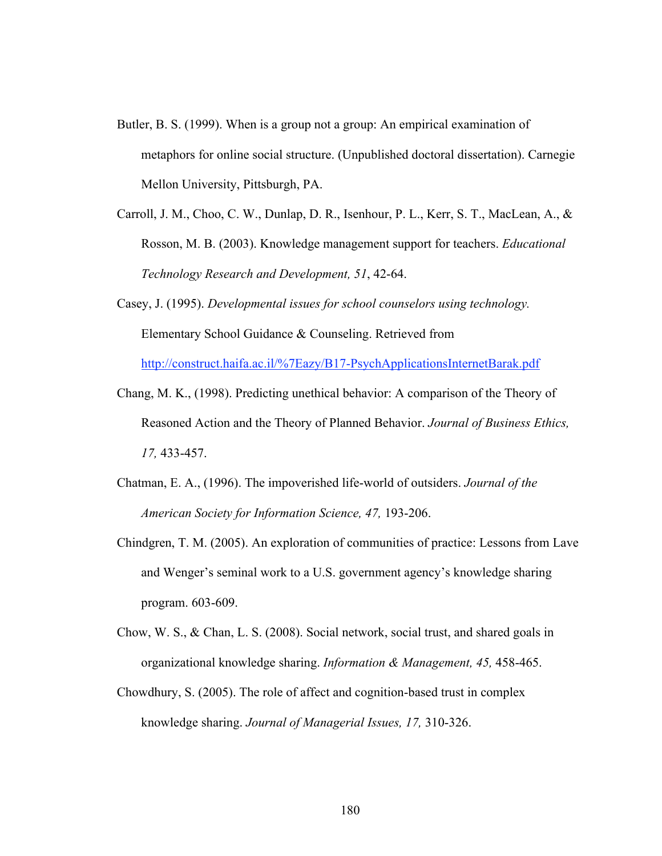- Butler, B. S. (1999). When is a group not a group: An empirical examination of metaphors for online social structure. (Unpublished doctoral dissertation). Carnegie Mellon University, Pittsburgh, PA.
- Carroll, J. M., Choo, C. W., Dunlap, D. R., Isenhour, P. L., Kerr, S. T., MacLean, A., & Rosson, M. B. (2003). Knowledge management support for teachers. *Educational Technology Research and Development, 51*, 42-64.
- Casey, J. (1995). *Developmental issues for school counselors using technology.*  Elementary School Guidance & Counseling. Retrieved from http://construct.haifa.ac.il/%7Eazy/B17-PsychApplicationsInternetBarak.pdf
- Chang, M. K., (1998). Predicting unethical behavior: A comparison of the Theory of Reasoned Action and the Theory of Planned Behavior. *Journal of Business Ethics, 17,* 433-457.
- Chatman, E. A., (1996). The impoverished life-world of outsiders. *Journal of the American Society for Information Science, 47,* 193-206.
- Chindgren, T. M. (2005). An exploration of communities of practice: Lessons from Lave and Wenger's seminal work to a U.S. government agency's knowledge sharing program. 603-609.
- Chow, W. S., & Chan, L. S. (2008). Social network, social trust, and shared goals in organizational knowledge sharing. *Information & Management, 45,* 458-465.
- Chowdhury, S. (2005). The role of affect and cognition-based trust in complex knowledge sharing. *Journal of Managerial Issues, 17,* 310-326.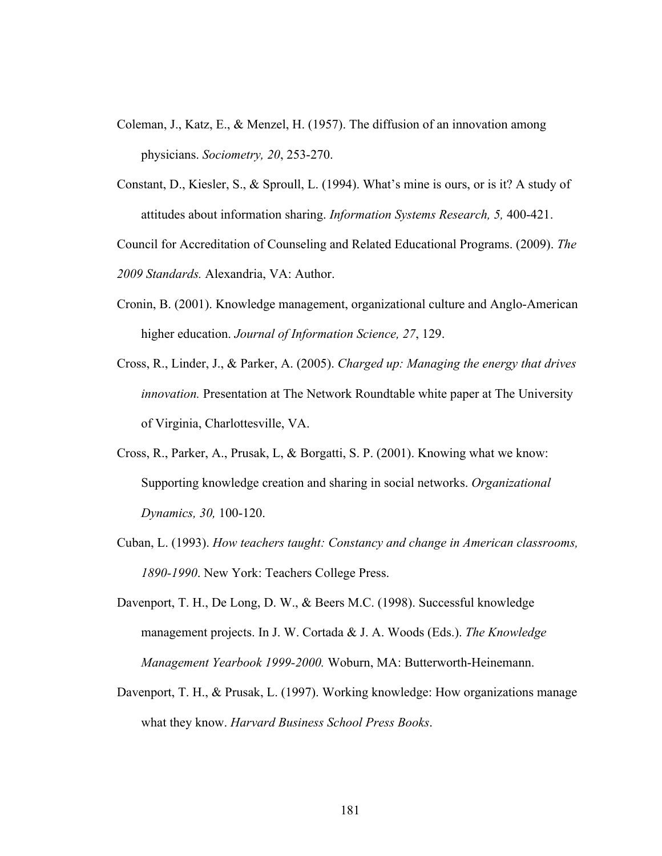- Coleman, J., Katz, E., & Menzel, H. (1957). The diffusion of an innovation among physicians. *Sociometry, 20*, 253-270.
- Constant, D., Kiesler, S., & Sproull, L. (1994). What's mine is ours, or is it? A study of attitudes about information sharing. *Information Systems Research, 5,* 400-421.

Council for Accreditation of Counseling and Related Educational Programs. (2009). *The 2009 Standards.* Alexandria, VA: Author.

- Cronin, B. (2001). Knowledge management, organizational culture and Anglo-American higher education. *Journal of Information Science, 27*, 129.
- Cross, R., Linder, J., & Parker, A. (2005). *Charged up: Managing the energy that drives innovation.* Presentation at The Network Roundtable white paper at The University of Virginia, Charlottesville, VA.
- Cross, R., Parker, A., Prusak, L, & Borgatti, S. P. (2001). Knowing what we know: Supporting knowledge creation and sharing in social networks. *Organizational Dynamics, 30,* 100-120.
- Cuban, L. (1993). *How teachers taught: Constancy and change in American classrooms, 1890-1990*. New York: Teachers College Press.
- Davenport, T. H., De Long, D. W., & Beers M.C. (1998). Successful knowledge management projects. In J. W. Cortada & J. A. Woods (Eds.). *The Knowledge Management Yearbook 1999-2000.* Woburn, MA: Butterworth-Heinemann.
- Davenport, T. H., & Prusak, L. (1997). Working knowledge: How organizations manage what they know. *Harvard Business School Press Books*.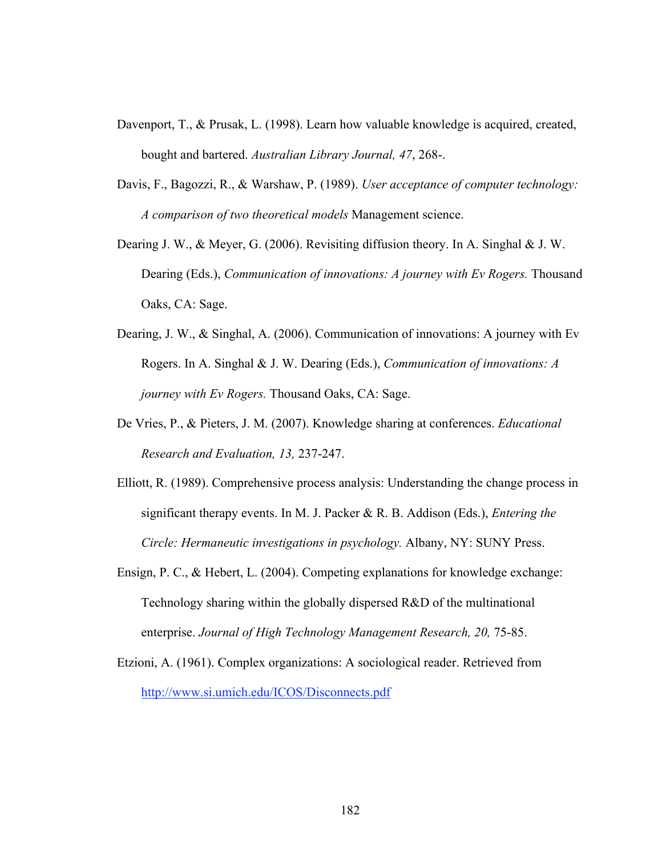- Davenport, T., & Prusak, L. (1998). Learn how valuable knowledge is acquired, created, bought and bartered. *Australian Library Journal, 47*, 268-.
- Davis, F., Bagozzi, R., & Warshaw, P. (1989). *User acceptance of computer technology: A comparison of two theoretical models* Management science.
- Dearing J. W., & Meyer, G. (2006). Revisiting diffusion theory. In A. Singhal & J. W. Dearing (Eds.), *Communication of innovations: A journey with Ev Rogers.* Thousand Oaks, CA: Sage.
- Dearing, J. W., & Singhal, A. (2006). Communication of innovations: A journey with Ev Rogers. In A. Singhal & J. W. Dearing (Eds.), *Communication of innovations: A journey with Ev Rogers.* Thousand Oaks, CA: Sage.
- De Vries, P., & Pieters, J. M. (2007). Knowledge sharing at conferences. *Educational Research and Evaluation, 13,* 237-247.
- Elliott, R. (1989). Comprehensive process analysis: Understanding the change process in significant therapy events. In M. J. Packer & R. B. Addison (Eds.), *Entering the Circle: Hermaneutic investigations in psychology.* Albany, NY: SUNY Press.
- Ensign, P. C., & Hebert, L. (2004). Competing explanations for knowledge exchange: Technology sharing within the globally dispersed R&D of the multinational enterprise. *Journal of High Technology Management Research, 20, 75-85.*
- Etzioni, A. (1961). Complex organizations: A sociological reader. Retrieved from http://www.si.umich.edu/ICOS/Disconnects.pdf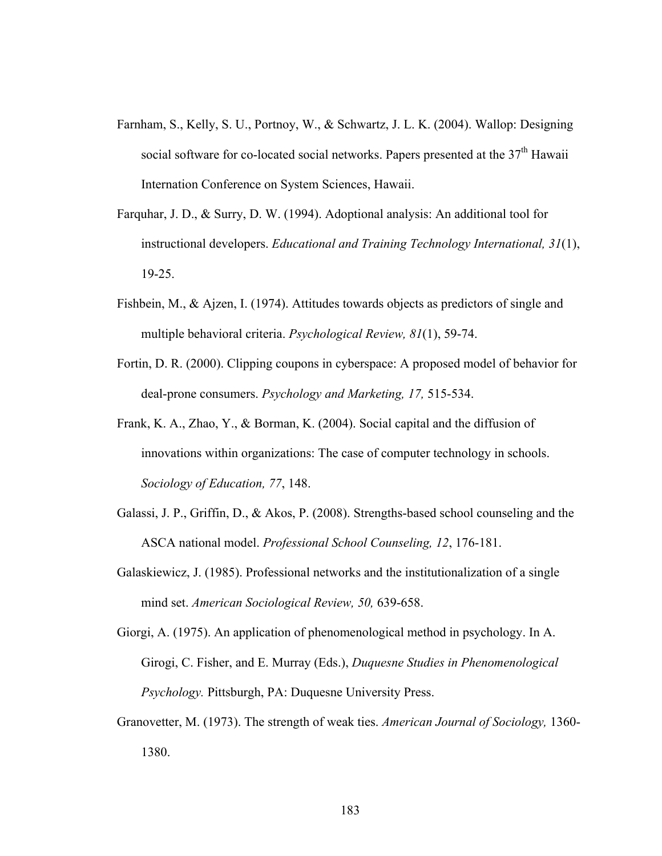- Farnham, S., Kelly, S. U., Portnoy, W., & Schwartz, J. L. K. (2004). Wallop: Designing social software for co-located social networks. Papers presented at the  $37<sup>th</sup>$  Hawaii Internation Conference on System Sciences, Hawaii.
- Farquhar, J. D., & Surry, D. W. (1994). Adoptional analysis: An additional tool for instructional developers. *Educational and Training Technology International, 31*(1), 19-25.
- Fishbein, M., & Ajzen, I. (1974). Attitudes towards objects as predictors of single and multiple behavioral criteria. *Psychological Review, 81*(1), 59-74.
- Fortin, D. R. (2000). Clipping coupons in cyberspace: A proposed model of behavior for deal-prone consumers. *Psychology and Marketing, 17,* 515-534.
- Frank, K. A., Zhao, Y., & Borman, K. (2004). Social capital and the diffusion of innovations within organizations: The case of computer technology in schools. *Sociology of Education, 77*, 148.
- Galassi, J. P., Griffin, D., & Akos, P. (2008). Strengths-based school counseling and the ASCA national model. *Professional School Counseling, 12*, 176-181.
- Galaskiewicz, J. (1985). Professional networks and the institutionalization of a single mind set. *American Sociological Review, 50,* 639-658.

Giorgi, A. (1975). An application of phenomenological method in psychology. In A. Girogi, C. Fisher, and E. Murray (Eds.), *Duquesne Studies in Phenomenological Psychology.* Pittsburgh, PA: Duquesne University Press.

Granovetter, M. (1973). The strength of weak ties. *American Journal of Sociology,* 1360- 1380.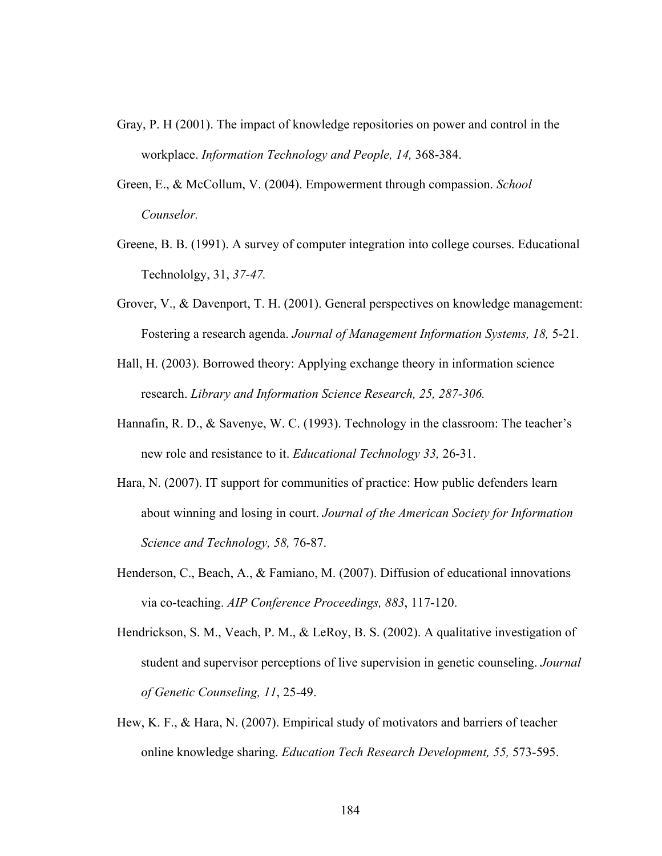- Gray, P. H (2001). The impact of knowledge repositories on power and control in the workplace. *Information Technology and People, 14,* 368-384.
- Green, E., & McCollum, V. (2004). Empowerment through compassion. *School Counselor.*
- Greene, B. B. (1991). A survey of computer integration into college courses. Educational Technololgy, 31, *37-47.*
- Grover, V., & Davenport, T. H. (2001). General perspectives on knowledge management: Fostering a research agenda. *Journal of Management Information Systems, 18,* 5-21.
- Hall, H. (2003). Borrowed theory: Applying exchange theory in information science research. *Library and Information Science Research, 25, 287-306.*
- Hannafin, R. D., & Savenye, W. C. (1993). Technology in the classroom: The teacher's new role and resistance to it. *Educational Technology 33,* 26-31.
- Hara, N. (2007). IT support for communities of practice: How public defenders learn about winning and losing in court. *Journal of the American Society for Information Science and Technology, 58,* 76-87.
- Henderson, C., Beach, A., & Famiano, M. (2007). Diffusion of educational innovations via co-teaching. *AIP Conference Proceedings, 883*, 117-120.
- Hendrickson, S. M., Veach, P. M., & LeRoy, B. S. (2002). A qualitative investigation of student and supervisor perceptions of live supervision in genetic counseling. *Journal of Genetic Counseling, 11*, 25-49.
- Hew, K. F., & Hara, N. (2007). Empirical study of motivators and barriers of teacher online knowledge sharing. *Education Tech Research Development, 55,* 573-595.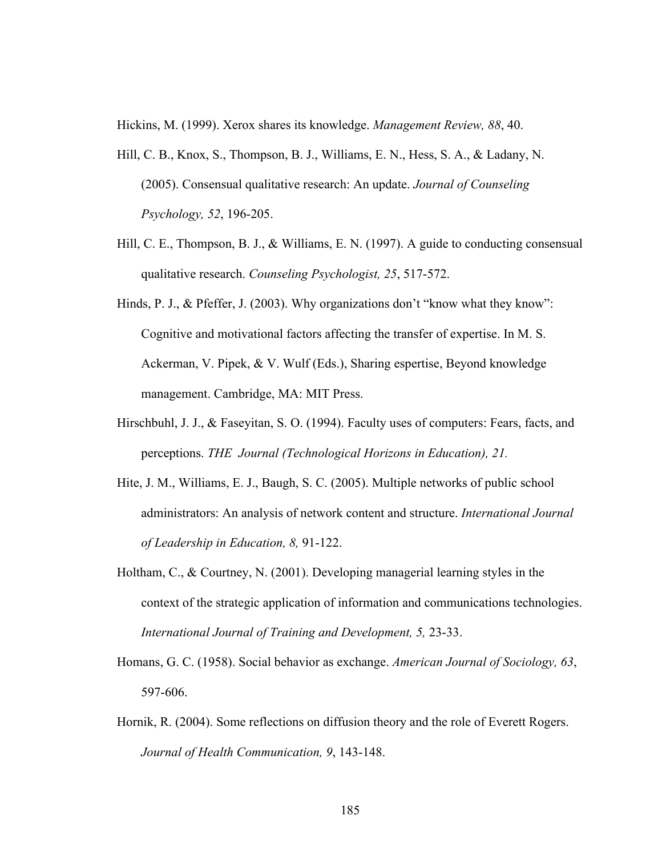Hickins, M. (1999). Xerox shares its knowledge. *Management Review, 88*, 40.

- Hill, C. B., Knox, S., Thompson, B. J., Williams, E. N., Hess, S. A., & Ladany, N. (2005). Consensual qualitative research: An update. *Journal of Counseling Psychology, 52*, 196-205.
- Hill, C. E., Thompson, B. J., & Williams, E. N. (1997). A guide to conducting consensual qualitative research. *Counseling Psychologist, 25*, 517-572.
- Hinds, P. J., & Pfeffer, J. (2003). Why organizations don't "know what they know": Cognitive and motivational factors affecting the transfer of expertise. In M. S. Ackerman, V. Pipek, & V. Wulf (Eds.), Sharing espertise, Beyond knowledge management. Cambridge, MA: MIT Press.
- Hirschbuhl, J. J., & Faseyitan, S. O. (1994). Faculty uses of computers: Fears, facts, and perceptions. *THE Journal (Technological Horizons in Education), 21.*
- Hite, J. M., Williams, E. J., Baugh, S. C. (2005). Multiple networks of public school administrators: An analysis of network content and structure. *International Journal of Leadership in Education, 8,* 91-122.
- Holtham, C., & Courtney, N. (2001). Developing managerial learning styles in the context of the strategic application of information and communications technologies. *International Journal of Training and Development, 5,* 23-33.
- Homans, G. C. (1958). Social behavior as exchange. *American Journal of Sociology, 63*, 597-606.
- Hornik, R. (2004). Some reflections on diffusion theory and the role of Everett Rogers. *Journal of Health Communication, 9*, 143-148.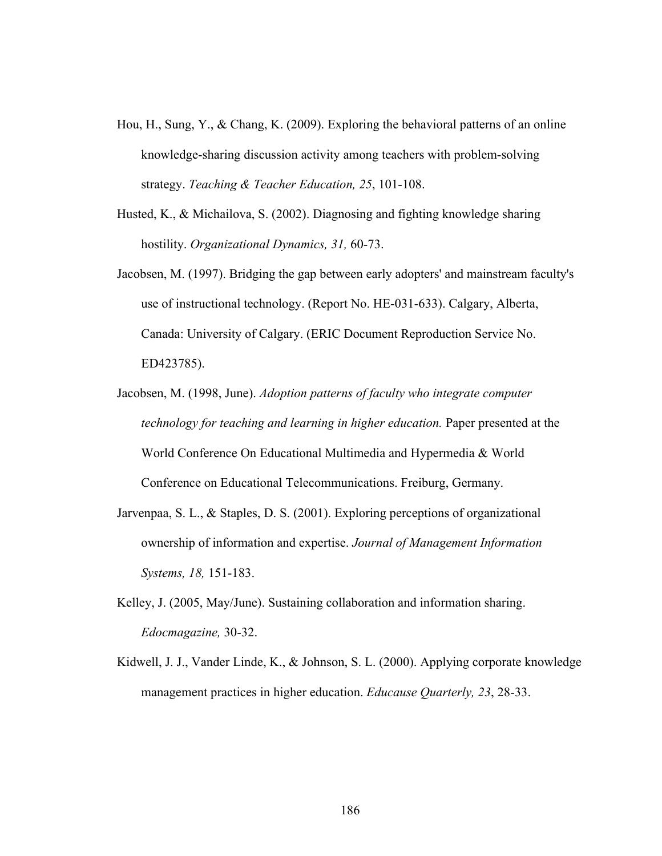- Hou, H., Sung, Y., & Chang, K. (2009). Exploring the behavioral patterns of an online knowledge-sharing discussion activity among teachers with problem-solving strategy. *Teaching & Teacher Education, 25*, 101-108.
- Husted, K., & Michailova, S. (2002). Diagnosing and fighting knowledge sharing hostility. *Organizational Dynamics, 31,* 60-73.
- Jacobsen, M. (1997). Bridging the gap between early adopters' and mainstream faculty's use of instructional technology. (Report No. HE-031-633). Calgary, Alberta, Canada: University of Calgary. (ERIC Document Reproduction Service No. ED423785).
- Jacobsen, M. (1998, June). *Adoption patterns of faculty who integrate computer technology for teaching and learning in higher education.* Paper presented at the World Conference On Educational Multimedia and Hypermedia & World Conference on Educational Telecommunications. Freiburg, Germany.
- Jarvenpaa, S. L., & Staples, D. S. (2001). Exploring perceptions of organizational ownership of information and expertise. *Journal of Management Information Systems, 18,* 151-183.
- Kelley, J. (2005, May/June). Sustaining collaboration and information sharing. *Edocmagazine,* 30-32.
- Kidwell, J. J., Vander Linde, K., & Johnson, S. L. (2000). Applying corporate knowledge management practices in higher education. *Educause Quarterly, 23*, 28-33.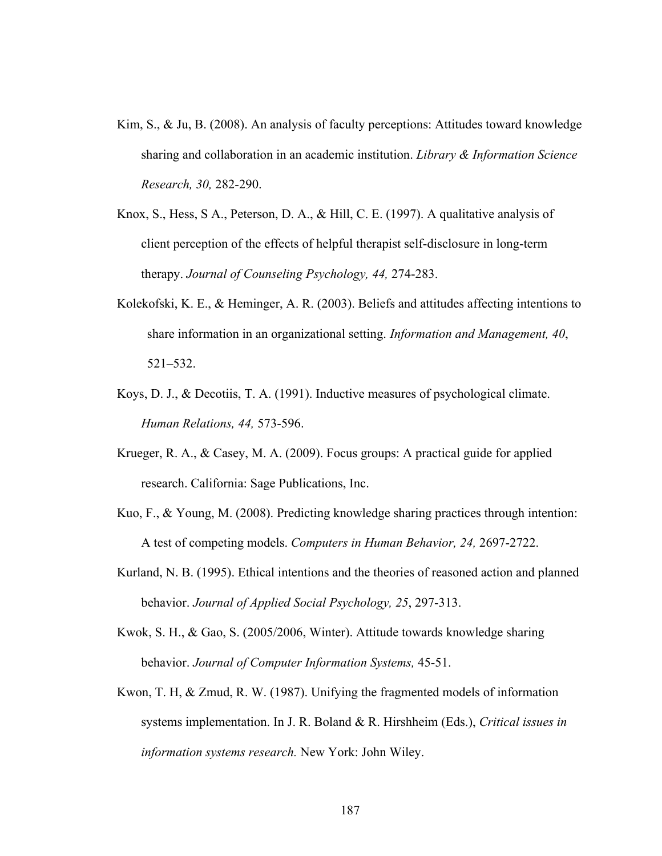- Kim, S., & Ju, B. (2008). An analysis of faculty perceptions: Attitudes toward knowledge sharing and collaboration in an academic institution. *Library & Information Science Research, 30,* 282-290.
- Knox, S., Hess, S A., Peterson, D. A., & Hill, C. E. (1997). A qualitative analysis of client perception of the effects of helpful therapist self-disclosure in long-term therapy. *Journal of Counseling Psychology, 44,* 274-283.
- Kolekofski, K. E., & Heminger, A. R. (2003). Beliefs and attitudes affecting intentions to share information in an organizational setting. *Information and Management, 40*, 521–532.
- Koys, D. J., & Decotiis, T. A. (1991). Inductive measures of psychological climate. *Human Relations, 44,* 573-596.
- Krueger, R. A., & Casey, M. A. (2009). Focus groups: A practical guide for applied research. California: Sage Publications, Inc.
- Kuo, F., & Young, M. (2008). Predicting knowledge sharing practices through intention: A test of competing models. *Computers in Human Behavior, 24,* 2697-2722.
- Kurland, N. B. (1995). Ethical intentions and the theories of reasoned action and planned behavior. *Journal of Applied Social Psychology, 25*, 297-313.
- Kwok, S. H., & Gao, S. (2005/2006, Winter). Attitude towards knowledge sharing behavior. *Journal of Computer Information Systems,* 45-51.
- Kwon, T. H, & Zmud, R. W. (1987). Unifying the fragmented models of information systems implementation. In J. R. Boland & R. Hirshheim (Eds.), *Critical issues in information systems research.* New York: John Wiley.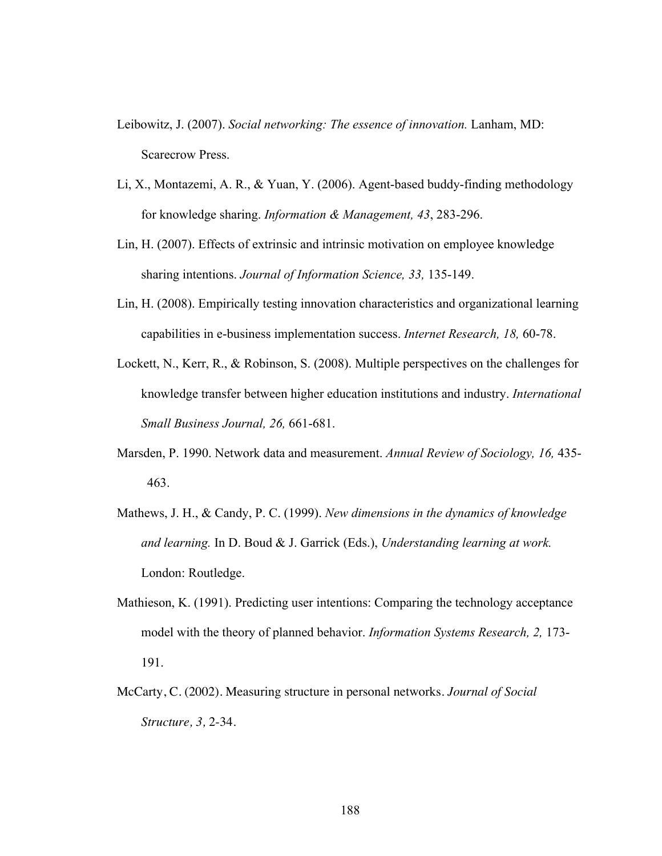- Leibowitz, J. (2007). *Social networking: The essence of innovation.* Lanham, MD: Scarecrow Press.
- Li, X., Montazemi, A. R., & Yuan, Y. (2006). Agent-based buddy-finding methodology for knowledge sharing. *Information & Management, 43*, 283-296.
- Lin, H. (2007). Effects of extrinsic and intrinsic motivation on employee knowledge sharing intentions. *Journal of Information Science, 33,* 135-149.
- Lin, H. (2008). Empirically testing innovation characteristics and organizational learning capabilities in e-business implementation success. *Internet Research, 18,* 60-78.
- Lockett, N., Kerr, R., & Robinson, S. (2008). Multiple perspectives on the challenges for knowledge transfer between higher education institutions and industry. *International Small Business Journal, 26,* 661-681.
- Marsden, P. 1990. Network data and measurement. *Annual Review of Sociology, 16,* 435- 463.
- Mathews, J. H., & Candy, P. C. (1999). *New dimensions in the dynamics of knowledge and learning.* In D. Boud & J. Garrick (Eds.), *Understanding learning at work.*  London: Routledge.
- Mathieson, K. (1991). Predicting user intentions: Comparing the technology acceptance model with the theory of planned behavior. *Information Systems Research, 2,* 173- 191.
- McCarty, C. (2002). Measuring structure in personal networks. *Journal of Social Structure, 3,* 2-34.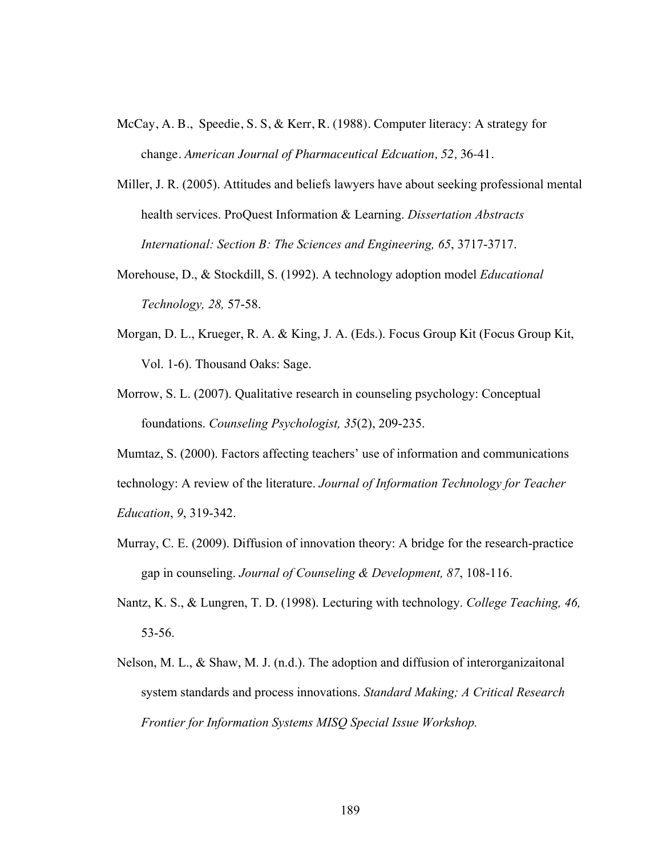- McCay, A. B., Speedie, S. S, & Kerr, R. (1988). Computer literacy: A strategy for change. *American Journal of Pharmaceutical Edcuation, 52,* 36-41.
- Miller, J. R. (2005). Attitudes and beliefs lawyers have about seeking professional mental health services. ProQuest Information & Learning. *Dissertation Abstracts International: Section B: The Sciences and Engineering, 65*, 3717-3717.
- Morehouse, D., & Stockdill, S. (1992). A technology adoption model *Educational Technology, 28,* 57-58.
- Morgan, D. L., Krueger, R. A. & King, J. A. (Eds.). Focus Group Kit (Focus Group Kit, Vol. 1-6). Thousand Oaks: Sage.
- Morrow, S. L. (2007). Qualitative research in counseling psychology: Conceptual foundations. *Counseling Psychologist, 35*(2), 209-235.

Mumtaz, S. (2000). Factors affecting teachers' use of information and communications technology: A review of the literature. *Journal of Information Technology for Teacher Education*, *9*, 319-342.

- Murray, C. E. (2009). Diffusion of innovation theory: A bridge for the research-practice gap in counseling. *Journal of Counseling & Development, 87*, 108-116.
- Nantz, K. S., & Lungren, T. D. (1998). Lecturing with technology. *College Teaching, 46,* 53-56.
- Nelson, M. L., & Shaw, M. J. (n.d.). The adoption and diffusion of interorganizaitonal system standards and process innovations. *Standard Making; A Critical Research Frontier for Information Systems MISQ Special Issue Workshop.*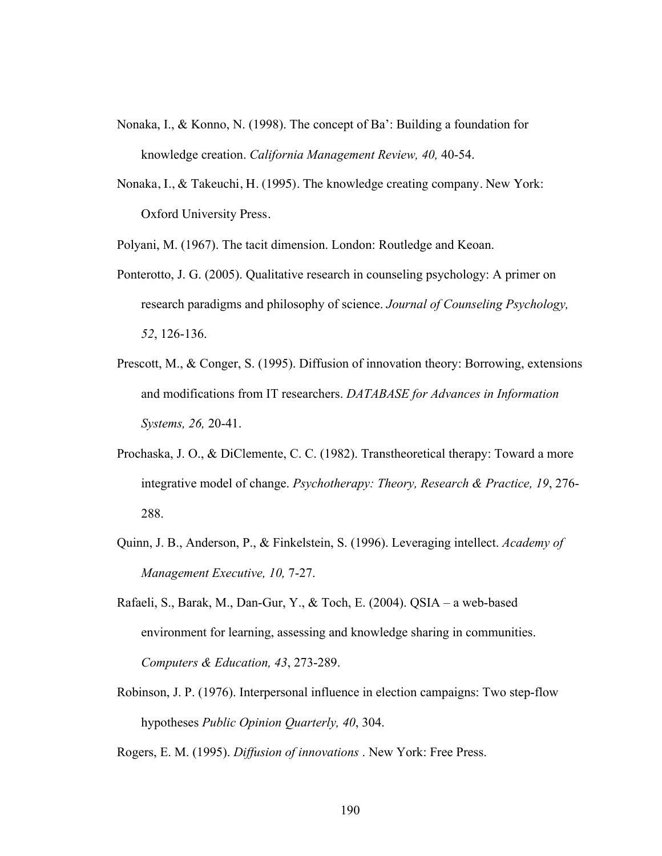- Nonaka, I., & Konno, N. (1998). The concept of Ba': Building a foundation for knowledge creation. *California Management Review, 40,* 40-54.
- Nonaka, I., & Takeuchi, H. (1995). The knowledge creating company. New York: Oxford University Press.

Polyani, M. (1967). The tacit dimension. London: Routledge and Keoan.

- Ponterotto, J. G. (2005). Qualitative research in counseling psychology: A primer on research paradigms and philosophy of science. *Journal of Counseling Psychology, 52*, 126-136.
- Prescott, M., & Conger, S. (1995). Diffusion of innovation theory: Borrowing, extensions and modifications from IT researchers. *DATABASE for Advances in Information Systems, 26,* 20-41.
- Prochaska, J. O., & DiClemente, C. C. (1982). Transtheoretical therapy: Toward a more integrative model of change. *Psychotherapy: Theory, Research & Practice, 19*, 276- 288.
- Quinn, J. B., Anderson, P., & Finkelstein, S. (1996). Leveraging intellect. *Academy of Management Executive, 10,* 7-27.
- Rafaeli, S., Barak, M., Dan-Gur, Y., & Toch, E. (2004). QSIA a web-based environment for learning, assessing and knowledge sharing in communities. *Computers & Education, 43*, 273-289.
- Robinson, J. P. (1976). Interpersonal influence in election campaigns: Two step-flow hypotheses *Public Opinion Quarterly, 40*, 304.

Rogers, E. M. (1995). *Diffusion of innovations* . New York: Free Press.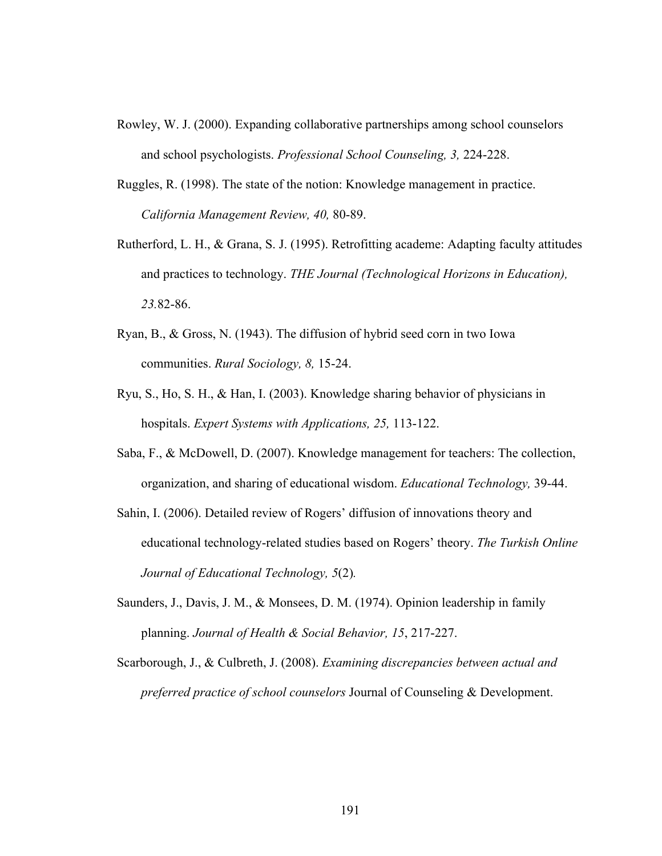- Rowley, W. J. (2000). Expanding collaborative partnerships among school counselors and school psychologists. *Professional School Counseling, 3,* 224-228.
- Ruggles, R. (1998). The state of the notion: Knowledge management in practice. *California Management Review, 40,* 80-89.
- Rutherford, L. H., & Grana, S. J. (1995). Retrofitting academe: Adapting faculty attitudes and practices to technology. *THE Journal (Technological Horizons in Education), 23.*82-86.
- Ryan, B., & Gross, N. (1943). The diffusion of hybrid seed corn in two Iowa communities. *Rural Sociology, 8,* 15-24.
- Ryu, S., Ho, S. H., & Han, I. (2003). Knowledge sharing behavior of physicians in hospitals. *Expert Systems with Applications, 25,* 113-122.
- Saba, F., & McDowell, D. (2007). Knowledge management for teachers: The collection, organization, and sharing of educational wisdom. *Educational Technology,* 39-44.

Sahin, I. (2006). Detailed review of Rogers' diffusion of innovations theory and educational technology-related studies based on Rogers' theory. *The Turkish Online Journal of Educational Technology, 5*(2)*.* 

- Saunders, J., Davis, J. M., & Monsees, D. M. (1974). Opinion leadership in family planning. *Journal of Health & Social Behavior, 15*, 217-227.
- Scarborough, J., & Culbreth, J. (2008). *Examining discrepancies between actual and preferred practice of school counselors* Journal of Counseling & Development.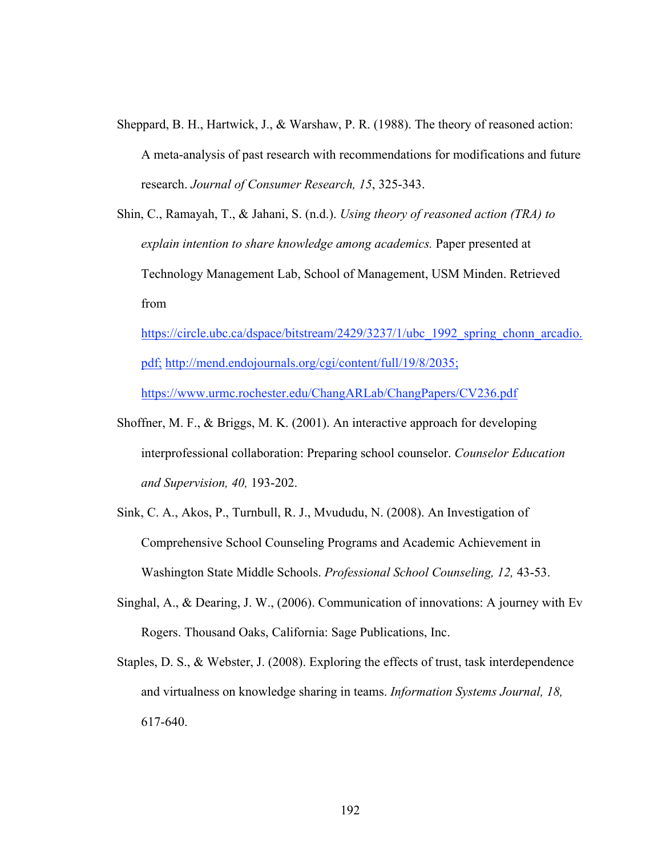- Sheppard, B. H., Hartwick, J., & Warshaw, P. R. (1988). The theory of reasoned action: A meta-analysis of past research with recommendations for modifications and future research. *Journal of Consumer Research, 15*, 325-343.
- Shin, C., Ramayah, T., & Jahani, S. (n.d.). *Using theory of reasoned action (TRA) to explain intention to share knowledge among academics.* Paper presented at Technology Management Lab, School of Management, USM Minden. Retrieved from

https://circle.ubc.ca/dspace/bitstream/2429/3237/1/ubc\_1992\_spring\_chonn\_arcadio. pdf; http://mend.endojournals.org/cgi/content/full/19/8/2035; https://www.urmc.rochester.edu/ChangARLab/ChangPapers/CV236.pdf

- Shoffner, M. F., & Briggs, M. K. (2001). An interactive approach for developing interprofessional collaboration: Preparing school counselor. *Counselor Education and Supervision, 40,* 193-202.
- Sink, C. A., Akos, P., Turnbull, R. J., Mvududu, N. (2008). An Investigation of Comprehensive School Counseling Programs and Academic Achievement in Washington State Middle Schools. *Professional School Counseling, 12,* 43-53.
- Singhal, A., & Dearing, J. W., (2006). Communication of innovations: A journey with Ev Rogers. Thousand Oaks, California: Sage Publications, Inc.
- Staples, D. S., & Webster, J. (2008). Exploring the effects of trust, task interdependence and virtualness on knowledge sharing in teams. *Information Systems Journal, 18,*  617-640.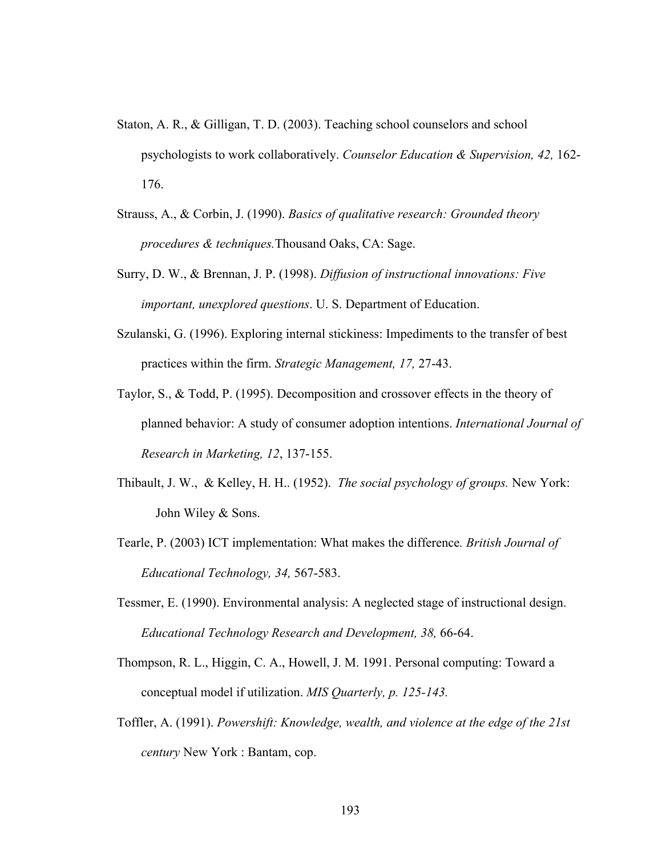- Staton, A. R., & Gilligan, T. D. (2003). Teaching school counselors and school psychologists to work collaboratively. *Counselor Education & Supervision, 42,* 162- 176.
- Strauss, A., & Corbin, J. (1990). *Basics of qualitative research: Grounded theory procedures & techniques.*Thousand Oaks, CA: Sage.
- Surry, D. W., & Brennan, J. P. (1998). *Diffusion of instructional innovations: Five important, unexplored questions*. U. S. Department of Education.
- Szulanski, G. (1996). Exploring internal stickiness: Impediments to the transfer of best practices within the firm. *Strategic Management, 17,* 27-43.
- Taylor, S., & Todd, P. (1995). Decomposition and crossover effects in the theory of planned behavior: A study of consumer adoption intentions. *International Journal of Research in Marketing, 12*, 137-155.
- Thibault, J. W., & Kelley, H. H.. (1952). *The social psychology of groups.* New York: John Wiley & Sons.
- Tearle, P. (2003) ICT implementation: What makes the difference*. British Journal of Educational Technology, 34,* 567-583.
- Tessmer, E. (1990). Environmental analysis: A neglected stage of instructional design. *Educational Technology Research and Development, 38,* 66-64.
- Thompson, R. L., Higgin, C. A., Howell, J. M. 1991. Personal computing: Toward a conceptual model if utilization. *MIS Quarterly, p. 125-143.*
- Toffler, A. (1991). *Powershift: Knowledge, wealth, and violence at the edge of the 21st century* New York : Bantam, cop.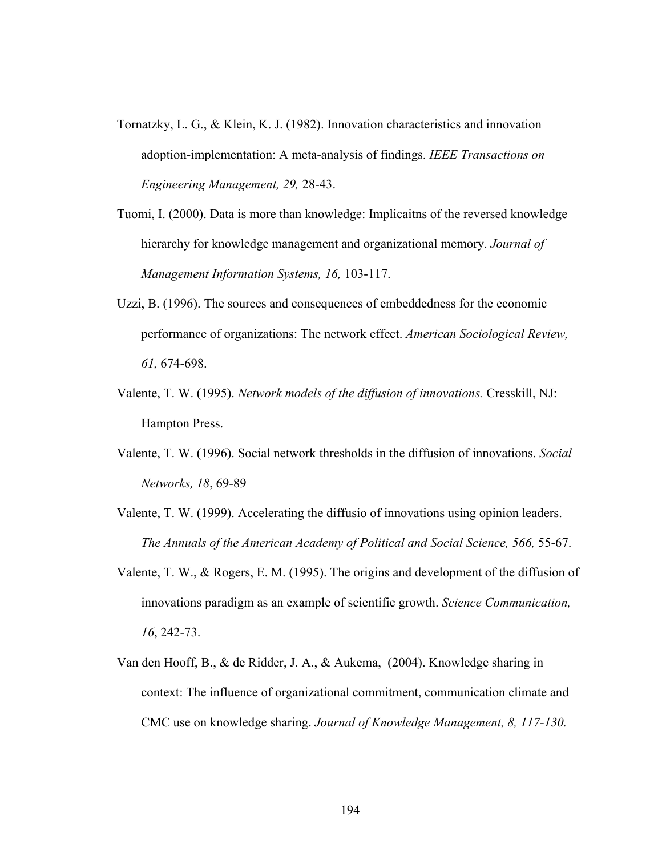- Tornatzky, L. G., & Klein, K. J. (1982). Innovation characteristics and innovation adoption-implementation: A meta-analysis of findings. *IEEE Transactions on Engineering Management, 29,* 28-43.
- Tuomi, I. (2000). Data is more than knowledge: Implicaitns of the reversed knowledge hierarchy for knowledge management and organizational memory. *Journal of Management Information Systems, 16,* 103-117.
- Uzzi, B. (1996). The sources and consequences of embeddedness for the economic performance of organizations: The network effect. *American Sociological Review, 61,* 674-698.
- Valente, T. W. (1995). *Network models of the diffusion of innovations.* Cresskill, NJ: Hampton Press.
- Valente, T. W. (1996). Social network thresholds in the diffusion of innovations. *Social Networks, 18*, 69-89
- Valente, T. W. (1999). Accelerating the diffusio of innovations using opinion leaders. *The Annuals of the American Academy of Political and Social Science, 566,* 55-67.
- Valente, T. W., & Rogers, E. M. (1995). The origins and development of the diffusion of innovations paradigm as an example of scientific growth. *Science Communication, 16*, 242-73.
- Van den Hooff, B., & de Ridder, J. A., & Aukema, (2004). Knowledge sharing in context: The influence of organizational commitment, communication climate and CMC use on knowledge sharing. *Journal of Knowledge Management, 8, 117-130.*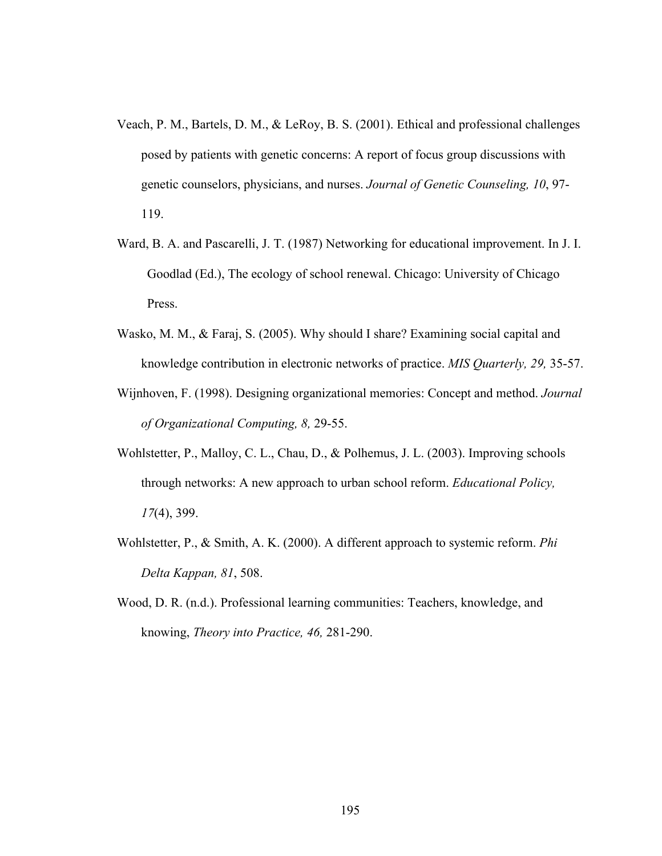- Veach, P. M., Bartels, D. M., & LeRoy, B. S. (2001). Ethical and professional challenges posed by patients with genetic concerns: A report of focus group discussions with genetic counselors, physicians, and nurses. *Journal of Genetic Counseling, 10*, 97- 119.
- Ward, B. A. and Pascarelli, J. T. (1987) Networking for educational improvement. In J. I. Goodlad (Ed.), The ecology of school renewal. Chicago: University of Chicago Press.
- Wasko, M. M., & Faraj, S. (2005). Why should I share? Examining social capital and knowledge contribution in electronic networks of practice. *MIS Quarterly, 29,* 35-57.
- Wijnhoven, F. (1998). Designing organizational memories: Concept and method. *Journal of Organizational Computing, 8,* 29-55.
- Wohlstetter, P., Malloy, C. L., Chau, D., & Polhemus, J. L. (2003). Improving schools through networks: A new approach to urban school reform. *Educational Policy, 17*(4), 399.
- Wohlstetter, P., & Smith, A. K. (2000). A different approach to systemic reform. *Phi Delta Kappan, 81*, 508.
- Wood, D. R. (n.d.). Professional learning communities: Teachers, knowledge, and knowing, *Theory into Practice, 46,* 281-290.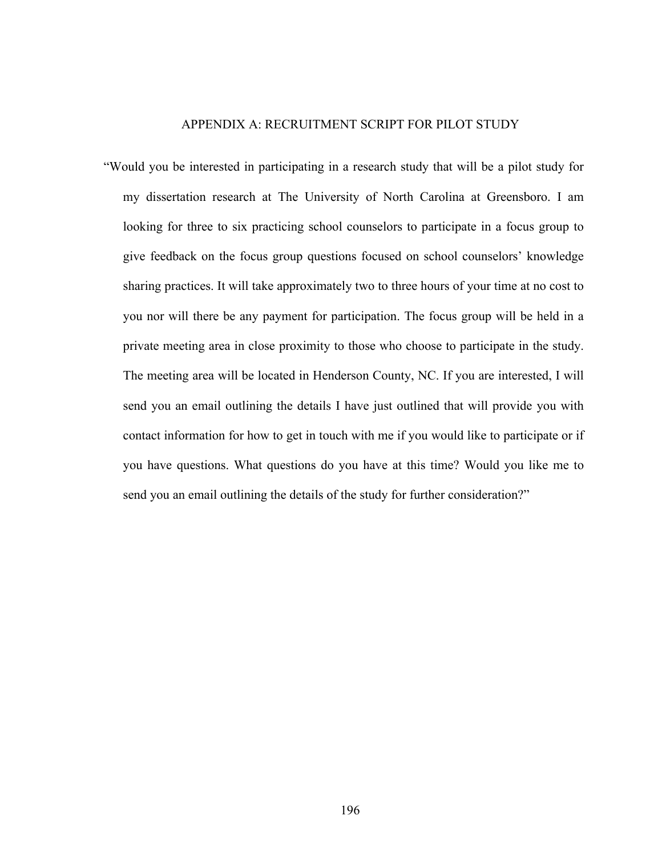## APPENDIX A: RECRUITMENT SCRIPT FOR PILOT STUDY

"Would you be interested in participating in a research study that will be a pilot study for my dissertation research at The University of North Carolina at Greensboro. I am looking for three to six practicing school counselors to participate in a focus group to give feedback on the focus group questions focused on school counselors' knowledge sharing practices. It will take approximately two to three hours of your time at no cost to you nor will there be any payment for participation. The focus group will be held in a private meeting area in close proximity to those who choose to participate in the study. The meeting area will be located in Henderson County, NC. If you are interested, I will send you an email outlining the details I have just outlined that will provide you with contact information for how to get in touch with me if you would like to participate or if you have questions. What questions do you have at this time? Would you like me to send you an email outlining the details of the study for further consideration?"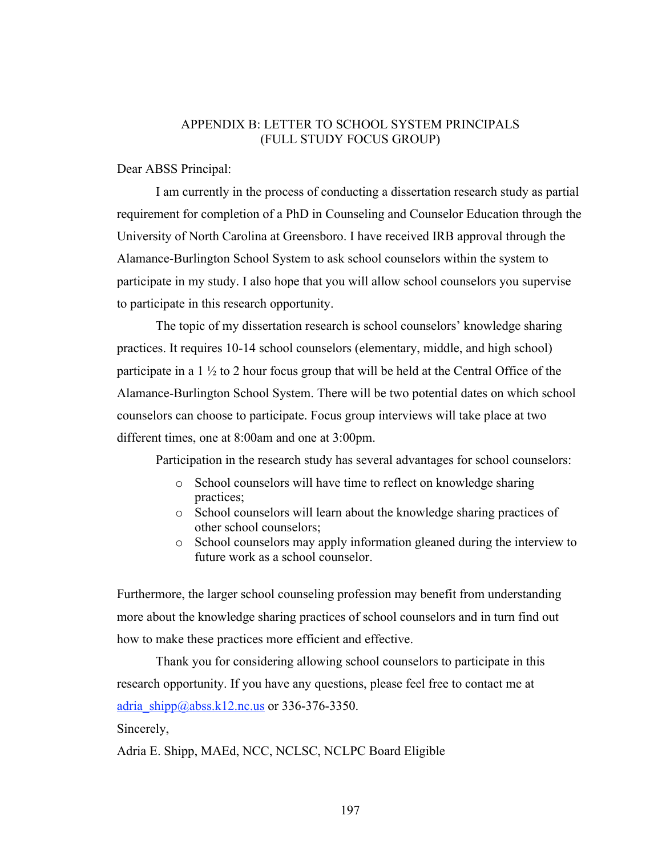## APPENDIX B: LETTER TO SCHOOL SYSTEM PRINCIPALS (FULL STUDY FOCUS GROUP)

Dear ABSS Principal:

I am currently in the process of conducting a dissertation research study as partial requirement for completion of a PhD in Counseling and Counselor Education through the University of North Carolina at Greensboro. I have received IRB approval through the Alamance-Burlington School System to ask school counselors within the system to participate in my study. I also hope that you will allow school counselors you supervise to participate in this research opportunity.

The topic of my dissertation research is school counselors' knowledge sharing practices. It requires 10-14 school counselors (elementary, middle, and high school) participate in a  $1 \frac{1}{2}$  to 2 hour focus group that will be held at the Central Office of the Alamance-Burlington School System. There will be two potential dates on which school counselors can choose to participate. Focus group interviews will take place at two different times, one at 8:00am and one at 3:00pm.

Participation in the research study has several advantages for school counselors:

- o School counselors will have time to reflect on knowledge sharing practices;
- o School counselors will learn about the knowledge sharing practices of other school counselors;
- o School counselors may apply information gleaned during the interview to future work as a school counselor.

Furthermore, the larger school counseling profession may benefit from understanding more about the knowledge sharing practices of school counselors and in turn find out how to make these practices more efficient and effective.

Thank you for considering allowing school counselors to participate in this research opportunity. If you have any questions, please feel free to contact me at adria  $\sin[p(a] \text{abss}.k12 \text{.}nc.us \text{ or } 336-376-3350$ .

Sincerely,

Adria E. Shipp, MAEd, NCC, NCLSC, NCLPC Board Eligible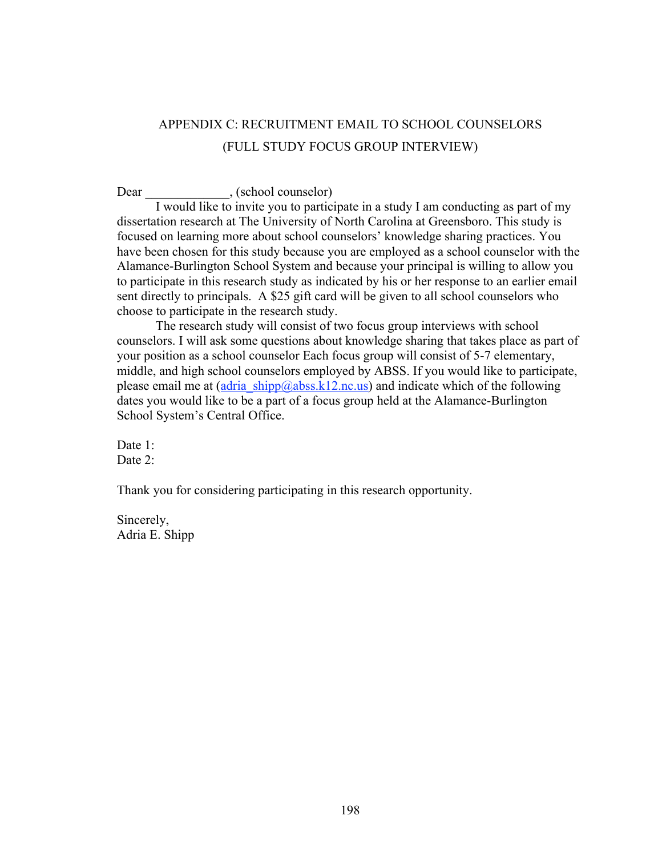# APPENDIX C: RECRUITMENT EMAIL TO SCHOOL COUNSELORS (FULL STUDY FOCUS GROUP INTERVIEW)

Dear (school counselor)

I would like to invite you to participate in a study I am conducting as part of my dissertation research at The University of North Carolina at Greensboro. This study is focused on learning more about school counselors' knowledge sharing practices. You have been chosen for this study because you are employed as a school counselor with the Alamance-Burlington School System and because your principal is willing to allow you to participate in this research study as indicated by his or her response to an earlier email sent directly to principals. A \$25 gift card will be given to all school counselors who choose to participate in the research study.

The research study will consist of two focus group interviews with school counselors. I will ask some questions about knowledge sharing that takes place as part of your position as a school counselor Each focus group will consist of 5-7 elementary, middle, and high school counselors employed by ABSS. If you would like to participate, please email me at  $\frac{\text{adria} - \text{shipp}(Q) \text{abss}.k12 \text{.nc.us}}{\text{and indicate which of the following}}$ dates you would like to be a part of a focus group held at the Alamance-Burlington School System's Central Office.

Date 1: Date  $2^{\cdot}$ 

Thank you for considering participating in this research opportunity.

Sincerely, Adria E. Shipp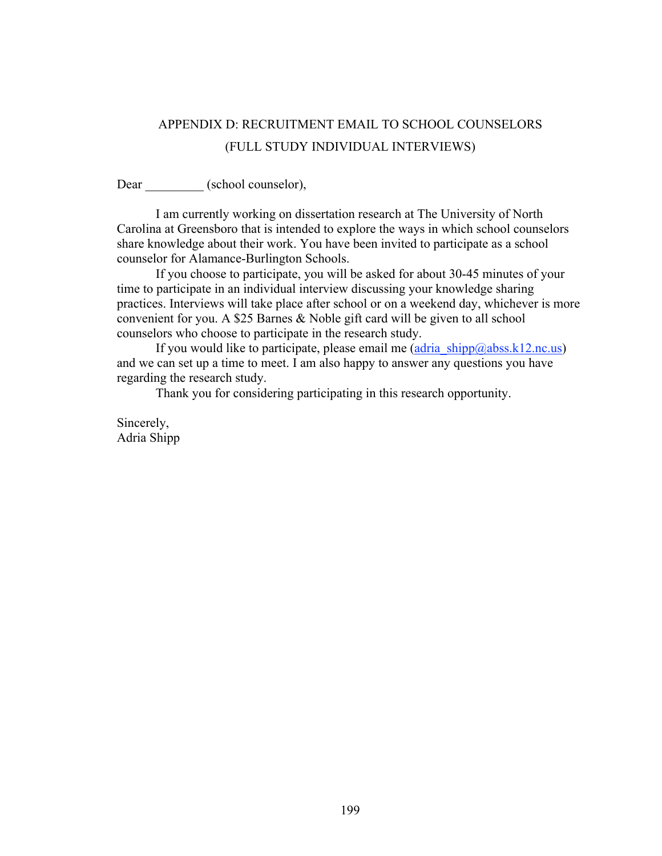# APPENDIX D: RECRUITMENT EMAIL TO SCHOOL COUNSELORS (FULL STUDY INDIVIDUAL INTERVIEWS)

Dear \_\_\_\_\_\_\_\_\_ (school counselor),

I am currently working on dissertation research at The University of North Carolina at Greensboro that is intended to explore the ways in which school counselors share knowledge about their work. You have been invited to participate as a school counselor for Alamance-Burlington Schools.

If you choose to participate, you will be asked for about 30-45 minutes of your time to participate in an individual interview discussing your knowledge sharing practices. Interviews will take place after school or on a weekend day, whichever is more convenient for you. A \$25 Barnes & Noble gift card will be given to all school counselors who choose to participate in the research study.

If you would like to participate, please email me  $(\text{adria} \ \text{shipp@abss.k12}.\text{nc.us})$ and we can set up a time to meet. I am also happy to answer any questions you have regarding the research study.

Thank you for considering participating in this research opportunity.

Sincerely, Adria Shipp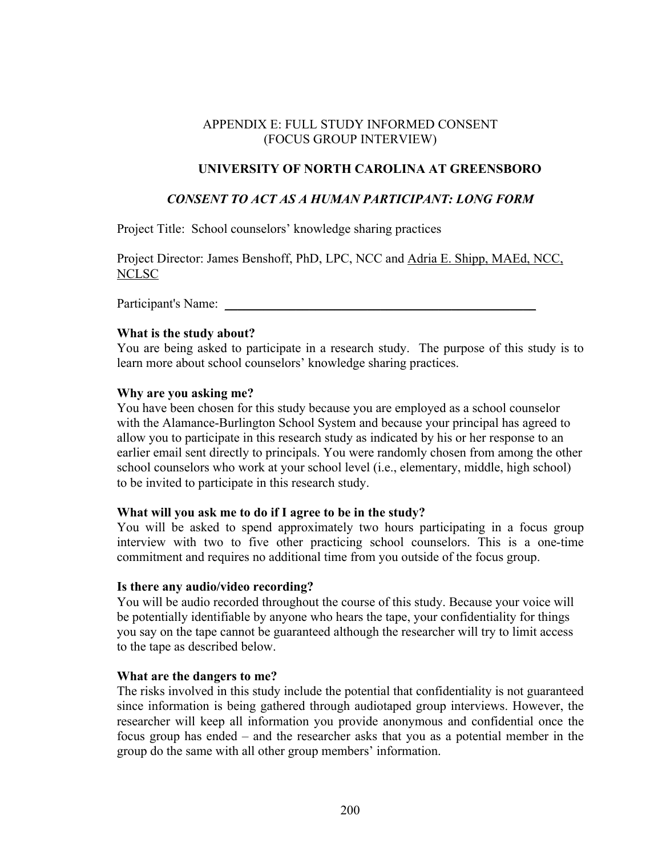# APPENDIX E: FULL STUDY INFORMED CONSENT (FOCUS GROUP INTERVIEW)

# **UNIVERSITY OF NORTH CAROLINA AT GREENSBORO**

# *CONSENT TO ACT AS A HUMAN PARTICIPANT: LONG FORM*

Project Title: School counselors' knowledge sharing practices

Project Director: James Benshoff, PhD, LPC, NCC and Adria E. Shipp, MAEd, NCC, NCLSC

Participant's Name:

## **What is the study about?**

You are being asked to participate in a research study. The purpose of this study is to learn more about school counselors' knowledge sharing practices.

## **Why are you asking me?**

You have been chosen for this study because you are employed as a school counselor with the Alamance-Burlington School System and because your principal has agreed to allow you to participate in this research study as indicated by his or her response to an earlier email sent directly to principals. You were randomly chosen from among the other school counselors who work at your school level (i.e., elementary, middle, high school) to be invited to participate in this research study.

## **What will you ask me to do if I agree to be in the study?**

You will be asked to spend approximately two hours participating in a focus group interview with two to five other practicing school counselors. This is a one-time commitment and requires no additional time from you outside of the focus group.

## **Is there any audio/video recording?**

You will be audio recorded throughout the course of this study. Because your voice will be potentially identifiable by anyone who hears the tape, your confidentiality for things you say on the tape cannot be guaranteed although the researcher will try to limit access to the tape as described below.

## **What are the dangers to me?**

The risks involved in this study include the potential that confidentiality is not guaranteed since information is being gathered through audiotaped group interviews. However, the researcher will keep all information you provide anonymous and confidential once the focus group has ended – and the researcher asks that you as a potential member in the group do the same with all other group members' information.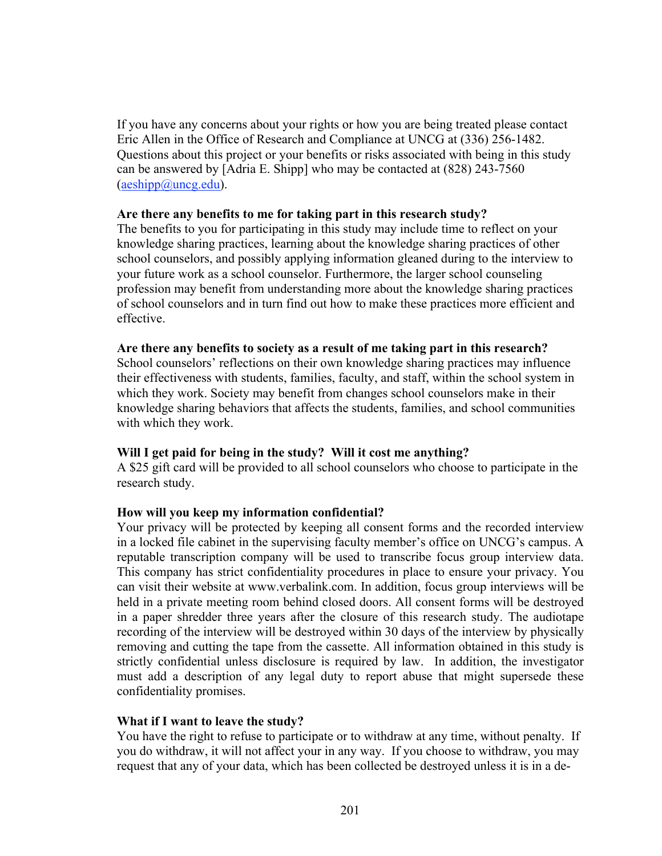If you have any concerns about your rights or how you are being treated please contact Eric Allen in the Office of Research and Compliance at UNCG at (336) 256-1482. Questions about this project or your benefits or risks associated with being in this study can be answered by [Adria E. Shipp] who may be contacted at (828) 243-7560  $(a \cdot \text{e} \cdot \text{d} \cdot \text{e})$  (aeshipp@uncg.edu).

#### **Are there any benefits to me for taking part in this research study?**

The benefits to you for participating in this study may include time to reflect on your knowledge sharing practices, learning about the knowledge sharing practices of other school counselors, and possibly applying information gleaned during to the interview to your future work as a school counselor. Furthermore, the larger school counseling profession may benefit from understanding more about the knowledge sharing practices of school counselors and in turn find out how to make these practices more efficient and effective.

#### **Are there any benefits to society as a result of me taking part in this research?**

School counselors' reflections on their own knowledge sharing practices may influence their effectiveness with students, families, faculty, and staff, within the school system in which they work. Society may benefit from changes school counselors make in their knowledge sharing behaviors that affects the students, families, and school communities with which they work.

## **Will I get paid for being in the study? Will it cost me anything?**

A \$25 gift card will be provided to all school counselors who choose to participate in the research study.

## **How will you keep my information confidential?**

Your privacy will be protected by keeping all consent forms and the recorded interview in a locked file cabinet in the supervising faculty member's office on UNCG's campus. A reputable transcription company will be used to transcribe focus group interview data. This company has strict confidentiality procedures in place to ensure your privacy. You can visit their website at www.verbalink.com. In addition, focus group interviews will be held in a private meeting room behind closed doors. All consent forms will be destroyed in a paper shredder three years after the closure of this research study. The audiotape recording of the interview will be destroyed within 30 days of the interview by physically removing and cutting the tape from the cassette. All information obtained in this study is strictly confidential unless disclosure is required by law. In addition, the investigator must add a description of any legal duty to report abuse that might supersede these confidentiality promises.

## **What if I want to leave the study?**

You have the right to refuse to participate or to withdraw at any time, without penalty. If you do withdraw, it will not affect your in any way. If you choose to withdraw, you may request that any of your data, which has been collected be destroyed unless it is in a de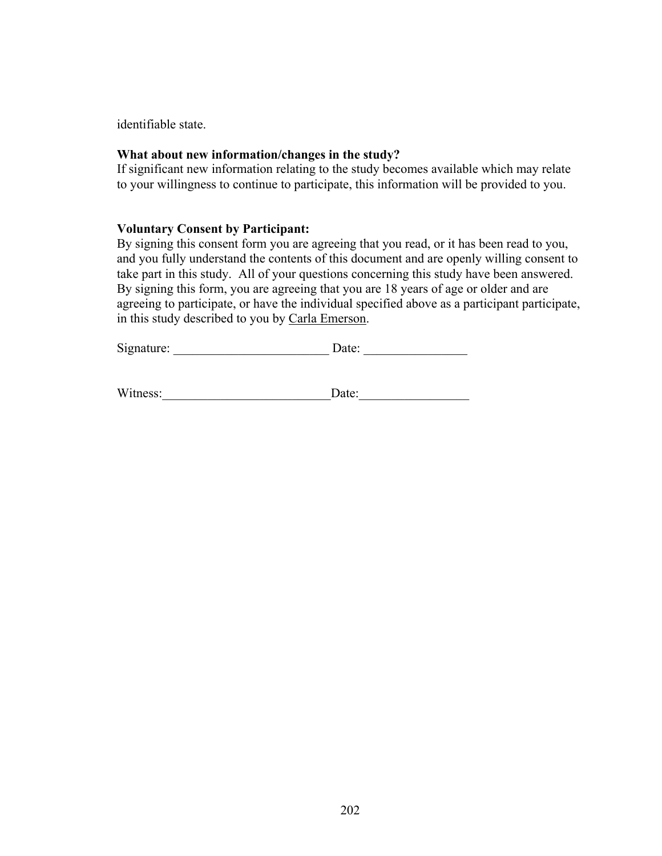identifiable state.

#### **What about new information/changes in the study?**

If significant new information relating to the study becomes available which may relate to your willingness to continue to participate, this information will be provided to you.

# **Voluntary Consent by Participant:**

By signing this consent form you are agreeing that you read, or it has been read to you, and you fully understand the contents of this document and are openly willing consent to take part in this study. All of your questions concerning this study have been answered. By signing this form, you are agreeing that you are 18 years of age or older and are agreeing to participate, or have the individual specified above as a participant participate, in this study described to you by Carla Emerson.

| Signature: | Date∶ |
|------------|-------|
|------------|-------|

Witness: Date: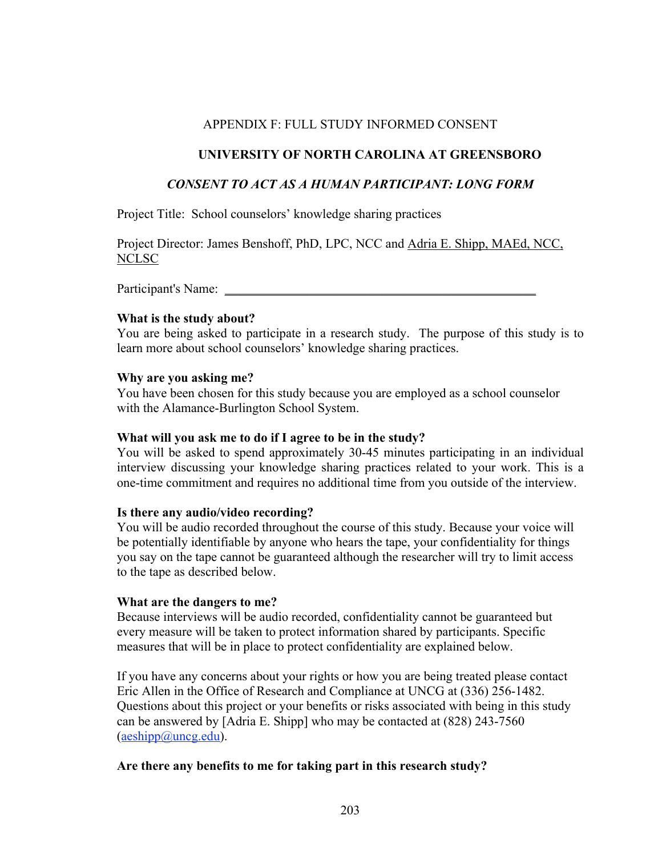# APPENDIX F: FULL STUDY INFORMED CONSENT

# **UNIVERSITY OF NORTH CAROLINA AT GREENSBORO**

# *CONSENT TO ACT AS A HUMAN PARTICIPANT: LONG FORM*

Project Title: School counselors' knowledge sharing practices

Project Director: James Benshoff, PhD, LPC, NCC and Adria E. Shipp, MAEd, NCC, NCLSC

Participant's Name:

## **What is the study about?**

You are being asked to participate in a research study. The purpose of this study is to learn more about school counselors' knowledge sharing practices.

## **Why are you asking me?**

You have been chosen for this study because you are employed as a school counselor with the Alamance-Burlington School System.

## **What will you ask me to do if I agree to be in the study?**

You will be asked to spend approximately 30-45 minutes participating in an individual interview discussing your knowledge sharing practices related to your work. This is a one-time commitment and requires no additional time from you outside of the interview.

## **Is there any audio/video recording?**

You will be audio recorded throughout the course of this study. Because your voice will be potentially identifiable by anyone who hears the tape, your confidentiality for things you say on the tape cannot be guaranteed although the researcher will try to limit access to the tape as described below.

## **What are the dangers to me?**

Because interviews will be audio recorded, confidentiality cannot be guaranteed but every measure will be taken to protect information shared by participants. Specific measures that will be in place to protect confidentiality are explained below.

If you have any concerns about your rights or how you are being treated please contact Eric Allen in the Office of Research and Compliance at UNCG at (336) 256-1482. Questions about this project or your benefits or risks associated with being in this study can be answered by [Adria E. Shipp] who may be contacted at (828) 243-7560  $(a \cdot \text{e} \cdot \text{d} \cdot \text{e})$  (aeshipp@uncg.edu).

## **Are there any benefits to me for taking part in this research study?**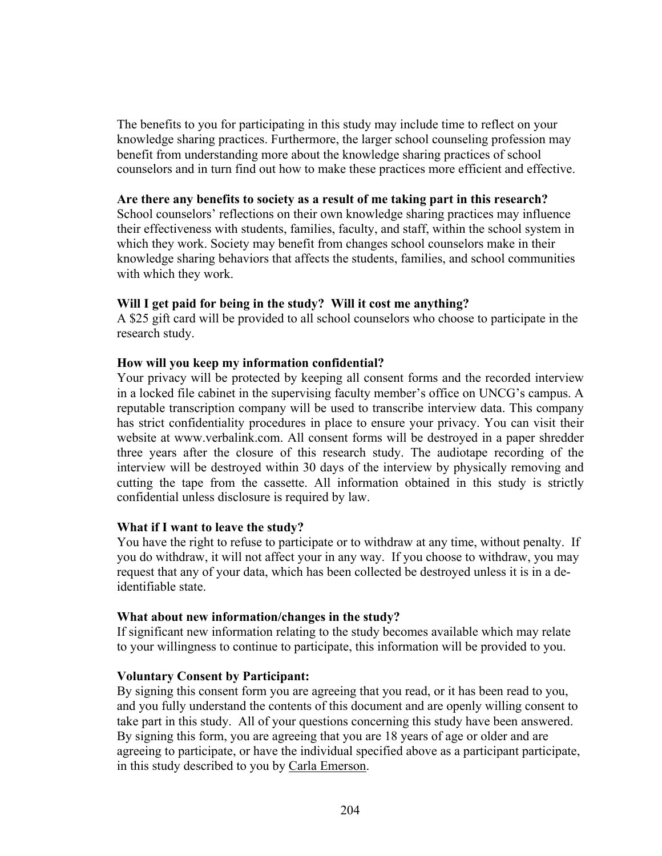The benefits to you for participating in this study may include time to reflect on your knowledge sharing practices. Furthermore, the larger school counseling profession may benefit from understanding more about the knowledge sharing practices of school counselors and in turn find out how to make these practices more efficient and effective.

#### **Are there any benefits to society as a result of me taking part in this research?**

School counselors' reflections on their own knowledge sharing practices may influence their effectiveness with students, families, faculty, and staff, within the school system in which they work. Society may benefit from changes school counselors make in their knowledge sharing behaviors that affects the students, families, and school communities with which they work.

# **Will I get paid for being in the study? Will it cost me anything?**

A \$25 gift card will be provided to all school counselors who choose to participate in the research study.

# **How will you keep my information confidential?**

Your privacy will be protected by keeping all consent forms and the recorded interview in a locked file cabinet in the supervising faculty member's office on UNCG's campus. A reputable transcription company will be used to transcribe interview data. This company has strict confidentiality procedures in place to ensure your privacy. You can visit their website at www.verbalink.com. All consent forms will be destroyed in a paper shredder three years after the closure of this research study. The audiotape recording of the interview will be destroyed within 30 days of the interview by physically removing and cutting the tape from the cassette. All information obtained in this study is strictly confidential unless disclosure is required by law.

## **What if I want to leave the study?**

You have the right to refuse to participate or to withdraw at any time, without penalty. If you do withdraw, it will not affect your in any way. If you choose to withdraw, you may request that any of your data, which has been collected be destroyed unless it is in a deidentifiable state.

## **What about new information/changes in the study?**

If significant new information relating to the study becomes available which may relate to your willingness to continue to participate, this information will be provided to you.

## **Voluntary Consent by Participant:**

By signing this consent form you are agreeing that you read, or it has been read to you, and you fully understand the contents of this document and are openly willing consent to take part in this study. All of your questions concerning this study have been answered. By signing this form, you are agreeing that you are 18 years of age or older and are agreeing to participate, or have the individual specified above as a participant participate, in this study described to you by Carla Emerson.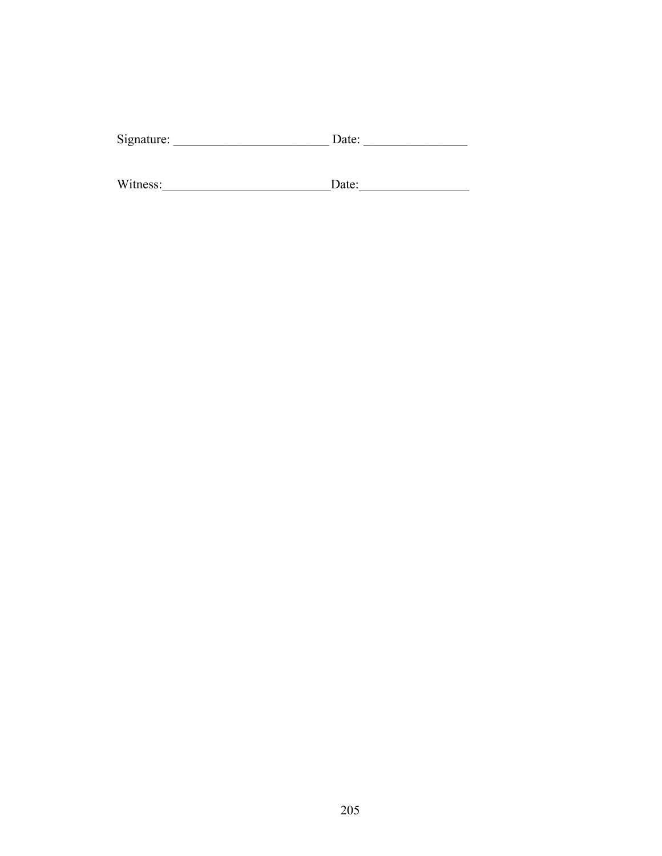| Date: |
|-------|
|       |

| Witness: | Date∶ |
|----------|-------|
|          |       |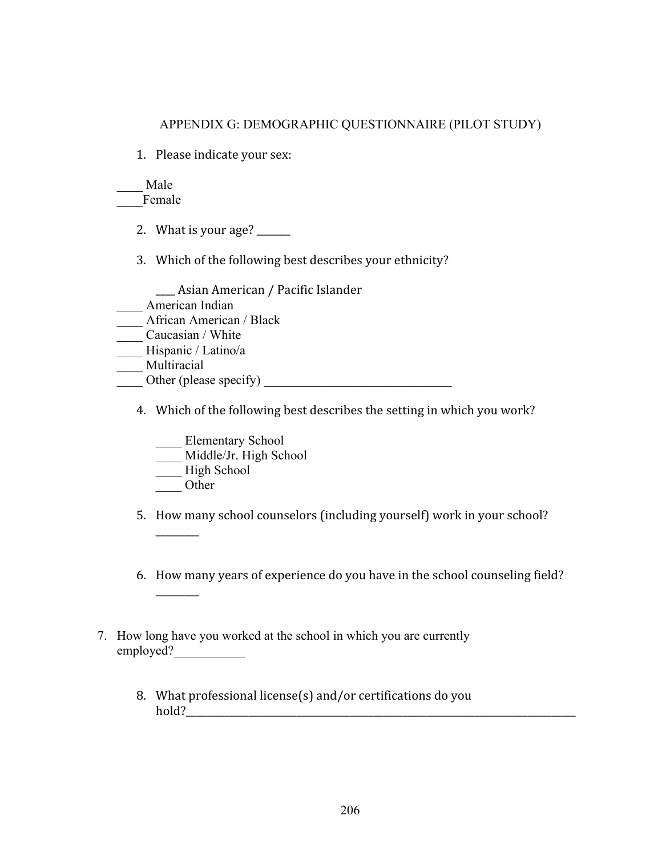# APPENDIX G: DEMOGRAPHIC QUESTIONNAIRE (PILOT STUDY)

1. Please indicate your sex:

\_\_\_\_ Male Female

- 2. What is your age?  $\frac{2}{\sqrt{2}}$
- 3. Which of the following best describes your ethnicity?

1999) Asian American / Pacific Islander

- \_\_\_\_ American Indian
- \_\_\_\_ African American / Black
- \_\_\_\_ Caucasian / White
- Hispanic / Latino/a
- \_\_\_\_ Multiracial
- $\frac{1}{\sqrt{1-\frac{1}{2}}}\text{Other (please specify)}$ 
	- 4. Which of the following best describes the setting in which you work?

\_\_\_\_ Elementary School

- \_\_\_\_ Middle/Jr. High School
- \_\_\_\_ High School
- \_\_\_\_ Other

999999999

999999999

5. How many school counselors (including yourself) work in your school?

- 6. How many years of experience do you have in the school counseling field?
- 7. How long have you worked at the school in which you are currently employed?
	- 8. What professional license(s) and/or certifications do you 6/\$+8999999999999999999999999999999999999999999999999999999999999999999999999999999999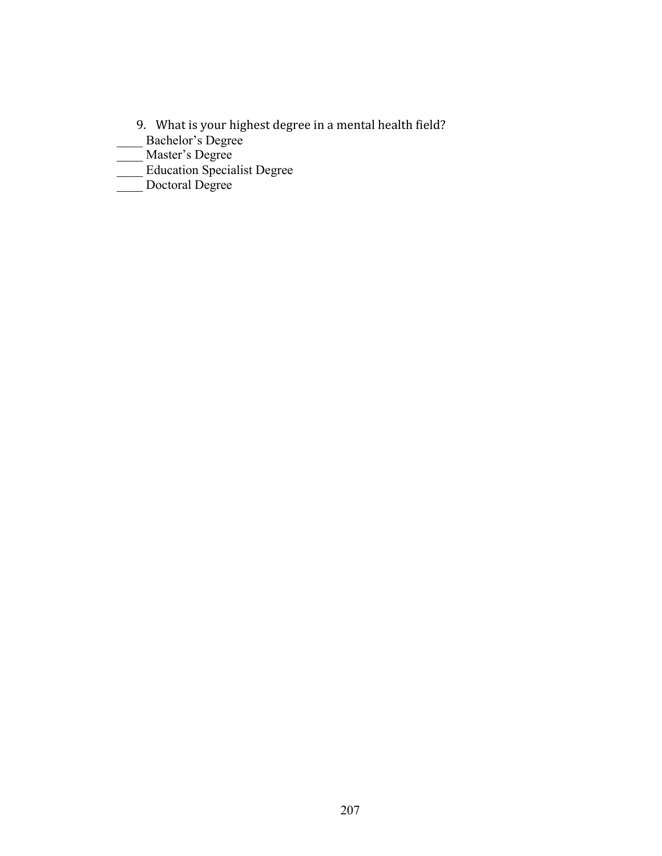- 9. What is your highest degree in a mental health field?
- \_\_\_\_ Bachelor's Degree
- \_\_\_\_ Master's Degree
- \_\_\_\_ Education Specialist Degree
- \_\_\_\_ Doctoral Degree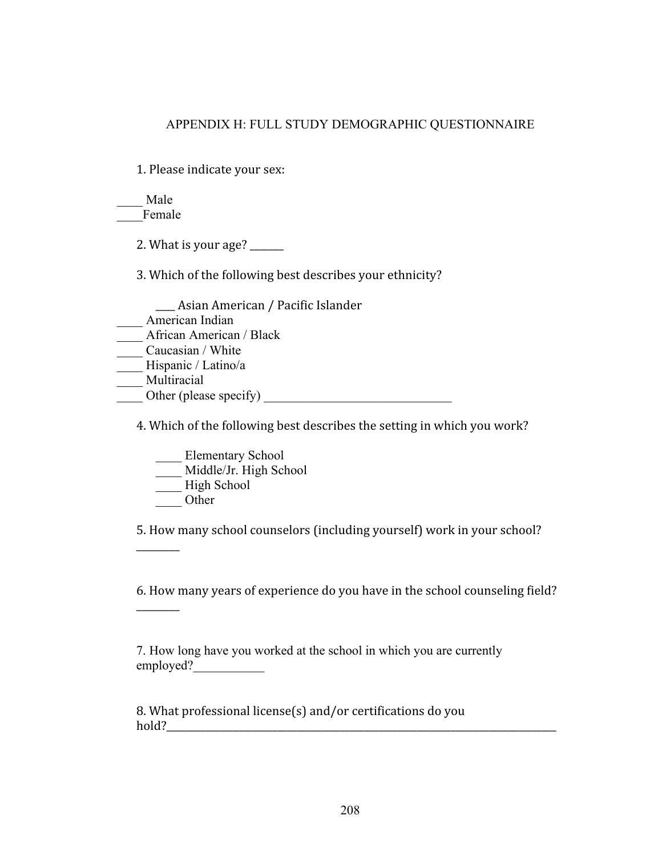# APPENDIX H: FULL STUDY DEMOGRAPHIC QUESTIONNAIRE

1. Please indicate your sex:

\_\_\_\_ Male Female

2. What is your age?  $\frac{2}{\sqrt{2}}$ 

3. Which of the following best describes your ethnicity?

1999) Asian American / Pacific Islander

- \_\_\_\_ American Indian
- \_\_\_\_ African American / Black
- Caucasian / White
- \_\_\_\_ Hispanic / Latino/a
- Multiracial

Other (please specify)

4. Which of the following best describes the setting in which you work?

\_\_\_\_ Elementary School

Middle/Jr. High School

- \_\_\_\_ High School
- \_\_\_\_ Other

999999999

999999999

5. How many school counselors (including yourself) work in your school?

6. How many years of experience do you have in the school counseling field?

7. How long have you worked at the school in which you are currently employed?

8. What professional license(s) and/or certifications do you 6/\$+8999999999999999999999999999999999999999999999999999999999999999999999999999999999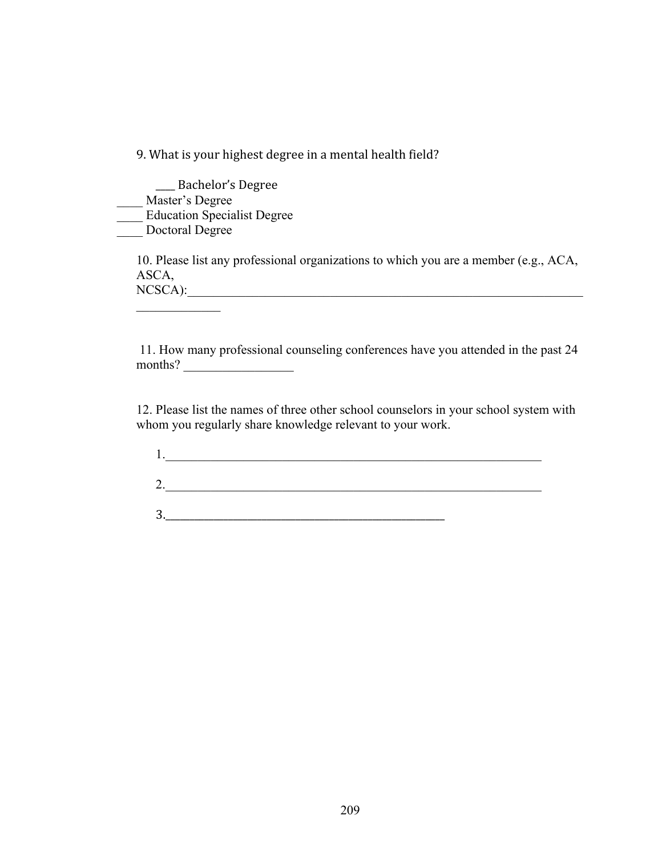9. What is your highest degree in a mental health field?

\_\_ Bachelor's Degree \_\_\_\_ Master's Degree \_\_\_\_ Education Specialist Degree \_\_\_\_ Doctoral Degree

 $\mathcal{L}_\text{max}$ 

10. Please list any professional organizations to which you are a member (e.g., ACA, ASCA, NCSCA):

 11. How many professional counseling conferences have you attended in the past 24 months?

12. Please list the names of three other school counselors in your school system with whom you regularly share knowledge relevant to your work.

| r |  |  |
|---|--|--|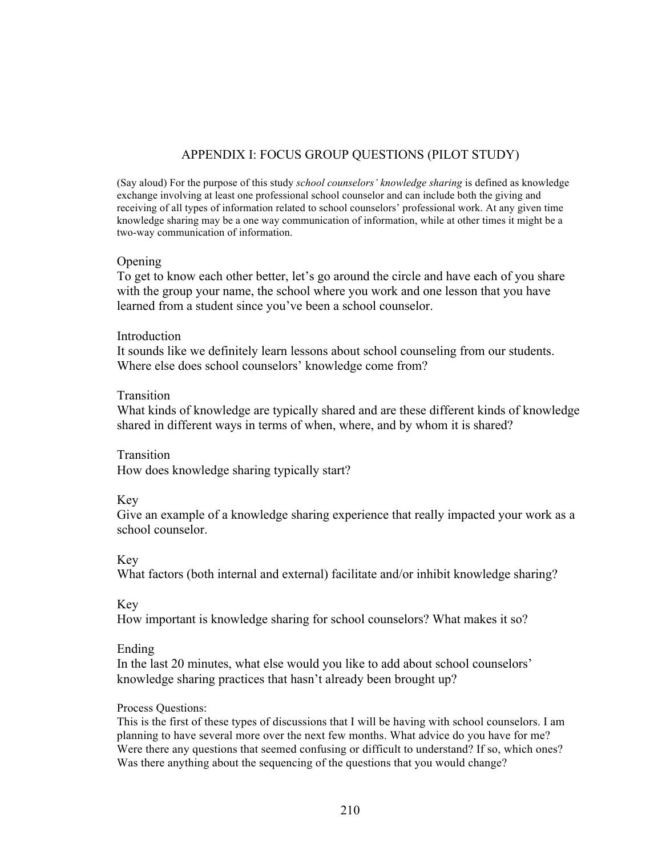# APPENDIX I: FOCUS GROUP QUESTIONS (PILOT STUDY)

(Say aloud) For the purpose of this study *school counselors' knowledge sharing* is defined as knowledge exchange involving at least one professional school counselor and can include both the giving and receiving of all types of information related to school counselors' professional work. At any given time knowledge sharing may be a one way communication of information, while at other times it might be a two-way communication of information.

#### **Opening**

To get to know each other better, let's go around the circle and have each of you share with the group your name, the school where you work and one lesson that you have learned from a student since you've been a school counselor.

#### **Introduction**

It sounds like we definitely learn lessons about school counseling from our students. Where else does school counselors' knowledge come from?

#### Transition

What kinds of knowledge are typically shared and are these different kinds of knowledge shared in different ways in terms of when, where, and by whom it is shared?

Transition How does knowledge sharing typically start?

## Key

Give an example of a knowledge sharing experience that really impacted your work as a school counselor.

## Key

What factors (both internal and external) facilitate and/or inhibit knowledge sharing?

## Key

How important is knowledge sharing for school counselors? What makes it so?

## Ending

In the last 20 minutes, what else would you like to add about school counselors' knowledge sharing practices that hasn't already been brought up?

## Process Questions:

This is the first of these types of discussions that I will be having with school counselors. I am planning to have several more over the next few months. What advice do you have for me? Were there any questions that seemed confusing or difficult to understand? If so, which ones? Was there anything about the sequencing of the questions that you would change?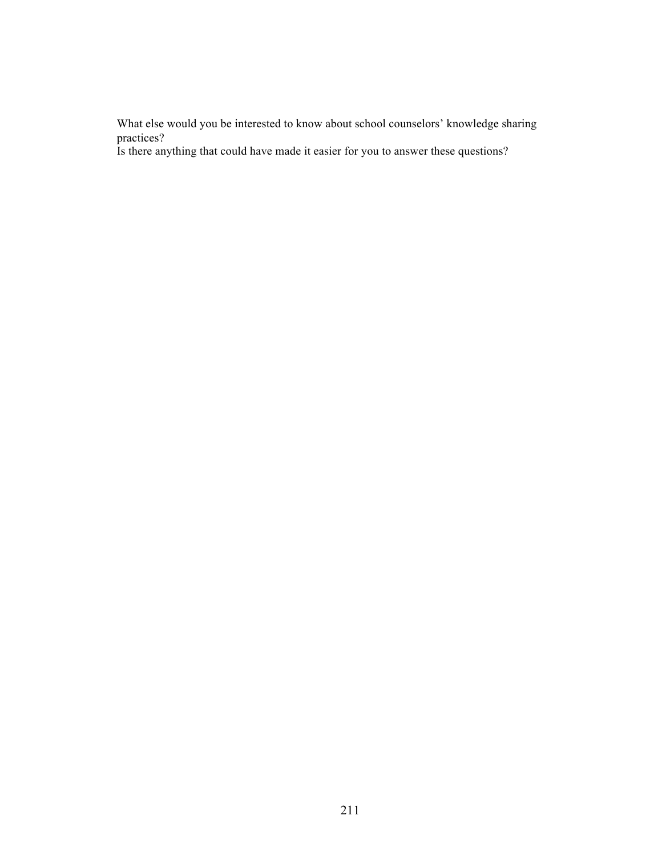What else would you be interested to know about school counselors' knowledge sharing practices?

Is there anything that could have made it easier for you to answer these questions?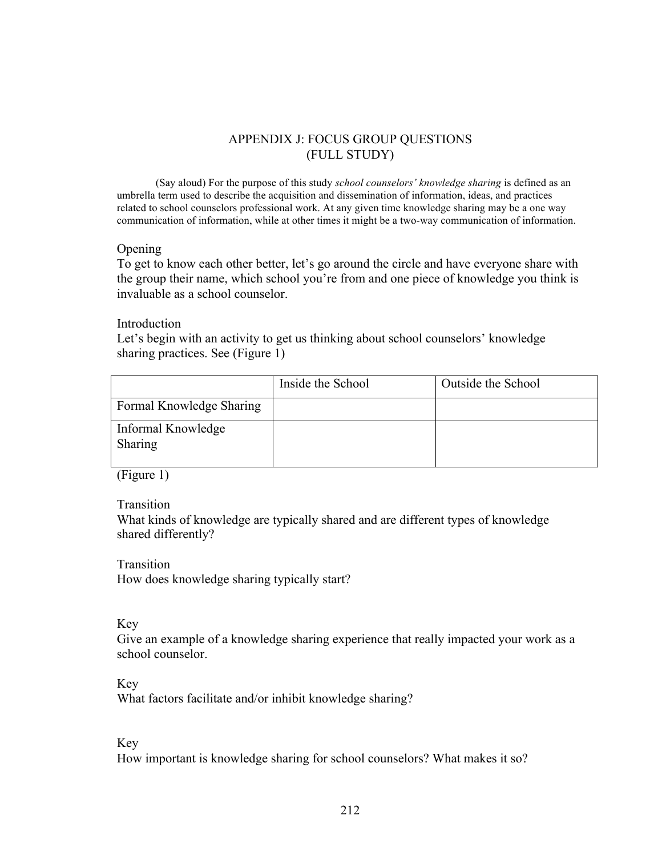# APPENDIX J: FOCUS GROUP QUESTIONS (FULL STUDY)

(Say aloud) For the purpose of this study *school counselors' knowledge sharing* is defined as an umbrella term used to describe the acquisition and dissemination of information, ideas, and practices related to school counselors professional work. At any given time knowledge sharing may be a one way communication of information, while at other times it might be a two-way communication of information.

#### Opening

To get to know each other better, let's go around the circle and have everyone share with the group their name, which school you're from and one piece of knowledge you think is invaluable as a school counselor.

#### Introduction

Let's begin with an activity to get us thinking about school counselors' knowledge sharing practices. See (Figure 1)

|                               | Inside the School | Outside the School |
|-------------------------------|-------------------|--------------------|
| Formal Knowledge Sharing      |                   |                    |
| Informal Knowledge<br>Sharing |                   |                    |

(Figure 1)

Transition

What kinds of knowledge are typically shared and are different types of knowledge shared differently?

Transition How does knowledge sharing typically start?

Key

Give an example of a knowledge sharing experience that really impacted your work as a school counselor.

Key

What factors facilitate and/or inhibit knowledge sharing?

Key

How important is knowledge sharing for school counselors? What makes it so?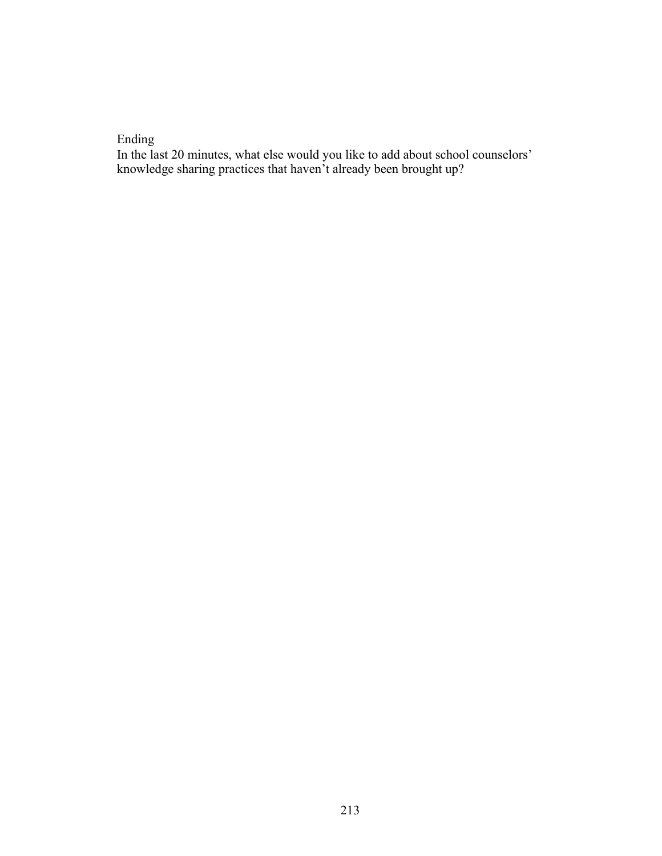# Ending

In the last 20 minutes, what else would you like to add about school counselors' knowledge sharing practices that haven't already been brought up?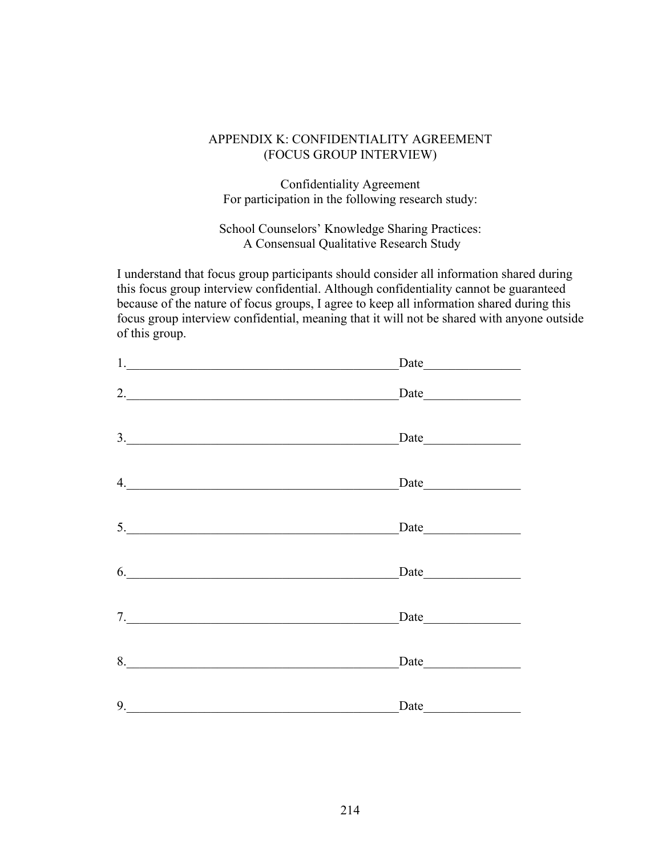# APPENDIX K: CONFIDENTIALITY AGREEMENT (FOCUS GROUP INTERVIEW)

Confidentiality Agreement For participation in the following research study:

School Counselors' Knowledge Sharing Practices: A Consensual Qualitative Research Study

I understand that focus group participants should consider all information shared during this focus group interview confidential. Although confidentiality cannot be guaranteed because of the nature of focus groups, I agree to keep all information shared during this focus group interview confidential, meaning that it will not be shared with anyone outside of this group.

| $1.$ $\frac{1}{2}$ $\frac{1}{2}$ $\frac{1}{2}$ $\frac{1}{2}$ $\frac{1}{2}$ $\frac{1}{2}$ $\frac{1}{2}$ $\frac{1}{2}$ $\frac{1}{2}$ $\frac{1}{2}$ $\frac{1}{2}$ $\frac{1}{2}$ $\frac{1}{2}$ $\frac{1}{2}$ $\frac{1}{2}$ $\frac{1}{2}$ $\frac{1}{2}$ $\frac{1}{2}$ $\frac{1}{2}$ $\frac{1}{2}$ $\frac{1}{2}$ $\frac{1}{$ |                                                                                                                                                                                                                               |
|------------------------------------------------------------------------------------------------------------------------------------------------------------------------------------------------------------------------------------------------------------------------------------------------------------------------|-------------------------------------------------------------------------------------------------------------------------------------------------------------------------------------------------------------------------------|
| 2.                                                                                                                                                                                                                                                                                                                     | Date                                                                                                                                                                                                                          |
| 3.                                                                                                                                                                                                                                                                                                                     | $\text{Date}$                                                                                                                                                                                                                 |
| 4.                                                                                                                                                                                                                                                                                                                     | $\text{Date}$                                                                                                                                                                                                                 |
| 5.                                                                                                                                                                                                                                                                                                                     | Date                                                                                                                                                                                                                          |
| 6.                                                                                                                                                                                                                                                                                                                     | Date                                                                                                                                                                                                                          |
| 7.                                                                                                                                                                                                                                                                                                                     | Date has been a series of the series of the series of the series of the series of the series of the series of the series of the series of the series of the series of the series of the series of the series of the series of |
| 8.                                                                                                                                                                                                                                                                                                                     | $\text{Date}$                                                                                                                                                                                                                 |
| 9.                                                                                                                                                                                                                                                                                                                     | Date                                                                                                                                                                                                                          |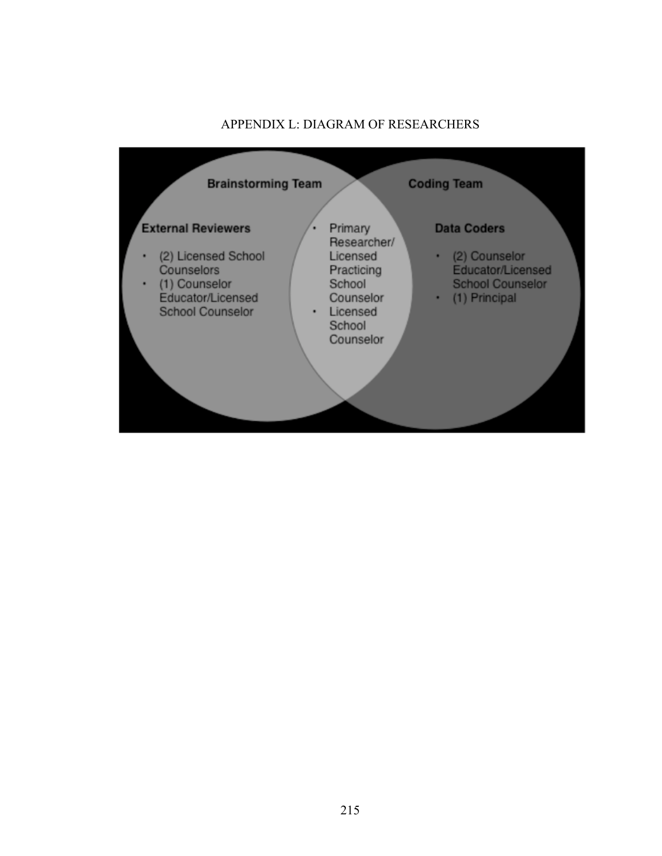# APPENDIX L: DIAGRAM OF RESEARCHERS

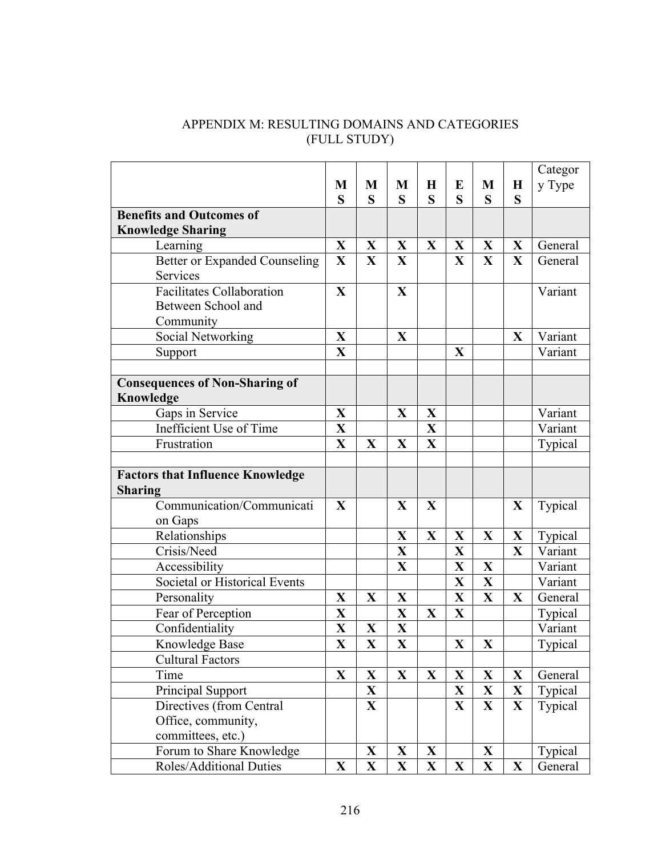| APPENDIX M: RESULTING DOMAINS AND CATEGORIES |
|----------------------------------------------|
| (FULL STUDY)                                 |

|                                         |                         |              |              |             |              |              |              | Categor |
|-----------------------------------------|-------------------------|--------------|--------------|-------------|--------------|--------------|--------------|---------|
|                                         | M                       | M            | M            | $\bf H$     | E            | M            | $\bf H$      | y Type  |
|                                         | S                       | S            | S            | S           | S            | S            | S            |         |
| <b>Benefits and Outcomes of</b>         |                         |              |              |             |              |              |              |         |
| <b>Knowledge Sharing</b>                |                         |              |              |             |              |              |              |         |
| Learning                                | X                       | X            | X            | X           | X            | X            | $\mathbf{X}$ | General |
| <b>Better or Expanded Counseling</b>    | X                       | X            | $\mathbf{X}$ |             | $\mathbf{X}$ | X            | $\mathbf{X}$ | General |
| Services                                |                         |              |              |             |              |              |              |         |
| <b>Facilitates Collaboration</b>        | X                       |              | $\mathbf{X}$ |             |              |              |              | Variant |
| Between School and                      |                         |              |              |             |              |              |              |         |
| Community                               |                         |              |              |             |              |              |              |         |
| Social Networking                       | X                       |              | X            |             |              |              | X            | Variant |
| Support                                 | $\mathbf{X}$            |              |              |             | X            |              |              | Variant |
| <b>Consequences of Non-Sharing of</b>   |                         |              |              |             |              |              |              |         |
| Knowledge                               |                         |              |              |             |              |              |              |         |
| Gaps in Service                         | X                       |              | $\mathbf X$  | X           |              |              |              | Variant |
| Inefficient Use of Time                 | X                       |              |              | X           |              |              |              | Variant |
| Frustration                             | X                       | X            | $\mathbf X$  | X           |              |              |              | Typical |
|                                         |                         |              |              |             |              |              |              |         |
| <b>Factors that Influence Knowledge</b> |                         |              |              |             |              |              |              |         |
| <b>Sharing</b>                          |                         |              |              |             |              |              |              |         |
| Communication/Communicati               | X                       |              | X            | X           |              |              | X            | Typical |
| on Gaps                                 |                         |              |              |             |              |              |              |         |
| Relationships                           |                         |              | X            | X           | X            | $\mathbf X$  | $\mathbf X$  | Typical |
| Crisis/Need                             |                         |              | $\mathbf X$  |             | $\mathbf X$  |              | $\mathbf{X}$ | Variant |
| Accessibility                           |                         |              | X            |             | $\mathbf X$  | $\mathbf X$  |              | Variant |
| Societal or Historical Events           |                         |              |              |             | $\mathbf X$  | $\mathbf X$  |              | Variant |
| Personality                             | $\mathbf X$             | $\mathbf X$  | $\mathbf X$  |             | $\mathbf X$  | $\mathbf{X}$ | $\mathbf{X}$ | General |
| Fear of Perception                      | X                       |              | X            | X           | X            |              |              | Typical |
| Confidentiality                         | X                       | X            | $\mathbf X$  |             |              |              |              | Variant |
| Knowledge Base                          | $\overline{\mathbf{X}}$ | X            | $\mathbf{X}$ |             | $\mathbf X$  | $\mathbf X$  |              | Typical |
| <b>Cultural Factors</b>                 |                         |              |              |             |              |              |              |         |
| Time                                    | $\mathbf X$             | $\mathbf X$  | $\mathbf X$  | $\mathbf X$ | $\mathbf{X}$ | $\mathbf{X}$ | $\mathbf{X}$ | General |
| Principal Support                       |                         | X            |              |             | X            | X            | $\mathbf{X}$ | Typical |
| Directives (from Central                |                         | $\mathbf{X}$ |              |             | $\mathbf{X}$ | $\mathbf X$  | $\mathbf{X}$ | Typical |
| Office, community,                      |                         |              |              |             |              |              |              |         |
| committees, etc.)                       |                         |              |              |             |              |              |              |         |
| Forum to Share Knowledge                |                         | X            | X            | X           |              | X            |              | Typical |
| Roles/Additional Duties                 | X                       | $\mathbf X$  | $\mathbf X$  | $\mathbf X$ | $\mathbf X$  | $\mathbf X$  | $\mathbf X$  | General |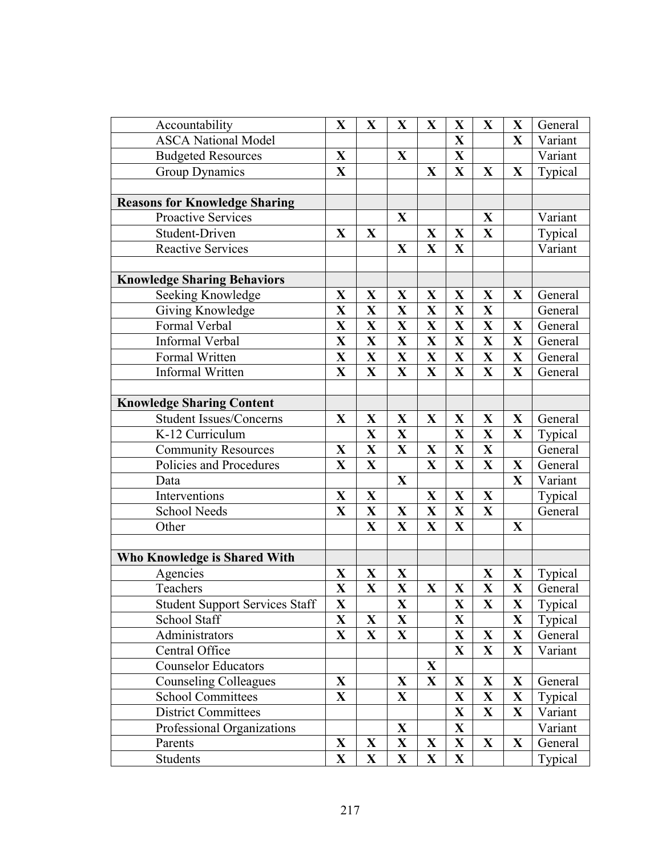| Accountability                        | $\mathbf X$             | $\mathbf X$             | $\overline{\mathbf{X}}$ | $\mathbf X$  | X                       | $\mathbf X$             | $\mathbf X$  | General        |
|---------------------------------------|-------------------------|-------------------------|-------------------------|--------------|-------------------------|-------------------------|--------------|----------------|
| <b>ASCA</b> National Model            |                         |                         |                         |              | $\mathbf{X}$            |                         | $\mathbf X$  | Variant        |
| <b>Budgeted Resources</b>             | X                       |                         | $\mathbf{X}$            |              | $\mathbf X$             |                         |              | Variant        |
| Group Dynamics                        | $\mathbf X$             |                         |                         | X            | $\mathbf X$             | $\mathbf{X}$            | $\mathbf{X}$ | Typical        |
|                                       |                         |                         |                         |              |                         |                         |              |                |
| <b>Reasons for Knowledge Sharing</b>  |                         |                         |                         |              |                         |                         |              |                |
| Proactive Services                    |                         |                         | $\mathbf X$             |              |                         | X                       |              | Variant        |
| Student-Driven                        | $\mathbf{X}$            | X                       |                         | X            | X                       | $\mathbf X$             |              | Typical        |
| <b>Reactive Services</b>              |                         |                         | X                       | X            | $\mathbf X$             |                         |              | Variant        |
|                                       |                         |                         |                         |              |                         |                         |              |                |
| <b>Knowledge Sharing Behaviors</b>    |                         |                         |                         |              |                         |                         |              |                |
| Seeking Knowledge                     | $\mathbf X$             | X                       | $\mathbf{X}$            | X            | X                       | $\mathbf{X}$            | $\mathbf{X}$ | General        |
| Giving Knowledge                      | $\overline{\mathbf{X}}$ | X                       | $\overline{\mathbf{X}}$ | X            | X                       | $\mathbf X$             |              | General        |
| Formal Verbal                         | $\overline{\mathbf{X}}$ | X                       | $\overline{\mathbf{X}}$ | $\mathbf X$  | $\mathbf{X}$            | $\mathbf{X}$            | $\mathbf X$  | General        |
| Informal Verbal                       | X                       | $\mathbf X$             | $\mathbf{X}$            | $\mathbf X$  | $\mathbf X$             | $\mathbf{X}$            | $\mathbf{X}$ | General        |
| Formal Written                        | $\overline{\mathbf{X}}$ | $\mathbf X$             | $\overline{\mathbf{X}}$ | $\mathbf{X}$ | $\mathbf X$             | $\mathbf{X}$            | $\mathbf X$  | General        |
| Informal Written                      | $\mathbf X$             | $\mathbf X$             | $\mathbf{X}$            | $\mathbf X$  | $\mathbf X$             | $\mathbf X$             | $\mathbf X$  | General        |
|                                       |                         |                         |                         |              |                         |                         |              |                |
| <b>Knowledge Sharing Content</b>      |                         |                         |                         |              |                         |                         |              |                |
| <b>Student Issues/Concerns</b>        | $\mathbf X$             | X                       | X                       | X            | X                       | $\mathbf{X}$            | $\mathbf X$  | General        |
| K-12 Curriculum                       |                         | $\overline{\mathbf{X}}$ | $\overline{\mathbf{X}}$ |              | X                       | $\overline{\mathbf{X}}$ | X            | Typical        |
| <b>Community Resources</b>            | $\mathbf{X}$            | $\mathbf X$             | X                       | X            | $\mathbf X$             | $\mathbf X$             |              | General        |
| Policies and Procedures               | X                       | $\mathbf{X}$            |                         | $\mathbf X$  | $\mathbf X$             | $\mathbf X$             | $\mathbf X$  | General        |
| Data                                  |                         |                         | X                       |              |                         |                         | $\mathbf X$  | Variant        |
| Interventions                         | $\mathbf{X}$            | $\mathbf X$             |                         | X            | X                       | $\mathbf X$             |              | Typical        |
| <b>School Needs</b>                   | $\overline{\mathbf{X}}$ | $\mathbf{X}$            | X                       | $\mathbf{X}$ | $\mathbf X$             | $\mathbf X$             |              | General        |
| Other                                 |                         | $\mathbf X$             | $\mathbf{X}$            | $\mathbf X$  | $\mathbf X$             |                         | X            |                |
|                                       |                         |                         |                         |              |                         |                         |              |                |
| Who Knowledge is Shared With          |                         |                         |                         |              |                         |                         |              |                |
| Agencies                              | X                       | $\mathbf X$             | X                       |              |                         | X                       | X            | <b>Typical</b> |
| Teachers                              | X                       | $\mathbf{X}$            | $\mathbf{X}$            | $\mathbf X$  | $\mathbf X$             | X                       | $\mathbf X$  | General        |
| <b>Student Support Services Staff</b> | $\overline{\mathbf{X}}$ |                         | $\overline{\mathbf{X}}$ |              | $\overline{\mathbf{X}}$ | $\overline{\mathbf{X}}$ | $\mathbf X$  | Typical        |
| School Staff                          | X                       | X                       | $\mathbf X$             |              | X                       |                         | $\mathbf{X}$ | Typical        |
| Administrators                        | $\mathbf{X}$            | $\mathbf{X}$            | $\mathbf{X}$            |              | $\mathbf{X}$            | $\mathbf X$             | $\mathbf{X}$ | General        |
| Central Office                        |                         |                         |                         |              | $\mathbf X$             | $\mathbf X$             | $\mathbf X$  | Variant        |
| <b>Counselor Educators</b>            |                         |                         |                         | $\mathbf X$  |                         |                         |              |                |
| <b>Counseling Colleagues</b>          | $\mathbf X$             |                         | $\mathbf{X}$            | X            | X                       | X                       | $\mathbf{X}$ | General        |
| <b>School Committees</b>              | $\mathbf X$             |                         | $\mathbf X$             |              | X                       | $\mathbf X$             | $\mathbf{X}$ | Typical        |
| <b>District Committees</b>            |                         |                         |                         |              | $\mathbf X$             | $\mathbf X$             | $\mathbf{X}$ | Variant        |
| Professional Organizations            |                         |                         | $\mathbf{X}$            |              | X                       |                         |              | Variant        |
| Parents                               | X                       | $\mathbf{X}$            | $\mathbf X$             | X            | $\mathbf{X}$            | $\mathbf{X}$            | $\mathbf{X}$ | General        |
| Students                              | $\mathbf X$             | $\mathbf X$             | $\mathbf X$             | X            | $\mathbf X$             |                         |              | Typical        |